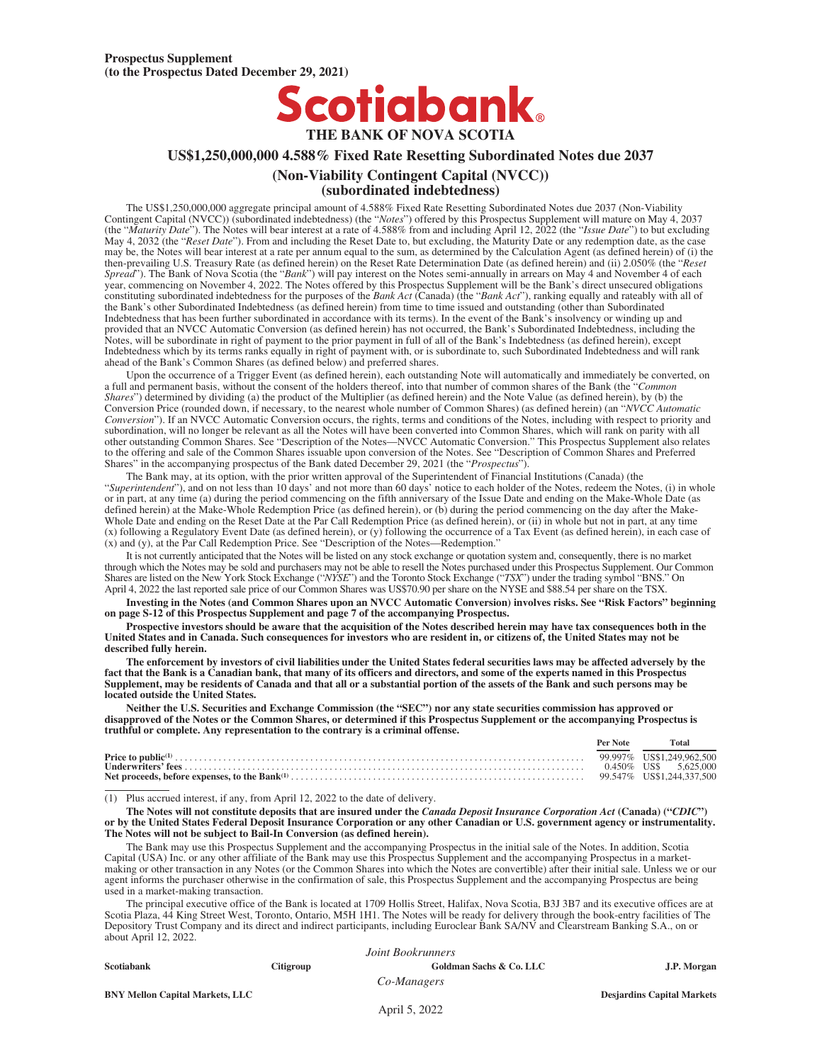

**US\$1,250,000,000 4.588% Fixed Rate Resetting Subordinated Notes due 2037**

**(Non-Viability Contingent Capital (NVCC))**

**(subordinated indebtedness)**

The US\$1,250,000,000 aggregate principal amount of 4.588% Fixed Rate Resetting Subordinated Notes due 2037 (Non-Viability Contingent Capital (NVCC)) (subordinated indebtedness) (the "*Notes*") offered by this Prospectus Supplement will mature on May 4, 2037 (the "*Maturity Date*"). The Notes will bear interest at a rate of 4.588% from and including April 12, 2022 (the "*Issue Date*") to but excluding May 4, 2032 (the "*Reset Date*"). From and including the Reset Date to, but excluding, the Maturity Date or any redemption date, as the case may be, the Notes will bear interest at a rate per annum equal to the sum, as determined by the Calculation Agent (as defined herein) of (i) the then-prevailing U.S. Treasury Rate (as defined herein) on the Reset Rate Determination Date (as defined herein) and (ii) 2.050% (the "*Reset Spread*"). The Bank of Nova Scotia (the "*Bank*") will pay interest on the Notes semi-annually in arrears on May 4 and November 4 of each year, commencing on November 4, 2022. The Notes offered by this Prospectus Supplement will be the Bank's direct unsecured obligations constituting subordinated indebtedness for the purposes of the *Bank Act* (Canada) (the "*Bank Act*"), ranking equally and rateably with all of the Bank's other Subordinated Indebtedness (as defined herein) from time to time issued and outstanding (other than Subordinated Indebtedness that has been further subordinated in accordance with its terms). In the event of the Bank's insolvency or winding up and provided that an NVCC Automatic Conversion (as defined herein) has not occurred, the Bank's Subordinated Indebtedness, including the Notes, will be subordinate in right of payment to the prior payment in full of all of the Bank's Indebtedness (as defined herein), except Indebtedness which by its terms ranks equally in right of payment with, or is subordinate to, such Subordinated Indebtedness and will rank ahead of the Bank's Common Shares (as defined below) and preferred shares.

Upon the occurrence of a Trigger Event (as defined herein), each outstanding Note will automatically and immediately be converted, on a full and permanent basis, without the consent of the holders thereof, into that number of common shares of the Bank (the "*Common Shares*") determined by dividing (a) the product of the Multiplier (as defined herein) and the Note Value (as defined herein), by (b) the Conversion Price (rounded down, if necessary, to the nearest whole number of Common Shares) (as defined herein) (an "*NVCC Automatic Conversion*"). If an NVCC Automatic Conversion occurs, the rights, terms and conditions of the Notes, including with respect to priority and subordination, will no longer be relevant as all the Notes will have been converted into Common Shares, which will rank on parity with all other outstanding Common Shares. See "Description of the Notes—NVCC Automatic Conversion." This Prospectus Supplement also relates to the offering and sale of the Common Shares issuable upon conversion of the Notes. See "Description of Common Shares and Preferred Shares" in the accompanying prospectus of the Bank dated December 29, 2021 (the "*Prospectus*").

The Bank may, at its option, with the prior written approval of the Superintendent of Financial Institutions (Canada) (the "*Superintendent*"), and on not less than 10 days' and not more than 60 days' notice to each holder of the Notes, redeem the Notes, (i) in whole or in part, at any time (a) during the period commencing on the fifth anniversary of the Issue Date and ending on the Make-Whole Date (as defined herein) at the Make-Whole Redemption Price (as defined herein), or (b) during the period commencing on the day after the Make-Whole Date and ending on the Reset Date at the Par Call Redemption Price (as defined herein), or (ii) in whole but not in part, at any time (x) following a Regulatory Event Date (as defined herein), or (y) following the occurrence of a Tax Event (as defined herein), in each case of (x) and (y), at the Par Call Redemption Price. See "Description of the Notes—Redemption."

It is not currently anticipated that the Notes will be listed on any stock exchange or quotation system and, consequently, there is no market through which the Notes may be sold and purchasers may not be able to resell the Notes purchased under this Prospectus Supplement. Our Common Shares are listed on the New York Stock Exchange ("*NYSE*") and the Toronto Stock Exchange ("*TSX*") under the trading symbol "BNS." On April 4, 2022 the last reported sale price of our Common Shares was US\$70.90 per share on the NYSE and \$88.54 per share on the TSX.

**Investing in the Notes (and Common Shares upon an NVCC Automatic Conversion) involves risks. See ["Risk Factors"](#page-15-0) beginning on page S-12 of this Prospectus Supplement and page 7 of the accompanying Prospectus.**

**Prospective investors should be aware that the acquisition of the Notes described herein may have tax consequences both in the United States and in Canada. Such consequences for investors who are resident in, or citizens of, the United States may not be described fully herein.**

**The enforcement by investors of civil liabilities under the United States federal securities laws may be affected adversely by the fact that the Bank is a Canadian bank, that many of its officers and directors, and some of the experts named in this Prospectus Supplement, may be residents of Canada and that all or a substantial portion of the assets of the Bank and such persons may be located outside the United States.**

**Neither the U.S. Securities and Exchange Commission (the "SEC") nor any state securities commission has approved or disapproved of the Notes or the Common Shares, or determined if this Prospectus Supplement or the accompanying Prospectus is truthful or complete. Any representation to the contrary is a criminal offense.**

| Per Note | <b>Total</b>           |
|----------|------------------------|
|          |                        |
|          | 0.450\% US\$ 5.625,000 |
|          |                        |

(1) Plus accrued interest, if any, from April 12, 2022 to the date of delivery.

**The Notes will not constitute deposits that are insured under the** *Canada Deposit Insurance Corporation Act* **(Canada) ("***CDIC***") or by the United States Federal Deposit Insurance Corporation or any other Canadian or U.S. government agency or instrumentality. The Notes will not be subject to Bail-In Conversion (as defined herein).**

The Bank may use this Prospectus Supplement and the accompanying Prospectus in the initial sale of the Notes. In addition, Scotia Capital (USA) Inc. or any other affiliate of the Bank may use this Prospectus Supplement and the accompanying Prospectus in a marketmaking or other transaction in any Notes (or the Common Shares into which the Notes are convertible) after their initial sale. Unless we or our agent informs the purchaser otherwise in the confirmation of sale, this Prospectus Supplement and the accompanying Prospectus are being used in a market-making transaction.

The principal executive office of the Bank is located at 1709 Hollis Street, Halifax, Nova Scotia, B3J 3B7 and its executive offices are at Scotia Plaza, 44 King Street West, Toronto, Ontario, M5H 1H1. The Notes will be ready for delivery through the book-entry facilities of The Depository Trust Company and its direct and indirect participants, including Euroclear Bank SA/NV and Clearstream Banking S.A., on or about April 12, 2022.

|                                        |           | <i>Joint Bookrunners</i> |                                   |
|----------------------------------------|-----------|--------------------------|-----------------------------------|
| <b>Scotiabank</b>                      | Citigroup | Goldman Sachs & Co. LLC  | J.P. Morgan                       |
|                                        |           | Co-Managers              |                                   |
| <b>BNY Mellon Capital Markets, LLC</b> |           |                          | <b>Desjardins Capital Markets</b> |
|                                        |           | April 5, 2022            |                                   |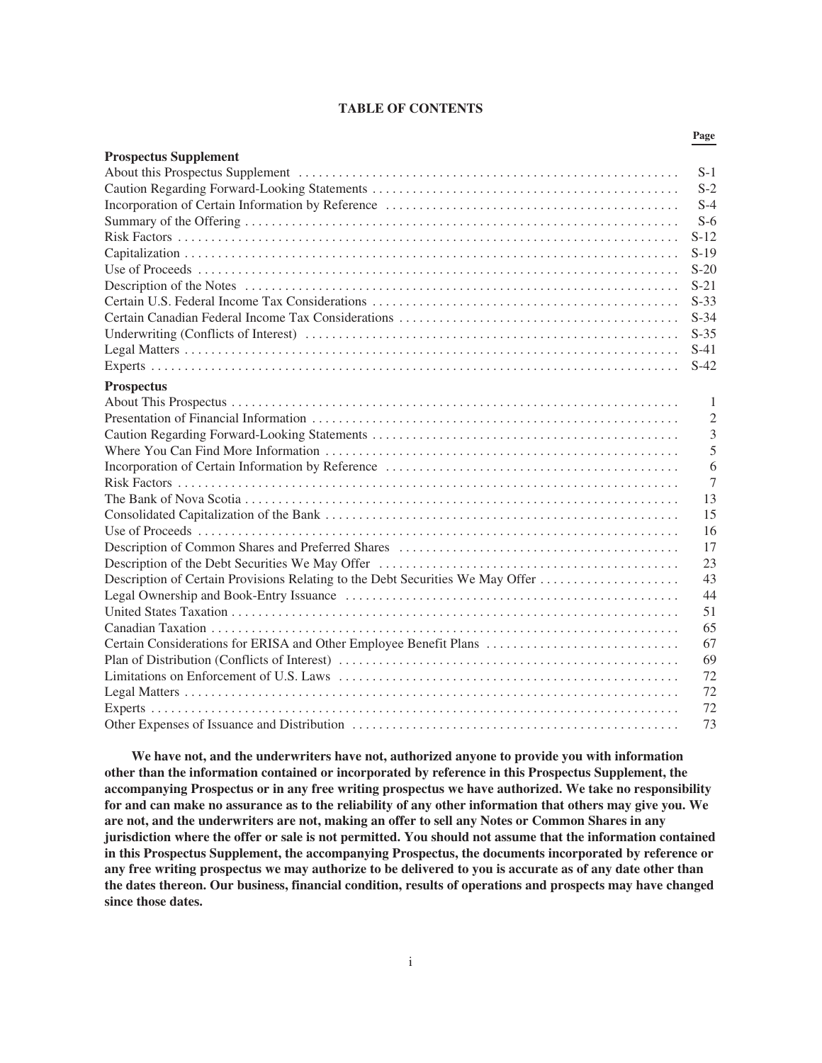### **TABLE OF CONTENTS**

**Page**

| $S-1$<br>$S-2$<br>$S-4$<br>$S-6$<br>$S-12$<br>$S-19$<br>$S-20$<br>$S-21$<br>$S-33$<br>$S-34$<br>$S-35$<br>$S-41$<br>$S-42$<br><b>Prospectus</b><br>1<br>$\overline{2}$<br>3<br>5<br>6<br>$\overline{7}$<br>13<br>15<br>16<br>17<br>23<br>Description of Certain Provisions Relating to the Debt Securities We May Offer<br>43<br>44<br>51<br>65<br>Certain Considerations for ERISA and Other Employee Benefit Plans<br>67<br>69<br>72<br>72<br>72<br>73 |                              | $\circ$ |
|----------------------------------------------------------------------------------------------------------------------------------------------------------------------------------------------------------------------------------------------------------------------------------------------------------------------------------------------------------------------------------------------------------------------------------------------------------|------------------------------|---------|
|                                                                                                                                                                                                                                                                                                                                                                                                                                                          | <b>Prospectus Supplement</b> |         |
|                                                                                                                                                                                                                                                                                                                                                                                                                                                          |                              |         |
|                                                                                                                                                                                                                                                                                                                                                                                                                                                          |                              |         |
|                                                                                                                                                                                                                                                                                                                                                                                                                                                          |                              |         |
|                                                                                                                                                                                                                                                                                                                                                                                                                                                          |                              |         |
|                                                                                                                                                                                                                                                                                                                                                                                                                                                          |                              |         |
|                                                                                                                                                                                                                                                                                                                                                                                                                                                          |                              |         |
|                                                                                                                                                                                                                                                                                                                                                                                                                                                          |                              |         |
|                                                                                                                                                                                                                                                                                                                                                                                                                                                          |                              |         |
|                                                                                                                                                                                                                                                                                                                                                                                                                                                          |                              |         |
|                                                                                                                                                                                                                                                                                                                                                                                                                                                          |                              |         |
|                                                                                                                                                                                                                                                                                                                                                                                                                                                          |                              |         |
|                                                                                                                                                                                                                                                                                                                                                                                                                                                          |                              |         |
|                                                                                                                                                                                                                                                                                                                                                                                                                                                          |                              |         |
|                                                                                                                                                                                                                                                                                                                                                                                                                                                          |                              |         |
|                                                                                                                                                                                                                                                                                                                                                                                                                                                          |                              |         |
|                                                                                                                                                                                                                                                                                                                                                                                                                                                          |                              |         |
|                                                                                                                                                                                                                                                                                                                                                                                                                                                          |                              |         |
|                                                                                                                                                                                                                                                                                                                                                                                                                                                          |                              |         |
|                                                                                                                                                                                                                                                                                                                                                                                                                                                          |                              |         |
|                                                                                                                                                                                                                                                                                                                                                                                                                                                          |                              |         |
|                                                                                                                                                                                                                                                                                                                                                                                                                                                          |                              |         |
|                                                                                                                                                                                                                                                                                                                                                                                                                                                          |                              |         |
|                                                                                                                                                                                                                                                                                                                                                                                                                                                          |                              |         |
|                                                                                                                                                                                                                                                                                                                                                                                                                                                          |                              |         |
|                                                                                                                                                                                                                                                                                                                                                                                                                                                          |                              |         |
|                                                                                                                                                                                                                                                                                                                                                                                                                                                          |                              |         |
|                                                                                                                                                                                                                                                                                                                                                                                                                                                          |                              |         |
|                                                                                                                                                                                                                                                                                                                                                                                                                                                          |                              |         |
|                                                                                                                                                                                                                                                                                                                                                                                                                                                          |                              |         |
|                                                                                                                                                                                                                                                                                                                                                                                                                                                          |                              |         |
|                                                                                                                                                                                                                                                                                                                                                                                                                                                          |                              |         |
|                                                                                                                                                                                                                                                                                                                                                                                                                                                          |                              |         |
|                                                                                                                                                                                                                                                                                                                                                                                                                                                          |                              |         |
|                                                                                                                                                                                                                                                                                                                                                                                                                                                          |                              |         |
|                                                                                                                                                                                                                                                                                                                                                                                                                                                          |                              |         |

**We have not, and the underwriters have not, authorized anyone to provide you with information other than the information contained or incorporated by reference in this Prospectus Supplement, the accompanying Prospectus or in any free writing prospectus we have authorized. We take no responsibility for and can make no assurance as to the reliability of any other information that others may give you. We are not, and the underwriters are not, making an offer to sell any Notes or Common Shares in any jurisdiction where the offer or sale is not permitted. You should not assume that the information contained in this Prospectus Supplement, the accompanying Prospectus, the documents incorporated by reference or any free writing prospectus we may authorize to be delivered to you is accurate as of any date other than the dates thereon. Our business, financial condition, results of operations and prospects may have changed since those dates.**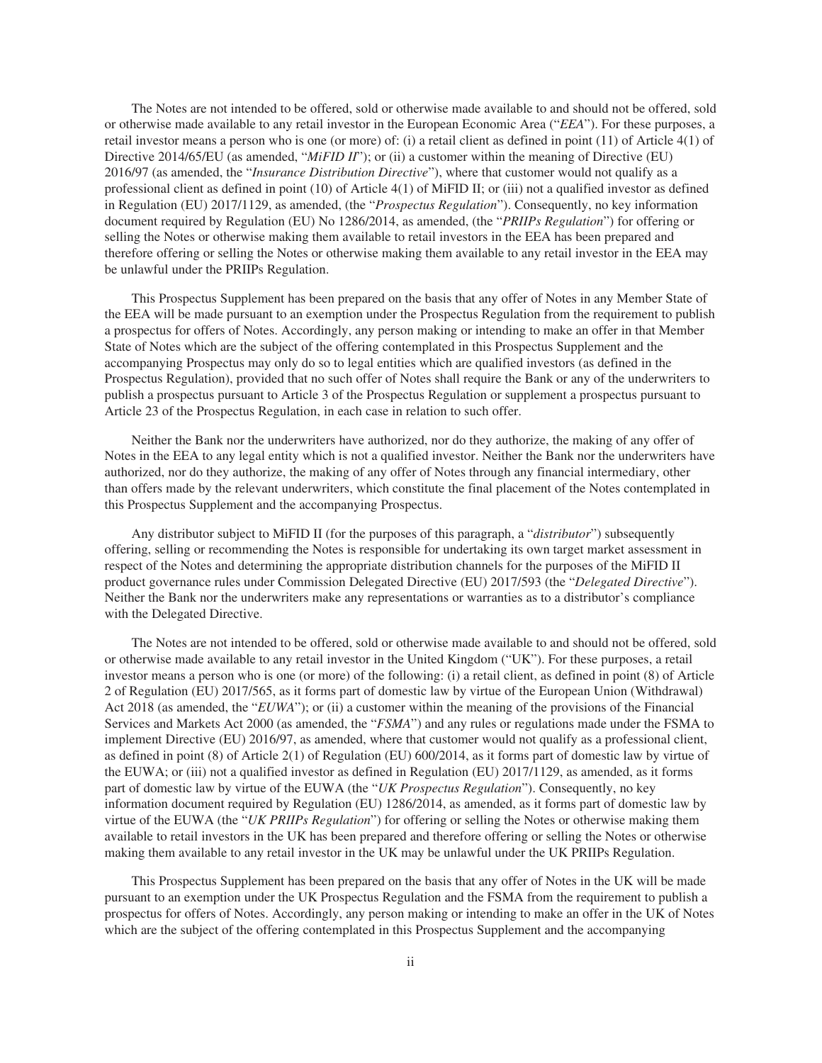The Notes are not intended to be offered, sold or otherwise made available to and should not be offered, sold or otherwise made available to any retail investor in the European Economic Area ("*EEA*"). For these purposes, a retail investor means a person who is one (or more) of: (i) a retail client as defined in point (11) of Article 4(1) of Directive 2014/65/EU (as amended, "*MiFID II*"); or (ii) a customer within the meaning of Directive (EU) 2016/97 (as amended, the "*Insurance Distribution Directive*"), where that customer would not qualify as a professional client as defined in point (10) of Article 4(1) of MiFID II; or (iii) not a qualified investor as defined in Regulation (EU) 2017/1129, as amended, (the "*Prospectus Regulation*"). Consequently, no key information document required by Regulation (EU) No 1286/2014, as amended, (the "*PRIIPs Regulation*") for offering or selling the Notes or otherwise making them available to retail investors in the EEA has been prepared and therefore offering or selling the Notes or otherwise making them available to any retail investor in the EEA may be unlawful under the PRIIPs Regulation.

This Prospectus Supplement has been prepared on the basis that any offer of Notes in any Member State of the EEA will be made pursuant to an exemption under the Prospectus Regulation from the requirement to publish a prospectus for offers of Notes. Accordingly, any person making or intending to make an offer in that Member State of Notes which are the subject of the offering contemplated in this Prospectus Supplement and the accompanying Prospectus may only do so to legal entities which are qualified investors (as defined in the Prospectus Regulation), provided that no such offer of Notes shall require the Bank or any of the underwriters to publish a prospectus pursuant to Article 3 of the Prospectus Regulation or supplement a prospectus pursuant to Article 23 of the Prospectus Regulation, in each case in relation to such offer.

Neither the Bank nor the underwriters have authorized, nor do they authorize, the making of any offer of Notes in the EEA to any legal entity which is not a qualified investor. Neither the Bank nor the underwriters have authorized, nor do they authorize, the making of any offer of Notes through any financial intermediary, other than offers made by the relevant underwriters, which constitute the final placement of the Notes contemplated in this Prospectus Supplement and the accompanying Prospectus.

Any distributor subject to MiFID II (for the purposes of this paragraph, a "*distributor*") subsequently offering, selling or recommending the Notes is responsible for undertaking its own target market assessment in respect of the Notes and determining the appropriate distribution channels for the purposes of the MiFID II product governance rules under Commission Delegated Directive (EU) 2017/593 (the "*Delegated Directive*"). Neither the Bank nor the underwriters make any representations or warranties as to a distributor's compliance with the Delegated Directive.

The Notes are not intended to be offered, sold or otherwise made available to and should not be offered, sold or otherwise made available to any retail investor in the United Kingdom ("UK"). For these purposes, a retail investor means a person who is one (or more) of the following: (i) a retail client, as defined in point (8) of Article 2 of Regulation (EU) 2017/565, as it forms part of domestic law by virtue of the European Union (Withdrawal) Act 2018 (as amended, the "*EUWA*"); or (ii) a customer within the meaning of the provisions of the Financial Services and Markets Act 2000 (as amended, the "*FSMA*") and any rules or regulations made under the FSMA to implement Directive (EU) 2016/97, as amended, where that customer would not qualify as a professional client, as defined in point (8) of Article 2(1) of Regulation (EU) 600/2014, as it forms part of domestic law by virtue of the EUWA; or (iii) not a qualified investor as defined in Regulation (EU) 2017/1129, as amended, as it forms part of domestic law by virtue of the EUWA (the "*UK Prospectus Regulation*"). Consequently, no key information document required by Regulation (EU) 1286/2014, as amended, as it forms part of domestic law by virtue of the EUWA (the "*UK PRIIPs Regulation*") for offering or selling the Notes or otherwise making them available to retail investors in the UK has been prepared and therefore offering or selling the Notes or otherwise making them available to any retail investor in the UK may be unlawful under the UK PRIIPs Regulation.

This Prospectus Supplement has been prepared on the basis that any offer of Notes in the UK will be made pursuant to an exemption under the UK Prospectus Regulation and the FSMA from the requirement to publish a prospectus for offers of Notes. Accordingly, any person making or intending to make an offer in the UK of Notes which are the subject of the offering contemplated in this Prospectus Supplement and the accompanying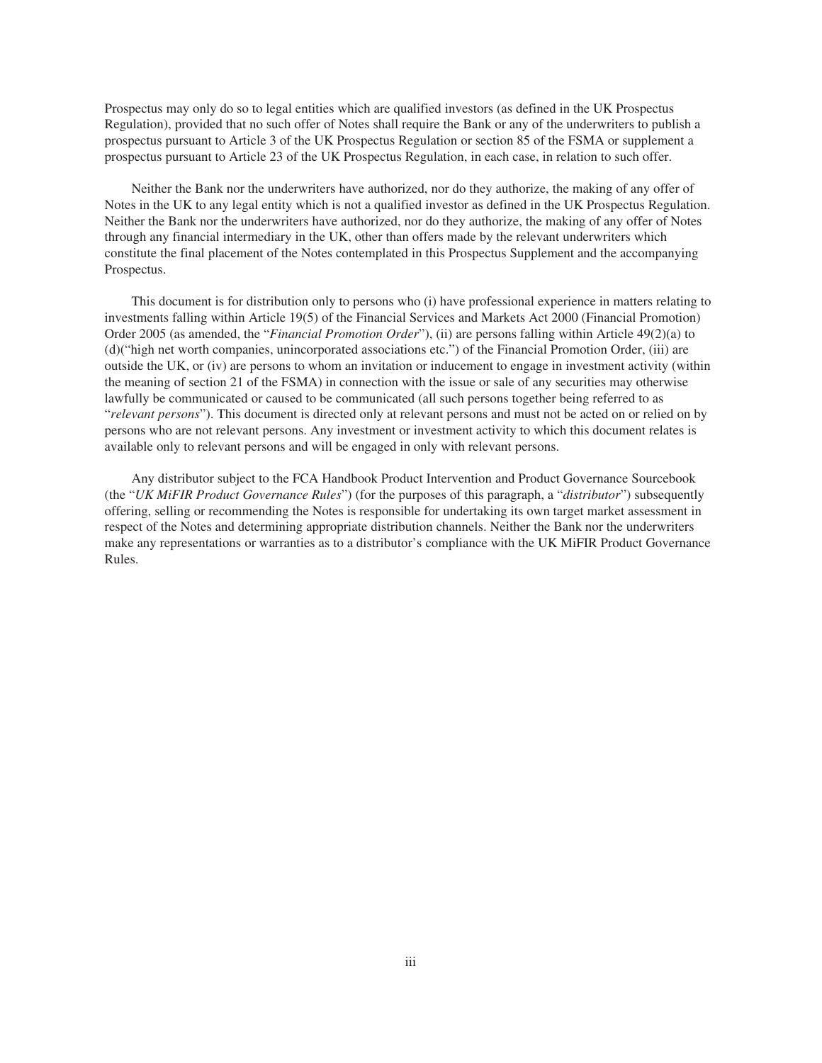Prospectus may only do so to legal entities which are qualified investors (as defined in the UK Prospectus Regulation), provided that no such offer of Notes shall require the Bank or any of the underwriters to publish a prospectus pursuant to Article 3 of the UK Prospectus Regulation or section 85 of the FSMA or supplement a prospectus pursuant to Article 23 of the UK Prospectus Regulation, in each case, in relation to such offer.

Neither the Bank nor the underwriters have authorized, nor do they authorize, the making of any offer of Notes in the UK to any legal entity which is not a qualified investor as defined in the UK Prospectus Regulation. Neither the Bank nor the underwriters have authorized, nor do they authorize, the making of any offer of Notes through any financial intermediary in the UK, other than offers made by the relevant underwriters which constitute the final placement of the Notes contemplated in this Prospectus Supplement and the accompanying Prospectus.

This document is for distribution only to persons who (i) have professional experience in matters relating to investments falling within Article 19(5) of the Financial Services and Markets Act 2000 (Financial Promotion) Order 2005 (as amended, the "*Financial Promotion Order*"), (ii) are persons falling within Article 49(2)(a) to (d)("high net worth companies, unincorporated associations etc.") of the Financial Promotion Order, (iii) are outside the UK, or (iv) are persons to whom an invitation or inducement to engage in investment activity (within the meaning of section 21 of the FSMA) in connection with the issue or sale of any securities may otherwise lawfully be communicated or caused to be communicated (all such persons together being referred to as "*relevant persons*"). This document is directed only at relevant persons and must not be acted on or relied on by persons who are not relevant persons. Any investment or investment activity to which this document relates is available only to relevant persons and will be engaged in only with relevant persons.

Any distributor subject to the FCA Handbook Product Intervention and Product Governance Sourcebook (the "*UK MiFIR Product Governance Rules*") (for the purposes of this paragraph, a "*distributor*") subsequently offering, selling or recommending the Notes is responsible for undertaking its own target market assessment in respect of the Notes and determining appropriate distribution channels. Neither the Bank nor the underwriters make any representations or warranties as to a distributor's compliance with the UK MiFIR Product Governance Rules.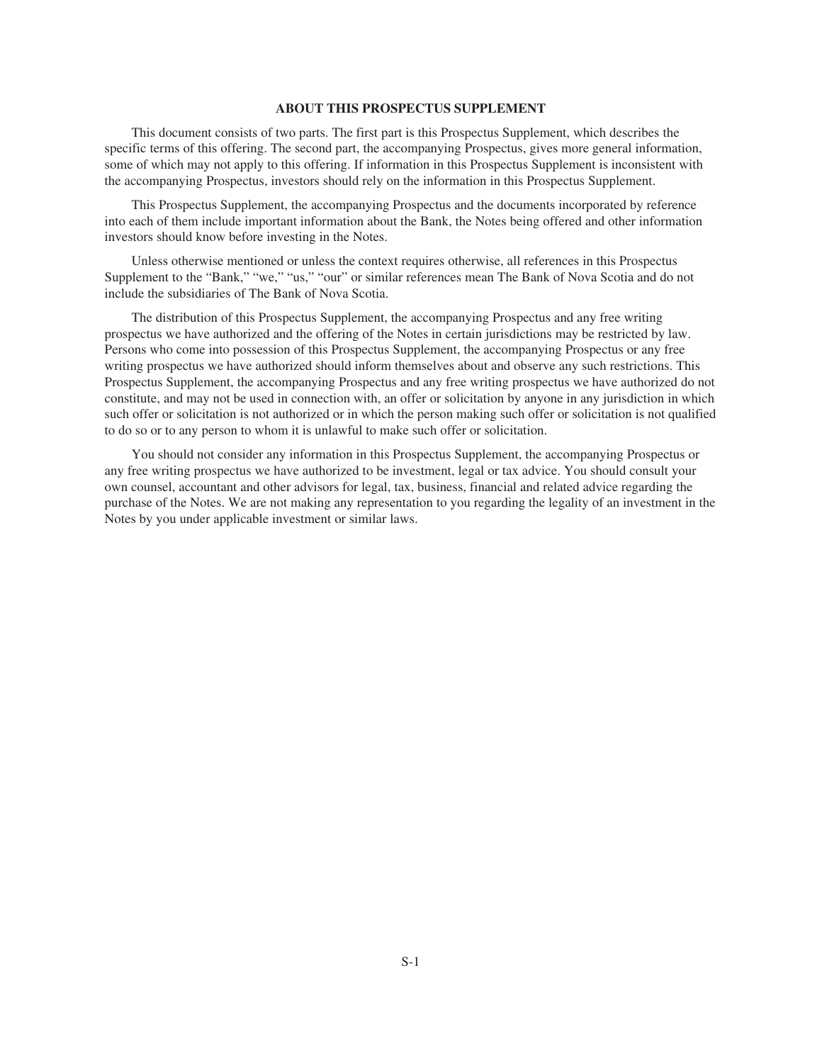### **ABOUT THIS PROSPECTUS SUPPLEMENT**

<span id="page-4-0"></span>This document consists of two parts. The first part is this Prospectus Supplement, which describes the specific terms of this offering. The second part, the accompanying Prospectus, gives more general information, some of which may not apply to this offering. If information in this Prospectus Supplement is inconsistent with the accompanying Prospectus, investors should rely on the information in this Prospectus Supplement.

This Prospectus Supplement, the accompanying Prospectus and the documents incorporated by reference into each of them include important information about the Bank, the Notes being offered and other information investors should know before investing in the Notes.

Unless otherwise mentioned or unless the context requires otherwise, all references in this Prospectus Supplement to the "Bank," "we," "us," "our" or similar references mean The Bank of Nova Scotia and do not include the subsidiaries of The Bank of Nova Scotia.

The distribution of this Prospectus Supplement, the accompanying Prospectus and any free writing prospectus we have authorized and the offering of the Notes in certain jurisdictions may be restricted by law. Persons who come into possession of this Prospectus Supplement, the accompanying Prospectus or any free writing prospectus we have authorized should inform themselves about and observe any such restrictions. This Prospectus Supplement, the accompanying Prospectus and any free writing prospectus we have authorized do not constitute, and may not be used in connection with, an offer or solicitation by anyone in any jurisdiction in which such offer or solicitation is not authorized or in which the person making such offer or solicitation is not qualified to do so or to any person to whom it is unlawful to make such offer or solicitation.

You should not consider any information in this Prospectus Supplement, the accompanying Prospectus or any free writing prospectus we have authorized to be investment, legal or tax advice. You should consult your own counsel, accountant and other advisors for legal, tax, business, financial and related advice regarding the purchase of the Notes. We are not making any representation to you regarding the legality of an investment in the Notes by you under applicable investment or similar laws.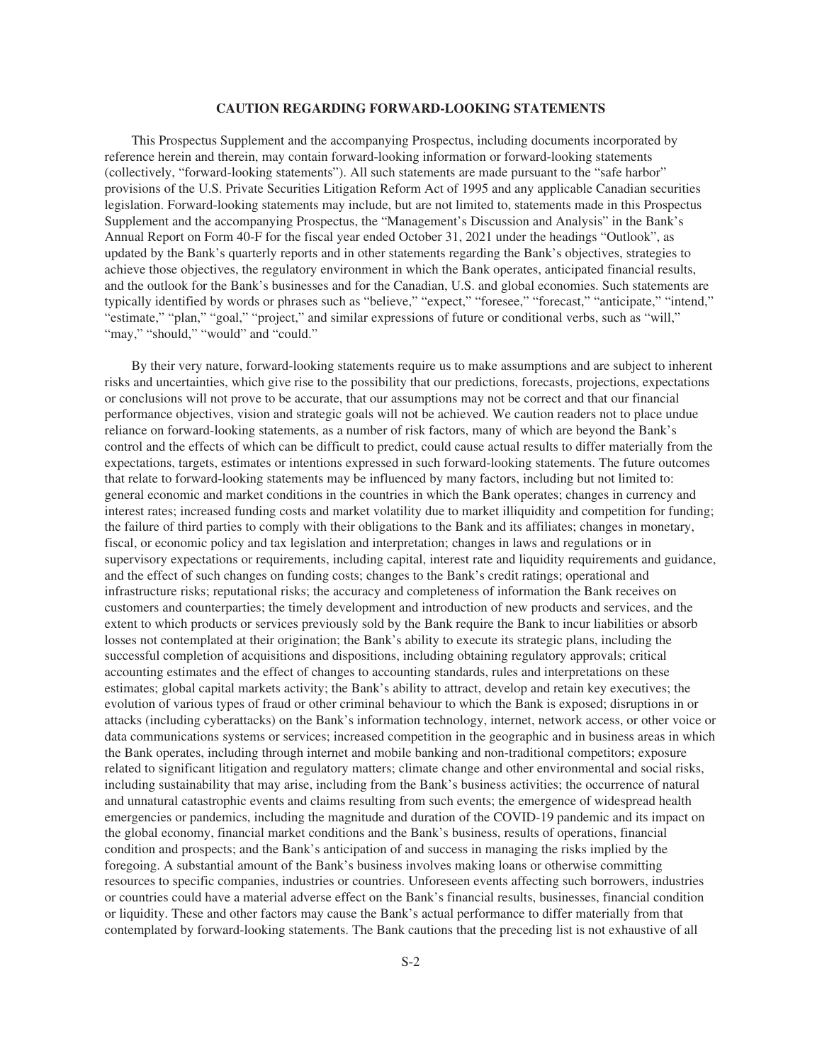### **CAUTION REGARDING FORWARD-LOOKING STATEMENTS**

This Prospectus Supplement and the accompanying Prospectus, including documents incorporated by reference herein and therein, may contain forward-looking information or forward-looking statements (collectively, "forward-looking statements"). All such statements are made pursuant to the "safe harbor" provisions of the U.S. Private Securities Litigation Reform Act of 1995 and any applicable Canadian securities legislation. Forward-looking statements may include, but are not limited to, statements made in this Prospectus Supplement and the accompanying Prospectus, the "Management's Discussion and Analysis" in the Bank's Annual Report on Form 40-F for the fiscal year ended October 31, 2021 under the headings "Outlook", as updated by the Bank's quarterly reports and in other statements regarding the Bank's objectives, strategies to achieve those objectives, the regulatory environment in which the Bank operates, anticipated financial results, and the outlook for the Bank's businesses and for the Canadian, U.S. and global economies. Such statements are typically identified by words or phrases such as "believe," "expect," "foresee," "forecast," "anticipate," "intend," "estimate," "plan," "goal," "project," and similar expressions of future or conditional verbs, such as "will," "may," "should," "would" and "could."

By their very nature, forward-looking statements require us to make assumptions and are subject to inherent risks and uncertainties, which give rise to the possibility that our predictions, forecasts, projections, expectations or conclusions will not prove to be accurate, that our assumptions may not be correct and that our financial performance objectives, vision and strategic goals will not be achieved. We caution readers not to place undue reliance on forward-looking statements, as a number of risk factors, many of which are beyond the Bank's control and the effects of which can be difficult to predict, could cause actual results to differ materially from the expectations, targets, estimates or intentions expressed in such forward-looking statements. The future outcomes that relate to forward-looking statements may be influenced by many factors, including but not limited to: general economic and market conditions in the countries in which the Bank operates; changes in currency and interest rates; increased funding costs and market volatility due to market illiquidity and competition for funding; the failure of third parties to comply with their obligations to the Bank and its affiliates; changes in monetary, fiscal, or economic policy and tax legislation and interpretation; changes in laws and regulations or in supervisory expectations or requirements, including capital, interest rate and liquidity requirements and guidance, and the effect of such changes on funding costs; changes to the Bank's credit ratings; operational and infrastructure risks; reputational risks; the accuracy and completeness of information the Bank receives on customers and counterparties; the timely development and introduction of new products and services, and the extent to which products or services previously sold by the Bank require the Bank to incur liabilities or absorb losses not contemplated at their origination; the Bank's ability to execute its strategic plans, including the successful completion of acquisitions and dispositions, including obtaining regulatory approvals; critical accounting estimates and the effect of changes to accounting standards, rules and interpretations on these estimates; global capital markets activity; the Bank's ability to attract, develop and retain key executives; the evolution of various types of fraud or other criminal behaviour to which the Bank is exposed; disruptions in or attacks (including cyberattacks) on the Bank's information technology, internet, network access, or other voice or data communications systems or services; increased competition in the geographic and in business areas in which the Bank operates, including through internet and mobile banking and non-traditional competitors; exposure related to significant litigation and regulatory matters; climate change and other environmental and social risks, including sustainability that may arise, including from the Bank's business activities; the occurrence of natural and unnatural catastrophic events and claims resulting from such events; the emergence of widespread health emergencies or pandemics, including the magnitude and duration of the COVID-19 pandemic and its impact on the global economy, financial market conditions and the Bank's business, results of operations, financial condition and prospects; and the Bank's anticipation of and success in managing the risks implied by the foregoing. A substantial amount of the Bank's business involves making loans or otherwise committing resources to specific companies, industries or countries. Unforeseen events affecting such borrowers, industries or countries could have a material adverse effect on the Bank's financial results, businesses, financial condition or liquidity. These and other factors may cause the Bank's actual performance to differ materially from that contemplated by forward-looking statements. The Bank cautions that the preceding list is not exhaustive of all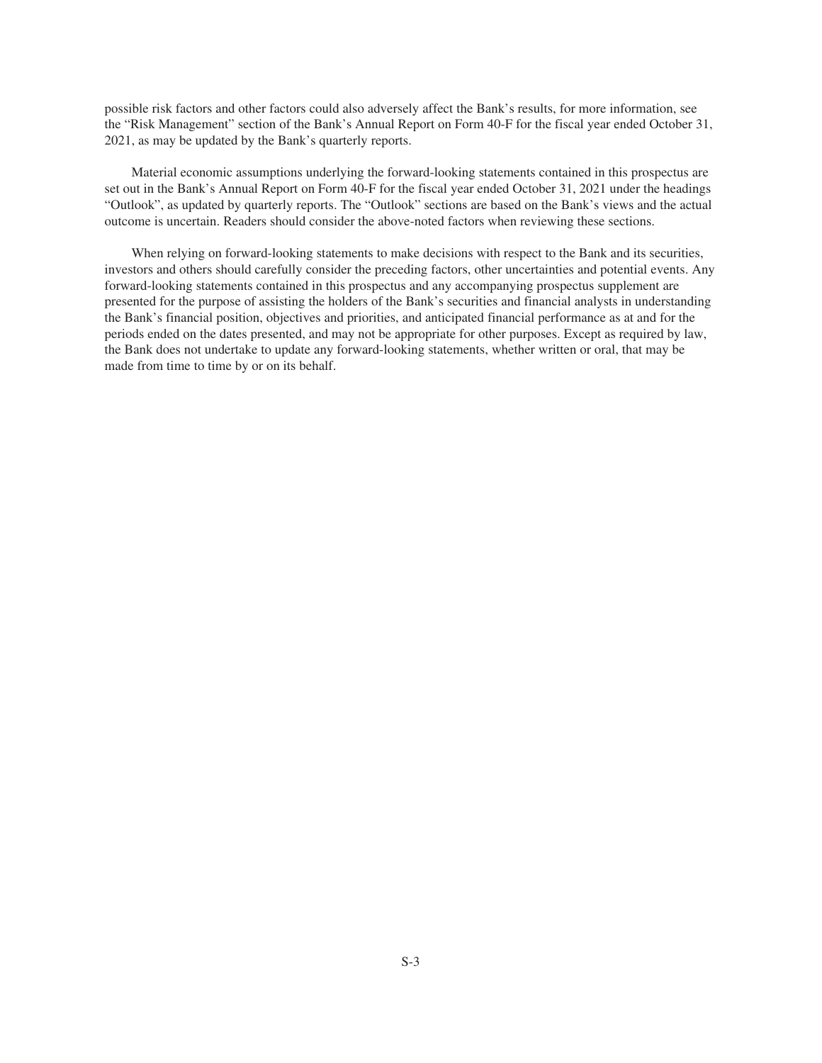possible risk factors and other factors could also adversely affect the Bank's results, for more information, see the "Risk Management" section of the Bank's Annual Report on Form 40-F for the fiscal year ended October 31, 2021, as may be updated by the Bank's quarterly reports.

Material economic assumptions underlying the forward-looking statements contained in this prospectus are set out in the Bank's Annual Report on Form 40-F for the fiscal year ended October 31, 2021 under the headings "Outlook", as updated by quarterly reports. The "Outlook" sections are based on the Bank's views and the actual outcome is uncertain. Readers should consider the above-noted factors when reviewing these sections.

When relying on forward-looking statements to make decisions with respect to the Bank and its securities, investors and others should carefully consider the preceding factors, other uncertainties and potential events. Any forward-looking statements contained in this prospectus and any accompanying prospectus supplement are presented for the purpose of assisting the holders of the Bank's securities and financial analysts in understanding the Bank's financial position, objectives and priorities, and anticipated financial performance as at and for the periods ended on the dates presented, and may not be appropriate for other purposes. Except as required by law, the Bank does not undertake to update any forward-looking statements, whether written or oral, that may be made from time to time by or on its behalf.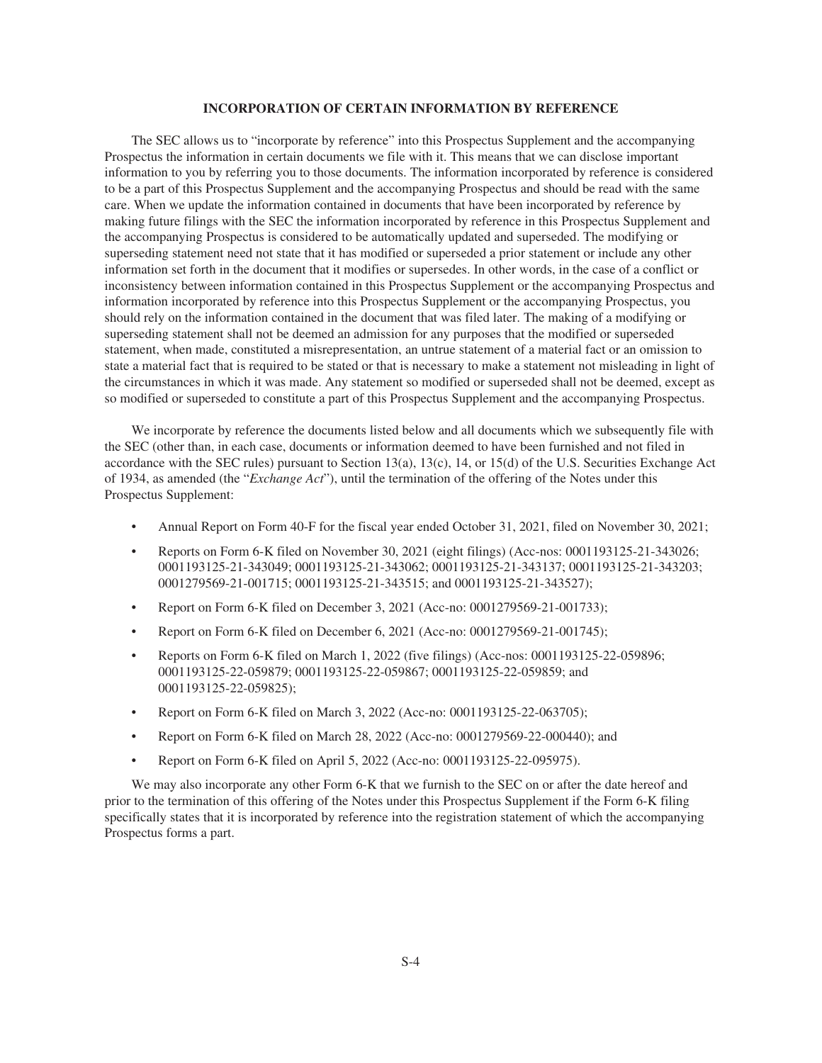## **INCORPORATION OF CERTAIN INFORMATION BY REFERENCE**

<span id="page-7-0"></span>The SEC allows us to "incorporate by reference" into this Prospectus Supplement and the accompanying Prospectus the information in certain documents we file with it. This means that we can disclose important information to you by referring you to those documents. The information incorporated by reference is considered to be a part of this Prospectus Supplement and the accompanying Prospectus and should be read with the same care. When we update the information contained in documents that have been incorporated by reference by making future filings with the SEC the information incorporated by reference in this Prospectus Supplement and the accompanying Prospectus is considered to be automatically updated and superseded. The modifying or superseding statement need not state that it has modified or superseded a prior statement or include any other information set forth in the document that it modifies or supersedes. In other words, in the case of a conflict or inconsistency between information contained in this Prospectus Supplement or the accompanying Prospectus and information incorporated by reference into this Prospectus Supplement or the accompanying Prospectus, you should rely on the information contained in the document that was filed later. The making of a modifying or superseding statement shall not be deemed an admission for any purposes that the modified or superseded statement, when made, constituted a misrepresentation, an untrue statement of a material fact or an omission to state a material fact that is required to be stated or that is necessary to make a statement not misleading in light of the circumstances in which it was made. Any statement so modified or superseded shall not be deemed, except as so modified or superseded to constitute a part of this Prospectus Supplement and the accompanying Prospectus.

We incorporate by reference the documents listed below and all documents which we subsequently file with the SEC (other than, in each case, documents or information deemed to have been furnished and not filed in accordance with the SEC rules) pursuant to Section 13(a), 13(c), 14, or 15(d) of the U.S. Securities Exchange Act of 1934, as amended (the "*Exchange Act*"), until the termination of the offering of the Notes under this Prospectus Supplement:

- Annual Report on [Form 40-F](http://www.sec.gov/ix?doc=/Archives/edgar/data/9631/000119312521343582/d164371d40f.htm) for the fiscal year ended October 31, 2021, filed on November 30, 2021;
- Reports on Form 6-K filed on November 30, 2021 (eight filings) (Acc-nos: [0001193125-21-343026](http://www.sec.gov/Archives/edgar/data/9631/000119312521343026/d205983d6k.htm); [0001193125-21-343049;](http://www.sec.gov/Archives/edgar/data/9631/000119312521343049/d209885d6k.htm) [0001193125-21-343062;](http://www.sec.gov/Archives/edgar/data/9631/000119312521343062/d164471d6k.htm) [0001193125-21-343137;](http://www.sec.gov/Archives/edgar/data/9631/000119312521343137/d210383d6k.htm) [0001193125-21-343203;](http://www.sec.gov/Archives/edgar/data/9631/000119312521343203/d212699d6k.htm) [0001279569-21-001715;](http://www.sec.gov/Archives/edgar/data/9631/000127956921001715/scotiabank6k.htm) [0001193125-21-343515;](http://www.sec.gov/Archives/edgar/data/9631/000119312521343515/d206334d6k.htm) and [0001193125-21-343527\)](http://www.sec.gov/Archives/edgar/data/9631/000119312521343527/d206532d6k.htm);
- Report on [Form 6-K](http://www.sec.gov/Archives/edgar/data/9631/000127956921001733/scotiabank6k.htm) filed on December 3, 2021 (Acc-no: 0001279569-21-001733);
- Report on [Form 6-K](http://www.sec.gov/Archives/edgar/data/9631/000127956921001745/scotiabank6k.htm) filed on December 6, 2021 (Acc-no: 0001279569-21-001745);
- Reports on Form 6-K filed on March 1, 2022 (five filings) (Acc-nos: [0001193125-22-059896;](http://www.sec.gov/Archives/edgar/data/9631/000119312522059896/d274298d6k.htm) [0001193125-22-059879;](http://www.sec.gov/Archives/edgar/data/9631/000119312522059879/d275995d6k.htm) [0001193125-22-059867;](http://www.sec.gov/Archives/edgar/data/9631/000119312522059867/d275510d6k.htm) [0001193125-22-059859;](http://www.sec.gov/ix?doc=/Archives/edgar/data/9631/000119312522059859/d271222d6k.htm) and [0001193125-22-059825\)](http://www.sec.gov/Archives/edgar/data/9631/000119312522059825/d274778d6k.htm);
- Report on [Form 6-K](http://www.sec.gov/Archives/edgar/data/9631/000119312522063705/d195653d6k.htm) filed on March 3, 2022 (Acc-no: 0001193125-22-063705);
- Report on [Form 6-K](http://www.sec.gov/Archives/edgar/data/9631/000127956922000440/scotiabank6k.htm) filed on March 28, 2022 (Acc-no: 0001279569-22-000440); and
- Report on Form 6-K filed on April 5, 2022 (Acc-no: 0001193125-22-095975).

We may also incorporate any other Form 6-K that we furnish to the SEC on or after the date hereof and prior to the termination of this offering of the Notes under this Prospectus Supplement if the Form 6-K filing specifically states that it is incorporated by reference into the registration statement of which the accompanying Prospectus forms a part.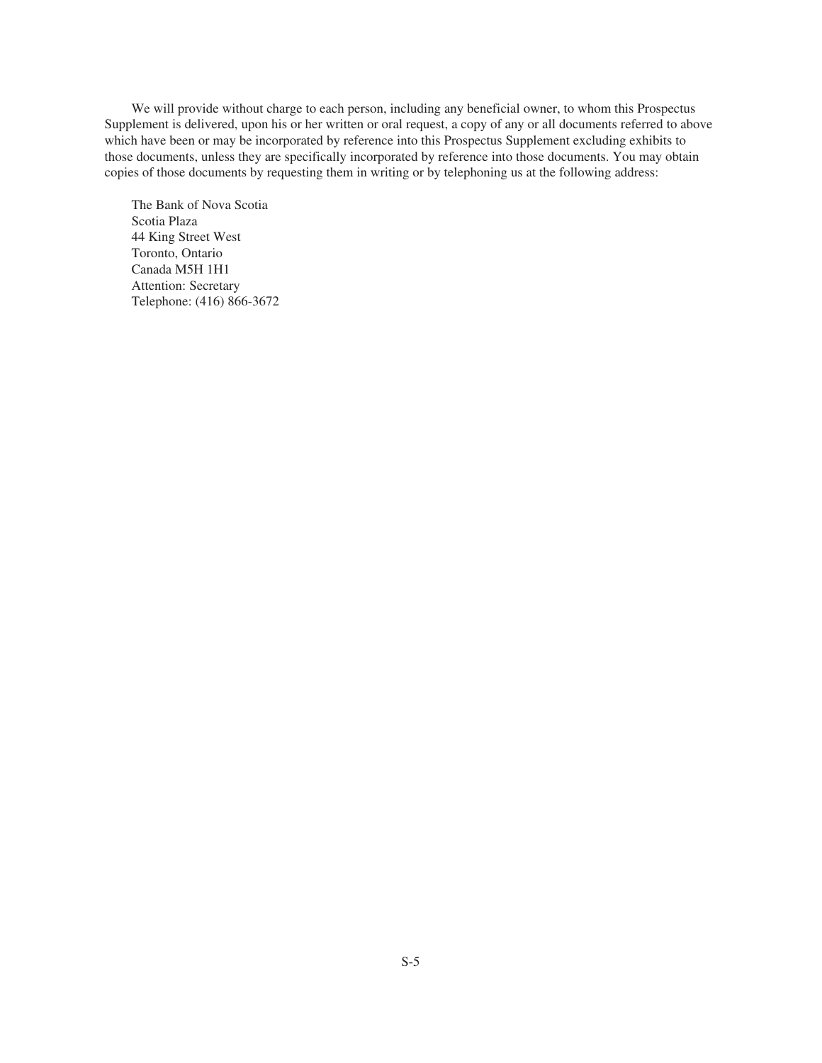We will provide without charge to each person, including any beneficial owner, to whom this Prospectus Supplement is delivered, upon his or her written or oral request, a copy of any or all documents referred to above which have been or may be incorporated by reference into this Prospectus Supplement excluding exhibits to those documents, unless they are specifically incorporated by reference into those documents. You may obtain copies of those documents by requesting them in writing or by telephoning us at the following address:

The Bank of Nova Scotia Scotia Plaza 44 King Street West Toronto, Ontario Canada M5H 1H1 Attention: Secretary Telephone: (416) 866-3672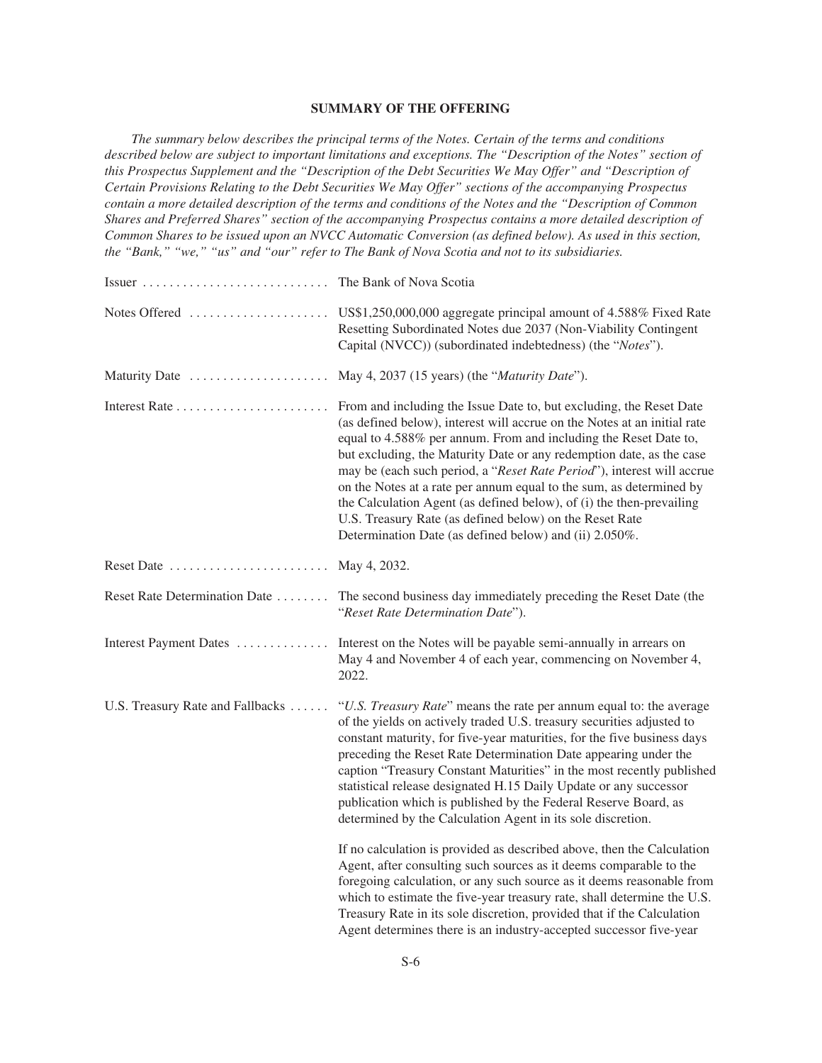### **SUMMARY OF THE OFFERING**

<span id="page-9-0"></span>*The summary below describes the principal terms of the Notes. Certain of the terms and conditions described below are subject to important limitations and exceptions. The "Description of the Notes" section of this Prospectus Supplement and the "Description of the Debt Securities We May Offer" and "Description of Certain Provisions Relating to the Debt Securities We May Offer" sections of the accompanying Prospectus contain a more detailed description of the terms and conditions of the Notes and the "Description of Common Shares and Preferred Shares" section of the accompanying Prospectus contains a more detailed description of Common Shares to be issued upon an NVCC Automatic Conversion (as defined below). As used in this section, the "Bank," "we," "us" and "our" refer to The Bank of Nova Scotia and not to its subsidiaries.*

|                                  | The Bank of Nova Scotia                                                                                                                                                                                                                                                                                                                                                                                                                                                                                                                                                                                                                   |
|----------------------------------|-------------------------------------------------------------------------------------------------------------------------------------------------------------------------------------------------------------------------------------------------------------------------------------------------------------------------------------------------------------------------------------------------------------------------------------------------------------------------------------------------------------------------------------------------------------------------------------------------------------------------------------------|
| Notes Offered                    | US\$1,250,000,000 aggregate principal amount of 4.588% Fixed Rate<br>Resetting Subordinated Notes due 2037 (Non-Viability Contingent<br>Capital (NVCC)) (subordinated indebtedness) (the "Notes").                                                                                                                                                                                                                                                                                                                                                                                                                                        |
| Maturity Date                    | May 4, 2037 (15 years) (the "Maturity Date").                                                                                                                                                                                                                                                                                                                                                                                                                                                                                                                                                                                             |
|                                  | From and including the Issue Date to, but excluding, the Reset Date<br>(as defined below), interest will accrue on the Notes at an initial rate<br>equal to 4.588% per annum. From and including the Reset Date to,<br>but excluding, the Maturity Date or any redemption date, as the case<br>may be (each such period, a "Reset Rate Period"), interest will accrue<br>on the Notes at a rate per annum equal to the sum, as determined by<br>the Calculation Agent (as defined below), of (i) the then-prevailing<br>U.S. Treasury Rate (as defined below) on the Reset Rate<br>Determination Date (as defined below) and (ii) 2.050%. |
| Reset Date                       | May 4, 2032.                                                                                                                                                                                                                                                                                                                                                                                                                                                                                                                                                                                                                              |
| Reset Rate Determination Date    | The second business day immediately preceding the Reset Date (the<br>"Reset Rate Determination Date").                                                                                                                                                                                                                                                                                                                                                                                                                                                                                                                                    |
| Interest Payment Dates           | Interest on the Notes will be payable semi-annually in arrears on<br>May 4 and November 4 of each year, commencing on November 4,<br>2022.                                                                                                                                                                                                                                                                                                                                                                                                                                                                                                |
| U.S. Treasury Rate and Fallbacks | "U.S. Treasury Rate" means the rate per annum equal to: the average<br>of the yields on actively traded U.S. treasury securities adjusted to<br>constant maturity, for five-year maturities, for the five business days<br>preceding the Reset Rate Determination Date appearing under the<br>caption "Treasury Constant Maturities" in the most recently published<br>statistical release designated H.15 Daily Update or any successor<br>publication which is published by the Federal Reserve Board, as<br>determined by the Calculation Agent in its sole discretion.                                                                |
|                                  | If no calculation is provided as described above, then the Calculation<br>Agent, after consulting such sources as it deems comparable to the<br>foregoing calculation, or any such source as it deems reasonable from<br>which to estimate the five-year treasury rate, shall determine the U.S.<br>Treasury Rate in its sole discretion, provided that if the Calculation<br>Agent determines there is an industry-accepted successor five-year                                                                                                                                                                                          |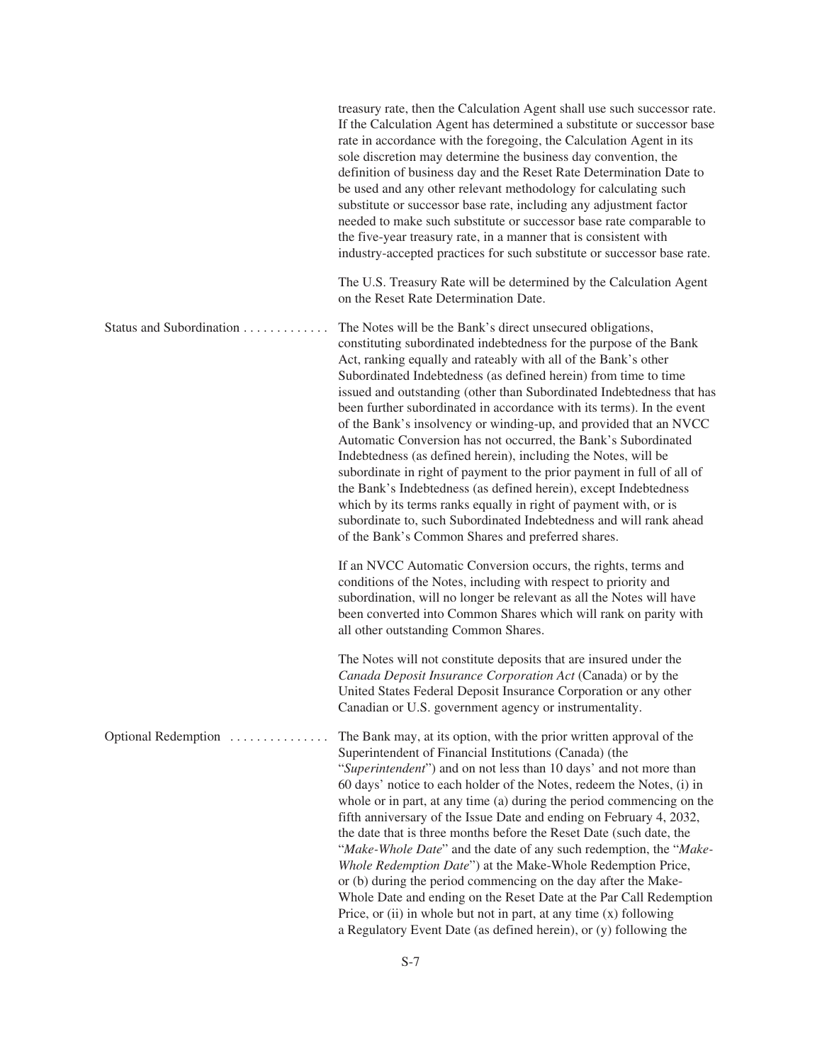|                          | treasury rate, then the Calculation Agent shall use such successor rate.<br>If the Calculation Agent has determined a substitute or successor base<br>rate in accordance with the foregoing, the Calculation Agent in its<br>sole discretion may determine the business day convention, the<br>definition of business day and the Reset Rate Determination Date to<br>be used and any other relevant methodology for calculating such<br>substitute or successor base rate, including any adjustment factor<br>needed to make such substitute or successor base rate comparable to<br>the five-year treasury rate, in a manner that is consistent with<br>industry-accepted practices for such substitute or successor base rate.                                                                                                                                                                                                                                             |
|--------------------------|-------------------------------------------------------------------------------------------------------------------------------------------------------------------------------------------------------------------------------------------------------------------------------------------------------------------------------------------------------------------------------------------------------------------------------------------------------------------------------------------------------------------------------------------------------------------------------------------------------------------------------------------------------------------------------------------------------------------------------------------------------------------------------------------------------------------------------------------------------------------------------------------------------------------------------------------------------------------------------|
|                          | The U.S. Treasury Rate will be determined by the Calculation Agent<br>on the Reset Rate Determination Date.                                                                                                                                                                                                                                                                                                                                                                                                                                                                                                                                                                                                                                                                                                                                                                                                                                                                   |
| Status and Subordination | The Notes will be the Bank's direct unsecured obligations,<br>constituting subordinated indebtedness for the purpose of the Bank<br>Act, ranking equally and rateably with all of the Bank's other<br>Subordinated Indebtedness (as defined herein) from time to time<br>issued and outstanding (other than Subordinated Indebtedness that has<br>been further subordinated in accordance with its terms). In the event<br>of the Bank's insolvency or winding-up, and provided that an NVCC<br>Automatic Conversion has not occurred, the Bank's Subordinated<br>Indebtedness (as defined herein), including the Notes, will be<br>subordinate in right of payment to the prior payment in full of all of<br>the Bank's Indebtedness (as defined herein), except Indebtedness<br>which by its terms ranks equally in right of payment with, or is<br>subordinate to, such Subordinated Indebtedness and will rank ahead<br>of the Bank's Common Shares and preferred shares. |
|                          | If an NVCC Automatic Conversion occurs, the rights, terms and<br>conditions of the Notes, including with respect to priority and<br>subordination, will no longer be relevant as all the Notes will have<br>been converted into Common Shares which will rank on parity with<br>all other outstanding Common Shares.                                                                                                                                                                                                                                                                                                                                                                                                                                                                                                                                                                                                                                                          |
|                          | The Notes will not constitute deposits that are insured under the<br>Canada Deposit Insurance Corporation Act (Canada) or by the<br>United States Federal Deposit Insurance Corporation or any other<br>Canadian or U.S. government agency or instrumentality.                                                                                                                                                                                                                                                                                                                                                                                                                                                                                                                                                                                                                                                                                                                |
| Optional Redemption      | The Bank may, at its option, with the prior written approval of the<br>Superintendent of Financial Institutions (Canada) (the<br>"Superintendent") and on not less than 10 days' and not more than<br>60 days' notice to each holder of the Notes, redeem the Notes, (i) in<br>whole or in part, at any time (a) during the period commencing on the<br>fifth anniversary of the Issue Date and ending on February 4, 2032,<br>the date that is three months before the Reset Date (such date, the<br>"Make-Whole Date" and the date of any such redemption, the "Make-<br>Whole Redemption Date") at the Make-Whole Redemption Price,<br>or (b) during the period commencing on the day after the Make-<br>Whole Date and ending on the Reset Date at the Par Call Redemption<br>Price, or $(ii)$ in whole but not in part, at any time $(x)$ following<br>a Regulatory Event Date (as defined herein), or (y) following the                                                 |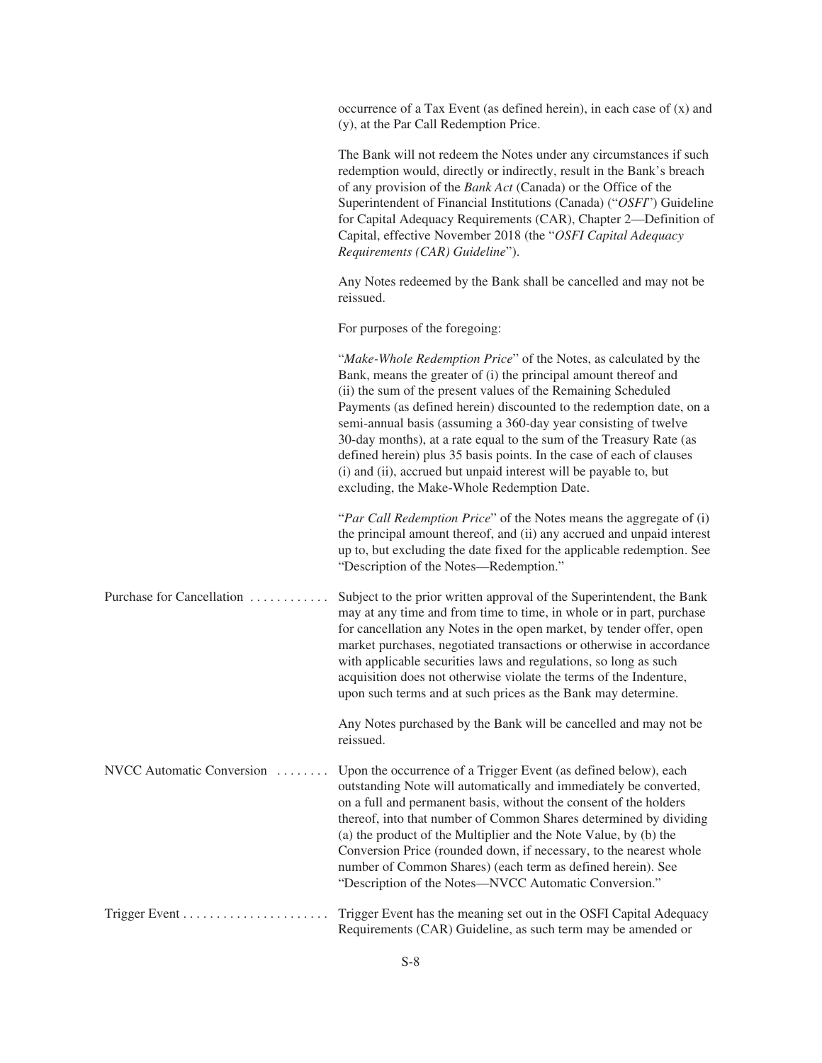occurrence of a Tax Event (as defined herein), in each case of (x) and (y), at the Par Call Redemption Price.

The Bank will not redeem the Notes under any circumstances if such redemption would, directly or indirectly, result in the Bank's breach of any provision of the *Bank Act* (Canada) or the Office of the Superintendent of Financial Institutions (Canada) ("*OSFI*") Guideline for Capital Adequacy Requirements (CAR), Chapter 2—Definition of Capital, effective November 2018 (the "*OSFI Capital Adequacy Requirements (CAR) Guideline*").

Any Notes redeemed by the Bank shall be cancelled and may not be reissued.

For purposes of the foregoing:

|                           | "Make-Whole Redemption Price" of the Notes, as calculated by the<br>Bank, means the greater of (i) the principal amount thereof and<br>(ii) the sum of the present values of the Remaining Scheduled<br>Payments (as defined herein) discounted to the redemption date, on a<br>semi-annual basis (assuming a 360-day year consisting of twelve<br>30-day months), at a rate equal to the sum of the Treasury Rate (as<br>defined herein) plus 35 basis points. In the case of each of clauses<br>(i) and (ii), accrued but unpaid interest will be payable to, but<br>excluding, the Make-Whole Redemption Date. |
|---------------------------|-------------------------------------------------------------------------------------------------------------------------------------------------------------------------------------------------------------------------------------------------------------------------------------------------------------------------------------------------------------------------------------------------------------------------------------------------------------------------------------------------------------------------------------------------------------------------------------------------------------------|
|                           | "Par Call Redemption Price" of the Notes means the aggregate of (i)<br>the principal amount thereof, and (ii) any accrued and unpaid interest<br>up to, but excluding the date fixed for the applicable redemption. See<br>"Description of the Notes-Redemption."                                                                                                                                                                                                                                                                                                                                                 |
| Purchase for Cancellation | Subject to the prior written approval of the Superintendent, the Bank<br>may at any time and from time to time, in whole or in part, purchase<br>for cancellation any Notes in the open market, by tender offer, open<br>market purchases, negotiated transactions or otherwise in accordance<br>with applicable securities laws and regulations, so long as such<br>acquisition does not otherwise violate the terms of the Indenture,<br>upon such terms and at such prices as the Bank may determine.                                                                                                          |
|                           | Any Notes purchased by the Bank will be cancelled and may not be<br>reissued.                                                                                                                                                                                                                                                                                                                                                                                                                                                                                                                                     |
| NVCC Automatic Conversion | Upon the occurrence of a Trigger Event (as defined below), each<br>outstanding Note will automatically and immediately be converted,<br>on a full and permanent basis, without the consent of the holders<br>thereof, into that number of Common Shares determined by dividing<br>(a) the product of the Multiplier and the Note Value, by (b) the<br>Conversion Price (rounded down, if necessary, to the nearest whole<br>number of Common Shares) (each term as defined herein). See<br>"Description of the Notes-NVCC Automatic Conversion."                                                                  |
|                           | Trigger Event has the meaning set out in the OSFI Capital Adequacy<br>Requirements (CAR) Guideline, as such term may be amended or                                                                                                                                                                                                                                                                                                                                                                                                                                                                                |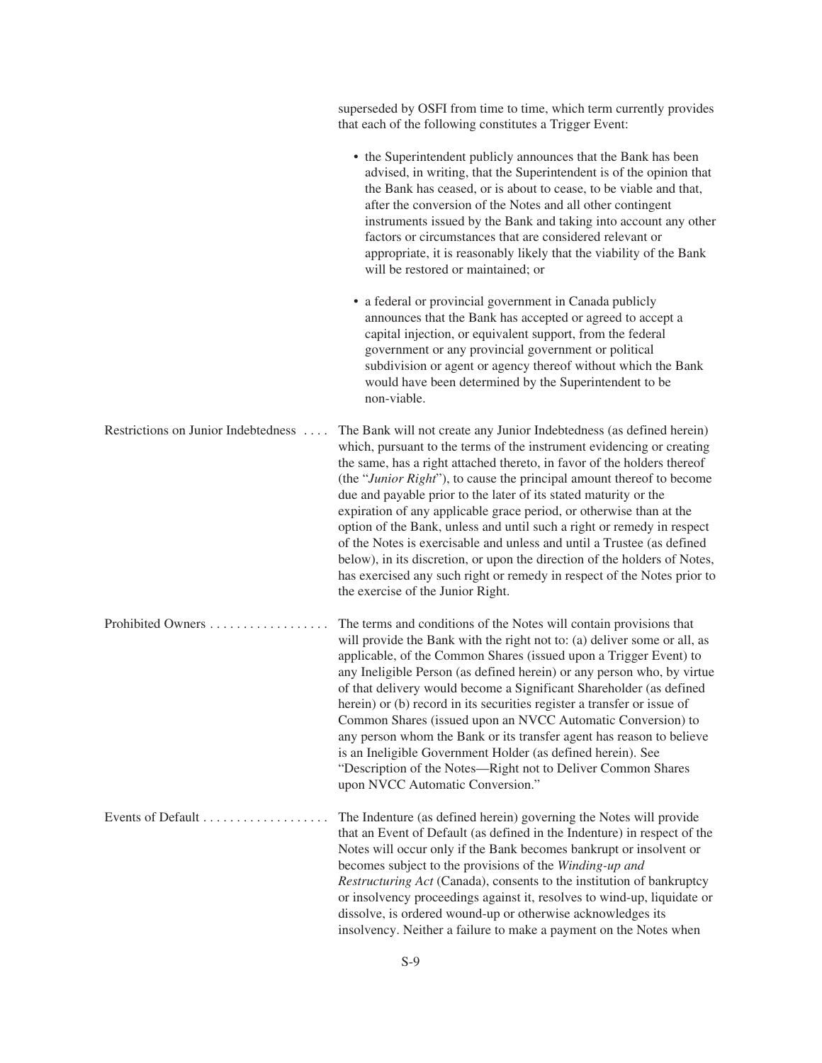|                                     | superseded by OSFI from time to time, which term currently provides<br>that each of the following constitutes a Trigger Event:                                                                                                                                                                                                                                                                                                                                                                                                                                                                                                                                                                                                                                                                |
|-------------------------------------|-----------------------------------------------------------------------------------------------------------------------------------------------------------------------------------------------------------------------------------------------------------------------------------------------------------------------------------------------------------------------------------------------------------------------------------------------------------------------------------------------------------------------------------------------------------------------------------------------------------------------------------------------------------------------------------------------------------------------------------------------------------------------------------------------|
|                                     | • the Superintendent publicly announces that the Bank has been<br>advised, in writing, that the Superintendent is of the opinion that<br>the Bank has ceased, or is about to cease, to be viable and that,<br>after the conversion of the Notes and all other contingent<br>instruments issued by the Bank and taking into account any other<br>factors or circumstances that are considered relevant or<br>appropriate, it is reasonably likely that the viability of the Bank<br>will be restored or maintained; or                                                                                                                                                                                                                                                                         |
|                                     | • a federal or provincial government in Canada publicly<br>announces that the Bank has accepted or agreed to accept a<br>capital injection, or equivalent support, from the federal<br>government or any provincial government or political<br>subdivision or agent or agency thereof without which the Bank<br>would have been determined by the Superintendent to be<br>non-viable.                                                                                                                                                                                                                                                                                                                                                                                                         |
| Restrictions on Junior Indebtedness | The Bank will not create any Junior Indebtedness (as defined herein)<br>which, pursuant to the terms of the instrument evidencing or creating<br>the same, has a right attached thereto, in favor of the holders thereof<br>(the "Junior Right"), to cause the principal amount thereof to become<br>due and payable prior to the later of its stated maturity or the<br>expiration of any applicable grace period, or otherwise than at the<br>option of the Bank, unless and until such a right or remedy in respect<br>of the Notes is exercisable and unless and until a Trustee (as defined<br>below), in its discretion, or upon the direction of the holders of Notes,<br>has exercised any such right or remedy in respect of the Notes prior to<br>the exercise of the Junior Right. |
| Prohibited Owners                   | The terms and conditions of the Notes will contain provisions that<br>will provide the Bank with the right not to: (a) deliver some or all, as<br>applicable, of the Common Shares (issued upon a Trigger Event) to<br>any Ineligible Person (as defined herein) or any person who, by virtue<br>of that delivery would become a Significant Shareholder (as defined<br>herein) or (b) record in its securities register a transfer or issue of<br>Common Shares (issued upon an NVCC Automatic Conversion) to<br>any person whom the Bank or its transfer agent has reason to believe<br>is an Ineligible Government Holder (as defined herein). See<br>"Description of the Notes—Right not to Deliver Common Shares<br>upon NVCC Automatic Conversion."                                     |
| Events of Default                   | The Indenture (as defined herein) governing the Notes will provide<br>that an Event of Default (as defined in the Indenture) in respect of the<br>Notes will occur only if the Bank becomes bankrupt or insolvent or<br>becomes subject to the provisions of the Winding-up and<br>Restructuring Act (Canada), consents to the institution of bankruptcy<br>or insolvency proceedings against it, resolves to wind-up, liquidate or<br>dissolve, is ordered wound-up or otherwise acknowledges its<br>insolvency. Neither a failure to make a payment on the Notes when                                                                                                                                                                                                                       |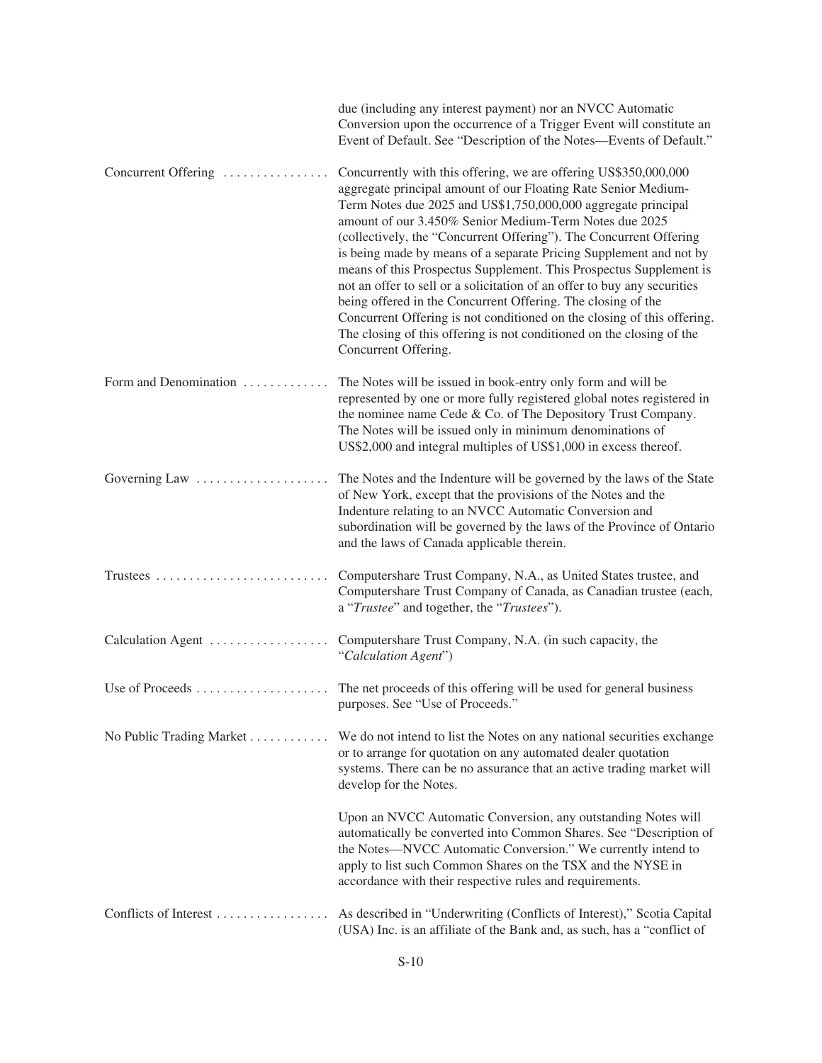|                          | due (including any interest payment) nor an NVCC Automatic<br>Conversion upon the occurrence of a Trigger Event will constitute an<br>Event of Default. See "Description of the Notes-Events of Default."                                                                                                                                                                                                                                                                                                                                                                                                                                                                                                                                                                                               |
|--------------------------|---------------------------------------------------------------------------------------------------------------------------------------------------------------------------------------------------------------------------------------------------------------------------------------------------------------------------------------------------------------------------------------------------------------------------------------------------------------------------------------------------------------------------------------------------------------------------------------------------------------------------------------------------------------------------------------------------------------------------------------------------------------------------------------------------------|
| Concurrent Offering      | Concurrently with this offering, we are offering US\$350,000,000<br>aggregate principal amount of our Floating Rate Senior Medium-<br>Term Notes due 2025 and US\$1,750,000,000 aggregate principal<br>amount of our 3.450% Senior Medium-Term Notes due 2025<br>(collectively, the "Concurrent Offering"). The Concurrent Offering<br>is being made by means of a separate Pricing Supplement and not by<br>means of this Prospectus Supplement. This Prospectus Supplement is<br>not an offer to sell or a solicitation of an offer to buy any securities<br>being offered in the Concurrent Offering. The closing of the<br>Concurrent Offering is not conditioned on the closing of this offering.<br>The closing of this offering is not conditioned on the closing of the<br>Concurrent Offering. |
| Form and Denomination    | The Notes will be issued in book-entry only form and will be<br>represented by one or more fully registered global notes registered in<br>the nominee name Cede & Co. of The Depository Trust Company.<br>The Notes will be issued only in minimum denominations of<br>US\$2,000 and integral multiples of US\$1,000 in excess thereof.                                                                                                                                                                                                                                                                                                                                                                                                                                                                 |
| Governing Law            | The Notes and the Indenture will be governed by the laws of the State<br>of New York, except that the provisions of the Notes and the<br>Indenture relating to an NVCC Automatic Conversion and<br>subordination will be governed by the laws of the Province of Ontario<br>and the laws of Canada applicable therein.                                                                                                                                                                                                                                                                                                                                                                                                                                                                                  |
| Trustees                 | Computershare Trust Company, N.A., as United States trustee, and<br>Computershare Trust Company of Canada, as Canadian trustee (each,<br>a "Trustee" and together, the "Trustees").                                                                                                                                                                                                                                                                                                                                                                                                                                                                                                                                                                                                                     |
| Calculation Agent        | Computershare Trust Company, N.A. (in such capacity, the<br>"Calculation Agent")                                                                                                                                                                                                                                                                                                                                                                                                                                                                                                                                                                                                                                                                                                                        |
| Use of Proceeds          | The net proceeds of this offering will be used for general business<br>purposes. See "Use of Proceeds."                                                                                                                                                                                                                                                                                                                                                                                                                                                                                                                                                                                                                                                                                                 |
| No Public Trading Market | We do not intend to list the Notes on any national securities exchange<br>or to arrange for quotation on any automated dealer quotation<br>systems. There can be no assurance that an active trading market will<br>develop for the Notes.                                                                                                                                                                                                                                                                                                                                                                                                                                                                                                                                                              |
|                          | Upon an NVCC Automatic Conversion, any outstanding Notes will<br>automatically be converted into Common Shares. See "Description of<br>the Notes-NVCC Automatic Conversion." We currently intend to<br>apply to list such Common Shares on the TSX and the NYSE in<br>accordance with their respective rules and requirements.                                                                                                                                                                                                                                                                                                                                                                                                                                                                          |
| Conflicts of Interest    | As described in "Underwriting (Conflicts of Interest)," Scotia Capital<br>(USA) Inc. is an affiliate of the Bank and, as such, has a "conflict of                                                                                                                                                                                                                                                                                                                                                                                                                                                                                                                                                                                                                                                       |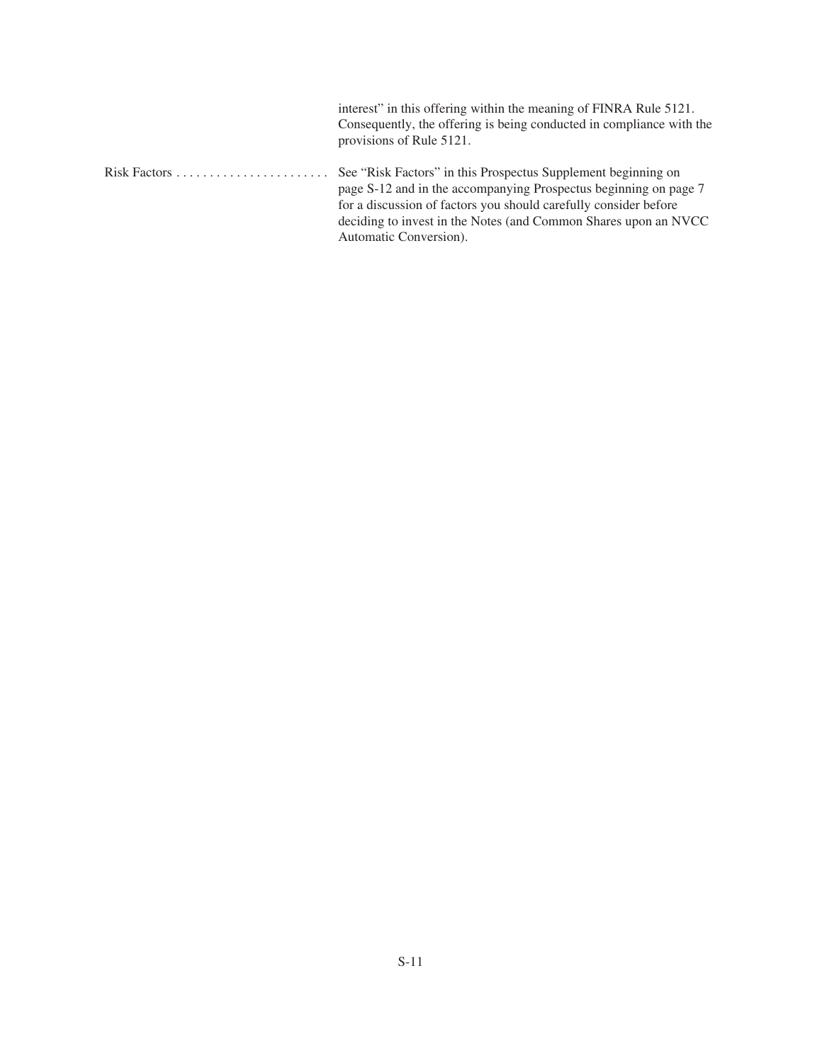| interest" in this offering within the meaning of FINRA Rule 5121.<br>Consequently, the offering is being conducted in compliance with the<br>provisions of Rule 5121.                                                                                                                               |
|-----------------------------------------------------------------------------------------------------------------------------------------------------------------------------------------------------------------------------------------------------------------------------------------------------|
| See "Risk Factors" in this Prospectus Supplement beginning on<br>page S-12 and in the accompanying Prospectus beginning on page 7<br>for a discussion of factors you should carefully consider before<br>deciding to invest in the Notes (and Common Shares upon an NVCC)<br>Automatic Conversion). |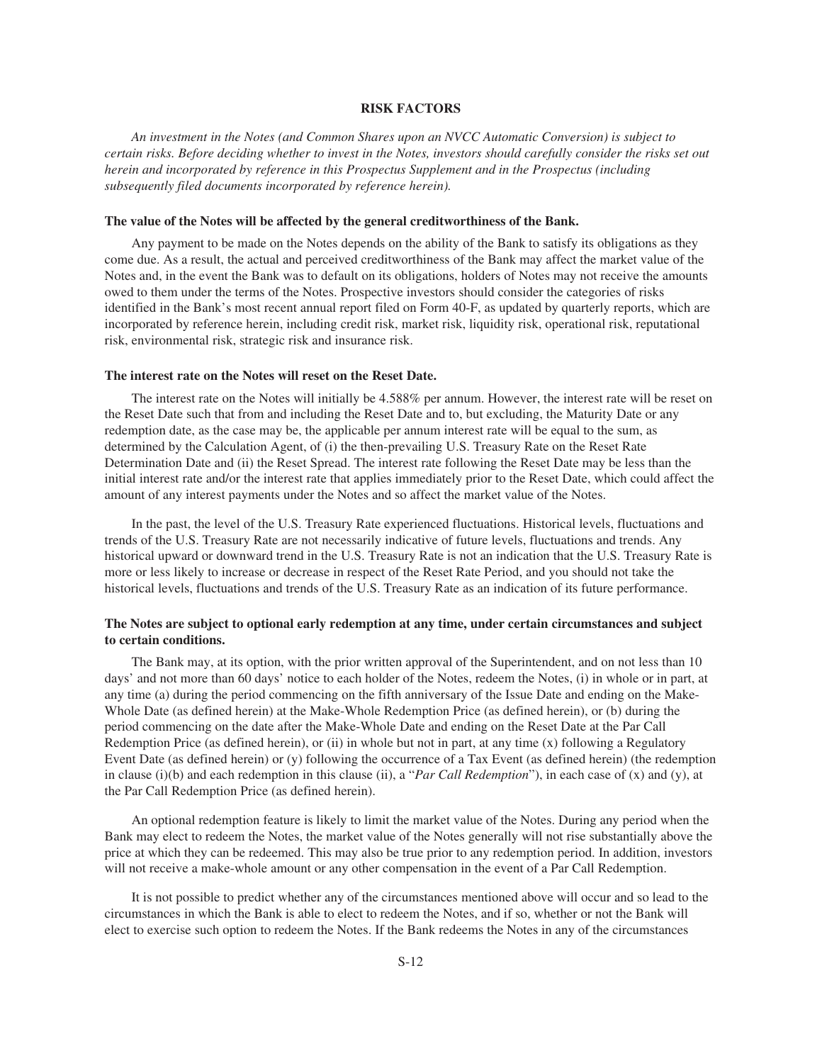### **RISK FACTORS**

<span id="page-15-0"></span>*An investment in the Notes (and Common Shares upon an NVCC Automatic Conversion) is subject to certain risks. Before deciding whether to invest in the Notes, investors should carefully consider the risks set out herein and incorporated by reference in this Prospectus Supplement and in the Prospectus (including subsequently filed documents incorporated by reference herein).*

#### **The value of the Notes will be affected by the general creditworthiness of the Bank.**

Any payment to be made on the Notes depends on the ability of the Bank to satisfy its obligations as they come due. As a result, the actual and perceived creditworthiness of the Bank may affect the market value of the Notes and, in the event the Bank was to default on its obligations, holders of Notes may not receive the amounts owed to them under the terms of the Notes. Prospective investors should consider the categories of risks identified in the Bank's most recent annual report filed on Form 40-F, as updated by quarterly reports, which are incorporated by reference herein, including credit risk, market risk, liquidity risk, operational risk, reputational risk, environmental risk, strategic risk and insurance risk.

### **The interest rate on the Notes will reset on the Reset Date.**

The interest rate on the Notes will initially be 4.588% per annum. However, the interest rate will be reset on the Reset Date such that from and including the Reset Date and to, but excluding, the Maturity Date or any redemption date, as the case may be, the applicable per annum interest rate will be equal to the sum, as determined by the Calculation Agent, of (i) the then-prevailing U.S. Treasury Rate on the Reset Rate Determination Date and (ii) the Reset Spread. The interest rate following the Reset Date may be less than the initial interest rate and/or the interest rate that applies immediately prior to the Reset Date, which could affect the amount of any interest payments under the Notes and so affect the market value of the Notes.

In the past, the level of the U.S. Treasury Rate experienced fluctuations. Historical levels, fluctuations and trends of the U.S. Treasury Rate are not necessarily indicative of future levels, fluctuations and trends. Any historical upward or downward trend in the U.S. Treasury Rate is not an indication that the U.S. Treasury Rate is more or less likely to increase or decrease in respect of the Reset Rate Period, and you should not take the historical levels, fluctuations and trends of the U.S. Treasury Rate as an indication of its future performance.

## **The Notes are subject to optional early redemption at any time, under certain circumstances and subject to certain conditions.**

The Bank may, at its option, with the prior written approval of the Superintendent, and on not less than 10 days' and not more than 60 days' notice to each holder of the Notes, redeem the Notes, (i) in whole or in part, at any time (a) during the period commencing on the fifth anniversary of the Issue Date and ending on the Make-Whole Date (as defined herein) at the Make-Whole Redemption Price (as defined herein), or (b) during the period commencing on the date after the Make-Whole Date and ending on the Reset Date at the Par Call Redemption Price (as defined herein), or (ii) in whole but not in part, at any time (x) following a Regulatory Event Date (as defined herein) or (y) following the occurrence of a Tax Event (as defined herein) (the redemption in clause (i)(b) and each redemption in this clause (ii), a "*Par Call Redemption*"), in each case of (x) and (y), at the Par Call Redemption Price (as defined herein).

An optional redemption feature is likely to limit the market value of the Notes. During any period when the Bank may elect to redeem the Notes, the market value of the Notes generally will not rise substantially above the price at which they can be redeemed. This may also be true prior to any redemption period. In addition, investors will not receive a make-whole amount or any other compensation in the event of a Par Call Redemption.

It is not possible to predict whether any of the circumstances mentioned above will occur and so lead to the circumstances in which the Bank is able to elect to redeem the Notes, and if so, whether or not the Bank will elect to exercise such option to redeem the Notes. If the Bank redeems the Notes in any of the circumstances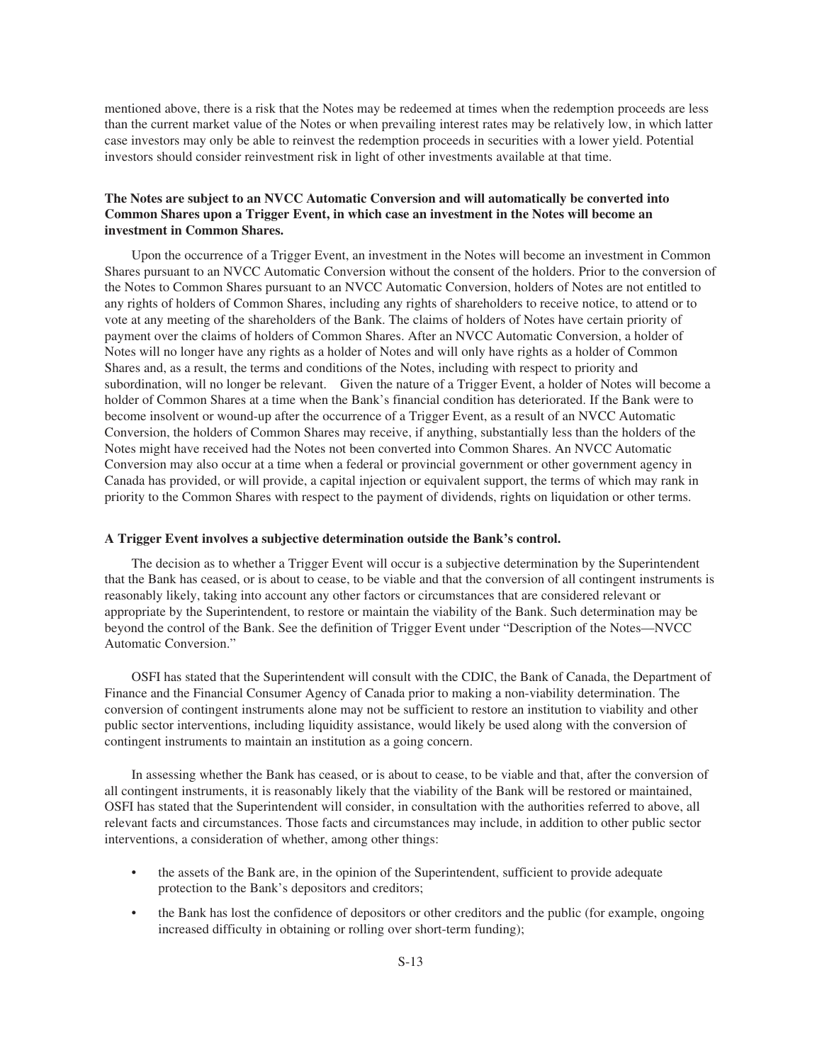mentioned above, there is a risk that the Notes may be redeemed at times when the redemption proceeds are less than the current market value of the Notes or when prevailing interest rates may be relatively low, in which latter case investors may only be able to reinvest the redemption proceeds in securities with a lower yield. Potential investors should consider reinvestment risk in light of other investments available at that time.

# **The Notes are subject to an NVCC Automatic Conversion and will automatically be converted into Common Shares upon a Trigger Event, in which case an investment in the Notes will become an investment in Common Shares.**

Upon the occurrence of a Trigger Event, an investment in the Notes will become an investment in Common Shares pursuant to an NVCC Automatic Conversion without the consent of the holders. Prior to the conversion of the Notes to Common Shares pursuant to an NVCC Automatic Conversion, holders of Notes are not entitled to any rights of holders of Common Shares, including any rights of shareholders to receive notice, to attend or to vote at any meeting of the shareholders of the Bank. The claims of holders of Notes have certain priority of payment over the claims of holders of Common Shares. After an NVCC Automatic Conversion, a holder of Notes will no longer have any rights as a holder of Notes and will only have rights as a holder of Common Shares and, as a result, the terms and conditions of the Notes, including with respect to priority and subordination, will no longer be relevant. Given the nature of a Trigger Event, a holder of Notes will become a holder of Common Shares at a time when the Bank's financial condition has deteriorated. If the Bank were to become insolvent or wound-up after the occurrence of a Trigger Event, as a result of an NVCC Automatic Conversion, the holders of Common Shares may receive, if anything, substantially less than the holders of the Notes might have received had the Notes not been converted into Common Shares. An NVCC Automatic Conversion may also occur at a time when a federal or provincial government or other government agency in Canada has provided, or will provide, a capital injection or equivalent support, the terms of which may rank in priority to the Common Shares with respect to the payment of dividends, rights on liquidation or other terms.

## **A Trigger Event involves a subjective determination outside the Bank's control.**

The decision as to whether a Trigger Event will occur is a subjective determination by the Superintendent that the Bank has ceased, or is about to cease, to be viable and that the conversion of all contingent instruments is reasonably likely, taking into account any other factors or circumstances that are considered relevant or appropriate by the Superintendent, to restore or maintain the viability of the Bank. Such determination may be beyond the control of the Bank. See the definition of Trigger Event under "Description of the Notes—NVCC Automatic Conversion."

OSFI has stated that the Superintendent will consult with the CDIC, the Bank of Canada, the Department of Finance and the Financial Consumer Agency of Canada prior to making a non-viability determination. The conversion of contingent instruments alone may not be sufficient to restore an institution to viability and other public sector interventions, including liquidity assistance, would likely be used along with the conversion of contingent instruments to maintain an institution as a going concern.

In assessing whether the Bank has ceased, or is about to cease, to be viable and that, after the conversion of all contingent instruments, it is reasonably likely that the viability of the Bank will be restored or maintained, OSFI has stated that the Superintendent will consider, in consultation with the authorities referred to above, all relevant facts and circumstances. Those facts and circumstances may include, in addition to other public sector interventions, a consideration of whether, among other things:

- the assets of the Bank are, in the opinion of the Superintendent, sufficient to provide adequate protection to the Bank's depositors and creditors;
- the Bank has lost the confidence of depositors or other creditors and the public (for example, ongoing increased difficulty in obtaining or rolling over short-term funding);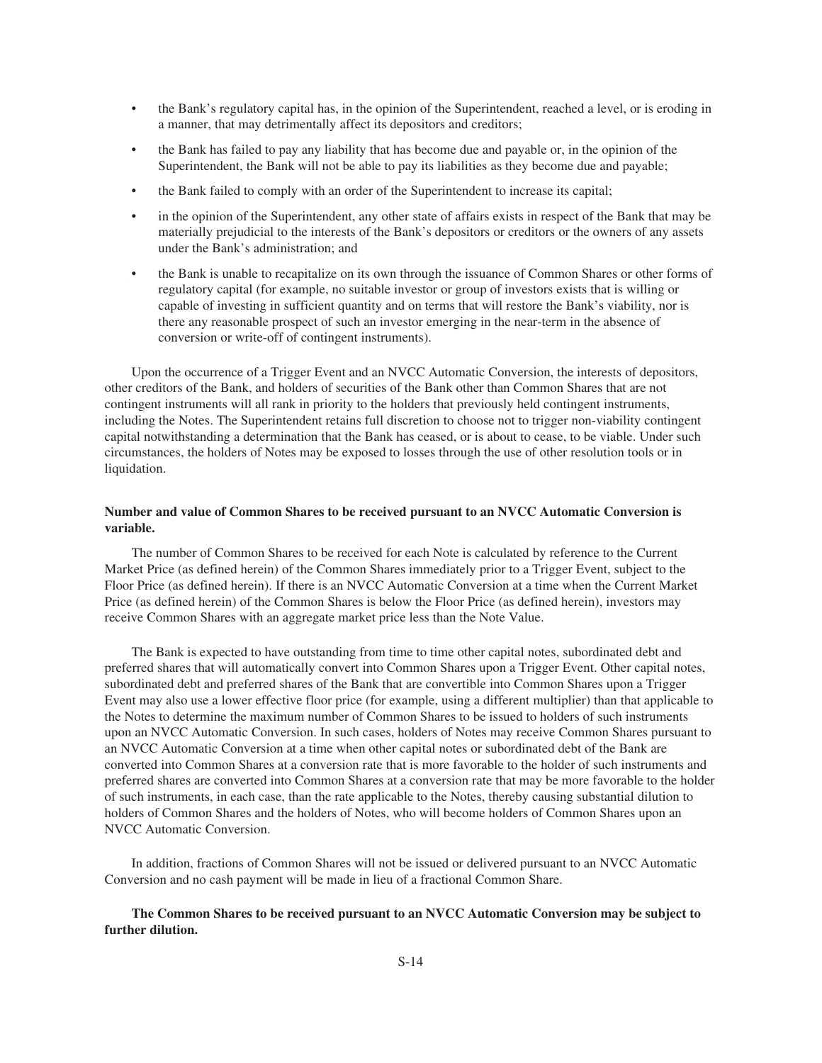- the Bank's regulatory capital has, in the opinion of the Superintendent, reached a level, or is eroding in a manner, that may detrimentally affect its depositors and creditors;
- the Bank has failed to pay any liability that has become due and payable or, in the opinion of the Superintendent, the Bank will not be able to pay its liabilities as they become due and payable;
- the Bank failed to comply with an order of the Superintendent to increase its capital;
- in the opinion of the Superintendent, any other state of affairs exists in respect of the Bank that may be materially prejudicial to the interests of the Bank's depositors or creditors or the owners of any assets under the Bank's administration; and
- the Bank is unable to recapitalize on its own through the issuance of Common Shares or other forms of regulatory capital (for example, no suitable investor or group of investors exists that is willing or capable of investing in sufficient quantity and on terms that will restore the Bank's viability, nor is there any reasonable prospect of such an investor emerging in the near-term in the absence of conversion or write-off of contingent instruments).

Upon the occurrence of a Trigger Event and an NVCC Automatic Conversion, the interests of depositors, other creditors of the Bank, and holders of securities of the Bank other than Common Shares that are not contingent instruments will all rank in priority to the holders that previously held contingent instruments, including the Notes. The Superintendent retains full discretion to choose not to trigger non-viability contingent capital notwithstanding a determination that the Bank has ceased, or is about to cease, to be viable. Under such circumstances, the holders of Notes may be exposed to losses through the use of other resolution tools or in liquidation.

## **Number and value of Common Shares to be received pursuant to an NVCC Automatic Conversion is variable.**

The number of Common Shares to be received for each Note is calculated by reference to the Current Market Price (as defined herein) of the Common Shares immediately prior to a Trigger Event, subject to the Floor Price (as defined herein). If there is an NVCC Automatic Conversion at a time when the Current Market Price (as defined herein) of the Common Shares is below the Floor Price (as defined herein), investors may receive Common Shares with an aggregate market price less than the Note Value.

The Bank is expected to have outstanding from time to time other capital notes, subordinated debt and preferred shares that will automatically convert into Common Shares upon a Trigger Event. Other capital notes, subordinated debt and preferred shares of the Bank that are convertible into Common Shares upon a Trigger Event may also use a lower effective floor price (for example, using a different multiplier) than that applicable to the Notes to determine the maximum number of Common Shares to be issued to holders of such instruments upon an NVCC Automatic Conversion. In such cases, holders of Notes may receive Common Shares pursuant to an NVCC Automatic Conversion at a time when other capital notes or subordinated debt of the Bank are converted into Common Shares at a conversion rate that is more favorable to the holder of such instruments and preferred shares are converted into Common Shares at a conversion rate that may be more favorable to the holder of such instruments, in each case, than the rate applicable to the Notes, thereby causing substantial dilution to holders of Common Shares and the holders of Notes, who will become holders of Common Shares upon an NVCC Automatic Conversion.

In addition, fractions of Common Shares will not be issued or delivered pursuant to an NVCC Automatic Conversion and no cash payment will be made in lieu of a fractional Common Share.

## **The Common Shares to be received pursuant to an NVCC Automatic Conversion may be subject to further dilution.**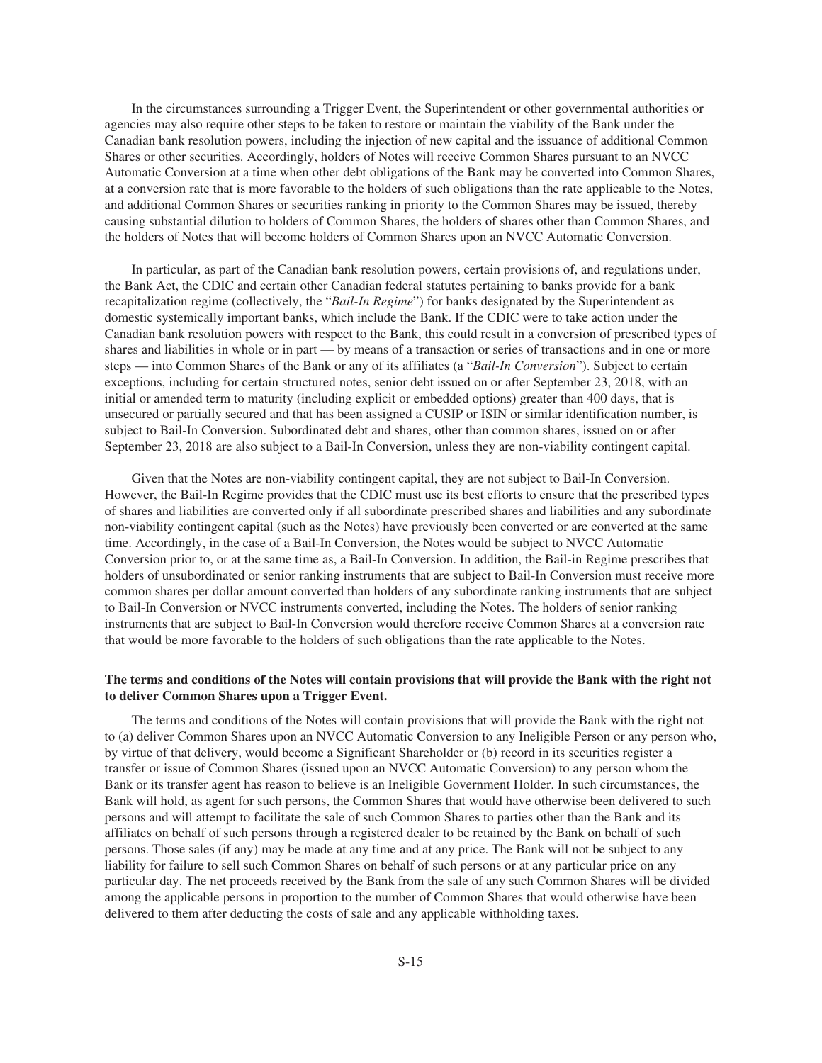In the circumstances surrounding a Trigger Event, the Superintendent or other governmental authorities or agencies may also require other steps to be taken to restore or maintain the viability of the Bank under the Canadian bank resolution powers, including the injection of new capital and the issuance of additional Common Shares or other securities. Accordingly, holders of Notes will receive Common Shares pursuant to an NVCC Automatic Conversion at a time when other debt obligations of the Bank may be converted into Common Shares, at a conversion rate that is more favorable to the holders of such obligations than the rate applicable to the Notes, and additional Common Shares or securities ranking in priority to the Common Shares may be issued, thereby causing substantial dilution to holders of Common Shares, the holders of shares other than Common Shares, and the holders of Notes that will become holders of Common Shares upon an NVCC Automatic Conversion.

In particular, as part of the Canadian bank resolution powers, certain provisions of, and regulations under, the Bank Act, the CDIC and certain other Canadian federal statutes pertaining to banks provide for a bank recapitalization regime (collectively, the "*Bail-In Regime*") for banks designated by the Superintendent as domestic systemically important banks, which include the Bank. If the CDIC were to take action under the Canadian bank resolution powers with respect to the Bank, this could result in a conversion of prescribed types of shares and liabilities in whole or in part — by means of a transaction or series of transactions and in one or more steps — into Common Shares of the Bank or any of its affiliates (a "*Bail-In Conversion*"). Subject to certain exceptions, including for certain structured notes, senior debt issued on or after September 23, 2018, with an initial or amended term to maturity (including explicit or embedded options) greater than 400 days, that is unsecured or partially secured and that has been assigned a CUSIP or ISIN or similar identification number, is subject to Bail-In Conversion. Subordinated debt and shares, other than common shares, issued on or after September 23, 2018 are also subject to a Bail-In Conversion, unless they are non-viability contingent capital.

Given that the Notes are non-viability contingent capital, they are not subject to Bail-In Conversion. However, the Bail-In Regime provides that the CDIC must use its best efforts to ensure that the prescribed types of shares and liabilities are converted only if all subordinate prescribed shares and liabilities and any subordinate non-viability contingent capital (such as the Notes) have previously been converted or are converted at the same time. Accordingly, in the case of a Bail-In Conversion, the Notes would be subject to NVCC Automatic Conversion prior to, or at the same time as, a Bail-In Conversion. In addition, the Bail-in Regime prescribes that holders of unsubordinated or senior ranking instruments that are subject to Bail-In Conversion must receive more common shares per dollar amount converted than holders of any subordinate ranking instruments that are subject to Bail-In Conversion or NVCC instruments converted, including the Notes. The holders of senior ranking instruments that are subject to Bail-In Conversion would therefore receive Common Shares at a conversion rate that would be more favorable to the holders of such obligations than the rate applicable to the Notes.

# **The terms and conditions of the Notes will contain provisions that will provide the Bank with the right not to deliver Common Shares upon a Trigger Event.**

The terms and conditions of the Notes will contain provisions that will provide the Bank with the right not to (a) deliver Common Shares upon an NVCC Automatic Conversion to any Ineligible Person or any person who, by virtue of that delivery, would become a Significant Shareholder or (b) record in its securities register a transfer or issue of Common Shares (issued upon an NVCC Automatic Conversion) to any person whom the Bank or its transfer agent has reason to believe is an Ineligible Government Holder. In such circumstances, the Bank will hold, as agent for such persons, the Common Shares that would have otherwise been delivered to such persons and will attempt to facilitate the sale of such Common Shares to parties other than the Bank and its affiliates on behalf of such persons through a registered dealer to be retained by the Bank on behalf of such persons. Those sales (if any) may be made at any time and at any price. The Bank will not be subject to any liability for failure to sell such Common Shares on behalf of such persons or at any particular price on any particular day. The net proceeds received by the Bank from the sale of any such Common Shares will be divided among the applicable persons in proportion to the number of Common Shares that would otherwise have been delivered to them after deducting the costs of sale and any applicable withholding taxes.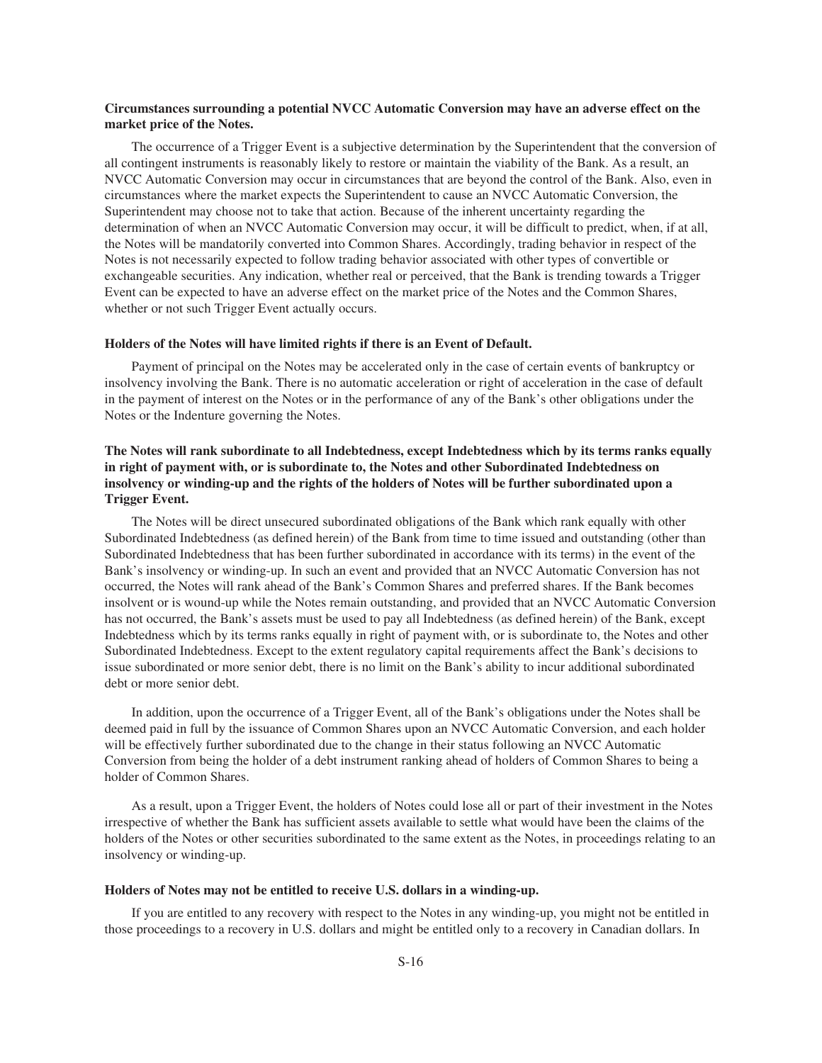## **Circumstances surrounding a potential NVCC Automatic Conversion may have an adverse effect on the market price of the Notes.**

The occurrence of a Trigger Event is a subjective determination by the Superintendent that the conversion of all contingent instruments is reasonably likely to restore or maintain the viability of the Bank. As a result, an NVCC Automatic Conversion may occur in circumstances that are beyond the control of the Bank. Also, even in circumstances where the market expects the Superintendent to cause an NVCC Automatic Conversion, the Superintendent may choose not to take that action. Because of the inherent uncertainty regarding the determination of when an NVCC Automatic Conversion may occur, it will be difficult to predict, when, if at all, the Notes will be mandatorily converted into Common Shares. Accordingly, trading behavior in respect of the Notes is not necessarily expected to follow trading behavior associated with other types of convertible or exchangeable securities. Any indication, whether real or perceived, that the Bank is trending towards a Trigger Event can be expected to have an adverse effect on the market price of the Notes and the Common Shares, whether or not such Trigger Event actually occurs.

### **Holders of the Notes will have limited rights if there is an Event of Default.**

Payment of principal on the Notes may be accelerated only in the case of certain events of bankruptcy or insolvency involving the Bank. There is no automatic acceleration or right of acceleration in the case of default in the payment of interest on the Notes or in the performance of any of the Bank's other obligations under the Notes or the Indenture governing the Notes.

# **The Notes will rank subordinate to all Indebtedness, except Indebtedness which by its terms ranks equally in right of payment with, or is subordinate to, the Notes and other Subordinated Indebtedness on insolvency or winding-up and the rights of the holders of Notes will be further subordinated upon a Trigger Event.**

The Notes will be direct unsecured subordinated obligations of the Bank which rank equally with other Subordinated Indebtedness (as defined herein) of the Bank from time to time issued and outstanding (other than Subordinated Indebtedness that has been further subordinated in accordance with its terms) in the event of the Bank's insolvency or winding-up. In such an event and provided that an NVCC Automatic Conversion has not occurred, the Notes will rank ahead of the Bank's Common Shares and preferred shares. If the Bank becomes insolvent or is wound-up while the Notes remain outstanding, and provided that an NVCC Automatic Conversion has not occurred, the Bank's assets must be used to pay all Indebtedness (as defined herein) of the Bank, except Indebtedness which by its terms ranks equally in right of payment with, or is subordinate to, the Notes and other Subordinated Indebtedness. Except to the extent regulatory capital requirements affect the Bank's decisions to issue subordinated or more senior debt, there is no limit on the Bank's ability to incur additional subordinated debt or more senior debt.

In addition, upon the occurrence of a Trigger Event, all of the Bank's obligations under the Notes shall be deemed paid in full by the issuance of Common Shares upon an NVCC Automatic Conversion, and each holder will be effectively further subordinated due to the change in their status following an NVCC Automatic Conversion from being the holder of a debt instrument ranking ahead of holders of Common Shares to being a holder of Common Shares.

As a result, upon a Trigger Event, the holders of Notes could lose all or part of their investment in the Notes irrespective of whether the Bank has sufficient assets available to settle what would have been the claims of the holders of the Notes or other securities subordinated to the same extent as the Notes, in proceedings relating to an insolvency or winding-up.

### **Holders of Notes may not be entitled to receive U.S. dollars in a winding-up.**

If you are entitled to any recovery with respect to the Notes in any winding-up, you might not be entitled in those proceedings to a recovery in U.S. dollars and might be entitled only to a recovery in Canadian dollars. In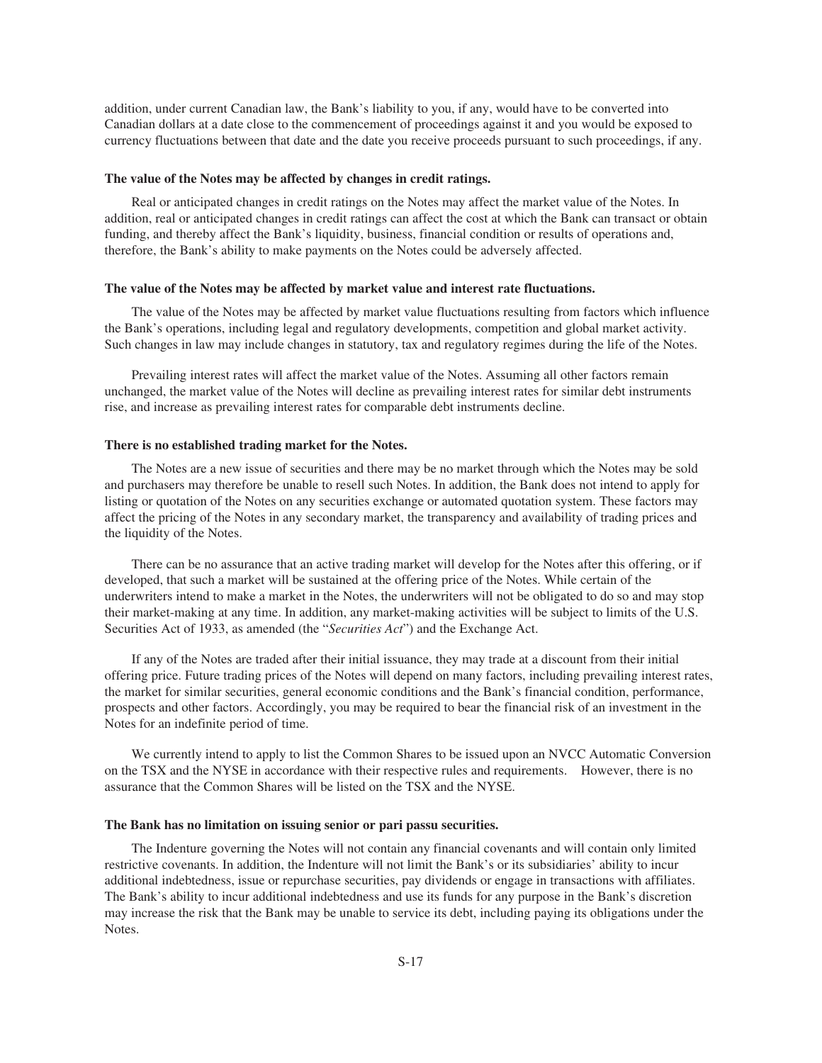addition, under current Canadian law, the Bank's liability to you, if any, would have to be converted into Canadian dollars at a date close to the commencement of proceedings against it and you would be exposed to currency fluctuations between that date and the date you receive proceeds pursuant to such proceedings, if any.

#### **The value of the Notes may be affected by changes in credit ratings.**

Real or anticipated changes in credit ratings on the Notes may affect the market value of the Notes. In addition, real or anticipated changes in credit ratings can affect the cost at which the Bank can transact or obtain funding, and thereby affect the Bank's liquidity, business, financial condition or results of operations and, therefore, the Bank's ability to make payments on the Notes could be adversely affected.

### **The value of the Notes may be affected by market value and interest rate fluctuations.**

The value of the Notes may be affected by market value fluctuations resulting from factors which influence the Bank's operations, including legal and regulatory developments, competition and global market activity. Such changes in law may include changes in statutory, tax and regulatory regimes during the life of the Notes.

Prevailing interest rates will affect the market value of the Notes. Assuming all other factors remain unchanged, the market value of the Notes will decline as prevailing interest rates for similar debt instruments rise, and increase as prevailing interest rates for comparable debt instruments decline.

#### **There is no established trading market for the Notes.**

The Notes are a new issue of securities and there may be no market through which the Notes may be sold and purchasers may therefore be unable to resell such Notes. In addition, the Bank does not intend to apply for listing or quotation of the Notes on any securities exchange or automated quotation system. These factors may affect the pricing of the Notes in any secondary market, the transparency and availability of trading prices and the liquidity of the Notes.

There can be no assurance that an active trading market will develop for the Notes after this offering, or if developed, that such a market will be sustained at the offering price of the Notes. While certain of the underwriters intend to make a market in the Notes, the underwriters will not be obligated to do so and may stop their market-making at any time. In addition, any market-making activities will be subject to limits of the U.S. Securities Act of 1933, as amended (the "*Securities Act*") and the Exchange Act.

If any of the Notes are traded after their initial issuance, they may trade at a discount from their initial offering price. Future trading prices of the Notes will depend on many factors, including prevailing interest rates, the market for similar securities, general economic conditions and the Bank's financial condition, performance, prospects and other factors. Accordingly, you may be required to bear the financial risk of an investment in the Notes for an indefinite period of time.

We currently intend to apply to list the Common Shares to be issued upon an NVCC Automatic Conversion on the TSX and the NYSE in accordance with their respective rules and requirements. However, there is no assurance that the Common Shares will be listed on the TSX and the NYSE.

### **The Bank has no limitation on issuing senior or pari passu securities.**

The Indenture governing the Notes will not contain any financial covenants and will contain only limited restrictive covenants. In addition, the Indenture will not limit the Bank's or its subsidiaries' ability to incur additional indebtedness, issue or repurchase securities, pay dividends or engage in transactions with affiliates. The Bank's ability to incur additional indebtedness and use its funds for any purpose in the Bank's discretion may increase the risk that the Bank may be unable to service its debt, including paying its obligations under the Notes.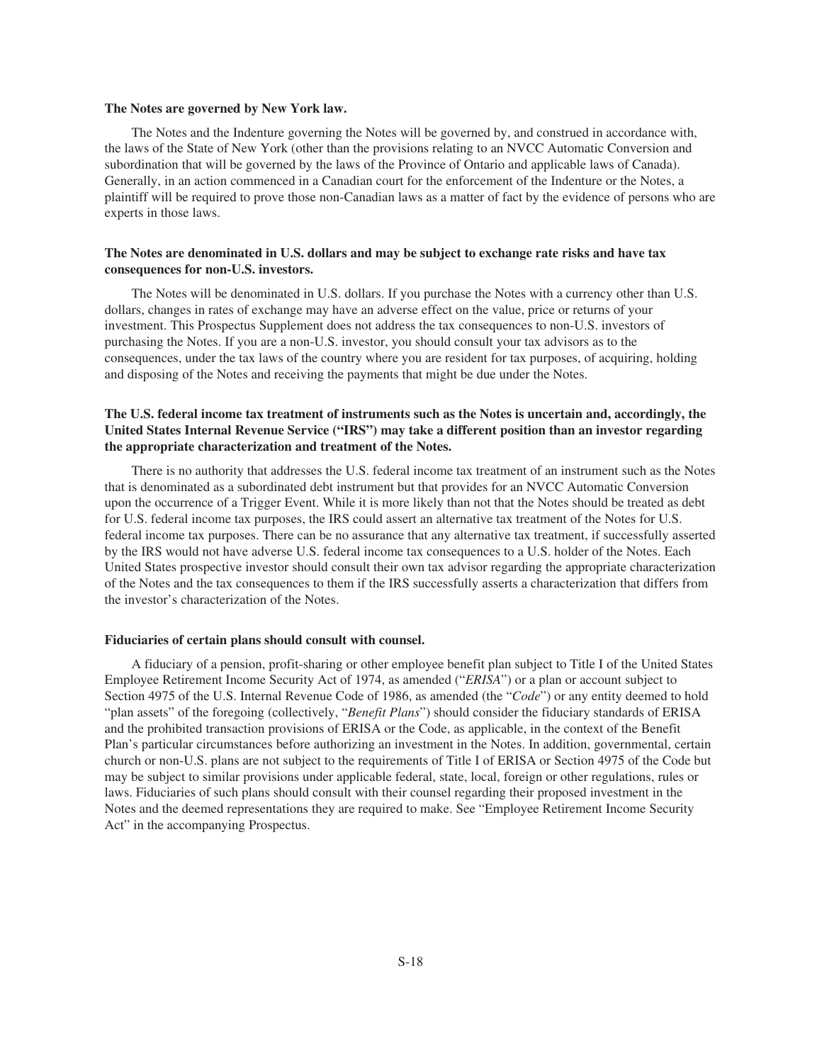### **The Notes are governed by New York law.**

The Notes and the Indenture governing the Notes will be governed by, and construed in accordance with, the laws of the State of New York (other than the provisions relating to an NVCC Automatic Conversion and subordination that will be governed by the laws of the Province of Ontario and applicable laws of Canada). Generally, in an action commenced in a Canadian court for the enforcement of the Indenture or the Notes, a plaintiff will be required to prove those non-Canadian laws as a matter of fact by the evidence of persons who are experts in those laws.

## **The Notes are denominated in U.S. dollars and may be subject to exchange rate risks and have tax consequences for non-U.S. investors.**

The Notes will be denominated in U.S. dollars. If you purchase the Notes with a currency other than U.S. dollars, changes in rates of exchange may have an adverse effect on the value, price or returns of your investment. This Prospectus Supplement does not address the tax consequences to non-U.S. investors of purchasing the Notes. If you are a non-U.S. investor, you should consult your tax advisors as to the consequences, under the tax laws of the country where you are resident for tax purposes, of acquiring, holding and disposing of the Notes and receiving the payments that might be due under the Notes.

# **The U.S. federal income tax treatment of instruments such as the Notes is uncertain and, accordingly, the United States Internal Revenue Service ("IRS") may take a different position than an investor regarding the appropriate characterization and treatment of the Notes.**

There is no authority that addresses the U.S. federal income tax treatment of an instrument such as the Notes that is denominated as a subordinated debt instrument but that provides for an NVCC Automatic Conversion upon the occurrence of a Trigger Event. While it is more likely than not that the Notes should be treated as debt for U.S. federal income tax purposes, the IRS could assert an alternative tax treatment of the Notes for U.S. federal income tax purposes. There can be no assurance that any alternative tax treatment, if successfully asserted by the IRS would not have adverse U.S. federal income tax consequences to a U.S. holder of the Notes. Each United States prospective investor should consult their own tax advisor regarding the appropriate characterization of the Notes and the tax consequences to them if the IRS successfully asserts a characterization that differs from the investor's characterization of the Notes.

### **Fiduciaries of certain plans should consult with counsel.**

A fiduciary of a pension, profit-sharing or other employee benefit plan subject to Title I of the United States Employee Retirement Income Security Act of 1974, as amended ("*ERISA*") or a plan or account subject to Section 4975 of the U.S. Internal Revenue Code of 1986, as amended (the "*Code*") or any entity deemed to hold "plan assets" of the foregoing (collectively, "*Benefit Plans*") should consider the fiduciary standards of ERISA and the prohibited transaction provisions of ERISA or the Code, as applicable, in the context of the Benefit Plan's particular circumstances before authorizing an investment in the Notes. In addition, governmental, certain church or non-U.S. plans are not subject to the requirements of Title I of ERISA or Section 4975 of the Code but may be subject to similar provisions under applicable federal, state, local, foreign or other regulations, rules or laws. Fiduciaries of such plans should consult with their counsel regarding their proposed investment in the Notes and the deemed representations they are required to make. See "Employee Retirement Income Security Act" in the accompanying Prospectus.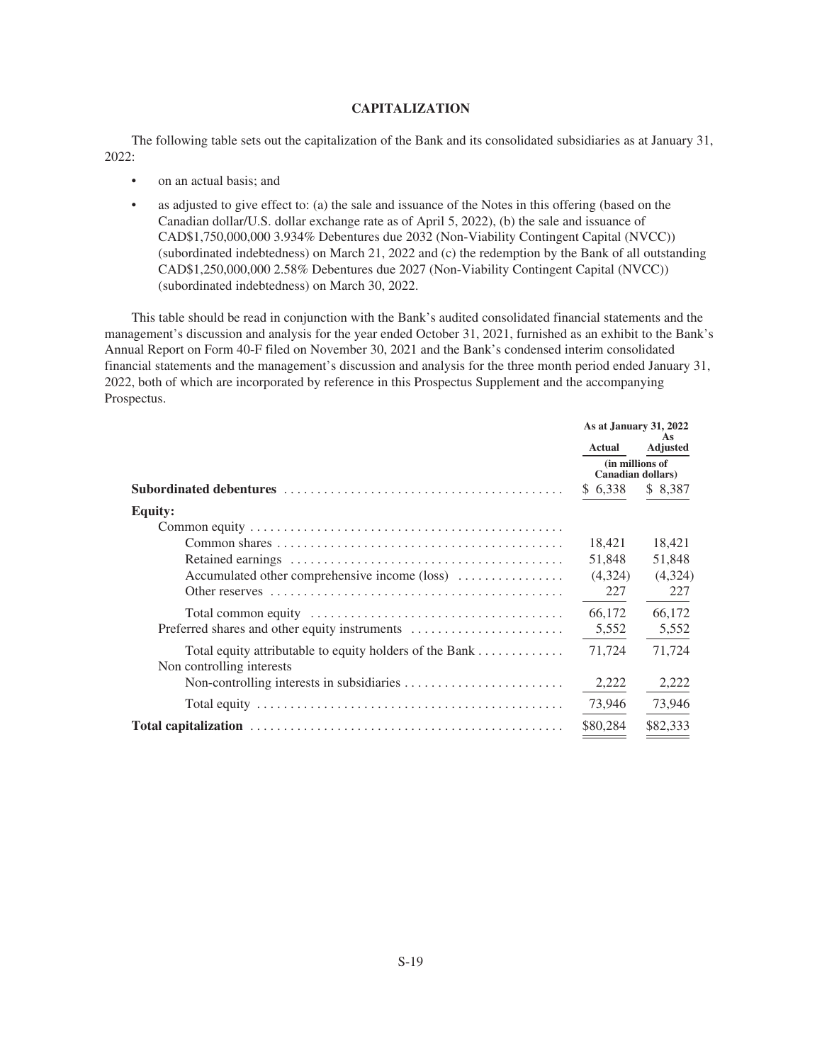## **CAPITALIZATION**

<span id="page-22-0"></span>The following table sets out the capitalization of the Bank and its consolidated subsidiaries as at January 31, 2022:

- on an actual basis; and
- as adjusted to give effect to: (a) the sale and issuance of the Notes in this offering (based on the Canadian dollar/U.S. dollar exchange rate as of April 5, 2022), (b) the sale and issuance of CAD\$1,750,000,000 3.934% Debentures due 2032 (Non-Viability Contingent Capital (NVCC)) (subordinated indebtedness) on March 21, 2022 and (c) the redemption by the Bank of all outstanding CAD\$1,250,000,000 2.58% Debentures due 2027 (Non-Viability Contingent Capital (NVCC)) (subordinated indebtedness) on March 30, 2022.

This table should be read in conjunction with the Bank's audited consolidated financial statements and the management's discussion and analysis for the year ended October 31, 2021, furnished as an exhibit to the Bank's Annual Report on Form 40-F filed on November 30, 2021 and the Bank's condensed interim consolidated financial statements and the management's discussion and analysis for the three month period ended January 31, 2022, both of which are incorporated by reference in this Prospectus Supplement and the accompanying Prospectus.

|                                                                                      | As at January 31, 2022                       |                       |
|--------------------------------------------------------------------------------------|----------------------------------------------|-----------------------|
|                                                                                      | Actual                                       | As<br><b>Adjusted</b> |
|                                                                                      | (in millions of<br><b>Canadian dollars</b> ) |                       |
|                                                                                      | \$6,338                                      | \$ 8,387              |
| <b>Equity:</b>                                                                       |                                              |                       |
|                                                                                      |                                              |                       |
|                                                                                      | 18,421                                       | 18,421                |
|                                                                                      | 51,848                                       | 51,848                |
| Accumulated other comprehensive income (loss)                                        | (4,324)                                      | (4,324)               |
|                                                                                      | 227                                          | 227                   |
|                                                                                      | 66,172                                       | 66,172                |
| Preferred shares and other equity instruments                                        | 5,552                                        | 5,552                 |
| Total equity attributable to equity holders of the Bank<br>Non controlling interests | 71,724                                       | 71,724                |
|                                                                                      | 2,222                                        | 2,222                 |
|                                                                                      | 73,946                                       | 73,946                |
|                                                                                      | \$80,284                                     | \$82,333              |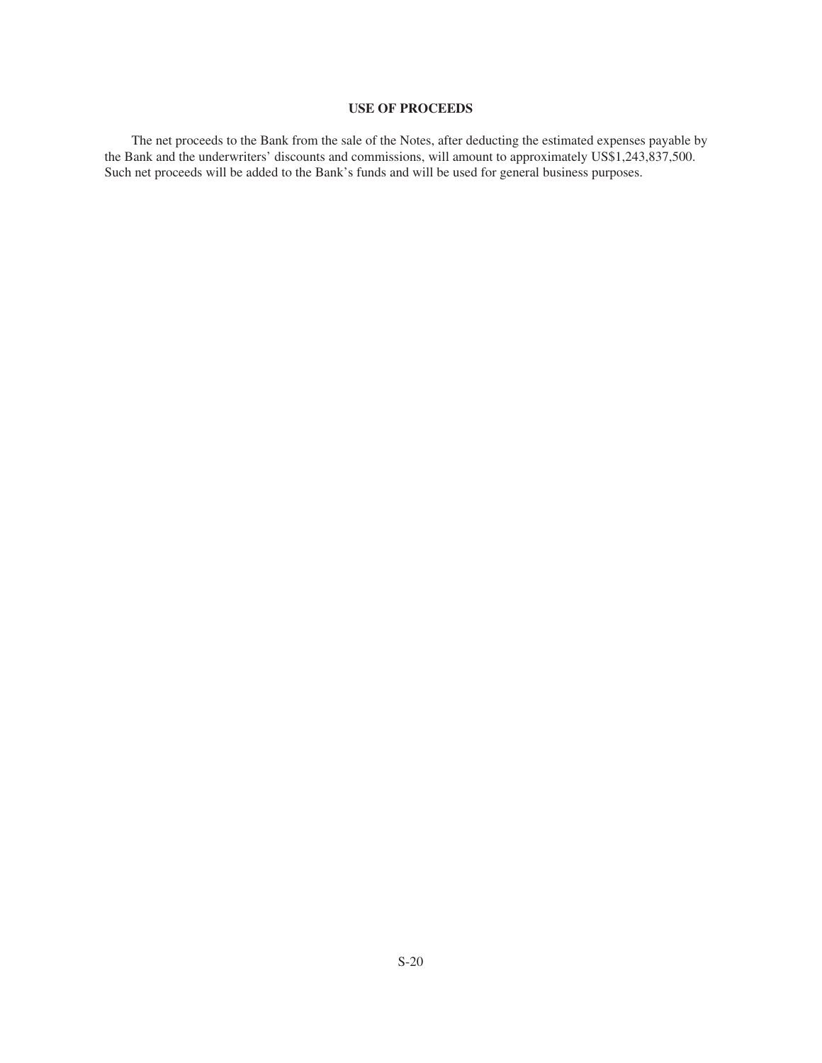# **USE OF PROCEEDS**

<span id="page-23-0"></span>The net proceeds to the Bank from the sale of the Notes, after deducting the estimated expenses payable by the Bank and the underwriters' discounts and commissions, will amount to approximately US\$1,243,837,500. Such net proceeds will be added to the Bank's funds and will be used for general business purposes.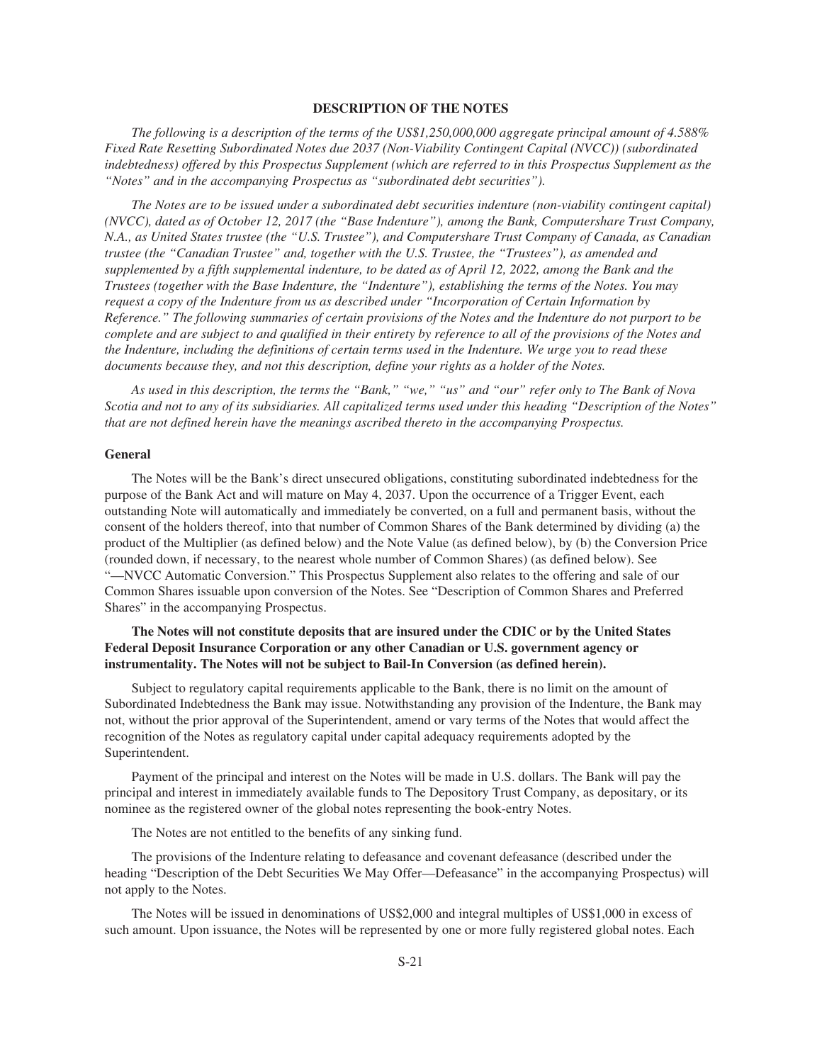### **DESCRIPTION OF THE NOTES**

<span id="page-24-0"></span>*The following is a description of the terms of the US\$1,250,000,000 aggregate principal amount of 4.588% Fixed Rate Resetting Subordinated Notes due 2037 (Non-Viability Contingent Capital (NVCC)) (subordinated indebtedness) offered by this Prospectus Supplement (which are referred to in this Prospectus Supplement as the "Notes" and in the accompanying Prospectus as "subordinated debt securities").*

*The Notes are to be issued under a subordinated debt securities indenture (non-viability contingent capital) (NVCC), dated as of October 12, 2017 (the "Base Indenture"), among the Bank, Computershare Trust Company, N.A., as United States trustee (the "U.S. Trustee"), and Computershare Trust Company of Canada, as Canadian trustee (the "Canadian Trustee" and, together with the U.S. Trustee, the "Trustees"), as amended and supplemented by a fifth supplemental indenture, to be dated as of April 12, 2022, among the Bank and the Trustees (together with the Base Indenture, the "Indenture"), establishing the terms of the Notes. You may request a copy of the Indenture from us as described under "Incorporation of Certain Information by Reference." The following summaries of certain provisions of the Notes and the Indenture do not purport to be complete and are subject to and qualified in their entirety by reference to all of the provisions of the Notes and the Indenture, including the definitions of certain terms used in the Indenture. We urge you to read these documents because they, and not this description, define your rights as a holder of the Notes.*

*As used in this description, the terms the "Bank," "we," "us" and "our" refer only to The Bank of Nova Scotia and not to any of its subsidiaries. All capitalized terms used under this heading "Description of the Notes" that are not defined herein have the meanings ascribed thereto in the accompanying Prospectus.*

### **General**

The Notes will be the Bank's direct unsecured obligations, constituting subordinated indebtedness for the purpose of the Bank Act and will mature on May 4, 2037. Upon the occurrence of a Trigger Event, each outstanding Note will automatically and immediately be converted, on a full and permanent basis, without the consent of the holders thereof, into that number of Common Shares of the Bank determined by dividing (a) the product of the Multiplier (as defined below) and the Note Value (as defined below), by (b) the Conversion Price (rounded down, if necessary, to the nearest whole number of Common Shares) (as defined below). See "—NVCC Automatic Conversion." This Prospectus Supplement also relates to the offering and sale of our Common Shares issuable upon conversion of the Notes. See "Description of Common Shares and Preferred Shares" in the accompanying Prospectus.

# **The Notes will not constitute deposits that are insured under the CDIC or by the United States Federal Deposit Insurance Corporation or any other Canadian or U.S. government agency or instrumentality. The Notes will not be subject to Bail-In Conversion (as defined herein).**

Subject to regulatory capital requirements applicable to the Bank, there is no limit on the amount of Subordinated Indebtedness the Bank may issue. Notwithstanding any provision of the Indenture, the Bank may not, without the prior approval of the Superintendent, amend or vary terms of the Notes that would affect the recognition of the Notes as regulatory capital under capital adequacy requirements adopted by the Superintendent.

Payment of the principal and interest on the Notes will be made in U.S. dollars. The Bank will pay the principal and interest in immediately available funds to The Depository Trust Company, as depositary, or its nominee as the registered owner of the global notes representing the book-entry Notes.

The Notes are not entitled to the benefits of any sinking fund.

The provisions of the Indenture relating to defeasance and covenant defeasance (described under the heading "Description of the Debt Securities We May Offer—Defeasance" in the accompanying Prospectus) will not apply to the Notes.

The Notes will be issued in denominations of US\$2,000 and integral multiples of US\$1,000 in excess of such amount. Upon issuance, the Notes will be represented by one or more fully registered global notes. Each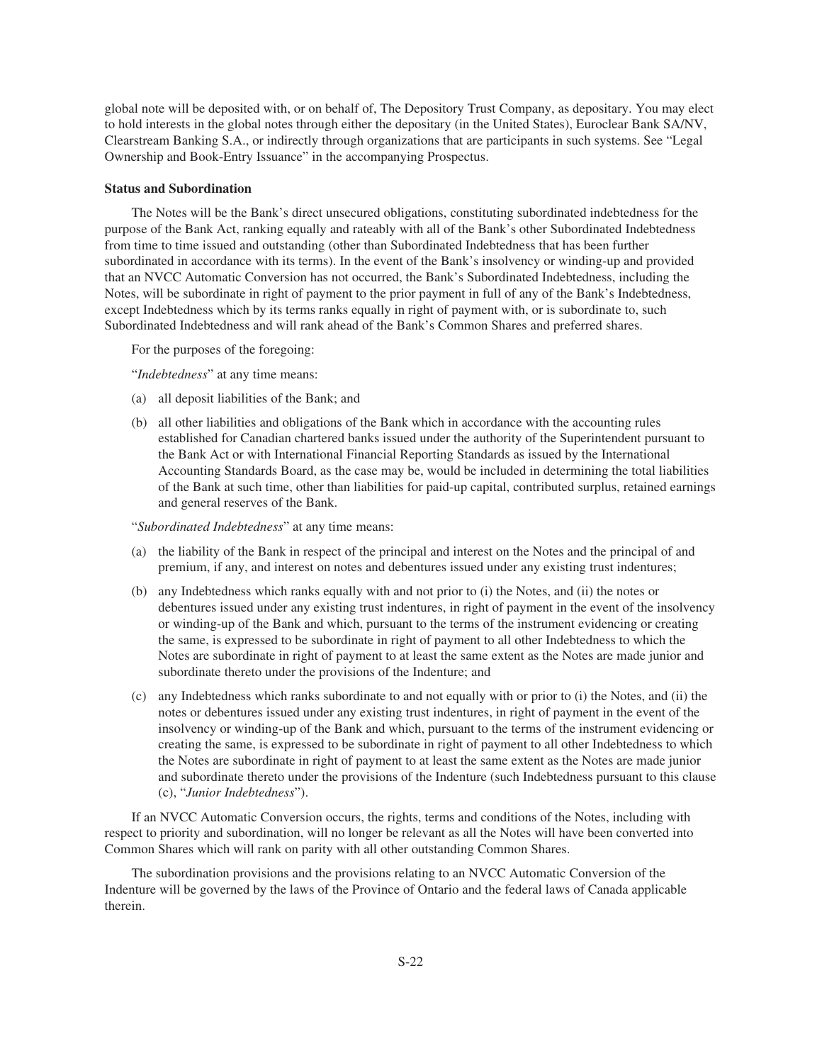global note will be deposited with, or on behalf of, The Depository Trust Company, as depositary. You may elect to hold interests in the global notes through either the depositary (in the United States), Euroclear Bank SA/NV, Clearstream Banking S.A., or indirectly through organizations that are participants in such systems. See "Legal Ownership and Book-Entry Issuance" in the accompanying Prospectus.

### **Status and Subordination**

The Notes will be the Bank's direct unsecured obligations, constituting subordinated indebtedness for the purpose of the Bank Act, ranking equally and rateably with all of the Bank's other Subordinated Indebtedness from time to time issued and outstanding (other than Subordinated Indebtedness that has been further subordinated in accordance with its terms). In the event of the Bank's insolvency or winding-up and provided that an NVCC Automatic Conversion has not occurred, the Bank's Subordinated Indebtedness, including the Notes, will be subordinate in right of payment to the prior payment in full of any of the Bank's Indebtedness, except Indebtedness which by its terms ranks equally in right of payment with, or is subordinate to, such Subordinated Indebtedness and will rank ahead of the Bank's Common Shares and preferred shares.

For the purposes of the foregoing:

"*Indebtedness*" at any time means:

- (a) all deposit liabilities of the Bank; and
- (b) all other liabilities and obligations of the Bank which in accordance with the accounting rules established for Canadian chartered banks issued under the authority of the Superintendent pursuant to the Bank Act or with International Financial Reporting Standards as issued by the International Accounting Standards Board, as the case may be, would be included in determining the total liabilities of the Bank at such time, other than liabilities for paid-up capital, contributed surplus, retained earnings and general reserves of the Bank.

"*Subordinated Indebtedness*" at any time means:

- (a) the liability of the Bank in respect of the principal and interest on the Notes and the principal of and premium, if any, and interest on notes and debentures issued under any existing trust indentures;
- (b) any Indebtedness which ranks equally with and not prior to (i) the Notes, and (ii) the notes or debentures issued under any existing trust indentures, in right of payment in the event of the insolvency or winding-up of the Bank and which, pursuant to the terms of the instrument evidencing or creating the same, is expressed to be subordinate in right of payment to all other Indebtedness to which the Notes are subordinate in right of payment to at least the same extent as the Notes are made junior and subordinate thereto under the provisions of the Indenture; and
- (c) any Indebtedness which ranks subordinate to and not equally with or prior to (i) the Notes, and (ii) the notes or debentures issued under any existing trust indentures, in right of payment in the event of the insolvency or winding-up of the Bank and which, pursuant to the terms of the instrument evidencing or creating the same, is expressed to be subordinate in right of payment to all other Indebtedness to which the Notes are subordinate in right of payment to at least the same extent as the Notes are made junior and subordinate thereto under the provisions of the Indenture (such Indebtedness pursuant to this clause (c), "*Junior Indebtedness*").

If an NVCC Automatic Conversion occurs, the rights, terms and conditions of the Notes, including with respect to priority and subordination, will no longer be relevant as all the Notes will have been converted into Common Shares which will rank on parity with all other outstanding Common Shares.

The subordination provisions and the provisions relating to an NVCC Automatic Conversion of the Indenture will be governed by the laws of the Province of Ontario and the federal laws of Canada applicable therein.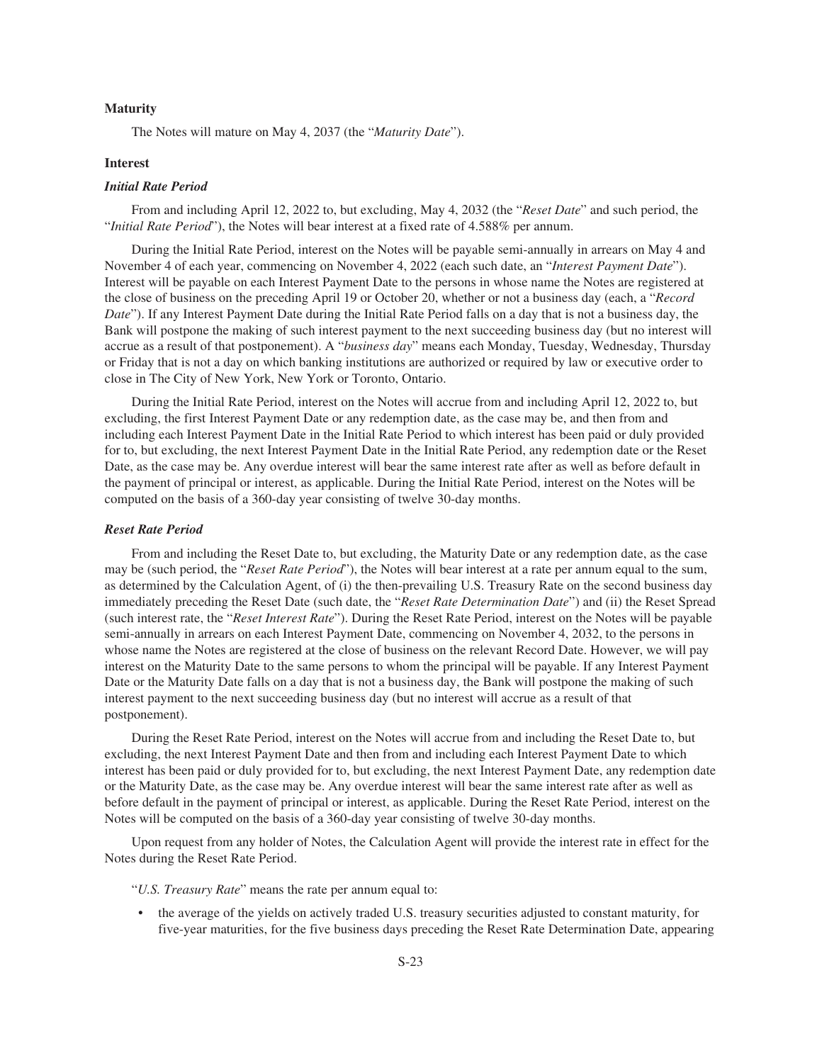### **Maturity**

The Notes will mature on May 4, 2037 (the "*Maturity Date*").

### **Interest**

### *Initial Rate Period*

From and including April 12, 2022 to, but excluding, May 4, 2032 (the "*Reset Date*" and such period, the "*Initial Rate Period*"), the Notes will bear interest at a fixed rate of 4.588% per annum.

During the Initial Rate Period, interest on the Notes will be payable semi-annually in arrears on May 4 and November 4 of each year, commencing on November 4, 2022 (each such date, an "*Interest Payment Date*"). Interest will be payable on each Interest Payment Date to the persons in whose name the Notes are registered at the close of business on the preceding April 19 or October 20, whether or not a business day (each, a "*Record Date*"). If any Interest Payment Date during the Initial Rate Period falls on a day that is not a business day, the Bank will postpone the making of such interest payment to the next succeeding business day (but no interest will accrue as a result of that postponement). A "*business day*" means each Monday, Tuesday, Wednesday, Thursday or Friday that is not a day on which banking institutions are authorized or required by law or executive order to close in The City of New York, New York or Toronto, Ontario.

During the Initial Rate Period, interest on the Notes will accrue from and including April 12, 2022 to, but excluding, the first Interest Payment Date or any redemption date, as the case may be, and then from and including each Interest Payment Date in the Initial Rate Period to which interest has been paid or duly provided for to, but excluding, the next Interest Payment Date in the Initial Rate Period, any redemption date or the Reset Date, as the case may be. Any overdue interest will bear the same interest rate after as well as before default in the payment of principal or interest, as applicable. During the Initial Rate Period, interest on the Notes will be computed on the basis of a 360-day year consisting of twelve 30-day months.

### *Reset Rate Period*

From and including the Reset Date to, but excluding, the Maturity Date or any redemption date, as the case may be (such period, the "*Reset Rate Period*"), the Notes will bear interest at a rate per annum equal to the sum, as determined by the Calculation Agent, of (i) the then-prevailing U.S. Treasury Rate on the second business day immediately preceding the Reset Date (such date, the "*Reset Rate Determination Date*") and (ii) the Reset Spread (such interest rate, the "*Reset Interest Rate*"). During the Reset Rate Period, interest on the Notes will be payable semi-annually in arrears on each Interest Payment Date, commencing on November 4, 2032, to the persons in whose name the Notes are registered at the close of business on the relevant Record Date. However, we will pay interest on the Maturity Date to the same persons to whom the principal will be payable. If any Interest Payment Date or the Maturity Date falls on a day that is not a business day, the Bank will postpone the making of such interest payment to the next succeeding business day (but no interest will accrue as a result of that postponement).

During the Reset Rate Period, interest on the Notes will accrue from and including the Reset Date to, but excluding, the next Interest Payment Date and then from and including each Interest Payment Date to which interest has been paid or duly provided for to, but excluding, the next Interest Payment Date, any redemption date or the Maturity Date, as the case may be. Any overdue interest will bear the same interest rate after as well as before default in the payment of principal or interest, as applicable. During the Reset Rate Period, interest on the Notes will be computed on the basis of a 360-day year consisting of twelve 30-day months.

Upon request from any holder of Notes, the Calculation Agent will provide the interest rate in effect for the Notes during the Reset Rate Period.

"*U.S. Treasury Rate*" means the rate per annum equal to:

• the average of the yields on actively traded U.S. treasury securities adjusted to constant maturity, for five-year maturities, for the five business days preceding the Reset Rate Determination Date, appearing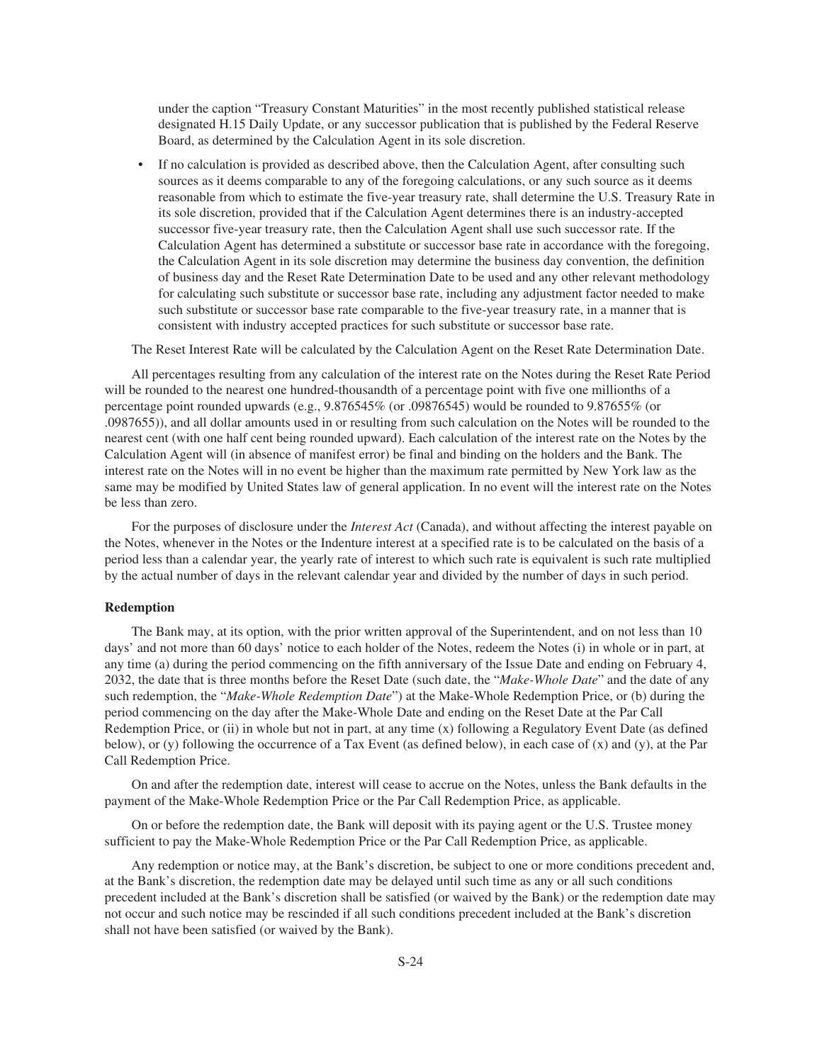under the caption "Treasury Constant Maturities" in the most recently published statistical release designated H.15 Daily Update, or any successor publication that is published by the Federal Reserve Board, as determined by the Calculation Agent in its sole discretion.

If no calculation is provided as described above, then the Calculation Agent, after consulting such sources as it deems comparable to any of the foregoing calculations, or any such source as it deems reasonable from which to estimate the five-year treasury rate, shall determine the U.S. Treasury Rate in its sole discretion, provided that if the Calculation Agent determines there is an industry-accepted successor five-year treasury rate, then the Calculation Agent shall use such successor rate. If the Calculation Agent has determined a substitute or successor base rate in accordance with the foregoing, the Calculation Agent in its sole discretion may determine the business day convention, the definition of business day and the Reset Rate Determination Date to be used and any other relevant methodology for calculating such substitute or successor base rate, including any adjustment factor needed to make such substitute or successor base rate comparable to the five-year treasury rate, in a manner that is consistent with industry accepted practices for such substitute or successor base rate.

The Reset Interest Rate will be calculated by the Calculation Agent on the Reset Rate Determination Date.

All percentages resulting from any calculation of the interest rate on the Notes during the Reset Rate Period will be rounded to the nearest one hundred-thousandth of a percentage point with five one millionths of a percentage point rounded upwards (e.g., 9.876545% (or .09876545) would be rounded to 9.87655% (or .0987655)), and all dollar amounts used in or resulting from such calculation on the Notes will be rounded to the nearest cent (with one half cent being rounded upward). Each calculation of the interest rate on the Notes by the Calculation Agent will (in absence of manifest error) be final and binding on the holders and the Bank. The interest rate on the Notes will in no event be higher than the maximum rate permitted by New York law as the same may be modified by United States law of general application. In no event will the interest rate on the Notes be less than zero.

For the purposes of disclosure under the *Interest Act* (Canada), and without affecting the interest payable on the Notes, whenever in the Notes or the Indenture interest at a specified rate is to be calculated on the basis of a period less than a calendar year, the yearly rate of interest to which such rate is equivalent is such rate multiplied by the actual number of days in the relevant calendar year and divided by the number of days in such period.

### **Redemption**

The Bank may, at its option, with the prior written approval of the Superintendent, and on not less than 10 days' and not more than 60 days' notice to each holder of the Notes, redeem the Notes (i) in whole or in part, at any time (a) during the period commencing on the fifth anniversary of the Issue Date and ending on February 4, 2032, the date that is three months before the Reset Date (such date, the "*Make-Whole Date*" and the date of any such redemption, the "*Make-Whole Redemption Date*") at the Make-Whole Redemption Price, or (b) during the period commencing on the day after the Make-Whole Date and ending on the Reset Date at the Par Call Redemption Price, or (ii) in whole but not in part, at any time (x) following a Regulatory Event Date (as defined below), or (y) following the occurrence of a Tax Event (as defined below), in each case of  $(x)$  and  $(y)$ , at the Par Call Redemption Price.

On and after the redemption date, interest will cease to accrue on the Notes, unless the Bank defaults in the payment of the Make-Whole Redemption Price or the Par Call Redemption Price, as applicable.

On or before the redemption date, the Bank will deposit with its paying agent or the U.S. Trustee money sufficient to pay the Make-Whole Redemption Price or the Par Call Redemption Price, as applicable.

Any redemption or notice may, at the Bank's discretion, be subject to one or more conditions precedent and, at the Bank's discretion, the redemption date may be delayed until such time as any or all such conditions precedent included at the Bank's discretion shall be satisfied (or waived by the Bank) or the redemption date may not occur and such notice may be rescinded if all such conditions precedent included at the Bank's discretion shall not have been satisfied (or waived by the Bank).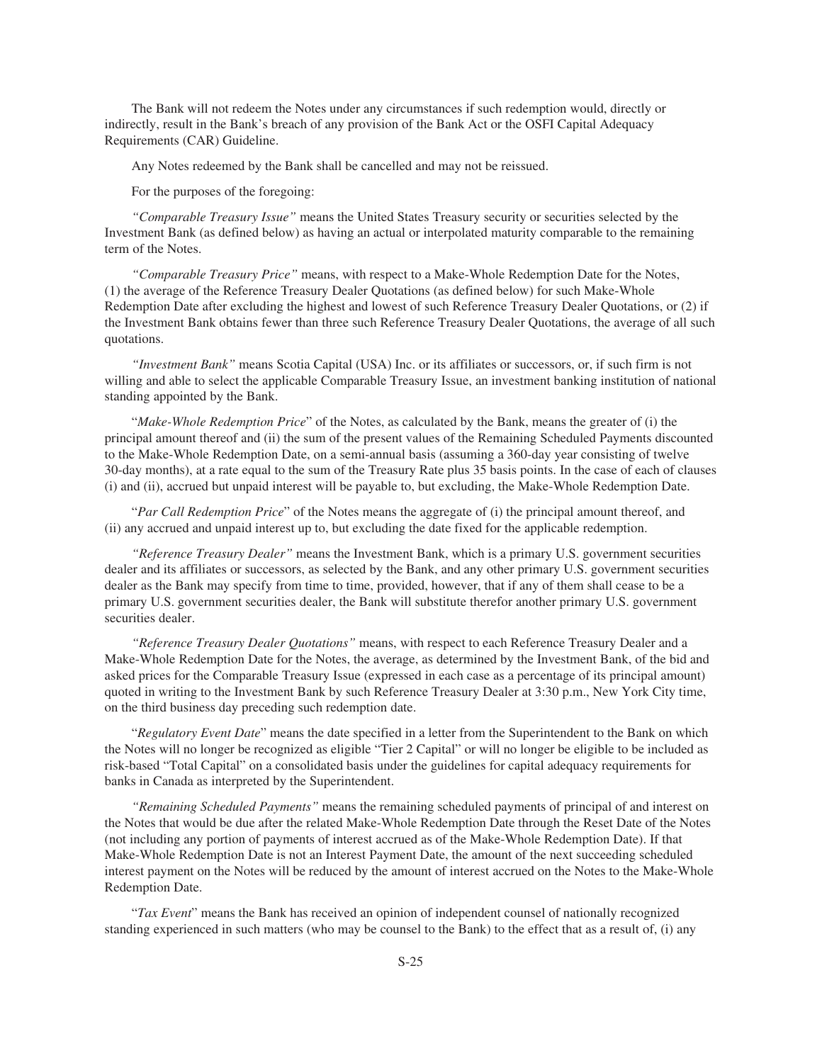The Bank will not redeem the Notes under any circumstances if such redemption would, directly or indirectly, result in the Bank's breach of any provision of the Bank Act or the OSFI Capital Adequacy Requirements (CAR) Guideline.

Any Notes redeemed by the Bank shall be cancelled and may not be reissued.

For the purposes of the foregoing:

*"Comparable Treasury Issue"* means the United States Treasury security or securities selected by the Investment Bank (as defined below) as having an actual or interpolated maturity comparable to the remaining term of the Notes.

*"Comparable Treasury Price"* means, with respect to a Make-Whole Redemption Date for the Notes, (1) the average of the Reference Treasury Dealer Quotations (as defined below) for such Make-Whole Redemption Date after excluding the highest and lowest of such Reference Treasury Dealer Quotations, or (2) if the Investment Bank obtains fewer than three such Reference Treasury Dealer Quotations, the average of all such quotations.

*"Investment Bank"* means Scotia Capital (USA) Inc. or its affiliates or successors, or, if such firm is not willing and able to select the applicable Comparable Treasury Issue, an investment banking institution of national standing appointed by the Bank.

"*Make-Whole Redemption Price*" of the Notes, as calculated by the Bank, means the greater of (i) the principal amount thereof and (ii) the sum of the present values of the Remaining Scheduled Payments discounted to the Make-Whole Redemption Date, on a semi-annual basis (assuming a 360-day year consisting of twelve 30-day months), at a rate equal to the sum of the Treasury Rate plus 35 basis points. In the case of each of clauses (i) and (ii), accrued but unpaid interest will be payable to, but excluding, the Make-Whole Redemption Date.

"*Par Call Redemption Price*" of the Notes means the aggregate of (i) the principal amount thereof, and (ii) any accrued and unpaid interest up to, but excluding the date fixed for the applicable redemption.

*"Reference Treasury Dealer"* means the Investment Bank, which is a primary U.S. government securities dealer and its affiliates or successors, as selected by the Bank, and any other primary U.S. government securities dealer as the Bank may specify from time to time, provided, however, that if any of them shall cease to be a primary U.S. government securities dealer, the Bank will substitute therefor another primary U.S. government securities dealer.

*"Reference Treasury Dealer Quotations"* means, with respect to each Reference Treasury Dealer and a Make-Whole Redemption Date for the Notes, the average, as determined by the Investment Bank, of the bid and asked prices for the Comparable Treasury Issue (expressed in each case as a percentage of its principal amount) quoted in writing to the Investment Bank by such Reference Treasury Dealer at 3:30 p.m., New York City time, on the third business day preceding such redemption date.

"*Regulatory Event Date*" means the date specified in a letter from the Superintendent to the Bank on which the Notes will no longer be recognized as eligible "Tier 2 Capital" or will no longer be eligible to be included as risk-based "Total Capital" on a consolidated basis under the guidelines for capital adequacy requirements for banks in Canada as interpreted by the Superintendent.

*"Remaining Scheduled Payments"* means the remaining scheduled payments of principal of and interest on the Notes that would be due after the related Make-Whole Redemption Date through the Reset Date of the Notes (not including any portion of payments of interest accrued as of the Make-Whole Redemption Date). If that Make-Whole Redemption Date is not an Interest Payment Date, the amount of the next succeeding scheduled interest payment on the Notes will be reduced by the amount of interest accrued on the Notes to the Make-Whole Redemption Date.

"*Tax Event*" means the Bank has received an opinion of independent counsel of nationally recognized standing experienced in such matters (who may be counsel to the Bank) to the effect that as a result of, (i) any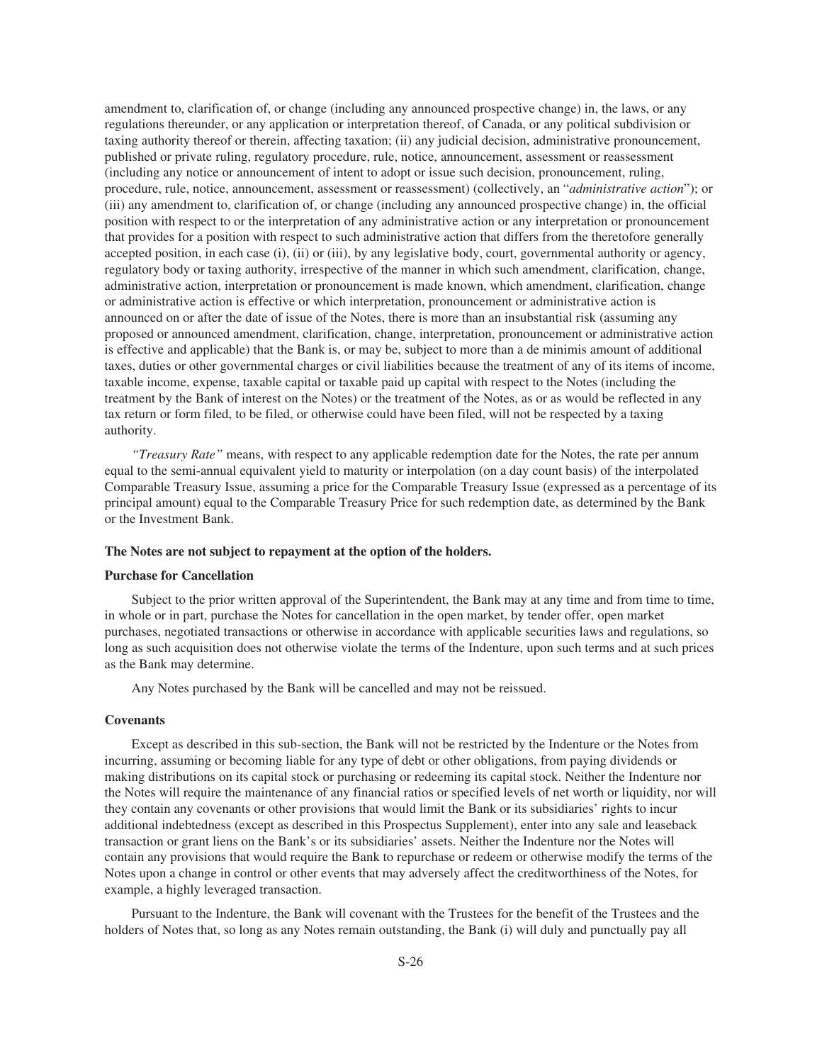amendment to, clarification of, or change (including any announced prospective change) in, the laws, or any regulations thereunder, or any application or interpretation thereof, of Canada, or any political subdivision or taxing authority thereof or therein, affecting taxation; (ii) any judicial decision, administrative pronouncement, published or private ruling, regulatory procedure, rule, notice, announcement, assessment or reassessment (including any notice or announcement of intent to adopt or issue such decision, pronouncement, ruling, procedure, rule, notice, announcement, assessment or reassessment) (collectively, an "*administrative action*"); or (iii) any amendment to, clarification of, or change (including any announced prospective change) in, the official position with respect to or the interpretation of any administrative action or any interpretation or pronouncement that provides for a position with respect to such administrative action that differs from the theretofore generally accepted position, in each case (i), (ii) or (iii), by any legislative body, court, governmental authority or agency, regulatory body or taxing authority, irrespective of the manner in which such amendment, clarification, change, administrative action, interpretation or pronouncement is made known, which amendment, clarification, change or administrative action is effective or which interpretation, pronouncement or administrative action is announced on or after the date of issue of the Notes, there is more than an insubstantial risk (assuming any proposed or announced amendment, clarification, change, interpretation, pronouncement or administrative action is effective and applicable) that the Bank is, or may be, subject to more than a de minimis amount of additional taxes, duties or other governmental charges or civil liabilities because the treatment of any of its items of income, taxable income, expense, taxable capital or taxable paid up capital with respect to the Notes (including the treatment by the Bank of interest on the Notes) or the treatment of the Notes, as or as would be reflected in any tax return or form filed, to be filed, or otherwise could have been filed, will not be respected by a taxing authority.

*"Treasury Rate"* means, with respect to any applicable redemption date for the Notes, the rate per annum equal to the semi-annual equivalent yield to maturity or interpolation (on a day count basis) of the interpolated Comparable Treasury Issue, assuming a price for the Comparable Treasury Issue (expressed as a percentage of its principal amount) equal to the Comparable Treasury Price for such redemption date, as determined by the Bank or the Investment Bank.

### **The Notes are not subject to repayment at the option of the holders.**

# **Purchase for Cancellation**

Subject to the prior written approval of the Superintendent, the Bank may at any time and from time to time, in whole or in part, purchase the Notes for cancellation in the open market, by tender offer, open market purchases, negotiated transactions or otherwise in accordance with applicable securities laws and regulations, so long as such acquisition does not otherwise violate the terms of the Indenture, upon such terms and at such prices as the Bank may determine.

Any Notes purchased by the Bank will be cancelled and may not be reissued.

### **Covenants**

Except as described in this sub-section, the Bank will not be restricted by the Indenture or the Notes from incurring, assuming or becoming liable for any type of debt or other obligations, from paying dividends or making distributions on its capital stock or purchasing or redeeming its capital stock. Neither the Indenture nor the Notes will require the maintenance of any financial ratios or specified levels of net worth or liquidity, nor will they contain any covenants or other provisions that would limit the Bank or its subsidiaries' rights to incur additional indebtedness (except as described in this Prospectus Supplement), enter into any sale and leaseback transaction or grant liens on the Bank's or its subsidiaries' assets. Neither the Indenture nor the Notes will contain any provisions that would require the Bank to repurchase or redeem or otherwise modify the terms of the Notes upon a change in control or other events that may adversely affect the creditworthiness of the Notes, for example, a highly leveraged transaction.

Pursuant to the Indenture, the Bank will covenant with the Trustees for the benefit of the Trustees and the holders of Notes that, so long as any Notes remain outstanding, the Bank (i) will duly and punctually pay all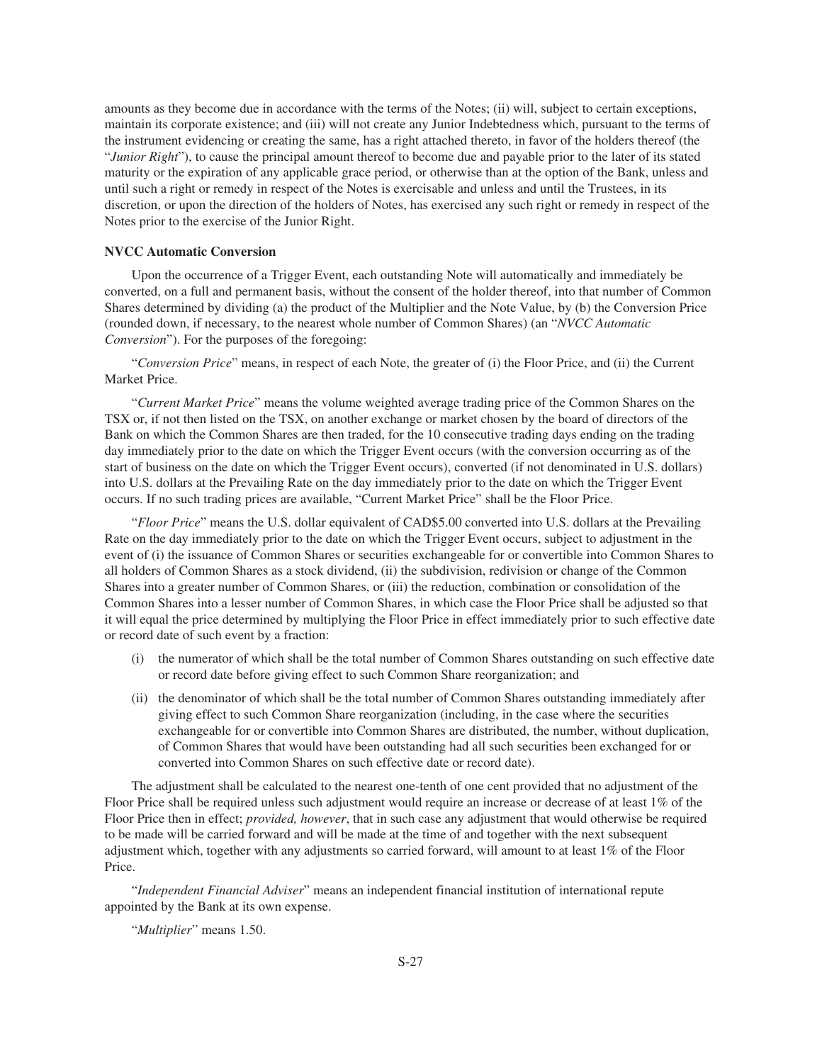amounts as they become due in accordance with the terms of the Notes; (ii) will, subject to certain exceptions, maintain its corporate existence; and (iii) will not create any Junior Indebtedness which, pursuant to the terms of the instrument evidencing or creating the same, has a right attached thereto, in favor of the holders thereof (the "*Junior Right*"), to cause the principal amount thereof to become due and payable prior to the later of its stated maturity or the expiration of any applicable grace period, or otherwise than at the option of the Bank, unless and until such a right or remedy in respect of the Notes is exercisable and unless and until the Trustees, in its discretion, or upon the direction of the holders of Notes, has exercised any such right or remedy in respect of the Notes prior to the exercise of the Junior Right.

### **NVCC Automatic Conversion**

Upon the occurrence of a Trigger Event, each outstanding Note will automatically and immediately be converted, on a full and permanent basis, without the consent of the holder thereof, into that number of Common Shares determined by dividing (a) the product of the Multiplier and the Note Value, by (b) the Conversion Price (rounded down, if necessary, to the nearest whole number of Common Shares) (an "*NVCC Automatic Conversion*"). For the purposes of the foregoing:

"*Conversion Price*" means, in respect of each Note, the greater of (i) the Floor Price, and (ii) the Current Market Price.

"*Current Market Price*" means the volume weighted average trading price of the Common Shares on the TSX or, if not then listed on the TSX, on another exchange or market chosen by the board of directors of the Bank on which the Common Shares are then traded, for the 10 consecutive trading days ending on the trading day immediately prior to the date on which the Trigger Event occurs (with the conversion occurring as of the start of business on the date on which the Trigger Event occurs), converted (if not denominated in U.S. dollars) into U.S. dollars at the Prevailing Rate on the day immediately prior to the date on which the Trigger Event occurs. If no such trading prices are available, "Current Market Price" shall be the Floor Price.

"*Floor Price*" means the U.S. dollar equivalent of CAD\$5.00 converted into U.S. dollars at the Prevailing Rate on the day immediately prior to the date on which the Trigger Event occurs, subject to adjustment in the event of (i) the issuance of Common Shares or securities exchangeable for or convertible into Common Shares to all holders of Common Shares as a stock dividend, (ii) the subdivision, redivision or change of the Common Shares into a greater number of Common Shares, or (iii) the reduction, combination or consolidation of the Common Shares into a lesser number of Common Shares, in which case the Floor Price shall be adjusted so that it will equal the price determined by multiplying the Floor Price in effect immediately prior to such effective date or record date of such event by a fraction:

- (i) the numerator of which shall be the total number of Common Shares outstanding on such effective date or record date before giving effect to such Common Share reorganization; and
- (ii) the denominator of which shall be the total number of Common Shares outstanding immediately after giving effect to such Common Share reorganization (including, in the case where the securities exchangeable for or convertible into Common Shares are distributed, the number, without duplication, of Common Shares that would have been outstanding had all such securities been exchanged for or converted into Common Shares on such effective date or record date).

The adjustment shall be calculated to the nearest one-tenth of one cent provided that no adjustment of the Floor Price shall be required unless such adjustment would require an increase or decrease of at least 1% of the Floor Price then in effect; *provided, however*, that in such case any adjustment that would otherwise be required to be made will be carried forward and will be made at the time of and together with the next subsequent adjustment which, together with any adjustments so carried forward, will amount to at least 1% of the Floor Price.

"*Independent Financial Adviser*" means an independent financial institution of international repute appointed by the Bank at its own expense.

"*Multiplier*" means 1.50.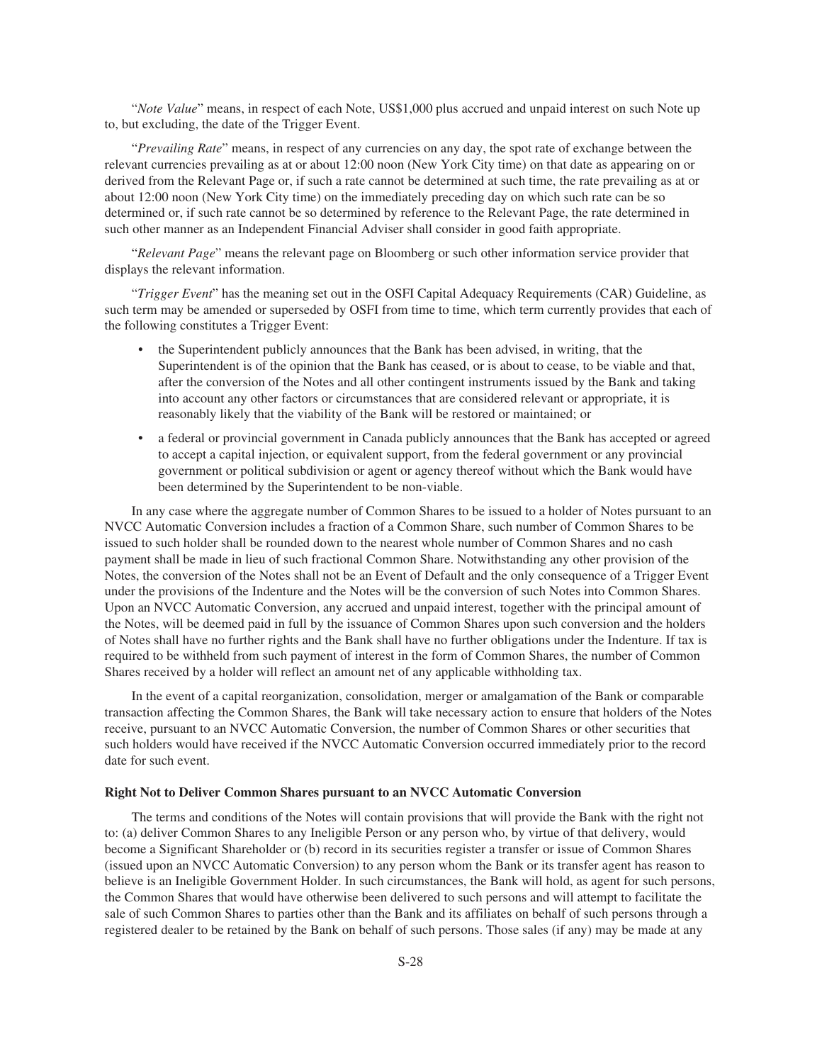"*Note Value*" means, in respect of each Note, US\$1,000 plus accrued and unpaid interest on such Note up to, but excluding, the date of the Trigger Event.

"*Prevailing Rate*" means, in respect of any currencies on any day, the spot rate of exchange between the relevant currencies prevailing as at or about 12:00 noon (New York City time) on that date as appearing on or derived from the Relevant Page or, if such a rate cannot be determined at such time, the rate prevailing as at or about 12:00 noon (New York City time) on the immediately preceding day on which such rate can be so determined or, if such rate cannot be so determined by reference to the Relevant Page, the rate determined in such other manner as an Independent Financial Adviser shall consider in good faith appropriate.

"*Relevant Page*" means the relevant page on Bloomberg or such other information service provider that displays the relevant information.

"*Trigger Event*" has the meaning set out in the OSFI Capital Adequacy Requirements (CAR) Guideline, as such term may be amended or superseded by OSFI from time to time, which term currently provides that each of the following constitutes a Trigger Event:

- the Superintendent publicly announces that the Bank has been advised, in writing, that the Superintendent is of the opinion that the Bank has ceased, or is about to cease, to be viable and that, after the conversion of the Notes and all other contingent instruments issued by the Bank and taking into account any other factors or circumstances that are considered relevant or appropriate, it is reasonably likely that the viability of the Bank will be restored or maintained; or
- a federal or provincial government in Canada publicly announces that the Bank has accepted or agreed to accept a capital injection, or equivalent support, from the federal government or any provincial government or political subdivision or agent or agency thereof without which the Bank would have been determined by the Superintendent to be non-viable.

In any case where the aggregate number of Common Shares to be issued to a holder of Notes pursuant to an NVCC Automatic Conversion includes a fraction of a Common Share, such number of Common Shares to be issued to such holder shall be rounded down to the nearest whole number of Common Shares and no cash payment shall be made in lieu of such fractional Common Share. Notwithstanding any other provision of the Notes, the conversion of the Notes shall not be an Event of Default and the only consequence of a Trigger Event under the provisions of the Indenture and the Notes will be the conversion of such Notes into Common Shares. Upon an NVCC Automatic Conversion, any accrued and unpaid interest, together with the principal amount of the Notes, will be deemed paid in full by the issuance of Common Shares upon such conversion and the holders of Notes shall have no further rights and the Bank shall have no further obligations under the Indenture. If tax is required to be withheld from such payment of interest in the form of Common Shares, the number of Common Shares received by a holder will reflect an amount net of any applicable withholding tax.

In the event of a capital reorganization, consolidation, merger or amalgamation of the Bank or comparable transaction affecting the Common Shares, the Bank will take necessary action to ensure that holders of the Notes receive, pursuant to an NVCC Automatic Conversion, the number of Common Shares or other securities that such holders would have received if the NVCC Automatic Conversion occurred immediately prior to the record date for such event.

#### **Right Not to Deliver Common Shares pursuant to an NVCC Automatic Conversion**

The terms and conditions of the Notes will contain provisions that will provide the Bank with the right not to: (a) deliver Common Shares to any Ineligible Person or any person who, by virtue of that delivery, would become a Significant Shareholder or (b) record in its securities register a transfer or issue of Common Shares (issued upon an NVCC Automatic Conversion) to any person whom the Bank or its transfer agent has reason to believe is an Ineligible Government Holder. In such circumstances, the Bank will hold, as agent for such persons, the Common Shares that would have otherwise been delivered to such persons and will attempt to facilitate the sale of such Common Shares to parties other than the Bank and its affiliates on behalf of such persons through a registered dealer to be retained by the Bank on behalf of such persons. Those sales (if any) may be made at any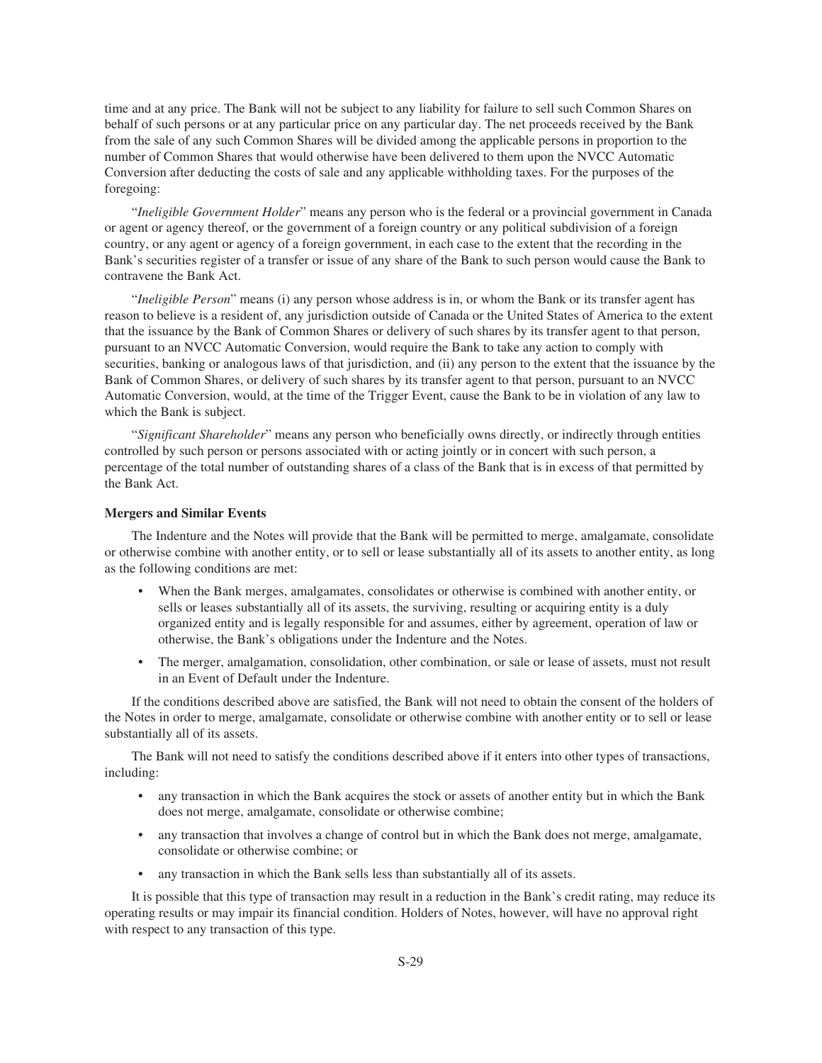time and at any price. The Bank will not be subject to any liability for failure to sell such Common Shares on behalf of such persons or at any particular price on any particular day. The net proceeds received by the Bank from the sale of any such Common Shares will be divided among the applicable persons in proportion to the number of Common Shares that would otherwise have been delivered to them upon the NVCC Automatic Conversion after deducting the costs of sale and any applicable withholding taxes. For the purposes of the foregoing:

"*Ineligible Government Holder*" means any person who is the federal or a provincial government in Canada or agent or agency thereof, or the government of a foreign country or any political subdivision of a foreign country, or any agent or agency of a foreign government, in each case to the extent that the recording in the Bank's securities register of a transfer or issue of any share of the Bank to such person would cause the Bank to contravene the Bank Act.

"*Ineligible Person*" means (i) any person whose address is in, or whom the Bank or its transfer agent has reason to believe is a resident of, any jurisdiction outside of Canada or the United States of America to the extent that the issuance by the Bank of Common Shares or delivery of such shares by its transfer agent to that person, pursuant to an NVCC Automatic Conversion, would require the Bank to take any action to comply with securities, banking or analogous laws of that jurisdiction, and (ii) any person to the extent that the issuance by the Bank of Common Shares, or delivery of such shares by its transfer agent to that person, pursuant to an NVCC Automatic Conversion, would, at the time of the Trigger Event, cause the Bank to be in violation of any law to which the Bank is subject.

"*Significant Shareholder*" means any person who beneficially owns directly, or indirectly through entities controlled by such person or persons associated with or acting jointly or in concert with such person, a percentage of the total number of outstanding shares of a class of the Bank that is in excess of that permitted by the Bank Act.

#### **Mergers and Similar Events**

The Indenture and the Notes will provide that the Bank will be permitted to merge, amalgamate, consolidate or otherwise combine with another entity, or to sell or lease substantially all of its assets to another entity, as long as the following conditions are met:

- When the Bank merges, amalgamates, consolidates or otherwise is combined with another entity, or sells or leases substantially all of its assets, the surviving, resulting or acquiring entity is a duly organized entity and is legally responsible for and assumes, either by agreement, operation of law or otherwise, the Bank's obligations under the Indenture and the Notes.
- The merger, amalgamation, consolidation, other combination, or sale or lease of assets, must not result in an Event of Default under the Indenture.

If the conditions described above are satisfied, the Bank will not need to obtain the consent of the holders of the Notes in order to merge, amalgamate, consolidate or otherwise combine with another entity or to sell or lease substantially all of its assets.

The Bank will not need to satisfy the conditions described above if it enters into other types of transactions, including:

- any transaction in which the Bank acquires the stock or assets of another entity but in which the Bank does not merge, amalgamate, consolidate or otherwise combine;
- any transaction that involves a change of control but in which the Bank does not merge, amalgamate, consolidate or otherwise combine; or
- any transaction in which the Bank sells less than substantially all of its assets.

It is possible that this type of transaction may result in a reduction in the Bank's credit rating, may reduce its operating results or may impair its financial condition. Holders of Notes, however, will have no approval right with respect to any transaction of this type.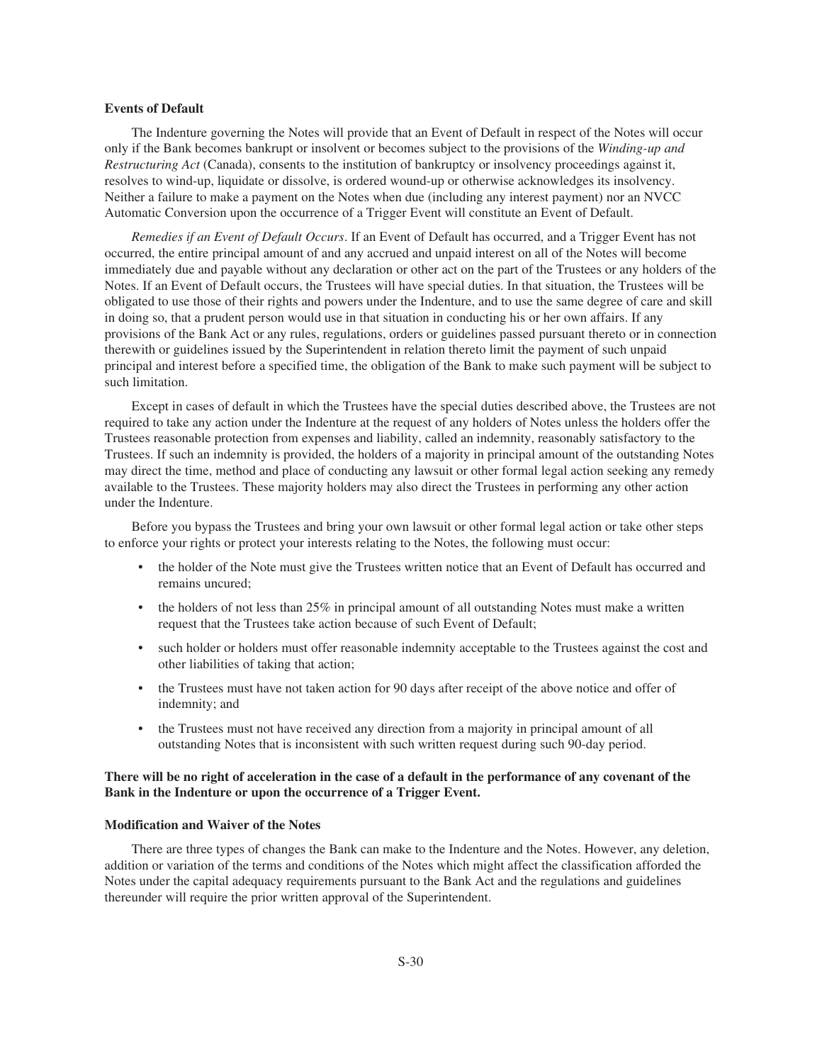### **Events of Default**

The Indenture governing the Notes will provide that an Event of Default in respect of the Notes will occur only if the Bank becomes bankrupt or insolvent or becomes subject to the provisions of the *Winding-up and Restructuring Act* (Canada), consents to the institution of bankruptcy or insolvency proceedings against it, resolves to wind-up, liquidate or dissolve, is ordered wound-up or otherwise acknowledges its insolvency. Neither a failure to make a payment on the Notes when due (including any interest payment) nor an NVCC Automatic Conversion upon the occurrence of a Trigger Event will constitute an Event of Default.

*Remedies if an Event of Default Occurs*. If an Event of Default has occurred, and a Trigger Event has not occurred, the entire principal amount of and any accrued and unpaid interest on all of the Notes will become immediately due and payable without any declaration or other act on the part of the Trustees or any holders of the Notes. If an Event of Default occurs, the Trustees will have special duties. In that situation, the Trustees will be obligated to use those of their rights and powers under the Indenture, and to use the same degree of care and skill in doing so, that a prudent person would use in that situation in conducting his or her own affairs. If any provisions of the Bank Act or any rules, regulations, orders or guidelines passed pursuant thereto or in connection therewith or guidelines issued by the Superintendent in relation thereto limit the payment of such unpaid principal and interest before a specified time, the obligation of the Bank to make such payment will be subject to such limitation.

Except in cases of default in which the Trustees have the special duties described above, the Trustees are not required to take any action under the Indenture at the request of any holders of Notes unless the holders offer the Trustees reasonable protection from expenses and liability, called an indemnity, reasonably satisfactory to the Trustees. If such an indemnity is provided, the holders of a majority in principal amount of the outstanding Notes may direct the time, method and place of conducting any lawsuit or other formal legal action seeking any remedy available to the Trustees. These majority holders may also direct the Trustees in performing any other action under the Indenture.

Before you bypass the Trustees and bring your own lawsuit or other formal legal action or take other steps to enforce your rights or protect your interests relating to the Notes, the following must occur:

- the holder of the Note must give the Trustees written notice that an Event of Default has occurred and remains uncured;
- the holders of not less than 25% in principal amount of all outstanding Notes must make a written request that the Trustees take action because of such Event of Default;
- such holder or holders must offer reasonable indemnity acceptable to the Trustees against the cost and other liabilities of taking that action;
- the Trustees must have not taken action for 90 days after receipt of the above notice and offer of indemnity; and
- the Trustees must not have received any direction from a majority in principal amount of all outstanding Notes that is inconsistent with such written request during such 90-day period.

## **There will be no right of acceleration in the case of a default in the performance of any covenant of the Bank in the Indenture or upon the occurrence of a Trigger Event.**

### **Modification and Waiver of the Notes**

There are three types of changes the Bank can make to the Indenture and the Notes. However, any deletion, addition or variation of the terms and conditions of the Notes which might affect the classification afforded the Notes under the capital adequacy requirements pursuant to the Bank Act and the regulations and guidelines thereunder will require the prior written approval of the Superintendent.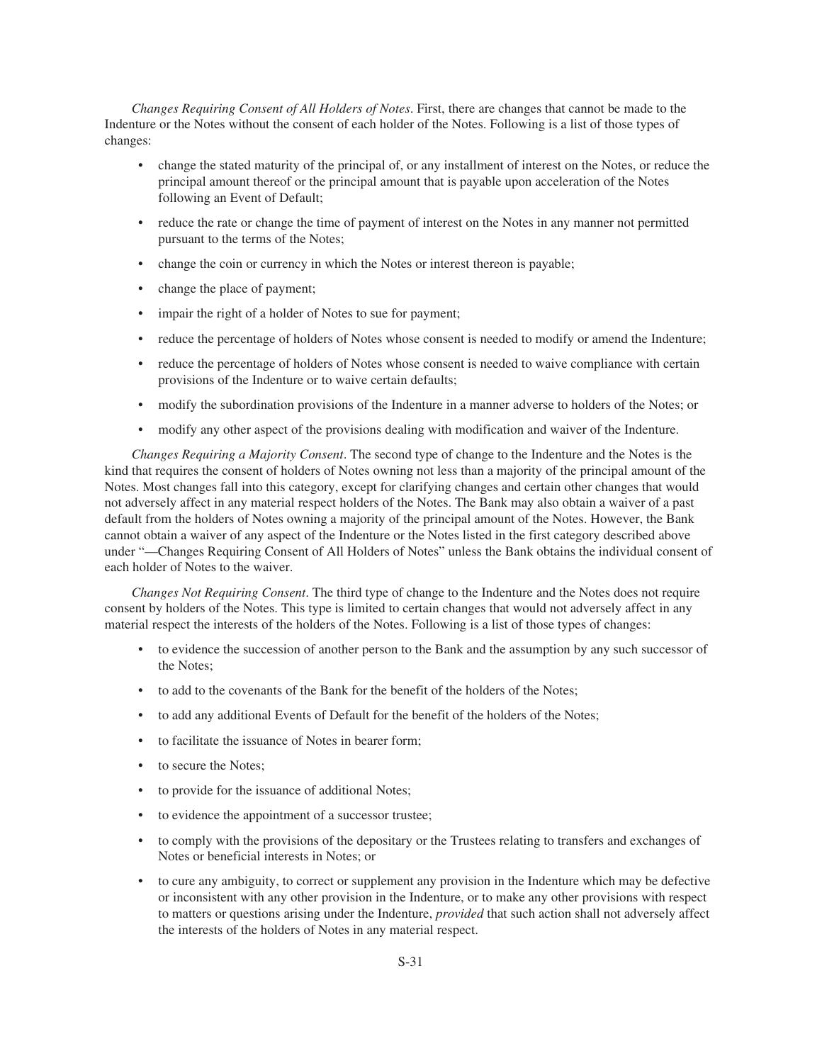*Changes Requiring Consent of All Holders of Notes*. First, there are changes that cannot be made to the Indenture or the Notes without the consent of each holder of the Notes. Following is a list of those types of changes:

- change the stated maturity of the principal of, or any installment of interest on the Notes, or reduce the principal amount thereof or the principal amount that is payable upon acceleration of the Notes following an Event of Default;
- reduce the rate or change the time of payment of interest on the Notes in any manner not permitted pursuant to the terms of the Notes;
- change the coin or currency in which the Notes or interest thereon is payable;
- change the place of payment;
- impair the right of a holder of Notes to sue for payment;
- reduce the percentage of holders of Notes whose consent is needed to modify or amend the Indenture;
- reduce the percentage of holders of Notes whose consent is needed to waive compliance with certain provisions of the Indenture or to waive certain defaults;
- modify the subordination provisions of the Indenture in a manner adverse to holders of the Notes; or
- modify any other aspect of the provisions dealing with modification and waiver of the Indenture.

*Changes Requiring a Majority Consent*. The second type of change to the Indenture and the Notes is the kind that requires the consent of holders of Notes owning not less than a majority of the principal amount of the Notes. Most changes fall into this category, except for clarifying changes and certain other changes that would not adversely affect in any material respect holders of the Notes. The Bank may also obtain a waiver of a past default from the holders of Notes owning a majority of the principal amount of the Notes. However, the Bank cannot obtain a waiver of any aspect of the Indenture or the Notes listed in the first category described above under "—Changes Requiring Consent of All Holders of Notes" unless the Bank obtains the individual consent of each holder of Notes to the waiver.

*Changes Not Requiring Consent*. The third type of change to the Indenture and the Notes does not require consent by holders of the Notes. This type is limited to certain changes that would not adversely affect in any material respect the interests of the holders of the Notes. Following is a list of those types of changes:

- to evidence the succession of another person to the Bank and the assumption by any such successor of the Notes;
- to add to the covenants of the Bank for the benefit of the holders of the Notes;
- to add any additional Events of Default for the benefit of the holders of the Notes;
- to facilitate the issuance of Notes in bearer form;
- to secure the Notes:
- to provide for the issuance of additional Notes;
- to evidence the appointment of a successor trustee;
- to comply with the provisions of the depositary or the Trustees relating to transfers and exchanges of Notes or beneficial interests in Notes; or
- to cure any ambiguity, to correct or supplement any provision in the Indenture which may be defective or inconsistent with any other provision in the Indenture, or to make any other provisions with respect to matters or questions arising under the Indenture, *provided* that such action shall not adversely affect the interests of the holders of Notes in any material respect.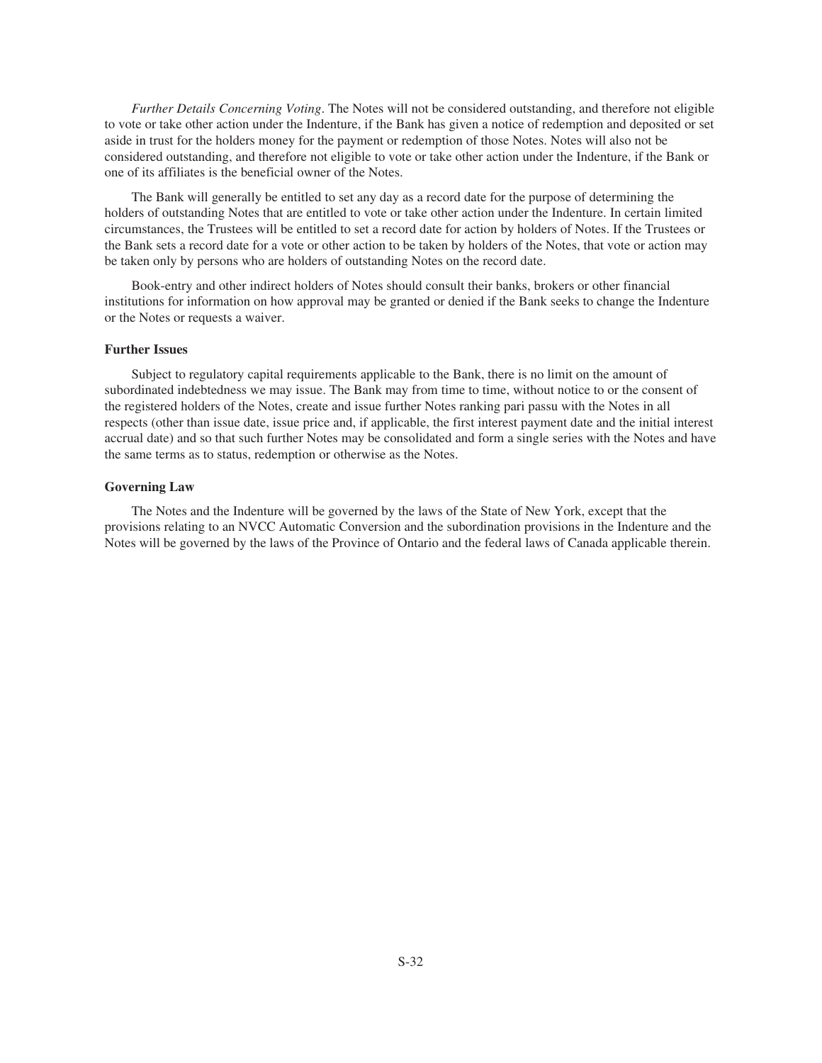*Further Details Concerning Voting*. The Notes will not be considered outstanding, and therefore not eligible to vote or take other action under the Indenture, if the Bank has given a notice of redemption and deposited or set aside in trust for the holders money for the payment or redemption of those Notes. Notes will also not be considered outstanding, and therefore not eligible to vote or take other action under the Indenture, if the Bank or one of its affiliates is the beneficial owner of the Notes.

The Bank will generally be entitled to set any day as a record date for the purpose of determining the holders of outstanding Notes that are entitled to vote or take other action under the Indenture. In certain limited circumstances, the Trustees will be entitled to set a record date for action by holders of Notes. If the Trustees or the Bank sets a record date for a vote or other action to be taken by holders of the Notes, that vote or action may be taken only by persons who are holders of outstanding Notes on the record date.

Book-entry and other indirect holders of Notes should consult their banks, brokers or other financial institutions for information on how approval may be granted or denied if the Bank seeks to change the Indenture or the Notes or requests a waiver.

### **Further Issues**

Subject to regulatory capital requirements applicable to the Bank, there is no limit on the amount of subordinated indebtedness we may issue. The Bank may from time to time, without notice to or the consent of the registered holders of the Notes, create and issue further Notes ranking pari passu with the Notes in all respects (other than issue date, issue price and, if applicable, the first interest payment date and the initial interest accrual date) and so that such further Notes may be consolidated and form a single series with the Notes and have the same terms as to status, redemption or otherwise as the Notes.

## **Governing Law**

The Notes and the Indenture will be governed by the laws of the State of New York, except that the provisions relating to an NVCC Automatic Conversion and the subordination provisions in the Indenture and the Notes will be governed by the laws of the Province of Ontario and the federal laws of Canada applicable therein.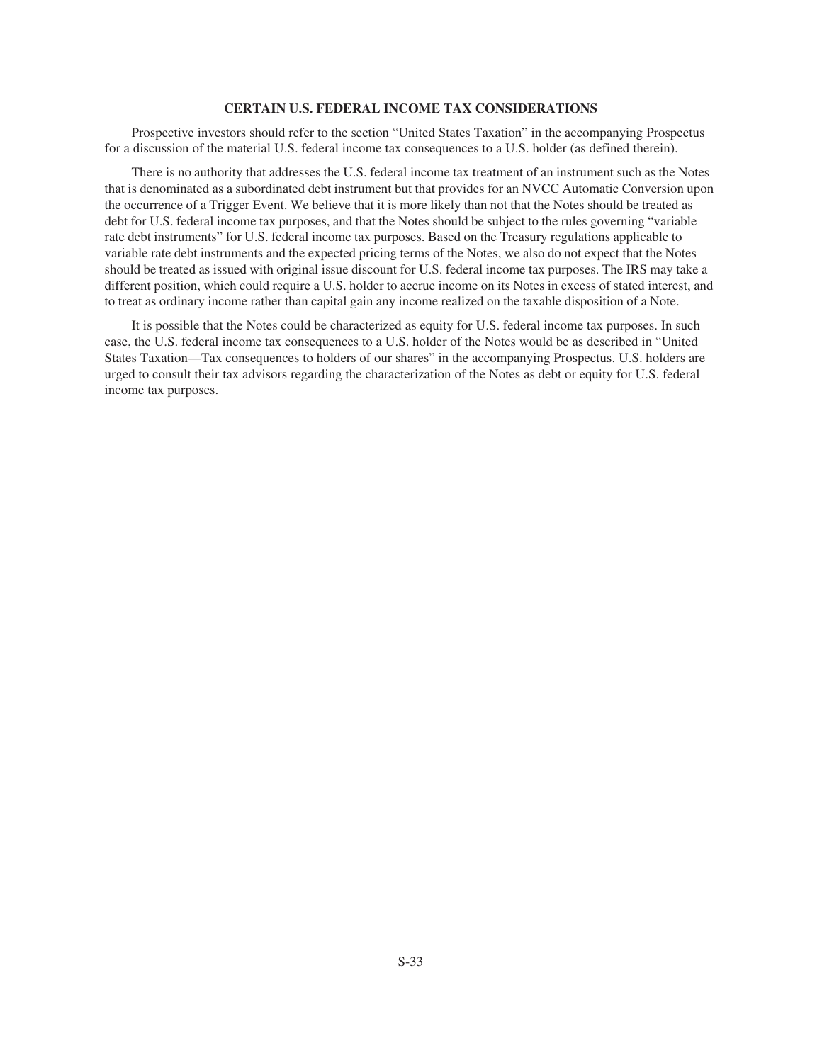### **CERTAIN U.S. FEDERAL INCOME TAX CONSIDERATIONS**

Prospective investors should refer to the section "United States Taxation" in the accompanying Prospectus for a discussion of the material U.S. federal income tax consequences to a U.S. holder (as defined therein).

There is no authority that addresses the U.S. federal income tax treatment of an instrument such as the Notes that is denominated as a subordinated debt instrument but that provides for an NVCC Automatic Conversion upon the occurrence of a Trigger Event. We believe that it is more likely than not that the Notes should be treated as debt for U.S. federal income tax purposes, and that the Notes should be subject to the rules governing "variable" rate debt instruments" for U.S. federal income tax purposes. Based on the Treasury regulations applicable to variable rate debt instruments and the expected pricing terms of the Notes, we also do not expect that the Notes should be treated as issued with original issue discount for U.S. federal income tax purposes. The IRS may take a different position, which could require a U.S. holder to accrue income on its Notes in excess of stated interest, and to treat as ordinary income rather than capital gain any income realized on the taxable disposition of a Note.

It is possible that the Notes could be characterized as equity for U.S. federal income tax purposes. In such case, the U.S. federal income tax consequences to a U.S. holder of the Notes would be as described in "United States Taxation—Tax consequences to holders of our shares" in the accompanying Prospectus. U.S. holders are urged to consult their tax advisors regarding the characterization of the Notes as debt or equity for U.S. federal income tax purposes.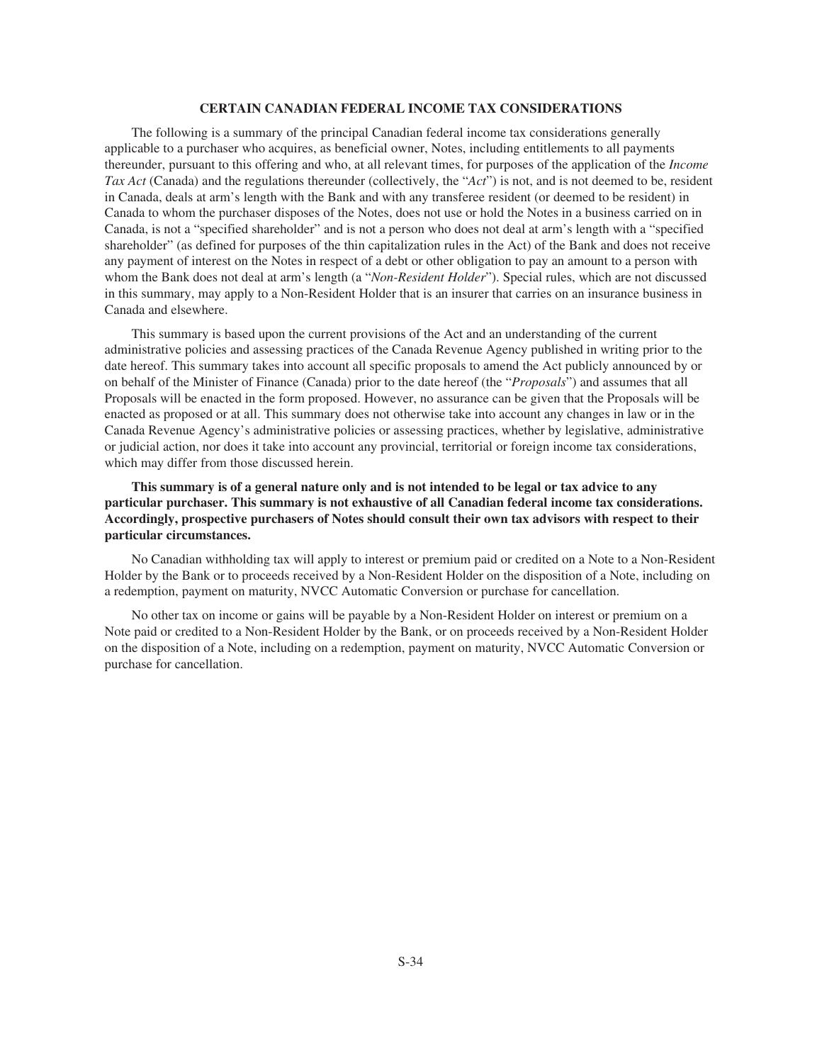### **CERTAIN CANADIAN FEDERAL INCOME TAX CONSIDERATIONS**

The following is a summary of the principal Canadian federal income tax considerations generally applicable to a purchaser who acquires, as beneficial owner, Notes, including entitlements to all payments thereunder, pursuant to this offering and who, at all relevant times, for purposes of the application of the *Income Tax Act* (Canada) and the regulations thereunder (collectively, the "*Act*") is not, and is not deemed to be, resident in Canada, deals at arm's length with the Bank and with any transferee resident (or deemed to be resident) in Canada to whom the purchaser disposes of the Notes, does not use or hold the Notes in a business carried on in Canada, is not a "specified shareholder" and is not a person who does not deal at arm's length with a "specified shareholder" (as defined for purposes of the thin capitalization rules in the Act) of the Bank and does not receive any payment of interest on the Notes in respect of a debt or other obligation to pay an amount to a person with whom the Bank does not deal at arm's length (a "*Non-Resident Holder*"). Special rules, which are not discussed in this summary, may apply to a Non-Resident Holder that is an insurer that carries on an insurance business in Canada and elsewhere.

This summary is based upon the current provisions of the Act and an understanding of the current administrative policies and assessing practices of the Canada Revenue Agency published in writing prior to the date hereof. This summary takes into account all specific proposals to amend the Act publicly announced by or on behalf of the Minister of Finance (Canada) prior to the date hereof (the "*Proposals*") and assumes that all Proposals will be enacted in the form proposed. However, no assurance can be given that the Proposals will be enacted as proposed or at all. This summary does not otherwise take into account any changes in law or in the Canada Revenue Agency's administrative policies or assessing practices, whether by legislative, administrative or judicial action, nor does it take into account any provincial, territorial or foreign income tax considerations, which may differ from those discussed herein.

**This summary is of a general nature only and is not intended to be legal or tax advice to any particular purchaser. This summary is not exhaustive of all Canadian federal income tax considerations. Accordingly, prospective purchasers of Notes should consult their own tax advisors with respect to their particular circumstances.**

No Canadian withholding tax will apply to interest or premium paid or credited on a Note to a Non-Resident Holder by the Bank or to proceeds received by a Non-Resident Holder on the disposition of a Note, including on a redemption, payment on maturity, NVCC Automatic Conversion or purchase for cancellation.

No other tax on income or gains will be payable by a Non-Resident Holder on interest or premium on a Note paid or credited to a Non-Resident Holder by the Bank, or on proceeds received by a Non-Resident Holder on the disposition of a Note, including on a redemption, payment on maturity, NVCC Automatic Conversion or purchase for cancellation.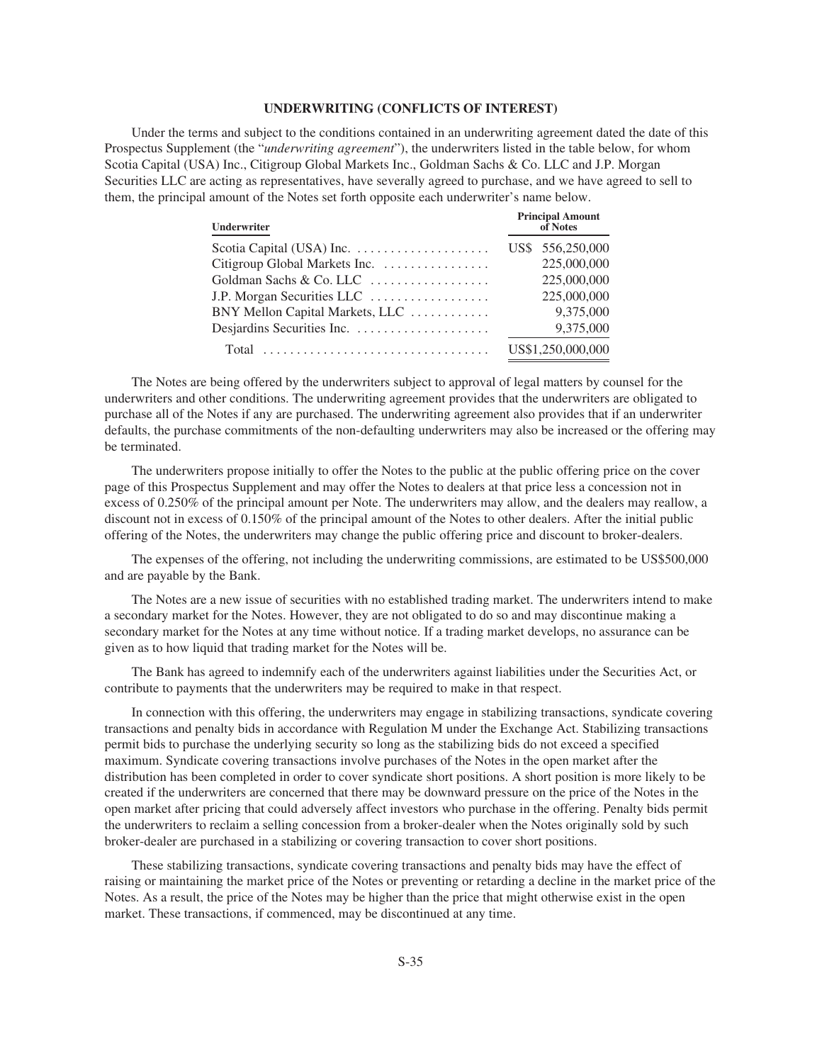### **UNDERWRITING (CONFLICTS OF INTEREST)**

Under the terms and subject to the conditions contained in an underwriting agreement dated the date of this Prospectus Supplement (the "*underwriting agreement*"), the underwriters listed in the table below, for whom Scotia Capital (USA) Inc., Citigroup Global Markets Inc., Goldman Sachs & Co. LLC and J.P. Morgan Securities LLC are acting as representatives, have severally agreed to purchase, and we have agreed to sell to them, the principal amount of the Notes set forth opposite each underwriter's name below.

| Underwriter                     |  | <b>Principal Amount</b><br>of Notes |  |
|---------------------------------|--|-------------------------------------|--|
|                                 |  | US\$ 556,250,000                    |  |
|                                 |  | 225,000,000                         |  |
| Goldman Sachs & Co. LLC         |  | 225,000,000                         |  |
| J.P. Morgan Securities LLC      |  | 225,000,000                         |  |
| BNY Mellon Capital Markets, LLC |  | 9,375,000                           |  |
| Desjardins Securities Inc.      |  | 9,375,000                           |  |
|                                 |  | US\$1,250,000,000                   |  |

The Notes are being offered by the underwriters subject to approval of legal matters by counsel for the underwriters and other conditions. The underwriting agreement provides that the underwriters are obligated to purchase all of the Notes if any are purchased. The underwriting agreement also provides that if an underwriter defaults, the purchase commitments of the non-defaulting underwriters may also be increased or the offering may be terminated.

The underwriters propose initially to offer the Notes to the public at the public offering price on the cover page of this Prospectus Supplement and may offer the Notes to dealers at that price less a concession not in excess of 0.250% of the principal amount per Note. The underwriters may allow, and the dealers may reallow, a discount not in excess of 0.150% of the principal amount of the Notes to other dealers. After the initial public offering of the Notes, the underwriters may change the public offering price and discount to broker-dealers.

The expenses of the offering, not including the underwriting commissions, are estimated to be US\$500,000 and are payable by the Bank.

The Notes are a new issue of securities with no established trading market. The underwriters intend to make a secondary market for the Notes. However, they are not obligated to do so and may discontinue making a secondary market for the Notes at any time without notice. If a trading market develops, no assurance can be given as to how liquid that trading market for the Notes will be.

The Bank has agreed to indemnify each of the underwriters against liabilities under the Securities Act, or contribute to payments that the underwriters may be required to make in that respect.

In connection with this offering, the underwriters may engage in stabilizing transactions, syndicate covering transactions and penalty bids in accordance with Regulation M under the Exchange Act. Stabilizing transactions permit bids to purchase the underlying security so long as the stabilizing bids do not exceed a specified maximum. Syndicate covering transactions involve purchases of the Notes in the open market after the distribution has been completed in order to cover syndicate short positions. A short position is more likely to be created if the underwriters are concerned that there may be downward pressure on the price of the Notes in the open market after pricing that could adversely affect investors who purchase in the offering. Penalty bids permit the underwriters to reclaim a selling concession from a broker-dealer when the Notes originally sold by such broker-dealer are purchased in a stabilizing or covering transaction to cover short positions.

These stabilizing transactions, syndicate covering transactions and penalty bids may have the effect of raising or maintaining the market price of the Notes or preventing or retarding a decline in the market price of the Notes. As a result, the price of the Notes may be higher than the price that might otherwise exist in the open market. These transactions, if commenced, may be discontinued at any time.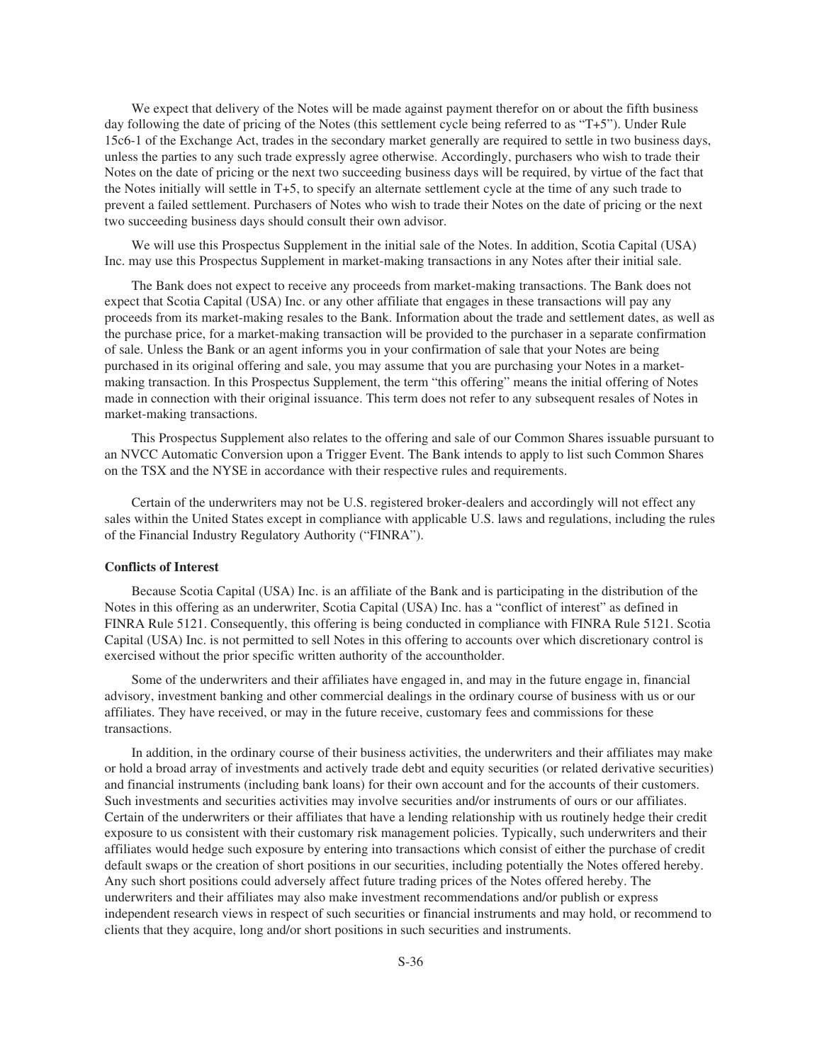We expect that delivery of the Notes will be made against payment therefor on or about the fifth business day following the date of pricing of the Notes (this settlement cycle being referred to as "T+5"). Under Rule 15c6-1 of the Exchange Act, trades in the secondary market generally are required to settle in two business days, unless the parties to any such trade expressly agree otherwise. Accordingly, purchasers who wish to trade their Notes on the date of pricing or the next two succeeding business days will be required, by virtue of the fact that the Notes initially will settle in T+5, to specify an alternate settlement cycle at the time of any such trade to prevent a failed settlement. Purchasers of Notes who wish to trade their Notes on the date of pricing or the next two succeeding business days should consult their own advisor.

We will use this Prospectus Supplement in the initial sale of the Notes. In addition, Scotia Capital (USA) Inc. may use this Prospectus Supplement in market-making transactions in any Notes after their initial sale.

The Bank does not expect to receive any proceeds from market-making transactions. The Bank does not expect that Scotia Capital (USA) Inc. or any other affiliate that engages in these transactions will pay any proceeds from its market-making resales to the Bank. Information about the trade and settlement dates, as well as the purchase price, for a market-making transaction will be provided to the purchaser in a separate confirmation of sale. Unless the Bank or an agent informs you in your confirmation of sale that your Notes are being purchased in its original offering and sale, you may assume that you are purchasing your Notes in a marketmaking transaction. In this Prospectus Supplement, the term "this offering" means the initial offering of Notes made in connection with their original issuance. This term does not refer to any subsequent resales of Notes in market-making transactions.

This Prospectus Supplement also relates to the offering and sale of our Common Shares issuable pursuant to an NVCC Automatic Conversion upon a Trigger Event. The Bank intends to apply to list such Common Shares on the TSX and the NYSE in accordance with their respective rules and requirements.

Certain of the underwriters may not be U.S. registered broker-dealers and accordingly will not effect any sales within the United States except in compliance with applicable U.S. laws and regulations, including the rules of the Financial Industry Regulatory Authority ("FINRA").

### **Conflicts of Interest**

Because Scotia Capital (USA) Inc. is an affiliate of the Bank and is participating in the distribution of the Notes in this offering as an underwriter, Scotia Capital (USA) Inc. has a "conflict of interest" as defined in FINRA Rule 5121. Consequently, this offering is being conducted in compliance with FINRA Rule 5121. Scotia Capital (USA) Inc. is not permitted to sell Notes in this offering to accounts over which discretionary control is exercised without the prior specific written authority of the accountholder.

Some of the underwriters and their affiliates have engaged in, and may in the future engage in, financial advisory, investment banking and other commercial dealings in the ordinary course of business with us or our affiliates. They have received, or may in the future receive, customary fees and commissions for these transactions.

In addition, in the ordinary course of their business activities, the underwriters and their affiliates may make or hold a broad array of investments and actively trade debt and equity securities (or related derivative securities) and financial instruments (including bank loans) for their own account and for the accounts of their customers. Such investments and securities activities may involve securities and/or instruments of ours or our affiliates. Certain of the underwriters or their affiliates that have a lending relationship with us routinely hedge their credit exposure to us consistent with their customary risk management policies. Typically, such underwriters and their affiliates would hedge such exposure by entering into transactions which consist of either the purchase of credit default swaps or the creation of short positions in our securities, including potentially the Notes offered hereby. Any such short positions could adversely affect future trading prices of the Notes offered hereby. The underwriters and their affiliates may also make investment recommendations and/or publish or express independent research views in respect of such securities or financial instruments and may hold, or recommend to clients that they acquire, long and/or short positions in such securities and instruments.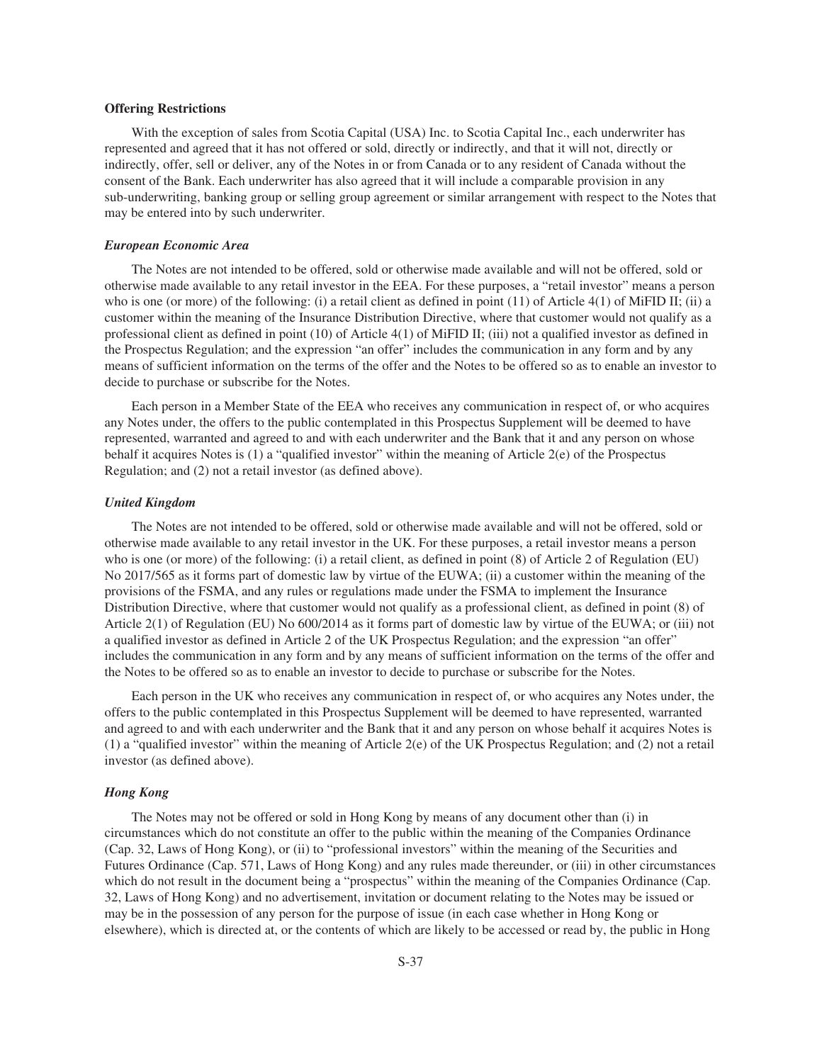### **Offering Restrictions**

With the exception of sales from Scotia Capital (USA) Inc. to Scotia Capital Inc., each underwriter has represented and agreed that it has not offered or sold, directly or indirectly, and that it will not, directly or indirectly, offer, sell or deliver, any of the Notes in or from Canada or to any resident of Canada without the consent of the Bank. Each underwriter has also agreed that it will include a comparable provision in any sub-underwriting, banking group or selling group agreement or similar arrangement with respect to the Notes that may be entered into by such underwriter.

### *European Economic Area*

The Notes are not intended to be offered, sold or otherwise made available and will not be offered, sold or otherwise made available to any retail investor in the EEA. For these purposes, a "retail investor" means a person who is one (or more) of the following: (i) a retail client as defined in point (11) of Article 4(1) of MiFID II; (ii) a customer within the meaning of the Insurance Distribution Directive, where that customer would not qualify as a professional client as defined in point (10) of Article 4(1) of MiFID II; (iii) not a qualified investor as defined in the Prospectus Regulation; and the expression "an offer" includes the communication in any form and by any means of sufficient information on the terms of the offer and the Notes to be offered so as to enable an investor to decide to purchase or subscribe for the Notes.

Each person in a Member State of the EEA who receives any communication in respect of, or who acquires any Notes under, the offers to the public contemplated in this Prospectus Supplement will be deemed to have represented, warranted and agreed to and with each underwriter and the Bank that it and any person on whose behalf it acquires Notes is (1) a "qualified investor" within the meaning of Article 2(e) of the Prospectus Regulation; and (2) not a retail investor (as defined above).

### *United Kingdom*

The Notes are not intended to be offered, sold or otherwise made available and will not be offered, sold or otherwise made available to any retail investor in the UK. For these purposes, a retail investor means a person who is one (or more) of the following: (i) a retail client, as defined in point (8) of Article 2 of Regulation (EU) No 2017/565 as it forms part of domestic law by virtue of the EUWA; (ii) a customer within the meaning of the provisions of the FSMA, and any rules or regulations made under the FSMA to implement the Insurance Distribution Directive, where that customer would not qualify as a professional client, as defined in point (8) of Article 2(1) of Regulation (EU) No 600/2014 as it forms part of domestic law by virtue of the EUWA; or (iii) not a qualified investor as defined in Article 2 of the UK Prospectus Regulation; and the expression "an offer" includes the communication in any form and by any means of sufficient information on the terms of the offer and the Notes to be offered so as to enable an investor to decide to purchase or subscribe for the Notes.

Each person in the UK who receives any communication in respect of, or who acquires any Notes under, the offers to the public contemplated in this Prospectus Supplement will be deemed to have represented, warranted and agreed to and with each underwriter and the Bank that it and any person on whose behalf it acquires Notes is (1) a "qualified investor" within the meaning of Article  $2(e)$  of the UK Prospectus Regulation; and (2) not a retail investor (as defined above).

### *Hong Kong*

The Notes may not be offered or sold in Hong Kong by means of any document other than (i) in circumstances which do not constitute an offer to the public within the meaning of the Companies Ordinance (Cap. 32, Laws of Hong Kong), or (ii) to "professional investors" within the meaning of the Securities and Futures Ordinance (Cap. 571, Laws of Hong Kong) and any rules made thereunder, or (iii) in other circumstances which do not result in the document being a "prospectus" within the meaning of the Companies Ordinance (Cap. 32, Laws of Hong Kong) and no advertisement, invitation or document relating to the Notes may be issued or may be in the possession of any person for the purpose of issue (in each case whether in Hong Kong or elsewhere), which is directed at, or the contents of which are likely to be accessed or read by, the public in Hong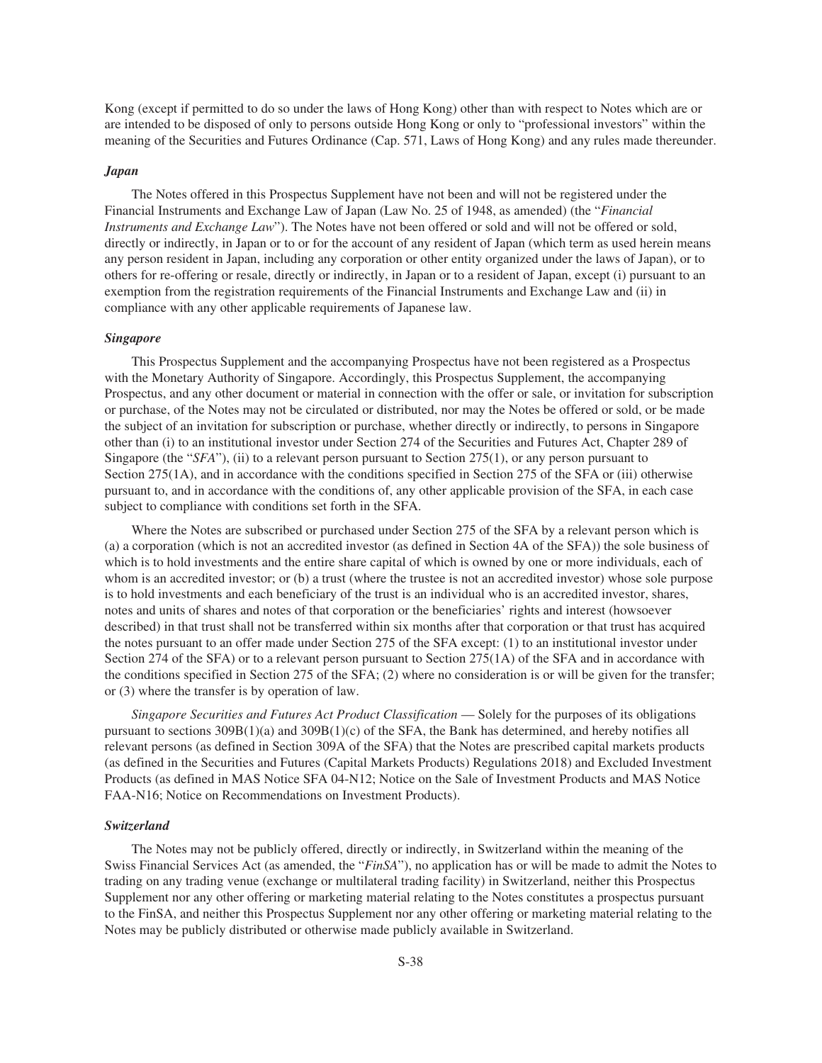Kong (except if permitted to do so under the laws of Hong Kong) other than with respect to Notes which are or are intended to be disposed of only to persons outside Hong Kong or only to "professional investors" within the meaning of the Securities and Futures Ordinance (Cap. 571, Laws of Hong Kong) and any rules made thereunder.

### *Japan*

The Notes offered in this Prospectus Supplement have not been and will not be registered under the Financial Instruments and Exchange Law of Japan (Law No. 25 of 1948, as amended) (the "*Financial Instruments and Exchange Law*"). The Notes have not been offered or sold and will not be offered or sold, directly or indirectly, in Japan or to or for the account of any resident of Japan (which term as used herein means any person resident in Japan, including any corporation or other entity organized under the laws of Japan), or to others for re-offering or resale, directly or indirectly, in Japan or to a resident of Japan, except (i) pursuant to an exemption from the registration requirements of the Financial Instruments and Exchange Law and (ii) in compliance with any other applicable requirements of Japanese law.

### *Singapore*

This Prospectus Supplement and the accompanying Prospectus have not been registered as a Prospectus with the Monetary Authority of Singapore. Accordingly, this Prospectus Supplement, the accompanying Prospectus, and any other document or material in connection with the offer or sale, or invitation for subscription or purchase, of the Notes may not be circulated or distributed, nor may the Notes be offered or sold, or be made the subject of an invitation for subscription or purchase, whether directly or indirectly, to persons in Singapore other than (i) to an institutional investor under Section 274 of the Securities and Futures Act, Chapter 289 of Singapore (the "*SFA*"), (ii) to a relevant person pursuant to Section 275(1), or any person pursuant to Section 275(1A), and in accordance with the conditions specified in Section 275 of the SFA or (iii) otherwise pursuant to, and in accordance with the conditions of, any other applicable provision of the SFA, in each case subject to compliance with conditions set forth in the SFA.

Where the Notes are subscribed or purchased under Section 275 of the SFA by a relevant person which is (a) a corporation (which is not an accredited investor (as defined in Section 4A of the SFA)) the sole business of which is to hold investments and the entire share capital of which is owned by one or more individuals, each of whom is an accredited investor; or (b) a trust (where the trustee is not an accredited investor) whose sole purpose is to hold investments and each beneficiary of the trust is an individual who is an accredited investor, shares, notes and units of shares and notes of that corporation or the beneficiaries' rights and interest (howsoever described) in that trust shall not be transferred within six months after that corporation or that trust has acquired the notes pursuant to an offer made under Section 275 of the SFA except: (1) to an institutional investor under Section 274 of the SFA) or to a relevant person pursuant to Section 275(1A) of the SFA and in accordance with the conditions specified in Section 275 of the SFA; (2) where no consideration is or will be given for the transfer; or (3) where the transfer is by operation of law.

*Singapore Securities and Futures Act Product Classification* — Solely for the purposes of its obligations pursuant to sections  $309B(1)(a)$  and  $309B(1)(c)$  of the SFA, the Bank has determined, and hereby notifies all relevant persons (as defined in Section 309A of the SFA) that the Notes are prescribed capital markets products (as defined in the Securities and Futures (Capital Markets Products) Regulations 2018) and Excluded Investment Products (as defined in MAS Notice SFA 04-N12; Notice on the Sale of Investment Products and MAS Notice FAA-N16; Notice on Recommendations on Investment Products).

### *Switzerland*

The Notes may not be publicly offered, directly or indirectly, in Switzerland within the meaning of the Swiss Financial Services Act (as amended, the "*FinSA*"), no application has or will be made to admit the Notes to trading on any trading venue (exchange or multilateral trading facility) in Switzerland, neither this Prospectus Supplement nor any other offering or marketing material relating to the Notes constitutes a prospectus pursuant to the FinSA, and neither this Prospectus Supplement nor any other offering or marketing material relating to the Notes may be publicly distributed or otherwise made publicly available in Switzerland.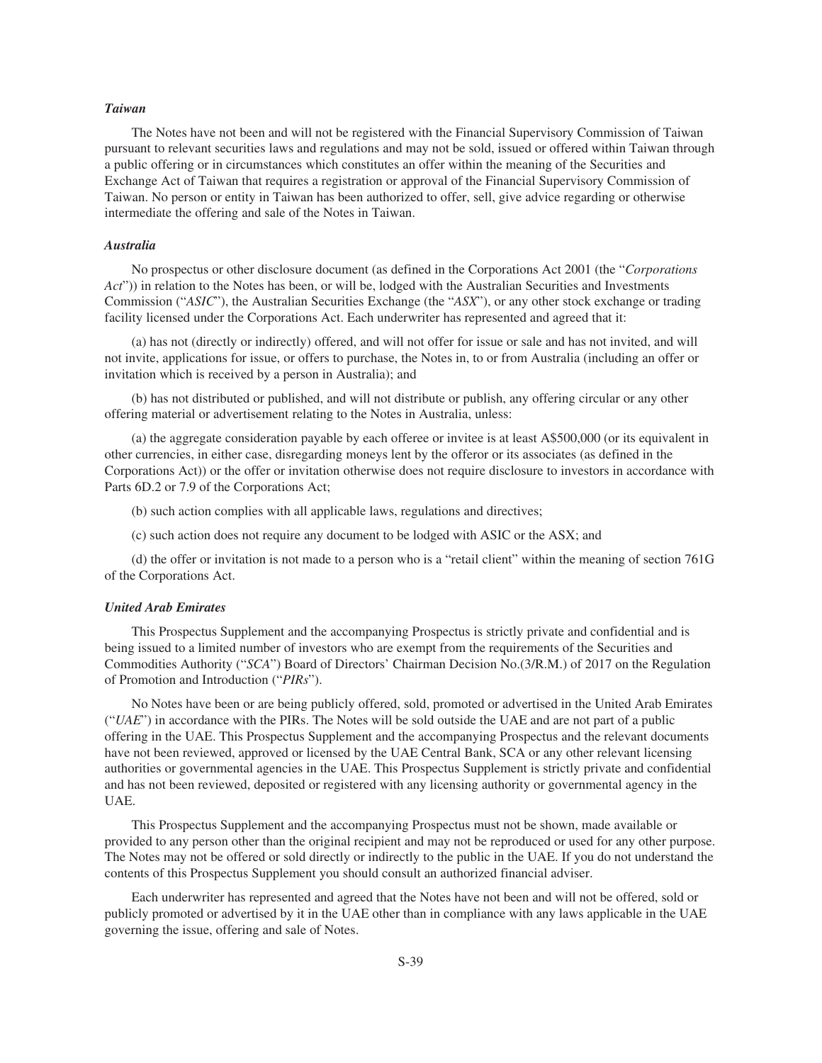### *Taiwan*

The Notes have not been and will not be registered with the Financial Supervisory Commission of Taiwan pursuant to relevant securities laws and regulations and may not be sold, issued or offered within Taiwan through a public offering or in circumstances which constitutes an offer within the meaning of the Securities and Exchange Act of Taiwan that requires a registration or approval of the Financial Supervisory Commission of Taiwan. No person or entity in Taiwan has been authorized to offer, sell, give advice regarding or otherwise intermediate the offering and sale of the Notes in Taiwan.

### *Australia*

No prospectus or other disclosure document (as defined in the Corporations Act 2001 (the "*Corporations Act*")) in relation to the Notes has been, or will be, lodged with the Australian Securities and Investments Commission ("*ASIC*"), the Australian Securities Exchange (the "*ASX*"), or any other stock exchange or trading facility licensed under the Corporations Act. Each underwriter has represented and agreed that it:

(a) has not (directly or indirectly) offered, and will not offer for issue or sale and has not invited, and will not invite, applications for issue, or offers to purchase, the Notes in, to or from Australia (including an offer or invitation which is received by a person in Australia); and

(b) has not distributed or published, and will not distribute or publish, any offering circular or any other offering material or advertisement relating to the Notes in Australia, unless:

(a) the aggregate consideration payable by each offeree or invitee is at least A\$500,000 (or its equivalent in other currencies, in either case, disregarding moneys lent by the offeror or its associates (as defined in the Corporations Act)) or the offer or invitation otherwise does not require disclosure to investors in accordance with Parts 6D.2 or 7.9 of the Corporations Act;

(b) such action complies with all applicable laws, regulations and directives;

(c) such action does not require any document to be lodged with ASIC or the ASX; and

(d) the offer or invitation is not made to a person who is a "retail client" within the meaning of section 761G of the Corporations Act.

### *United Arab Emirates*

This Prospectus Supplement and the accompanying Prospectus is strictly private and confidential and is being issued to a limited number of investors who are exempt from the requirements of the Securities and Commodities Authority ("*SCA*") Board of Directors' Chairman Decision No.(3/R.M.) of 2017 on the Regulation of Promotion and Introduction ("*PIRs*").

No Notes have been or are being publicly offered, sold, promoted or advertised in the United Arab Emirates ("*UAE*") in accordance with the PIRs. The Notes will be sold outside the UAE and are not part of a public offering in the UAE. This Prospectus Supplement and the accompanying Prospectus and the relevant documents have not been reviewed, approved or licensed by the UAE Central Bank, SCA or any other relevant licensing authorities or governmental agencies in the UAE. This Prospectus Supplement is strictly private and confidential and has not been reviewed, deposited or registered with any licensing authority or governmental agency in the UAE.

This Prospectus Supplement and the accompanying Prospectus must not be shown, made available or provided to any person other than the original recipient and may not be reproduced or used for any other purpose. The Notes may not be offered or sold directly or indirectly to the public in the UAE. If you do not understand the contents of this Prospectus Supplement you should consult an authorized financial adviser.

Each underwriter has represented and agreed that the Notes have not been and will not be offered, sold or publicly promoted or advertised by it in the UAE other than in compliance with any laws applicable in the UAE governing the issue, offering and sale of Notes.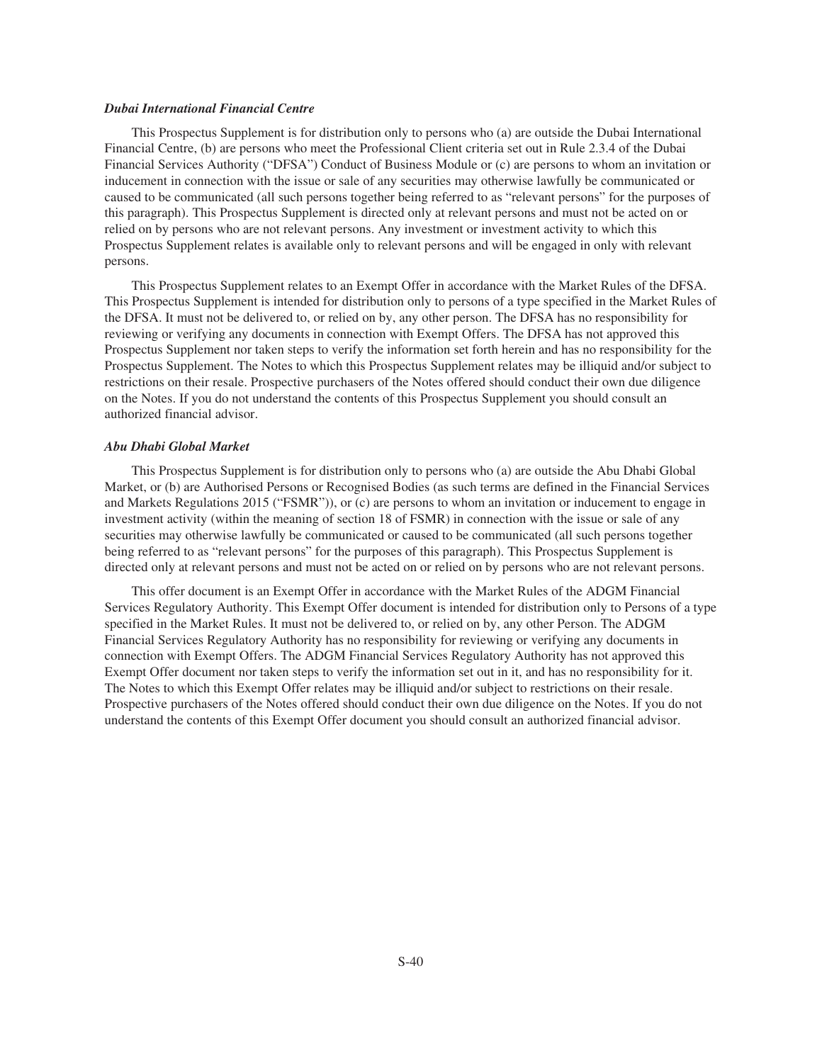### *Dubai International Financial Centre*

This Prospectus Supplement is for distribution only to persons who (a) are outside the Dubai International Financial Centre, (b) are persons who meet the Professional Client criteria set out in Rule 2.3.4 of the Dubai Financial Services Authority ("DFSA") Conduct of Business Module or (c) are persons to whom an invitation or inducement in connection with the issue or sale of any securities may otherwise lawfully be communicated or caused to be communicated (all such persons together being referred to as "relevant persons" for the purposes of this paragraph). This Prospectus Supplement is directed only at relevant persons and must not be acted on or relied on by persons who are not relevant persons. Any investment or investment activity to which this Prospectus Supplement relates is available only to relevant persons and will be engaged in only with relevant persons.

This Prospectus Supplement relates to an Exempt Offer in accordance with the Market Rules of the DFSA. This Prospectus Supplement is intended for distribution only to persons of a type specified in the Market Rules of the DFSA. It must not be delivered to, or relied on by, any other person. The DFSA has no responsibility for reviewing or verifying any documents in connection with Exempt Offers. The DFSA has not approved this Prospectus Supplement nor taken steps to verify the information set forth herein and has no responsibility for the Prospectus Supplement. The Notes to which this Prospectus Supplement relates may be illiquid and/or subject to restrictions on their resale. Prospective purchasers of the Notes offered should conduct their own due diligence on the Notes. If you do not understand the contents of this Prospectus Supplement you should consult an authorized financial advisor.

### *Abu Dhabi Global Market*

This Prospectus Supplement is for distribution only to persons who (a) are outside the Abu Dhabi Global Market, or (b) are Authorised Persons or Recognised Bodies (as such terms are defined in the Financial Services and Markets Regulations 2015 ("FSMR")), or (c) are persons to whom an invitation or inducement to engage in investment activity (within the meaning of section 18 of FSMR) in connection with the issue or sale of any securities may otherwise lawfully be communicated or caused to be communicated (all such persons together being referred to as "relevant persons" for the purposes of this paragraph). This Prospectus Supplement is directed only at relevant persons and must not be acted on or relied on by persons who are not relevant persons.

This offer document is an Exempt Offer in accordance with the Market Rules of the ADGM Financial Services Regulatory Authority. This Exempt Offer document is intended for distribution only to Persons of a type specified in the Market Rules. It must not be delivered to, or relied on by, any other Person. The ADGM Financial Services Regulatory Authority has no responsibility for reviewing or verifying any documents in connection with Exempt Offers. The ADGM Financial Services Regulatory Authority has not approved this Exempt Offer document nor taken steps to verify the information set out in it, and has no responsibility for it. The Notes to which this Exempt Offer relates may be illiquid and/or subject to restrictions on their resale. Prospective purchasers of the Notes offered should conduct their own due diligence on the Notes. If you do not understand the contents of this Exempt Offer document you should consult an authorized financial advisor.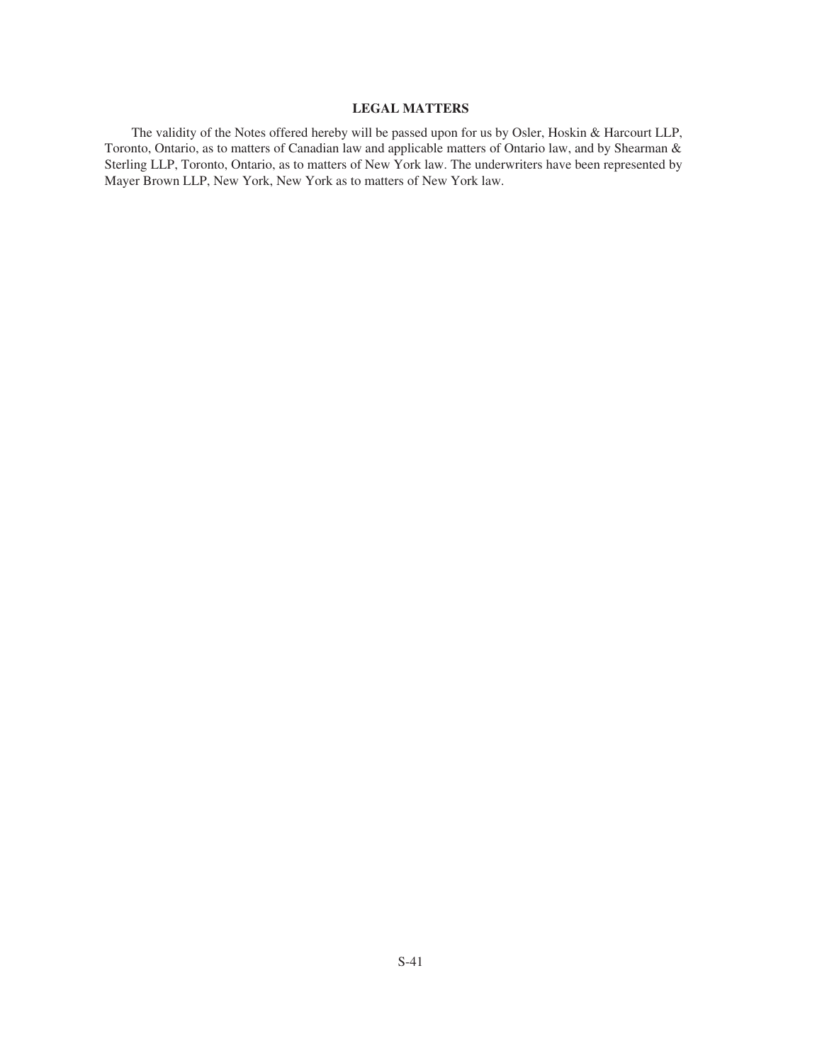### **LEGAL MATTERS**

The validity of the Notes offered hereby will be passed upon for us by Osler, Hoskin & Harcourt LLP, Toronto, Ontario, as to matters of Canadian law and applicable matters of Ontario law, and by Shearman & Sterling LLP, Toronto, Ontario, as to matters of New York law. The underwriters have been represented by Mayer Brown LLP, New York, New York as to matters of New York law.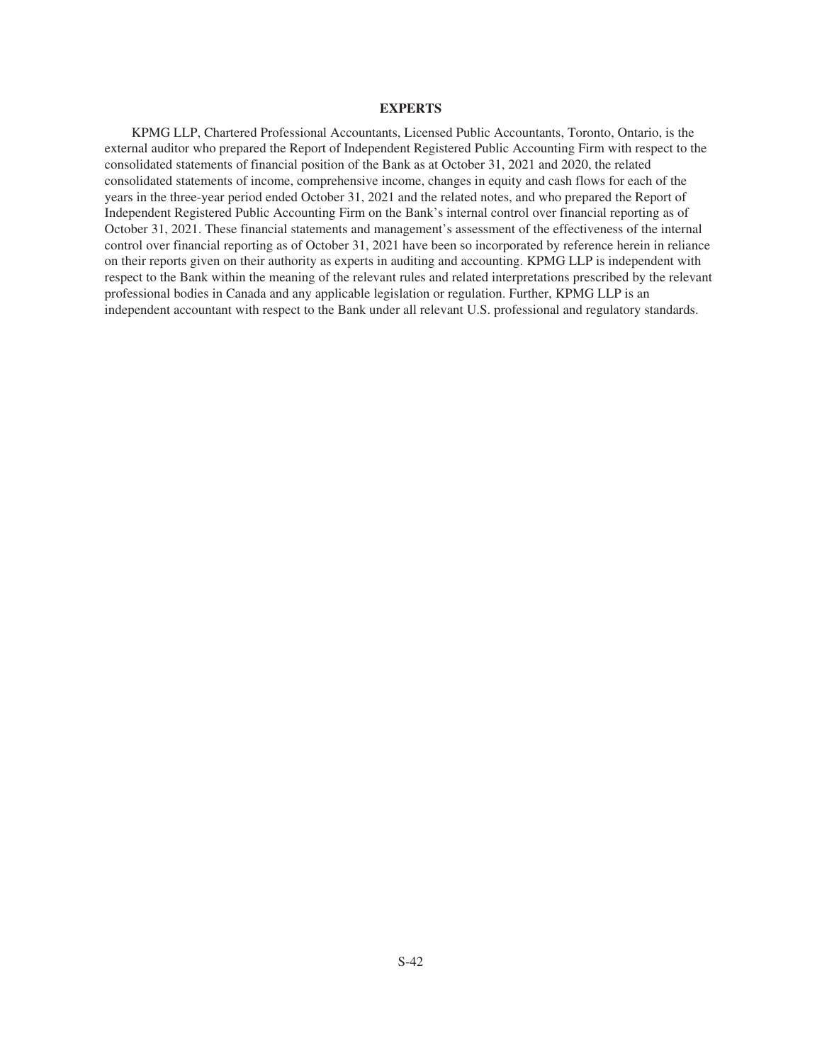### **EXPERTS**

KPMG LLP, Chartered Professional Accountants, Licensed Public Accountants, Toronto, Ontario, is the external auditor who prepared the Report of Independent Registered Public Accounting Firm with respect to the consolidated statements of financial position of the Bank as at October 31, 2021 and 2020, the related consolidated statements of income, comprehensive income, changes in equity and cash flows for each of the years in the three-year period ended October 31, 2021 and the related notes, and who prepared the Report of Independent Registered Public Accounting Firm on the Bank's internal control over financial reporting as of October 31, 2021. These financial statements and management's assessment of the effectiveness of the internal control over financial reporting as of October 31, 2021 have been so incorporated by reference herein in reliance on their reports given on their authority as experts in auditing and accounting. KPMG LLP is independent with respect to the Bank within the meaning of the relevant rules and related interpretations prescribed by the relevant professional bodies in Canada and any applicable legislation or regulation. Further, KPMG LLP is an independent accountant with respect to the Bank under all relevant U.S. professional and regulatory standards.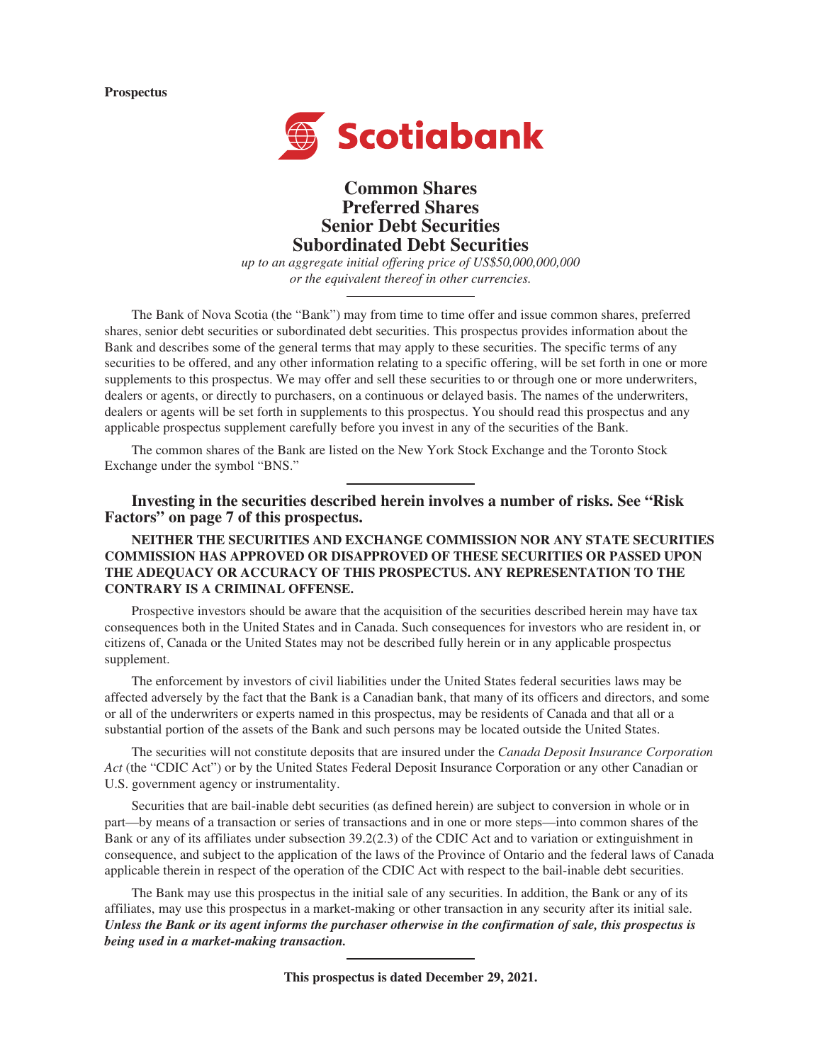**Prospectus**



# **Common Shares Preferred Shares Senior Debt Securities Subordinated Debt Securities**

*up to an aggregate initial offering price of US\$50,000,000,000 or the equivalent thereof in other currencies.*

The Bank of Nova Scotia (the "Bank") may from time to time offer and issue common shares, preferred shares, senior debt securities or subordinated debt securities. This prospectus provides information about the Bank and describes some of the general terms that may apply to these securities. The specific terms of any securities to be offered, and any other information relating to a specific offering, will be set forth in one or more supplements to this prospectus. We may offer and sell these securities to or through one or more underwriters, dealers or agents, or directly to purchasers, on a continuous or delayed basis. The names of the underwriters, dealers or agents will be set forth in supplements to this prospectus. You should read this prospectus and any applicable prospectus supplement carefully before you invest in any of the securities of the Bank.

The common shares of the Bank are listed on the New York Stock Exchange and the Toronto Stock Exchange under the symbol "BNS."

**Investing in the securities described herein involves a number of risks. See ["Risk](#page-54-0) [Factors"](#page-54-0) on page 7 of this prospectus.**

# **NEITHER THE SECURITIES AND EXCHANGE COMMISSION NOR ANY STATE SECURITIES COMMISSION HAS APPROVED OR DISAPPROVED OF THESE SECURITIES OR PASSED UPON THE ADEQUACY OR ACCURACY OF THIS PROSPECTUS. ANY REPRESENTATION TO THE CONTRARY IS A CRIMINAL OFFENSE.**

Prospective investors should be aware that the acquisition of the securities described herein may have tax consequences both in the United States and in Canada. Such consequences for investors who are resident in, or citizens of, Canada or the United States may not be described fully herein or in any applicable prospectus supplement.

The enforcement by investors of civil liabilities under the United States federal securities laws may be affected adversely by the fact that the Bank is a Canadian bank, that many of its officers and directors, and some or all of the underwriters or experts named in this prospectus, may be residents of Canada and that all or a substantial portion of the assets of the Bank and such persons may be located outside the United States.

The securities will not constitute deposits that are insured under the *Canada Deposit Insurance Corporation Act* (the "CDIC Act") or by the United States Federal Deposit Insurance Corporation or any other Canadian or U.S. government agency or instrumentality.

Securities that are bail-inable debt securities (as defined herein) are subject to conversion in whole or in part—by means of a transaction or series of transactions and in one or more steps—into common shares of the Bank or any of its affiliates under subsection 39.2(2.3) of the CDIC Act and to variation or extinguishment in consequence, and subject to the application of the laws of the Province of Ontario and the federal laws of Canada applicable therein in respect of the operation of the CDIC Act with respect to the bail-inable debt securities.

The Bank may use this prospectus in the initial sale of any securities. In addition, the Bank or any of its affiliates, may use this prospectus in a market-making or other transaction in any security after its initial sale. *Unless the Bank or its agent informs the purchaser otherwise in the confirmation of sale, this prospectus is being used in a market-making transaction.*

**This prospectus is dated December 29, 2021.**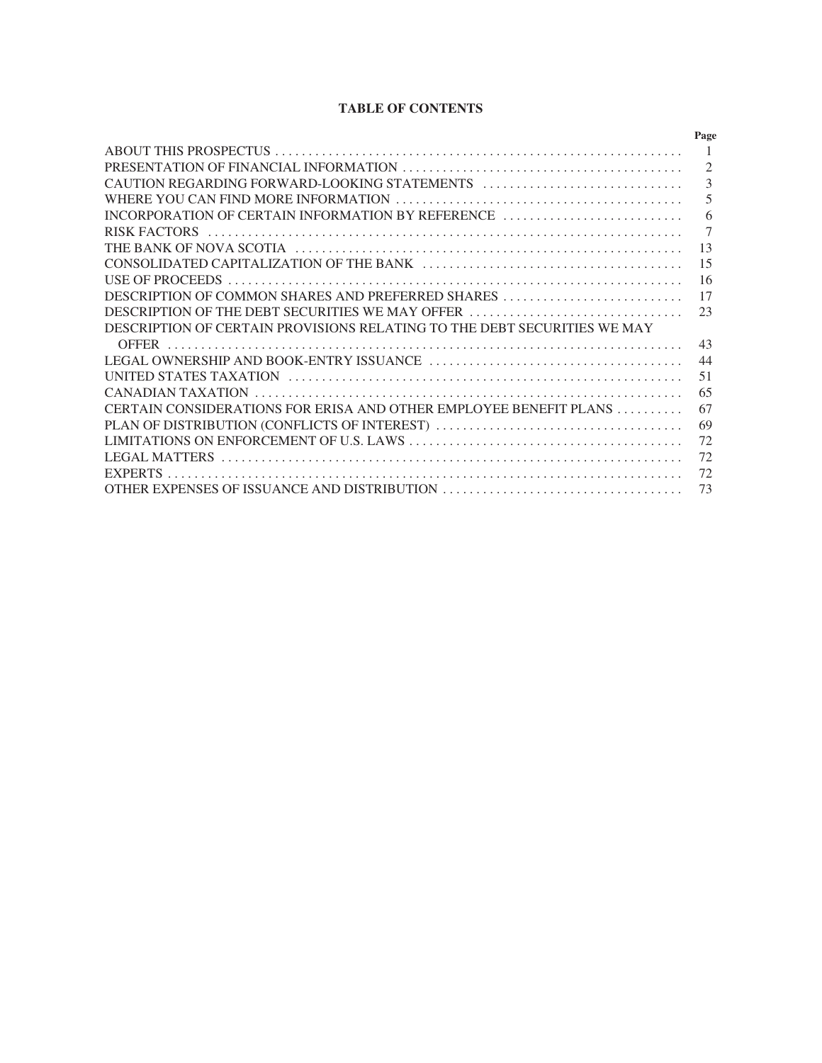# **TABLE OF CONTENTS**

|                                                                          | Page                     |
|--------------------------------------------------------------------------|--------------------------|
|                                                                          | $\overline{1}$           |
|                                                                          | $\overline{2}$           |
| CAUTION REGARDING FORWARD-LOOKING STATEMENTS                             | 3                        |
|                                                                          | $\overline{\mathcal{L}}$ |
| INCORPORATION OF CERTAIN INFORMATION BY REFERENCE                        | 6                        |
| RISK FACTORS                                                             | $\overline{7}$           |
|                                                                          | 13                       |
|                                                                          | 15                       |
| USE OF PROCEEDS                                                          | 16                       |
| DESCRIPTION OF COMMON SHARES AND PREFERRED SHARES                        | 17                       |
| DESCRIPTION OF THE DEBT SECURITIES WE MAY OFFER                          | 23                       |
| DESCRIPTION OF CERTAIN PROVISIONS RELATING TO THE DEBT SECURITIES WE MAY |                          |
| <b>OFFER</b>                                                             | 43                       |
|                                                                          | 44                       |
|                                                                          | 51                       |
|                                                                          | 65                       |
| CERTAIN CONSIDERATIONS FOR ERISA AND OTHER EMPLOYEE BENEFIT PLANS        | 67                       |
|                                                                          | 69                       |
|                                                                          | 72                       |
|                                                                          | 72                       |
| <b>EXPERTS</b>                                                           | 72                       |
|                                                                          | 73                       |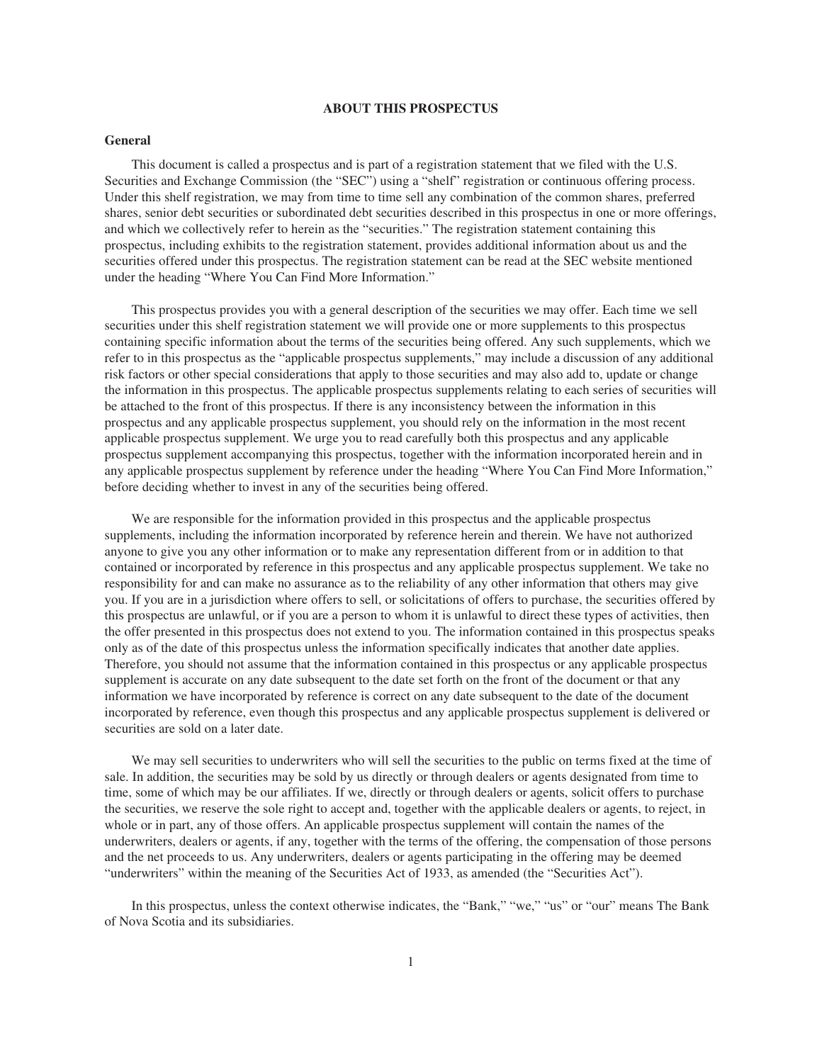### **ABOUT THIS PROSPECTUS**

### <span id="page-48-0"></span>**General**

This document is called a prospectus and is part of a registration statement that we filed with the U.S. Securities and Exchange Commission (the "SEC") using a "shelf" registration or continuous offering process. Under this shelf registration, we may from time to time sell any combination of the common shares, preferred shares, senior debt securities or subordinated debt securities described in this prospectus in one or more offerings, and which we collectively refer to herein as the "securities." The registration statement containing this prospectus, including exhibits to the registration statement, provides additional information about us and the securities offered under this prospectus. The registration statement can be read at the SEC website mentioned under the heading "Where You Can Find More Information."

This prospectus provides you with a general description of the securities we may offer. Each time we sell securities under this shelf registration statement we will provide one or more supplements to this prospectus containing specific information about the terms of the securities being offered. Any such supplements, which we refer to in this prospectus as the "applicable prospectus supplements," may include a discussion of any additional risk factors or other special considerations that apply to those securities and may also add to, update or change the information in this prospectus. The applicable prospectus supplements relating to each series of securities will be attached to the front of this prospectus. If there is any inconsistency between the information in this prospectus and any applicable prospectus supplement, you should rely on the information in the most recent applicable prospectus supplement. We urge you to read carefully both this prospectus and any applicable prospectus supplement accompanying this prospectus, together with the information incorporated herein and in any applicable prospectus supplement by reference under the heading "Where You Can Find More Information," before deciding whether to invest in any of the securities being offered.

We are responsible for the information provided in this prospectus and the applicable prospectus supplements, including the information incorporated by reference herein and therein. We have not authorized anyone to give you any other information or to make any representation different from or in addition to that contained or incorporated by reference in this prospectus and any applicable prospectus supplement. We take no responsibility for and can make no assurance as to the reliability of any other information that others may give you. If you are in a jurisdiction where offers to sell, or solicitations of offers to purchase, the securities offered by this prospectus are unlawful, or if you are a person to whom it is unlawful to direct these types of activities, then the offer presented in this prospectus does not extend to you. The information contained in this prospectus speaks only as of the date of this prospectus unless the information specifically indicates that another date applies. Therefore, you should not assume that the information contained in this prospectus or any applicable prospectus supplement is accurate on any date subsequent to the date set forth on the front of the document or that any information we have incorporated by reference is correct on any date subsequent to the date of the document incorporated by reference, even though this prospectus and any applicable prospectus supplement is delivered or securities are sold on a later date.

We may sell securities to underwriters who will sell the securities to the public on terms fixed at the time of sale. In addition, the securities may be sold by us directly or through dealers or agents designated from time to time, some of which may be our affiliates. If we, directly or through dealers or agents, solicit offers to purchase the securities, we reserve the sole right to accept and, together with the applicable dealers or agents, to reject, in whole or in part, any of those offers. An applicable prospectus supplement will contain the names of the underwriters, dealers or agents, if any, together with the terms of the offering, the compensation of those persons and the net proceeds to us. Any underwriters, dealers or agents participating in the offering may be deemed "underwriters" within the meaning of the Securities Act of 1933, as amended (the "Securities Act").

In this prospectus, unless the context otherwise indicates, the "Bank," "we," "us" or "our" means The Bank of Nova Scotia and its subsidiaries.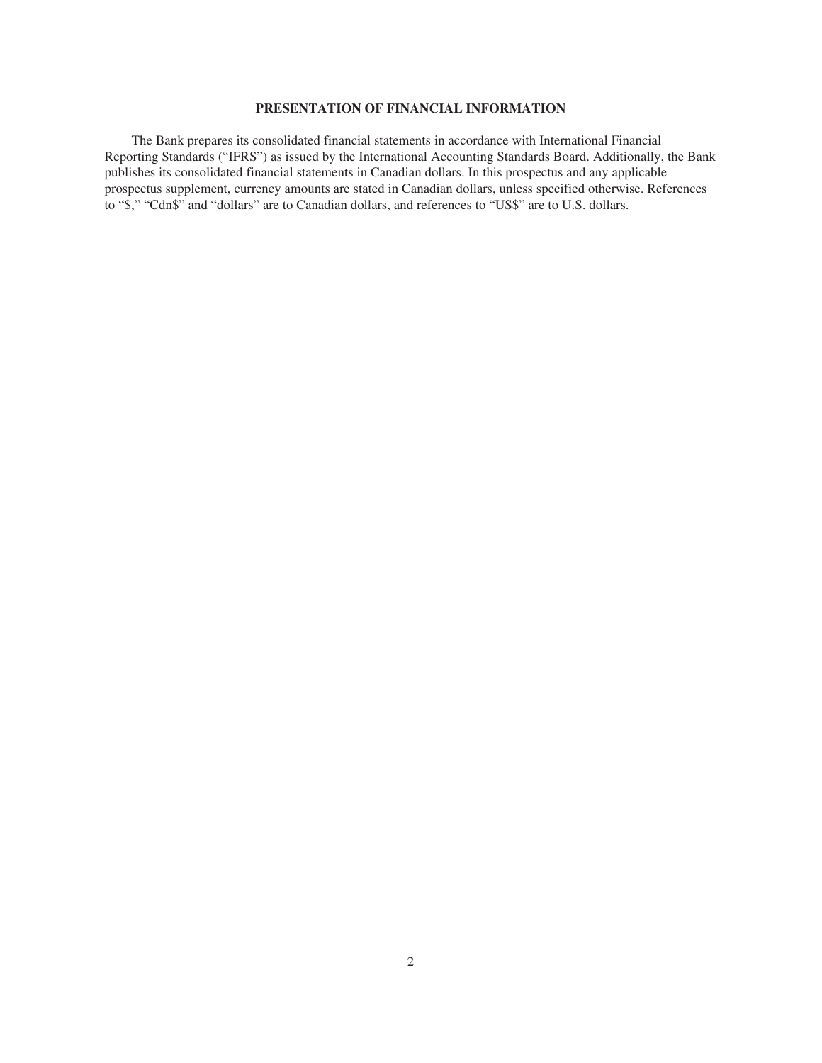### **PRESENTATION OF FINANCIAL INFORMATION**

<span id="page-49-0"></span>The Bank prepares its consolidated financial statements in accordance with International Financial Reporting Standards ("IFRS") as issued by the International Accounting Standards Board. Additionally, the Bank publishes its consolidated financial statements in Canadian dollars. In this prospectus and any applicable prospectus supplement, currency amounts are stated in Canadian dollars, unless specified otherwise. References to "\$," "Cdn\$" and "dollars" are to Canadian dollars, and references to "US\$" are to U.S. dollars.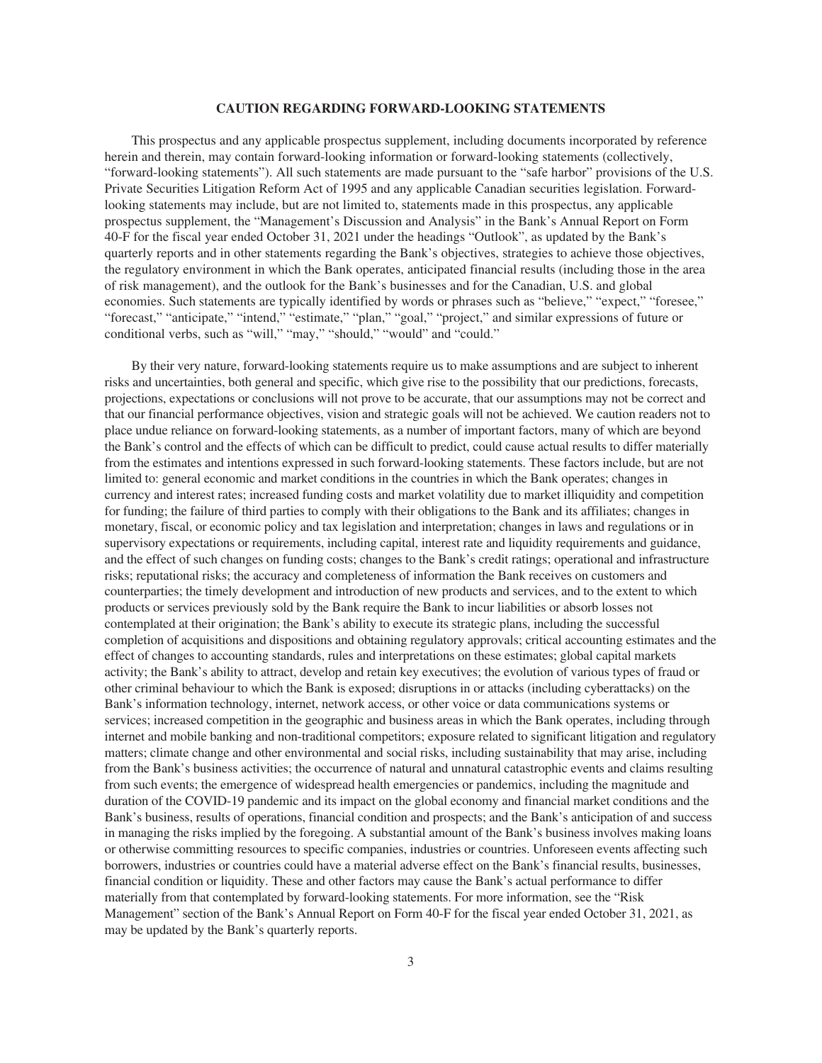### **CAUTION REGARDING FORWARD-LOOKING STATEMENTS**

<span id="page-50-0"></span>This prospectus and any applicable prospectus supplement, including documents incorporated by reference herein and therein, may contain forward-looking information or forward-looking statements (collectively, "forward-looking statements"). All such statements are made pursuant to the "safe harbor" provisions of the U.S. Private Securities Litigation Reform Act of 1995 and any applicable Canadian securities legislation. Forwardlooking statements may include, but are not limited to, statements made in this prospectus, any applicable prospectus supplement, the "Management's Discussion and Analysis" in the Bank's Annual Report on Form 40-F for the fiscal year ended October 31, 2021 under the headings "Outlook", as updated by the Bank's quarterly reports and in other statements regarding the Bank's objectives, strategies to achieve those objectives, the regulatory environment in which the Bank operates, anticipated financial results (including those in the area of risk management), and the outlook for the Bank's businesses and for the Canadian, U.S. and global economies. Such statements are typically identified by words or phrases such as "believe," "expect," "foresee," "forecast," "anticipate," "intend," "estimate," "plan," "goal," "project," and similar expressions of future or conditional verbs, such as "will," "may," "should," "would" and "could."

By their very nature, forward-looking statements require us to make assumptions and are subject to inherent risks and uncertainties, both general and specific, which give rise to the possibility that our predictions, forecasts, projections, expectations or conclusions will not prove to be accurate, that our assumptions may not be correct and that our financial performance objectives, vision and strategic goals will not be achieved. We caution readers not to place undue reliance on forward-looking statements, as a number of important factors, many of which are beyond the Bank's control and the effects of which can be difficult to predict, could cause actual results to differ materially from the estimates and intentions expressed in such forward-looking statements. These factors include, but are not limited to: general economic and market conditions in the countries in which the Bank operates; changes in currency and interest rates; increased funding costs and market volatility due to market illiquidity and competition for funding; the failure of third parties to comply with their obligations to the Bank and its affiliates; changes in monetary, fiscal, or economic policy and tax legislation and interpretation; changes in laws and regulations or in supervisory expectations or requirements, including capital, interest rate and liquidity requirements and guidance, and the effect of such changes on funding costs; changes to the Bank's credit ratings; operational and infrastructure risks; reputational risks; the accuracy and completeness of information the Bank receives on customers and counterparties; the timely development and introduction of new products and services, and to the extent to which products or services previously sold by the Bank require the Bank to incur liabilities or absorb losses not contemplated at their origination; the Bank's ability to execute its strategic plans, including the successful completion of acquisitions and dispositions and obtaining regulatory approvals; critical accounting estimates and the effect of changes to accounting standards, rules and interpretations on these estimates; global capital markets activity; the Bank's ability to attract, develop and retain key executives; the evolution of various types of fraud or other criminal behaviour to which the Bank is exposed; disruptions in or attacks (including cyberattacks) on the Bank's information technology, internet, network access, or other voice or data communications systems or services; increased competition in the geographic and business areas in which the Bank operates, including through internet and mobile banking and non-traditional competitors; exposure related to significant litigation and regulatory matters; climate change and other environmental and social risks, including sustainability that may arise, including from the Bank's business activities; the occurrence of natural and unnatural catastrophic events and claims resulting from such events; the emergence of widespread health emergencies or pandemics, including the magnitude and duration of the COVID-19 pandemic and its impact on the global economy and financial market conditions and the Bank's business, results of operations, financial condition and prospects; and the Bank's anticipation of and success in managing the risks implied by the foregoing. A substantial amount of the Bank's business involves making loans or otherwise committing resources to specific companies, industries or countries. Unforeseen events affecting such borrowers, industries or countries could have a material adverse effect on the Bank's financial results, businesses, financial condition or liquidity. These and other factors may cause the Bank's actual performance to differ materially from that contemplated by forward-looking statements. For more information, see the "Risk Management" section of the Bank's Annual Report on Form 40-F for the fiscal year ended October 31, 2021, as may be updated by the Bank's quarterly reports.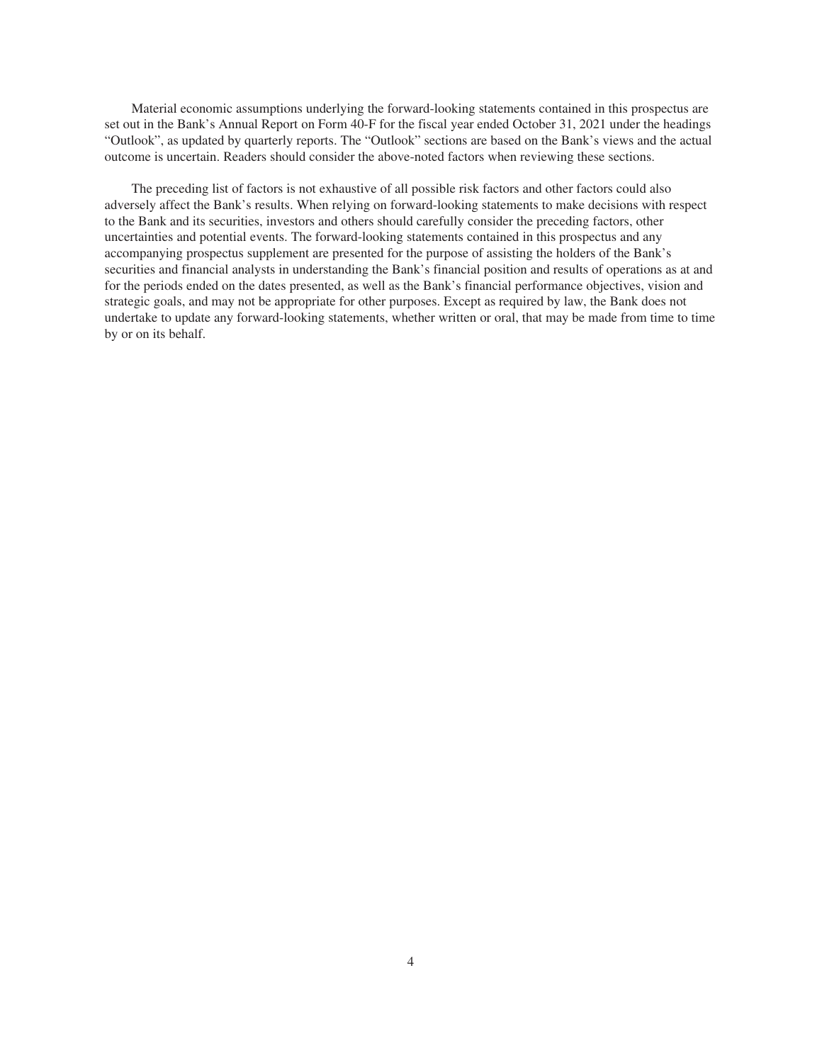Material economic assumptions underlying the forward-looking statements contained in this prospectus are set out in the Bank's Annual Report on Form 40-F for the fiscal year ended October 31, 2021 under the headings "Outlook", as updated by quarterly reports. The "Outlook" sections are based on the Bank's views and the actual outcome is uncertain. Readers should consider the above-noted factors when reviewing these sections.

The preceding list of factors is not exhaustive of all possible risk factors and other factors could also adversely affect the Bank's results. When relying on forward-looking statements to make decisions with respect to the Bank and its securities, investors and others should carefully consider the preceding factors, other uncertainties and potential events. The forward-looking statements contained in this prospectus and any accompanying prospectus supplement are presented for the purpose of assisting the holders of the Bank's securities and financial analysts in understanding the Bank's financial position and results of operations as at and for the periods ended on the dates presented, as well as the Bank's financial performance objectives, vision and strategic goals, and may not be appropriate for other purposes. Except as required by law, the Bank does not undertake to update any forward-looking statements, whether written or oral, that may be made from time to time by or on its behalf.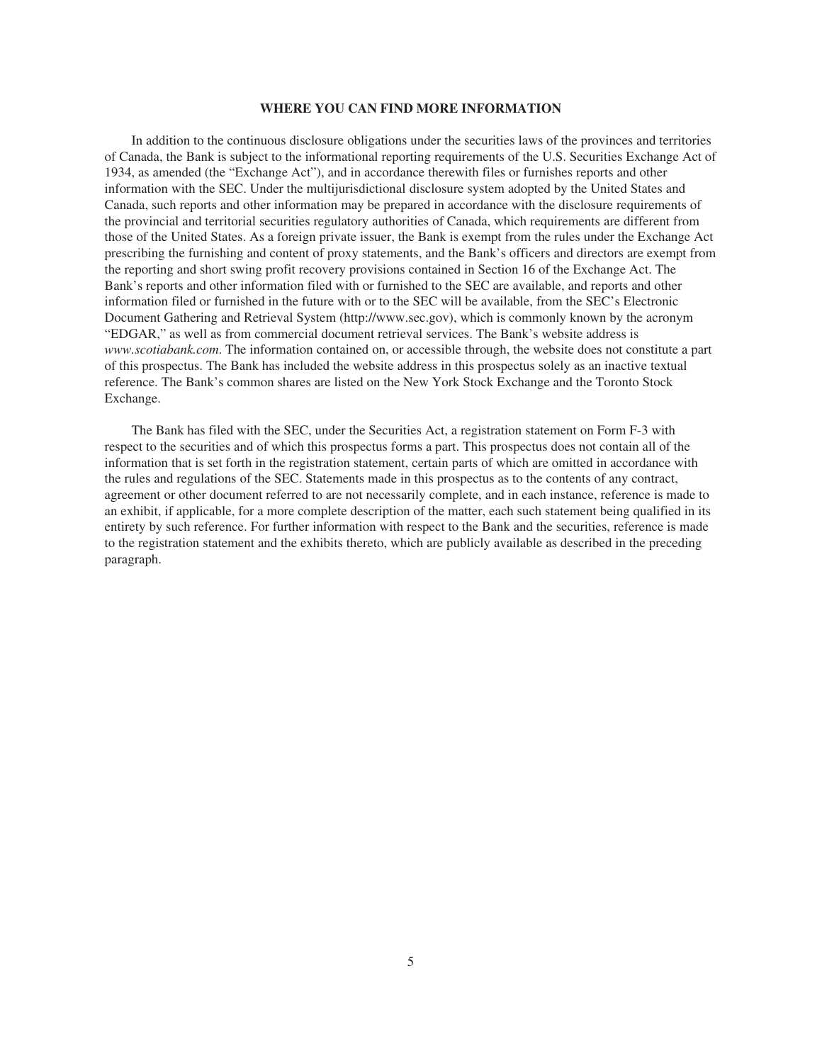### **WHERE YOU CAN FIND MORE INFORMATION**

<span id="page-52-0"></span>In addition to the continuous disclosure obligations under the securities laws of the provinces and territories of Canada, the Bank is subject to the informational reporting requirements of the U.S. Securities Exchange Act of 1934, as amended (the "Exchange Act"), and in accordance therewith files or furnishes reports and other information with the SEC. Under the multijurisdictional disclosure system adopted by the United States and Canada, such reports and other information may be prepared in accordance with the disclosure requirements of the provincial and territorial securities regulatory authorities of Canada, which requirements are different from those of the United States. As a foreign private issuer, the Bank is exempt from the rules under the Exchange Act prescribing the furnishing and content of proxy statements, and the Bank's officers and directors are exempt from the reporting and short swing profit recovery provisions contained in Section 16 of the Exchange Act. The Bank's reports and other information filed with or furnished to the SEC are available, and reports and other information filed or furnished in the future with or to the SEC will be available, from the SEC's Electronic Document Gathering and Retrieval System (http://www.sec.gov), which is commonly known by the acronym "EDGAR," as well as from commercial document retrieval services. The Bank's website address is *www.scotiabank.com*. The information contained on, or accessible through, the website does not constitute a part of this prospectus. The Bank has included the website address in this prospectus solely as an inactive textual reference. The Bank's common shares are listed on the New York Stock Exchange and the Toronto Stock Exchange.

The Bank has filed with the SEC, under the Securities Act, a registration statement on [Form F-3](https://www.sec.gov/Archives/edgar/data/9631/000119312521347374/d212907df3.htm) with respect to the securities and of which this prospectus forms a part. This prospectus does not contain all of the information that is set forth in the registration statement, certain parts of which are omitted in accordance with the rules and regulations of the SEC. Statements made in this prospectus as to the contents of any contract, agreement or other document referred to are not necessarily complete, and in each instance, reference is made to an exhibit, if applicable, for a more complete description of the matter, each such statement being qualified in its entirety by such reference. For further information with respect to the Bank and the securities, reference is made to the registration statement and the exhibits thereto, which are publicly available as described in the preceding paragraph.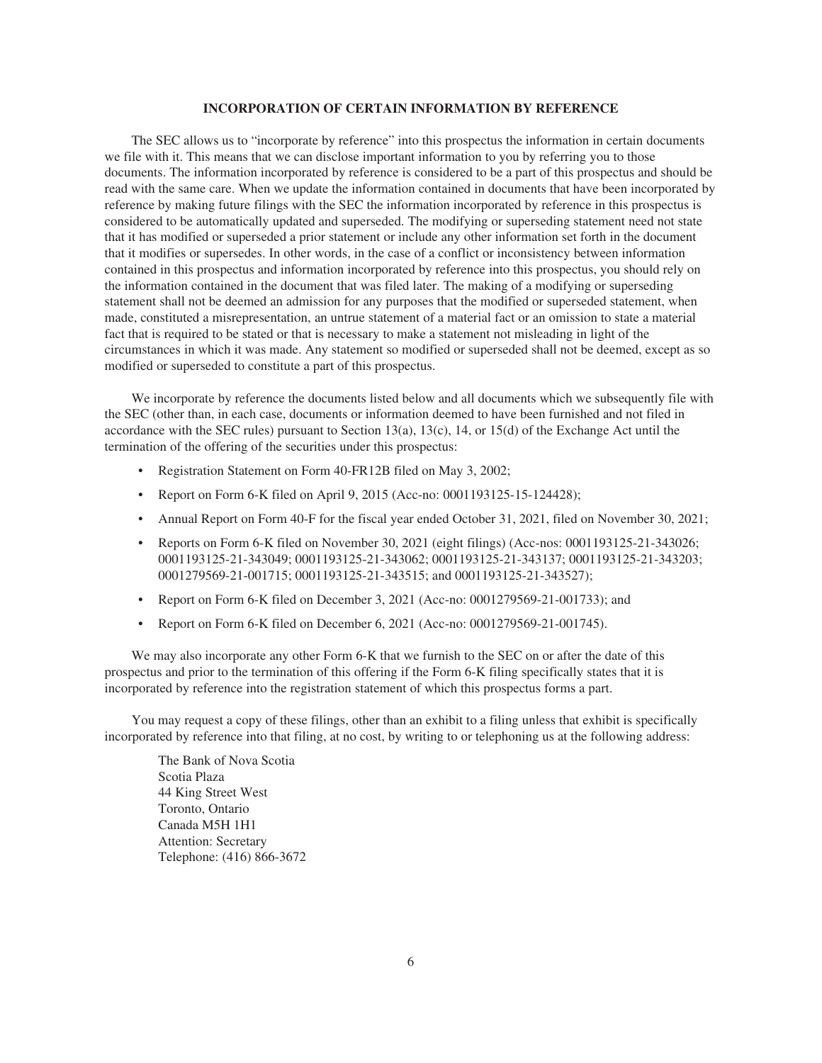### **INCORPORATION OF CERTAIN INFORMATION BY REFERENCE**

<span id="page-53-0"></span>The SEC allows us to "incorporate by reference" into this prospectus the information in certain documents we file with it. This means that we can disclose important information to you by referring you to those documents. The information incorporated by reference is considered to be a part of this prospectus and should be read with the same care. When we update the information contained in documents that have been incorporated by reference by making future filings with the SEC the information incorporated by reference in this prospectus is considered to be automatically updated and superseded. The modifying or superseding statement need not state that it has modified or superseded a prior statement or include any other information set forth in the document that it modifies or supersedes. In other words, in the case of a conflict or inconsistency between information contained in this prospectus and information incorporated by reference into this prospectus, you should rely on the information contained in the document that was filed later. The making of a modifying or superseding statement shall not be deemed an admission for any purposes that the modified or superseded statement, when made, constituted a misrepresentation, an untrue statement of a material fact or an omission to state a material fact that is required to be stated or that is necessary to make a statement not misleading in light of the circumstances in which it was made. Any statement so modified or superseded shall not be deemed, except as so modified or superseded to constitute a part of this prospectus.

We incorporate by reference the documents listed below and all documents which we subsequently file with the SEC (other than, in each case, documents or information deemed to have been furnished and not filed in accordance with the SEC rules) pursuant to Section 13(a), 13(c), 14, or 15(d) of the Exchange Act until the termination of the offering of the securities under this prospectus:

- Registration Statement on [Form 40-FR12B](https://www.sec.gov/Archives/edgar/data/1041839/999999999702026510/9999999997-02-026510.txt) filed on May 3, 2002;
- Report on [Form 6-K](https://www.sec.gov/Archives/edgar/data/9631/000119312515124428/d905224d6k.htm) filed on April 9, 2015 (Acc-no: 0001193125-15-124428);
- Annual Report on [Form 40-F](https://www.sec.gov/ix?doc=/Archives/edgar/data/9631/000119312521343582/d164371d40f.htm) for the fiscal year ended October 31, 2021, filed on November 30, 2021;
- Reports on Form 6-K filed on November 30, 2021 (eight filings) (Acc-nos: [0001193125-21-343026](https://www.sec.gov/Archives/edgar/data/9631/000119312521343026/d205983d6k.htm); [0001193125-21-343049;](https://www.sec.gov/Archives/edgar/data/9631/000119312521343049/d209885d6k.htm) [0001193125-21-343062;](https://www.sec.gov/Archives/edgar/data/9631/000119312521343062/d164471d6k.htm) [0001193125-21-343137;](https://www.sec.gov/Archives/edgar/data/9631/000119312521343137/d210383d6k.htm) [0001193125-21-343203;](https://www.sec.gov/Archives/edgar/data/9631/000119312521343203/d212699d6k.htm) [0001279569-21-001715;](https://www.sec.gov/Archives/edgar/data/9631/000127956921001715/scotiabank6k.htm) [0001193125-21-343515;](https://www.sec.gov/Archives/edgar/data/9631/000119312521343515/d206334d6k.htm) and [0001193125-21-343527\)](https://www.sec.gov/Archives/edgar/data/9631/000119312521343527/d206532d6k.htm);
- • [Report on Form 6-K filed on December 3, 2021 \(Acc-no: 0001279569-21-001733\); and](https://www.sec.gov/Archives/edgar/data/9631/000127956921001733/scotiabank6k.htm)
- • [Report on Form 6-K filed on December 6, 2021 \(Acc-no: 0001279569-21-001745\).](https://www.sec.gov/Archives/edgar/data/9631/000127956921001745/scotiabank6k.htm)

We may also incorporate any other Form 6-K that we furnish to the SEC on or after the date of this prospectus and prior to the termination of this offering if the Form 6-K filing specifically states that it is incorporated by reference into the registration statement of which this prospectus forms a part.

You may request a copy of these filings, other than an exhibit to a filing unless that exhibit is specifically incorporated by reference into that filing, at no cost, by writing to or telephoning us at the following address:

The Bank of Nova Scotia Scotia Plaza 44 King Street West Toronto, Ontario Canada M5H 1H1 Attention: Secretary Telephone: (416) 866-3672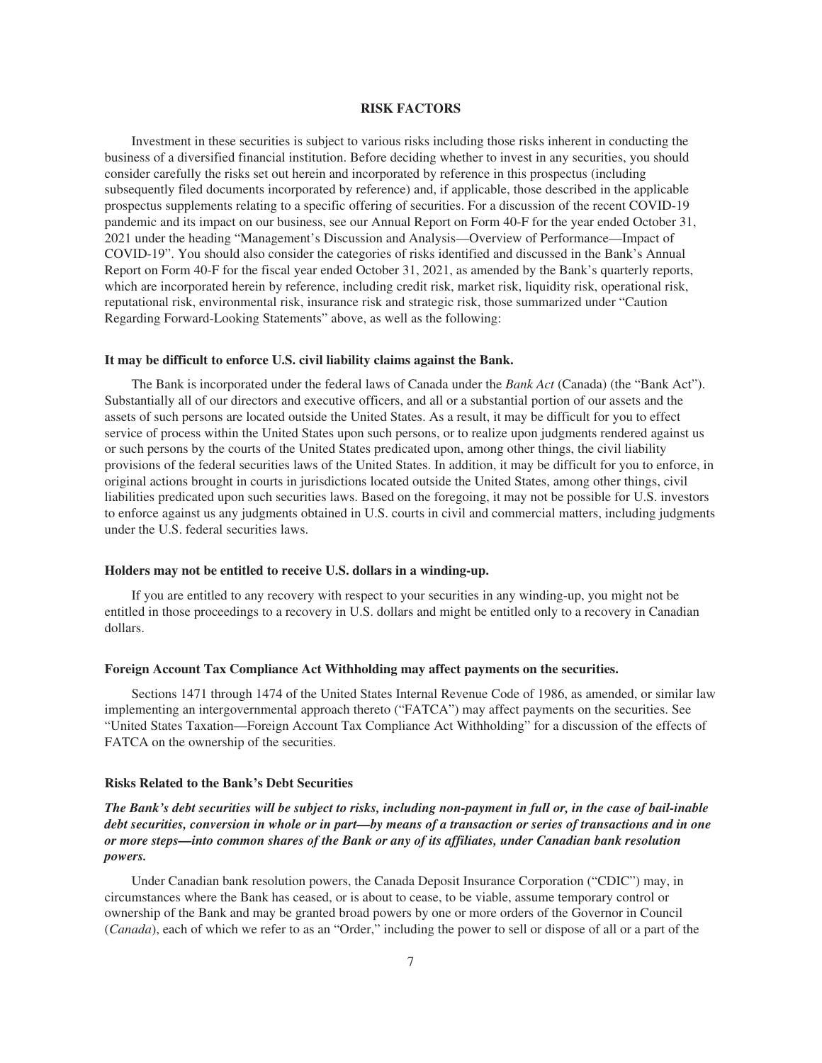### **RISK FACTORS**

<span id="page-54-0"></span>Investment in these securities is subject to various risks including those risks inherent in conducting the business of a diversified financial institution. Before deciding whether to invest in any securities, you should consider carefully the risks set out herein and incorporated by reference in this prospectus (including subsequently filed documents incorporated by reference) and, if applicable, those described in the applicable prospectus supplements relating to a specific offering of securities. For a discussion of the recent COVID-19 pandemic and its impact on our business, see our Annual Report on Form 40-F for the year ended October 31, 2021 under the heading "Management's Discussion and Analysis—Overview of Performance—Impact of COVID-19". You should also consider the categories of risks identified and discussed in the Bank's Annual Report on Form 40-F for the fiscal year ended October 31, 2021, as amended by the Bank's quarterly reports, which are incorporated herein by reference, including credit risk, market risk, liquidity risk, operational risk, reputational risk, environmental risk, insurance risk and strategic risk, those summarized under "Caution Regarding Forward-Looking Statements" above, as well as the following:

### **It may be difficult to enforce U.S. civil liability claims against the Bank.**

The Bank is incorporated under the federal laws of Canada under the *Bank Act* (Canada) (the "Bank Act"). Substantially all of our directors and executive officers, and all or a substantial portion of our assets and the assets of such persons are located outside the United States. As a result, it may be difficult for you to effect service of process within the United States upon such persons, or to realize upon judgments rendered against us or such persons by the courts of the United States predicated upon, among other things, the civil liability provisions of the federal securities laws of the United States. In addition, it may be difficult for you to enforce, in original actions brought in courts in jurisdictions located outside the United States, among other things, civil liabilities predicated upon such securities laws. Based on the foregoing, it may not be possible for U.S. investors to enforce against us any judgments obtained in U.S. courts in civil and commercial matters, including judgments under the U.S. federal securities laws.

### **Holders may not be entitled to receive U.S. dollars in a winding-up.**

If you are entitled to any recovery with respect to your securities in any winding-up, you might not be entitled in those proceedings to a recovery in U.S. dollars and might be entitled only to a recovery in Canadian dollars.

#### **Foreign Account Tax Compliance Act Withholding may affect payments on the securities.**

Sections 1471 through 1474 of the United States Internal Revenue Code of 1986, as amended, or similar law implementing an intergovernmental approach thereto ("FATCA") may affect payments on the securities. See "United States Taxation—Foreign Account Tax Compliance Act Withholding" for a discussion of the effects of FATCA on the ownership of the securities.

### **Risks Related to the Bank's Debt Securities**

*The Bank's debt securities will be subject to risks, including non-payment in full or, in the case of bail-inable debt securities, conversion in whole or in part—by means of a transaction or series of transactions and in one or more steps—into common shares of the Bank or any of its affiliates, under Canadian bank resolution powers.*

Under Canadian bank resolution powers, the Canada Deposit Insurance Corporation ("CDIC") may, in circumstances where the Bank has ceased, or is about to cease, to be viable, assume temporary control or ownership of the Bank and may be granted broad powers by one or more orders of the Governor in Council (*Canada*), each of which we refer to as an "Order," including the power to sell or dispose of all or a part of the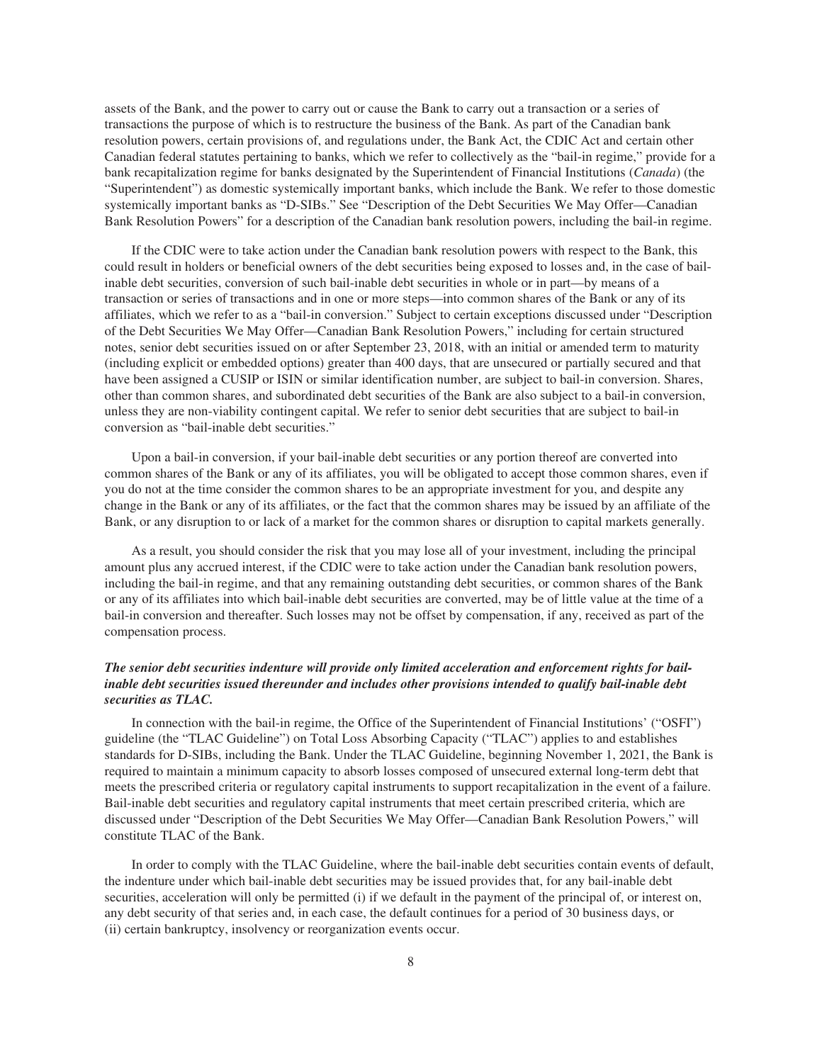assets of the Bank, and the power to carry out or cause the Bank to carry out a transaction or a series of transactions the purpose of which is to restructure the business of the Bank. As part of the Canadian bank resolution powers, certain provisions of, and regulations under, the Bank Act, the CDIC Act and certain other Canadian federal statutes pertaining to banks, which we refer to collectively as the "bail-in regime," provide for a bank recapitalization regime for banks designated by the Superintendent of Financial Institutions (*Canada*) (the "Superintendent") as domestic systemically important banks, which include the Bank. We refer to those domestic systemically important banks as "D-SIBs." See "Description of the Debt Securities We May Offer—Canadian Bank Resolution Powers" for a description of the Canadian bank resolution powers, including the bail-in regime.

If the CDIC were to take action under the Canadian bank resolution powers with respect to the Bank, this could result in holders or beneficial owners of the debt securities being exposed to losses and, in the case of bailinable debt securities, conversion of such bail-inable debt securities in whole or in part—by means of a transaction or series of transactions and in one or more steps—into common shares of the Bank or any of its affiliates, which we refer to as a "bail-in conversion." Subject to certain exceptions discussed under "Description of the Debt Securities We May Offer—Canadian Bank Resolution Powers," including for certain structured notes, senior debt securities issued on or after September 23, 2018, with an initial or amended term to maturity (including explicit or embedded options) greater than 400 days, that are unsecured or partially secured and that have been assigned a CUSIP or ISIN or similar identification number, are subject to bail-in conversion. Shares, other than common shares, and subordinated debt securities of the Bank are also subject to a bail-in conversion, unless they are non-viability contingent capital. We refer to senior debt securities that are subject to bail-in conversion as "bail-inable debt securities."

Upon a bail-in conversion, if your bail-inable debt securities or any portion thereof are converted into common shares of the Bank or any of its affiliates, you will be obligated to accept those common shares, even if you do not at the time consider the common shares to be an appropriate investment for you, and despite any change in the Bank or any of its affiliates, or the fact that the common shares may be issued by an affiliate of the Bank, or any disruption to or lack of a market for the common shares or disruption to capital markets generally.

As a result, you should consider the risk that you may lose all of your investment, including the principal amount plus any accrued interest, if the CDIC were to take action under the Canadian bank resolution powers, including the bail-in regime, and that any remaining outstanding debt securities, or common shares of the Bank or any of its affiliates into which bail-inable debt securities are converted, may be of little value at the time of a bail-in conversion and thereafter. Such losses may not be offset by compensation, if any, received as part of the compensation process.

# *The senior debt securities indenture will provide only limited acceleration and enforcement rights for bailinable debt securities issued thereunder and includes other provisions intended to qualify bail-inable debt securities as TLAC.*

In connection with the bail-in regime, the Office of the Superintendent of Financial Institutions' ("OSFI") guideline (the "TLAC Guideline") on Total Loss Absorbing Capacity ("TLAC") applies to and establishes standards for D-SIBs, including the Bank. Under the TLAC Guideline, beginning November 1, 2021, the Bank is required to maintain a minimum capacity to absorb losses composed of unsecured external long-term debt that meets the prescribed criteria or regulatory capital instruments to support recapitalization in the event of a failure. Bail-inable debt securities and regulatory capital instruments that meet certain prescribed criteria, which are discussed under "Description of the Debt Securities We May Offer—Canadian Bank Resolution Powers," will constitute TLAC of the Bank.

In order to comply with the TLAC Guideline, where the bail-inable debt securities contain events of default, the indenture under which bail-inable debt securities may be issued provides that, for any bail-inable debt securities, acceleration will only be permitted (i) if we default in the payment of the principal of, or interest on, any debt security of that series and, in each case, the default continues for a period of 30 business days, or (ii) certain bankruptcy, insolvency or reorganization events occur.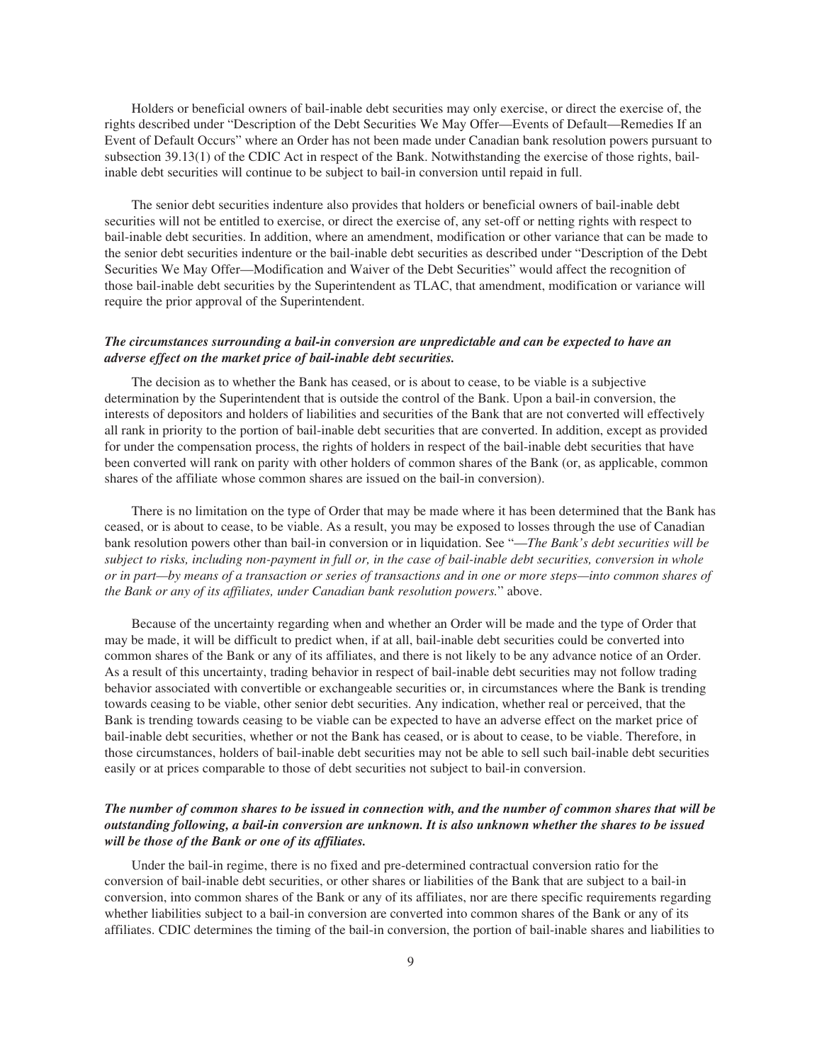Holders or beneficial owners of bail-inable debt securities may only exercise, or direct the exercise of, the rights described under "Description of the Debt Securities We May Offer—Events of Default—Remedies If an Event of Default Occurs" where an Order has not been made under Canadian bank resolution powers pursuant to subsection 39.13(1) of the CDIC Act in respect of the Bank. Notwithstanding the exercise of those rights, bailinable debt securities will continue to be subject to bail-in conversion until repaid in full.

The senior debt securities indenture also provides that holders or beneficial owners of bail-inable debt securities will not be entitled to exercise, or direct the exercise of, any set-off or netting rights with respect to bail-inable debt securities. In addition, where an amendment, modification or other variance that can be made to the senior debt securities indenture or the bail-inable debt securities as described under "Description of the Debt Securities We May Offer—Modification and Waiver of the Debt Securities" would affect the recognition of those bail-inable debt securities by the Superintendent as TLAC, that amendment, modification or variance will require the prior approval of the Superintendent.

### *The circumstances surrounding a bail-in conversion are unpredictable and can be expected to have an adverse effect on the market price of bail-inable debt securities.*

The decision as to whether the Bank has ceased, or is about to cease, to be viable is a subjective determination by the Superintendent that is outside the control of the Bank. Upon a bail-in conversion, the interests of depositors and holders of liabilities and securities of the Bank that are not converted will effectively all rank in priority to the portion of bail-inable debt securities that are converted. In addition, except as provided for under the compensation process, the rights of holders in respect of the bail-inable debt securities that have been converted will rank on parity with other holders of common shares of the Bank (or, as applicable, common shares of the affiliate whose common shares are issued on the bail-in conversion).

There is no limitation on the type of Order that may be made where it has been determined that the Bank has ceased, or is about to cease, to be viable. As a result, you may be exposed to losses through the use of Canadian bank resolution powers other than bail-in conversion or in liquidation. See "—*The Bank's debt securities will be subject to risks, including non-payment in full or, in the case of bail-inable debt securities, conversion in whole or in part—by means of a transaction or series of transactions and in one or more steps—into common shares of the Bank or any of its affiliates, under Canadian bank resolution powers.*" above.

Because of the uncertainty regarding when and whether an Order will be made and the type of Order that may be made, it will be difficult to predict when, if at all, bail-inable debt securities could be converted into common shares of the Bank or any of its affiliates, and there is not likely to be any advance notice of an Order. As a result of this uncertainty, trading behavior in respect of bail-inable debt securities may not follow trading behavior associated with convertible or exchangeable securities or, in circumstances where the Bank is trending towards ceasing to be viable, other senior debt securities. Any indication, whether real or perceived, that the Bank is trending towards ceasing to be viable can be expected to have an adverse effect on the market price of bail-inable debt securities, whether or not the Bank has ceased, or is about to cease, to be viable. Therefore, in those circumstances, holders of bail-inable debt securities may not be able to sell such bail-inable debt securities easily or at prices comparable to those of debt securities not subject to bail-in conversion.

# *The number of common shares to be issued in connection with, and the number of common shares that will be outstanding following, a bail-in conversion are unknown. It is also unknown whether the shares to be issued will be those of the Bank or one of its affiliates.*

Under the bail-in regime, there is no fixed and pre-determined contractual conversion ratio for the conversion of bail-inable debt securities, or other shares or liabilities of the Bank that are subject to a bail-in conversion, into common shares of the Bank or any of its affiliates, nor are there specific requirements regarding whether liabilities subject to a bail-in conversion are converted into common shares of the Bank or any of its affiliates. CDIC determines the timing of the bail-in conversion, the portion of bail-inable shares and liabilities to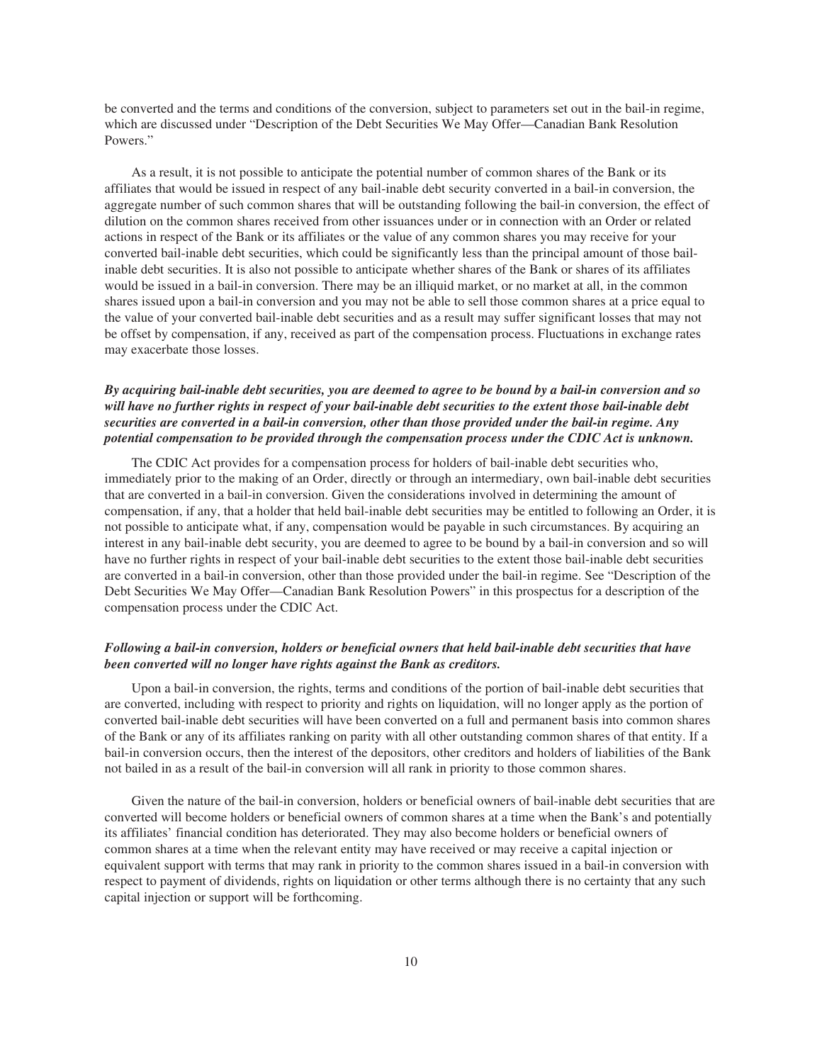be converted and the terms and conditions of the conversion, subject to parameters set out in the bail-in regime, which are discussed under "Description of the Debt Securities We May Offer—Canadian Bank Resolution Powers."

As a result, it is not possible to anticipate the potential number of common shares of the Bank or its affiliates that would be issued in respect of any bail-inable debt security converted in a bail-in conversion, the aggregate number of such common shares that will be outstanding following the bail-in conversion, the effect of dilution on the common shares received from other issuances under or in connection with an Order or related actions in respect of the Bank or its affiliates or the value of any common shares you may receive for your converted bail-inable debt securities, which could be significantly less than the principal amount of those bailinable debt securities. It is also not possible to anticipate whether shares of the Bank or shares of its affiliates would be issued in a bail-in conversion. There may be an illiquid market, or no market at all, in the common shares issued upon a bail-in conversion and you may not be able to sell those common shares at a price equal to the value of your converted bail-inable debt securities and as a result may suffer significant losses that may not be offset by compensation, if any, received as part of the compensation process. Fluctuations in exchange rates may exacerbate those losses.

# *By acquiring bail-inable debt securities, you are deemed to agree to be bound by a bail-in conversion and so will have no further rights in respect of your bail-inable debt securities to the extent those bail-inable debt securities are converted in a bail-in conversion, other than those provided under the bail-in regime. Any potential compensation to be provided through the compensation process under the CDIC Act is unknown.*

The CDIC Act provides for a compensation process for holders of bail-inable debt securities who, immediately prior to the making of an Order, directly or through an intermediary, own bail-inable debt securities that are converted in a bail-in conversion. Given the considerations involved in determining the amount of compensation, if any, that a holder that held bail-inable debt securities may be entitled to following an Order, it is not possible to anticipate what, if any, compensation would be payable in such circumstances. By acquiring an interest in any bail-inable debt security, you are deemed to agree to be bound by a bail-in conversion and so will have no further rights in respect of your bail-inable debt securities to the extent those bail-inable debt securities are converted in a bail-in conversion, other than those provided under the bail-in regime. See "Description of the Debt Securities We May Offer—Canadian Bank Resolution Powers" in this prospectus for a description of the compensation process under the CDIC Act.

### *Following a bail-in conversion, holders or beneficial owners that held bail-inable debt securities that have been converted will no longer have rights against the Bank as creditors.*

Upon a bail-in conversion, the rights, terms and conditions of the portion of bail-inable debt securities that are converted, including with respect to priority and rights on liquidation, will no longer apply as the portion of converted bail-inable debt securities will have been converted on a full and permanent basis into common shares of the Bank or any of its affiliates ranking on parity with all other outstanding common shares of that entity. If a bail-in conversion occurs, then the interest of the depositors, other creditors and holders of liabilities of the Bank not bailed in as a result of the bail-in conversion will all rank in priority to those common shares.

Given the nature of the bail-in conversion, holders or beneficial owners of bail-inable debt securities that are converted will become holders or beneficial owners of common shares at a time when the Bank's and potentially its affiliates' financial condition has deteriorated. They may also become holders or beneficial owners of common shares at a time when the relevant entity may have received or may receive a capital injection or equivalent support with terms that may rank in priority to the common shares issued in a bail-in conversion with respect to payment of dividends, rights on liquidation or other terms although there is no certainty that any such capital injection or support will be forthcoming.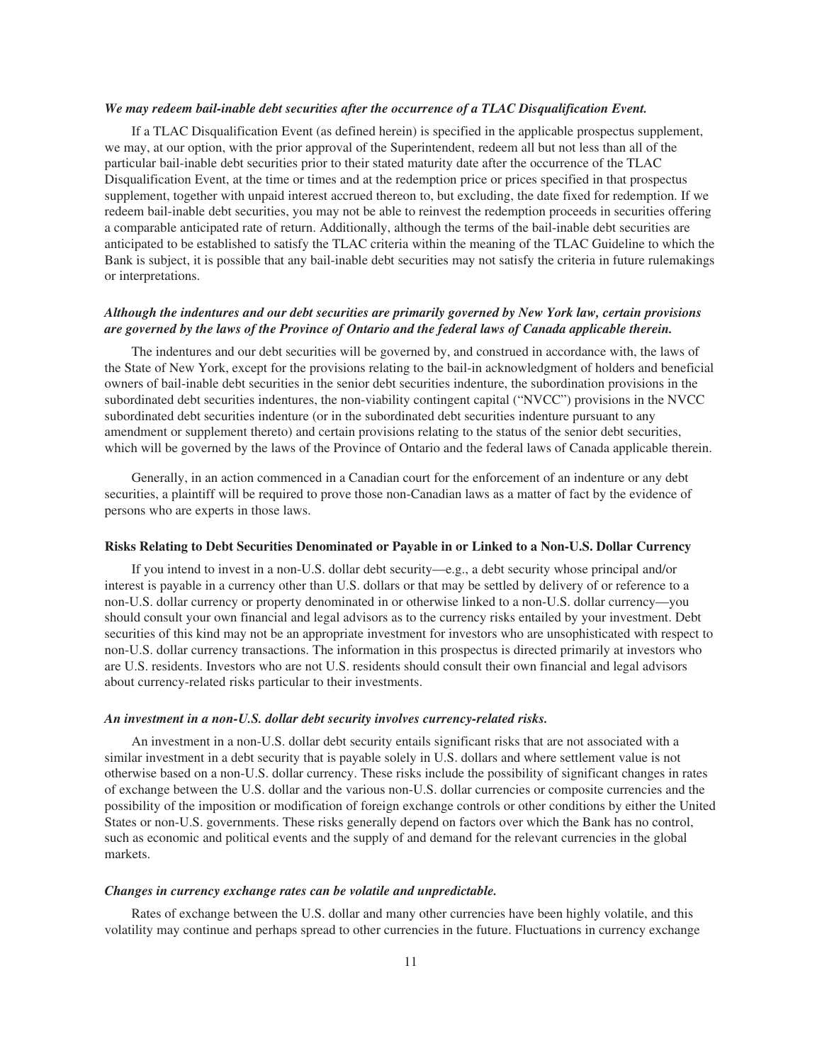#### *We may redeem bail-inable debt securities after the occurrence of a TLAC Disqualification Event.*

If a TLAC Disqualification Event (as defined herein) is specified in the applicable prospectus supplement, we may, at our option, with the prior approval of the Superintendent, redeem all but not less than all of the particular bail-inable debt securities prior to their stated maturity date after the occurrence of the TLAC Disqualification Event, at the time or times and at the redemption price or prices specified in that prospectus supplement, together with unpaid interest accrued thereon to, but excluding, the date fixed for redemption. If we redeem bail-inable debt securities, you may not be able to reinvest the redemption proceeds in securities offering a comparable anticipated rate of return. Additionally, although the terms of the bail-inable debt securities are anticipated to be established to satisfy the TLAC criteria within the meaning of the TLAC Guideline to which the Bank is subject, it is possible that any bail-inable debt securities may not satisfy the criteria in future rulemakings or interpretations.

### *Although the indentures and our debt securities are primarily governed by New York law, certain provisions are governed by the laws of the Province of Ontario and the federal laws of Canada applicable therein.*

The indentures and our debt securities will be governed by, and construed in accordance with, the laws of the State of New York, except for the provisions relating to the bail-in acknowledgment of holders and beneficial owners of bail-inable debt securities in the senior debt securities indenture, the subordination provisions in the subordinated debt securities indentures, the non-viability contingent capital ("NVCC") provisions in the NVCC subordinated debt securities indenture (or in the subordinated debt securities indenture pursuant to any amendment or supplement thereto) and certain provisions relating to the status of the senior debt securities, which will be governed by the laws of the Province of Ontario and the federal laws of Canada applicable therein.

Generally, in an action commenced in a Canadian court for the enforcement of an indenture or any debt securities, a plaintiff will be required to prove those non-Canadian laws as a matter of fact by the evidence of persons who are experts in those laws.

### **Risks Relating to Debt Securities Denominated or Payable in or Linked to a Non-U.S. Dollar Currency**

If you intend to invest in a non-U.S. dollar debt security—e.g., a debt security whose principal and/or interest is payable in a currency other than U.S. dollars or that may be settled by delivery of or reference to a non-U.S. dollar currency or property denominated in or otherwise linked to a non-U.S. dollar currency—you should consult your own financial and legal advisors as to the currency risks entailed by your investment. Debt securities of this kind may not be an appropriate investment for investors who are unsophisticated with respect to non-U.S. dollar currency transactions. The information in this prospectus is directed primarily at investors who are U.S. residents. Investors who are not U.S. residents should consult their own financial and legal advisors about currency-related risks particular to their investments.

#### *An investment in a non-U.S. dollar debt security involves currency-related risks.*

An investment in a non-U.S. dollar debt security entails significant risks that are not associated with a similar investment in a debt security that is payable solely in U.S. dollars and where settlement value is not otherwise based on a non-U.S. dollar currency. These risks include the possibility of significant changes in rates of exchange between the U.S. dollar and the various non-U.S. dollar currencies or composite currencies and the possibility of the imposition or modification of foreign exchange controls or other conditions by either the United States or non-U.S. governments. These risks generally depend on factors over which the Bank has no control, such as economic and political events and the supply of and demand for the relevant currencies in the global markets.

#### *Changes in currency exchange rates can be volatile and unpredictable.*

Rates of exchange between the U.S. dollar and many other currencies have been highly volatile, and this volatility may continue and perhaps spread to other currencies in the future. Fluctuations in currency exchange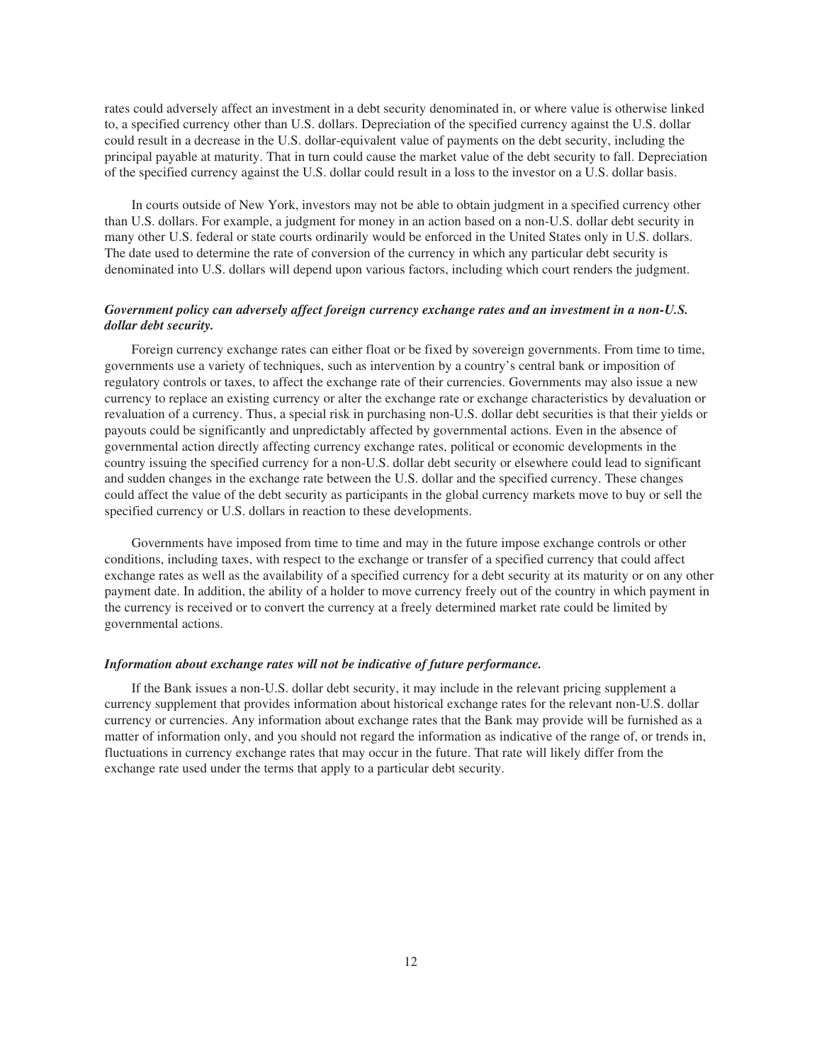rates could adversely affect an investment in a debt security denominated in, or where value is otherwise linked to, a specified currency other than U.S. dollars. Depreciation of the specified currency against the U.S. dollar could result in a decrease in the U.S. dollar-equivalent value of payments on the debt security, including the principal payable at maturity. That in turn could cause the market value of the debt security to fall. Depreciation of the specified currency against the U.S. dollar could result in a loss to the investor on a U.S. dollar basis.

In courts outside of New York, investors may not be able to obtain judgment in a specified currency other than U.S. dollars. For example, a judgment for money in an action based on a non-U.S. dollar debt security in many other U.S. federal or state courts ordinarily would be enforced in the United States only in U.S. dollars. The date used to determine the rate of conversion of the currency in which any particular debt security is denominated into U.S. dollars will depend upon various factors, including which court renders the judgment.

### *Government policy can adversely affect foreign currency exchange rates and an investment in a non-U.S. dollar debt security.*

Foreign currency exchange rates can either float or be fixed by sovereign governments. From time to time, governments use a variety of techniques, such as intervention by a country's central bank or imposition of regulatory controls or taxes, to affect the exchange rate of their currencies. Governments may also issue a new currency to replace an existing currency or alter the exchange rate or exchange characteristics by devaluation or revaluation of a currency. Thus, a special risk in purchasing non-U.S. dollar debt securities is that their yields or payouts could be significantly and unpredictably affected by governmental actions. Even in the absence of governmental action directly affecting currency exchange rates, political or economic developments in the country issuing the specified currency for a non-U.S. dollar debt security or elsewhere could lead to significant and sudden changes in the exchange rate between the U.S. dollar and the specified currency. These changes could affect the value of the debt security as participants in the global currency markets move to buy or sell the specified currency or U.S. dollars in reaction to these developments.

Governments have imposed from time to time and may in the future impose exchange controls or other conditions, including taxes, with respect to the exchange or transfer of a specified currency that could affect exchange rates as well as the availability of a specified currency for a debt security at its maturity or on any other payment date. In addition, the ability of a holder to move currency freely out of the country in which payment in the currency is received or to convert the currency at a freely determined market rate could be limited by governmental actions.

### *Information about exchange rates will not be indicative of future performance.*

If the Bank issues a non-U.S. dollar debt security, it may include in the relevant pricing supplement a currency supplement that provides information about historical exchange rates for the relevant non-U.S. dollar currency or currencies. Any information about exchange rates that the Bank may provide will be furnished as a matter of information only, and you should not regard the information as indicative of the range of, or trends in, fluctuations in currency exchange rates that may occur in the future. That rate will likely differ from the exchange rate used under the terms that apply to a particular debt security.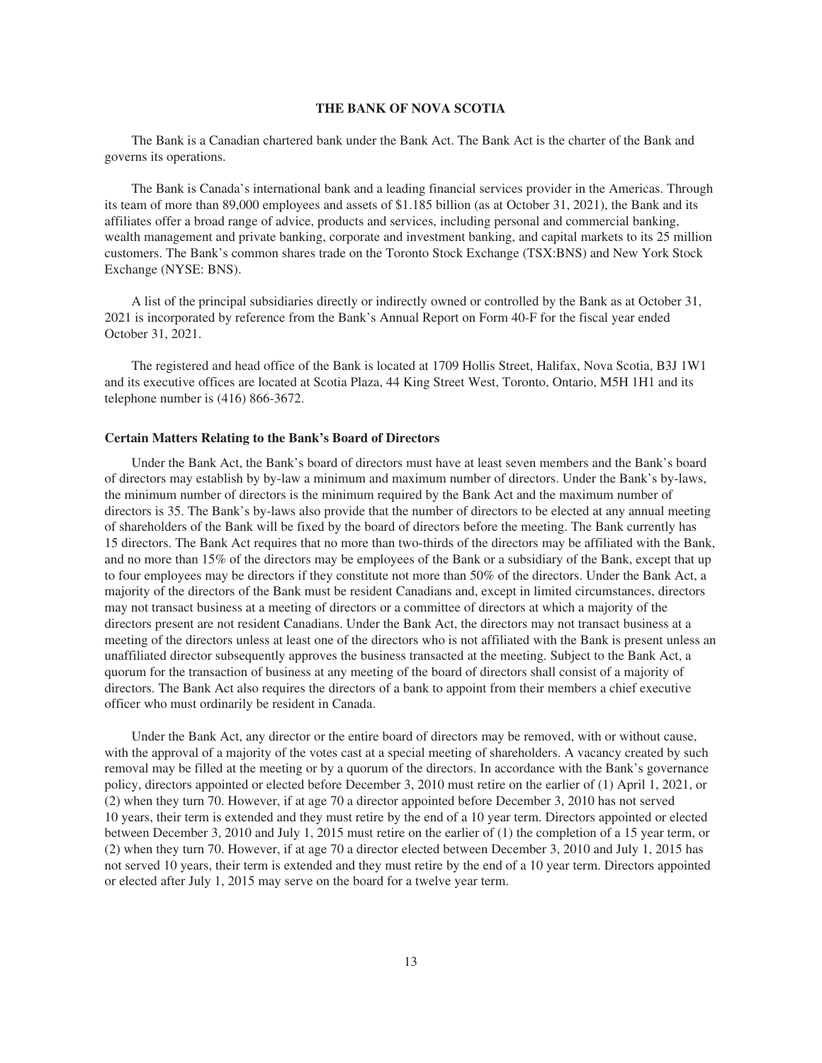### **THE BANK OF NOVA SCOTIA**

<span id="page-60-0"></span>The Bank is a Canadian chartered bank under the Bank Act. The Bank Act is the charter of the Bank and governs its operations.

The Bank is Canada's international bank and a leading financial services provider in the Americas. Through its team of more than 89,000 employees and assets of \$1.185 billion (as at October 31, 2021), the Bank and its affiliates offer a broad range of advice, products and services, including personal and commercial banking, wealth management and private banking, corporate and investment banking, and capital markets to its 25 million customers. The Bank's common shares trade on the Toronto Stock Exchange (TSX:BNS) and New York Stock Exchange (NYSE: BNS).

A list of the principal subsidiaries directly or indirectly owned or controlled by the Bank as at October 31, 2021 is incorporated by reference from the Bank's Annual Report on Form 40-F for the fiscal year ended October 31, 2021.

The registered and head office of the Bank is located at 1709 Hollis Street, Halifax, Nova Scotia, B3J 1W1 and its executive offices are located at Scotia Plaza, 44 King Street West, Toronto, Ontario, M5H 1H1 and its telephone number is (416) 866-3672.

#### **Certain Matters Relating to the Bank's Board of Directors**

Under the Bank Act, the Bank's board of directors must have at least seven members and the Bank's board of directors may establish by by-law a minimum and maximum number of directors. Under the Bank's by-laws, the minimum number of directors is the minimum required by the Bank Act and the maximum number of directors is 35. The Bank's by-laws also provide that the number of directors to be elected at any annual meeting of shareholders of the Bank will be fixed by the board of directors before the meeting. The Bank currently has 15 directors. The Bank Act requires that no more than two-thirds of the directors may be affiliated with the Bank, and no more than 15% of the directors may be employees of the Bank or a subsidiary of the Bank, except that up to four employees may be directors if they constitute not more than 50% of the directors. Under the Bank Act, a majority of the directors of the Bank must be resident Canadians and, except in limited circumstances, directors may not transact business at a meeting of directors or a committee of directors at which a majority of the directors present are not resident Canadians. Under the Bank Act, the directors may not transact business at a meeting of the directors unless at least one of the directors who is not affiliated with the Bank is present unless an unaffiliated director subsequently approves the business transacted at the meeting. Subject to the Bank Act, a quorum for the transaction of business at any meeting of the board of directors shall consist of a majority of directors. The Bank Act also requires the directors of a bank to appoint from their members a chief executive officer who must ordinarily be resident in Canada.

Under the Bank Act, any director or the entire board of directors may be removed, with or without cause, with the approval of a majority of the votes cast at a special meeting of shareholders. A vacancy created by such removal may be filled at the meeting or by a quorum of the directors. In accordance with the Bank's governance policy, directors appointed or elected before December 3, 2010 must retire on the earlier of (1) April 1, 2021, or (2) when they turn 70. However, if at age 70 a director appointed before December 3, 2010 has not served 10 years, their term is extended and they must retire by the end of a 10 year term. Directors appointed or elected between December 3, 2010 and July 1, 2015 must retire on the earlier of (1) the completion of a 15 year term, or (2) when they turn 70. However, if at age 70 a director elected between December 3, 2010 and July 1, 2015 has not served 10 years, their term is extended and they must retire by the end of a 10 year term. Directors appointed or elected after July 1, 2015 may serve on the board for a twelve year term.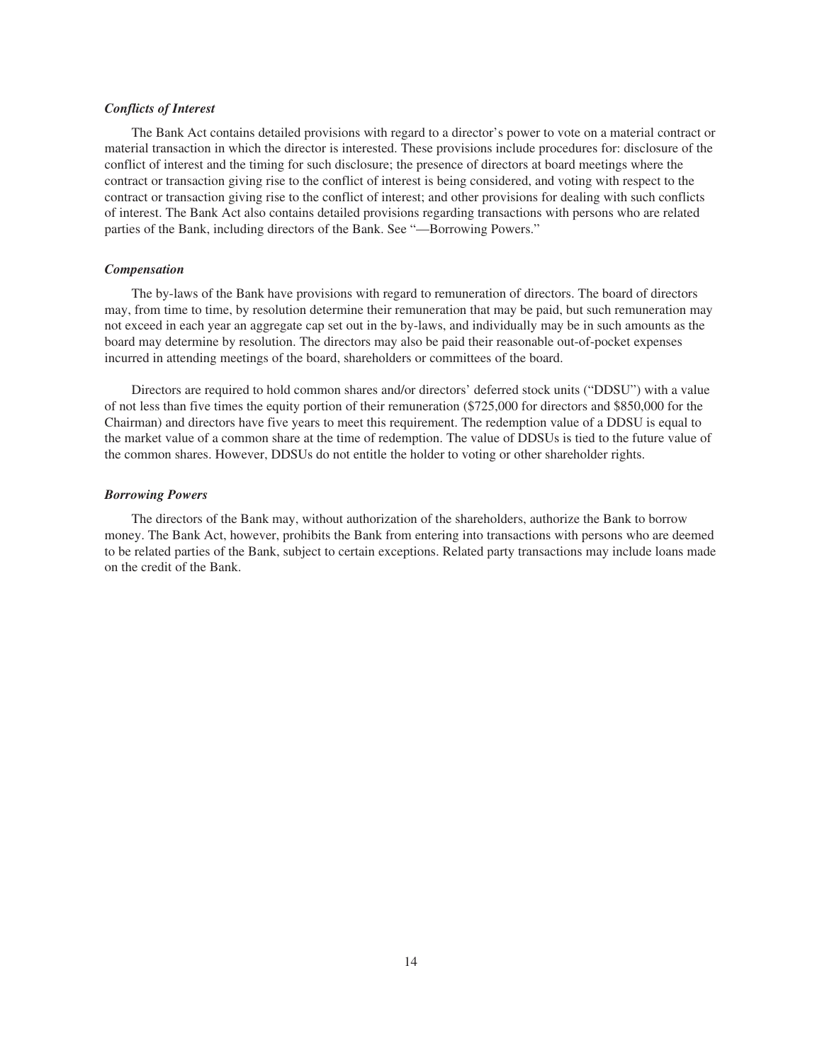### *Conflicts of Interest*

The Bank Act contains detailed provisions with regard to a director's power to vote on a material contract or material transaction in which the director is interested. These provisions include procedures for: disclosure of the conflict of interest and the timing for such disclosure; the presence of directors at board meetings where the contract or transaction giving rise to the conflict of interest is being considered, and voting with respect to the contract or transaction giving rise to the conflict of interest; and other provisions for dealing with such conflicts of interest. The Bank Act also contains detailed provisions regarding transactions with persons who are related parties of the Bank, including directors of the Bank. See "—Borrowing Powers."

### *Compensation*

The by-laws of the Bank have provisions with regard to remuneration of directors. The board of directors may, from time to time, by resolution determine their remuneration that may be paid, but such remuneration may not exceed in each year an aggregate cap set out in the by-laws, and individually may be in such amounts as the board may determine by resolution. The directors may also be paid their reasonable out-of-pocket expenses incurred in attending meetings of the board, shareholders or committees of the board.

Directors are required to hold common shares and/or directors' deferred stock units ("DDSU") with a value of not less than five times the equity portion of their remuneration (\$725,000 for directors and \$850,000 for the Chairman) and directors have five years to meet this requirement. The redemption value of a DDSU is equal to the market value of a common share at the time of redemption. The value of DDSUs is tied to the future value of the common shares. However, DDSUs do not entitle the holder to voting or other shareholder rights.

### *Borrowing Powers*

The directors of the Bank may, without authorization of the shareholders, authorize the Bank to borrow money. The Bank Act, however, prohibits the Bank from entering into transactions with persons who are deemed to be related parties of the Bank, subject to certain exceptions. Related party transactions may include loans made on the credit of the Bank.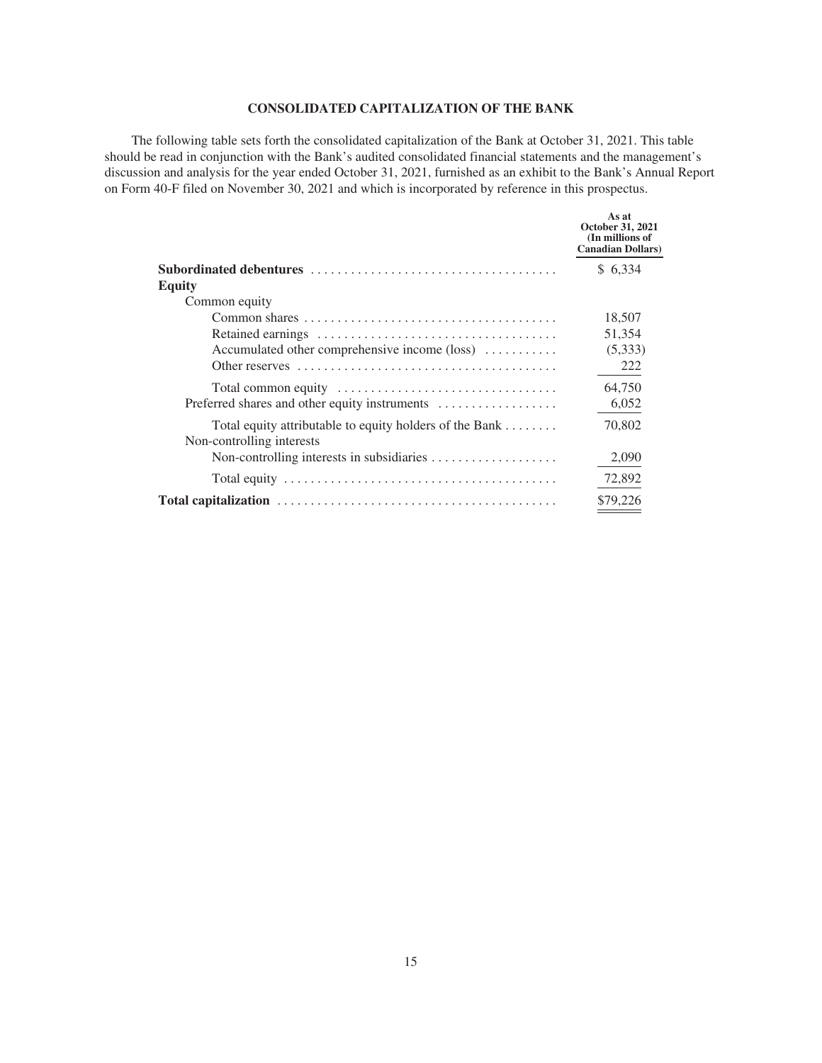# **CONSOLIDATED CAPITALIZATION OF THE BANK**

<span id="page-62-0"></span>The following table sets forth the consolidated capitalization of the Bank at October 31, 2021. This table should be read in conjunction with the Bank's audited consolidated financial statements and the management's discussion and analysis for the year ended October 31, 2021, furnished as an exhibit to the Bank's Annual Report on Form 40-F filed on November 30, 2021 and which is incorporated by reference in this prospectus.

|                                                                                                    | \$6,334  |
|----------------------------------------------------------------------------------------------------|----------|
| <b>Equity</b>                                                                                      |          |
| Common equity                                                                                      |          |
|                                                                                                    | 18,507   |
|                                                                                                    | 51,354   |
| Accumulated other comprehensive income (loss)                                                      | (5,333)  |
|                                                                                                    | 222      |
|                                                                                                    | 64,750   |
| Preferred shares and other equity instruments                                                      | 6,052    |
| Total equity attributable to equity holders of the Bank $\dots \dots$<br>Non-controlling interests | 70,802   |
| Non-controlling interests in subsidiaries $\dots \dots \dots \dots \dots$                          | 2,090    |
|                                                                                                    | 72,892   |
|                                                                                                    | \$79,226 |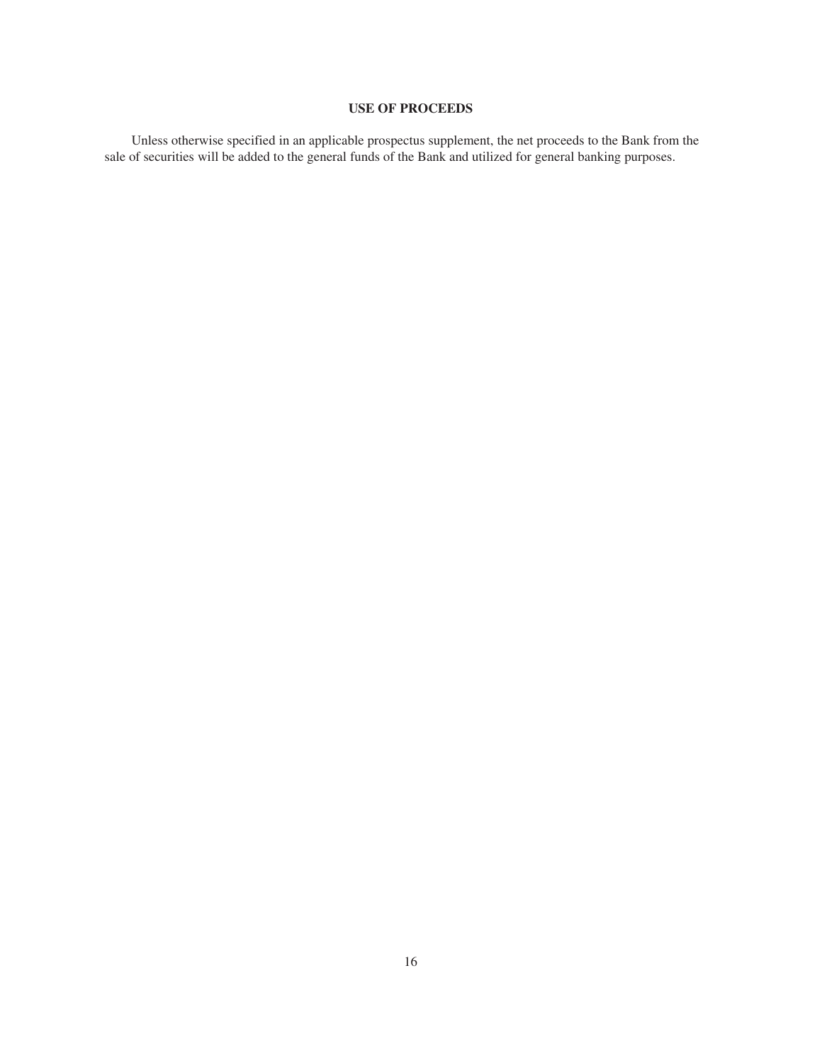# **USE OF PROCEEDS**

<span id="page-63-0"></span>Unless otherwise specified in an applicable prospectus supplement, the net proceeds to the Bank from the sale of securities will be added to the general funds of the Bank and utilized for general banking purposes.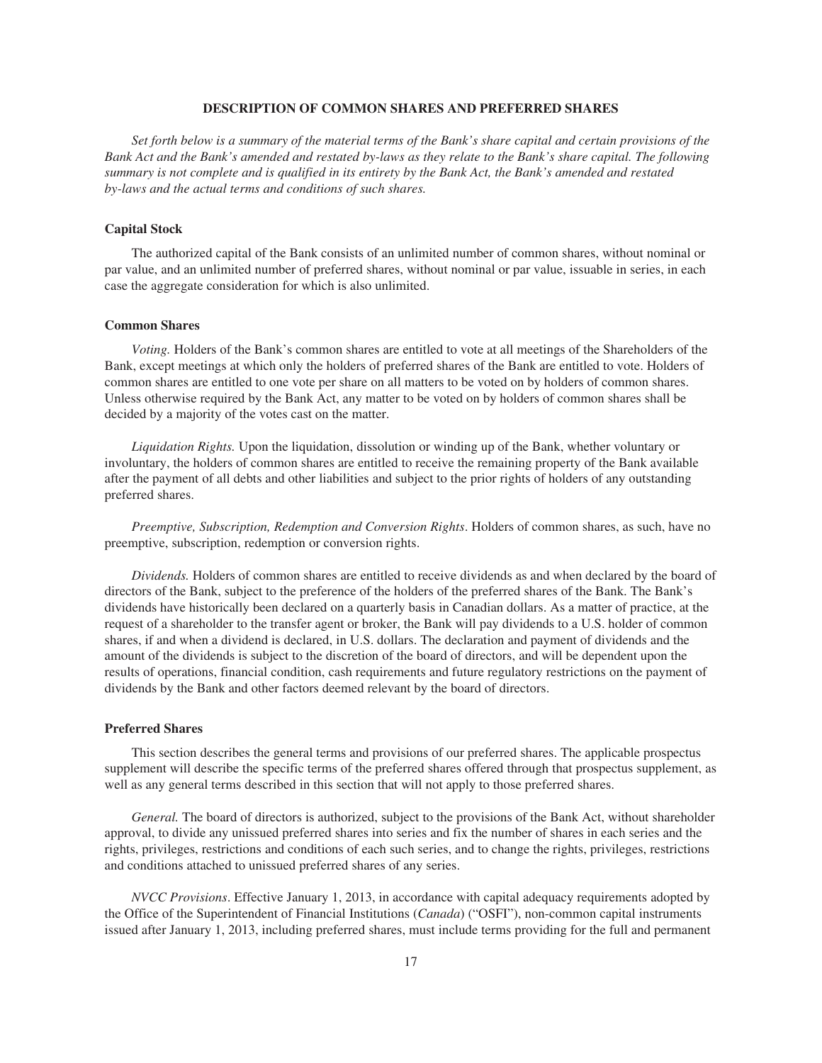### **DESCRIPTION OF COMMON SHARES AND PREFERRED SHARES**

<span id="page-64-0"></span>*Set forth below is a summary of the material terms of the Bank's share capital and certain provisions of the Bank Act and the Bank's amended and restated by-laws as they relate to the Bank's share capital. The following summary is not complete and is qualified in its entirety by the Bank Act, the Bank's amended and restated by-laws and the actual terms and conditions of such shares.*

### **Capital Stock**

The authorized capital of the Bank consists of an unlimited number of common shares, without nominal or par value, and an unlimited number of preferred shares, without nominal or par value, issuable in series, in each case the aggregate consideration for which is also unlimited.

### **Common Shares**

*Voting.* Holders of the Bank's common shares are entitled to vote at all meetings of the Shareholders of the Bank, except meetings at which only the holders of preferred shares of the Bank are entitled to vote. Holders of common shares are entitled to one vote per share on all matters to be voted on by holders of common shares. Unless otherwise required by the Bank Act, any matter to be voted on by holders of common shares shall be decided by a majority of the votes cast on the matter.

*Liquidation Rights.* Upon the liquidation, dissolution or winding up of the Bank, whether voluntary or involuntary, the holders of common shares are entitled to receive the remaining property of the Bank available after the payment of all debts and other liabilities and subject to the prior rights of holders of any outstanding preferred shares.

*Preemptive, Subscription, Redemption and Conversion Rights*. Holders of common shares, as such, have no preemptive, subscription, redemption or conversion rights.

*Dividends.* Holders of common shares are entitled to receive dividends as and when declared by the board of directors of the Bank, subject to the preference of the holders of the preferred shares of the Bank. The Bank's dividends have historically been declared on a quarterly basis in Canadian dollars. As a matter of practice, at the request of a shareholder to the transfer agent or broker, the Bank will pay dividends to a U.S. holder of common shares, if and when a dividend is declared, in U.S. dollars. The declaration and payment of dividends and the amount of the dividends is subject to the discretion of the board of directors, and will be dependent upon the results of operations, financial condition, cash requirements and future regulatory restrictions on the payment of dividends by the Bank and other factors deemed relevant by the board of directors.

### **Preferred Shares**

This section describes the general terms and provisions of our preferred shares. The applicable prospectus supplement will describe the specific terms of the preferred shares offered through that prospectus supplement, as well as any general terms described in this section that will not apply to those preferred shares.

*General.* The board of directors is authorized, subject to the provisions of the Bank Act, without shareholder approval, to divide any unissued preferred shares into series and fix the number of shares in each series and the rights, privileges, restrictions and conditions of each such series, and to change the rights, privileges, restrictions and conditions attached to unissued preferred shares of any series.

*NVCC Provisions*. Effective January 1, 2013, in accordance with capital adequacy requirements adopted by the Office of the Superintendent of Financial Institutions (*Canada*) ("OSFI"), non-common capital instruments issued after January 1, 2013, including preferred shares, must include terms providing for the full and permanent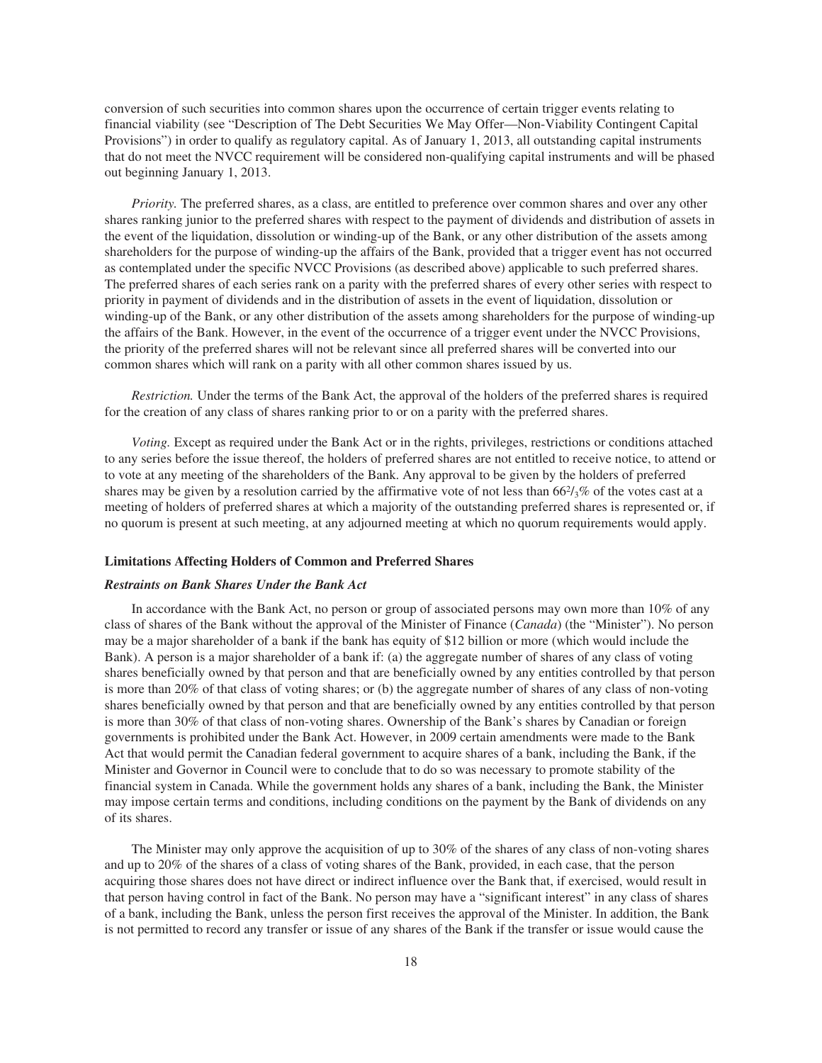conversion of such securities into common shares upon the occurrence of certain trigger events relating to financial viability (see "Description of The Debt Securities We May Offer—Non-Viability Contingent Capital Provisions") in order to qualify as regulatory capital. As of January 1, 2013, all outstanding capital instruments that do not meet the NVCC requirement will be considered non-qualifying capital instruments and will be phased out beginning January 1, 2013.

*Priority.* The preferred shares, as a class, are entitled to preference over common shares and over any other shares ranking junior to the preferred shares with respect to the payment of dividends and distribution of assets in the event of the liquidation, dissolution or winding-up of the Bank, or any other distribution of the assets among shareholders for the purpose of winding-up the affairs of the Bank, provided that a trigger event has not occurred as contemplated under the specific NVCC Provisions (as described above) applicable to such preferred shares. The preferred shares of each series rank on a parity with the preferred shares of every other series with respect to priority in payment of dividends and in the distribution of assets in the event of liquidation, dissolution or winding-up of the Bank, or any other distribution of the assets among shareholders for the purpose of winding-up the affairs of the Bank. However, in the event of the occurrence of a trigger event under the NVCC Provisions, the priority of the preferred shares will not be relevant since all preferred shares will be converted into our common shares which will rank on a parity with all other common shares issued by us.

*Restriction.* Under the terms of the Bank Act, the approval of the holders of the preferred shares is required for the creation of any class of shares ranking prior to or on a parity with the preferred shares.

*Voting.* Except as required under the Bank Act or in the rights, privileges, restrictions or conditions attached to any series before the issue thereof, the holders of preferred shares are not entitled to receive notice, to attend or to vote at any meeting of the shareholders of the Bank. Any approval to be given by the holders of preferred shares may be given by a resolution carried by the affirmative vote of not less than  $66\frac{2}{3}\%$  of the votes cast at a meeting of holders of preferred shares at which a majority of the outstanding preferred shares is represented or, if no quorum is present at such meeting, at any adjourned meeting at which no quorum requirements would apply.

### **Limitations Affecting Holders of Common and Preferred Shares**

### *Restraints on Bank Shares Under the Bank Act*

In accordance with the Bank Act, no person or group of associated persons may own more than 10% of any class of shares of the Bank without the approval of the Minister of Finance (*Canada*) (the "Minister"). No person may be a major shareholder of a bank if the bank has equity of \$12 billion or more (which would include the Bank). A person is a major shareholder of a bank if: (a) the aggregate number of shares of any class of voting shares beneficially owned by that person and that are beneficially owned by any entities controlled by that person is more than 20% of that class of voting shares; or (b) the aggregate number of shares of any class of non-voting shares beneficially owned by that person and that are beneficially owned by any entities controlled by that person is more than 30% of that class of non-voting shares. Ownership of the Bank's shares by Canadian or foreign governments is prohibited under the Bank Act. However, in 2009 certain amendments were made to the Bank Act that would permit the Canadian federal government to acquire shares of a bank, including the Bank, if the Minister and Governor in Council were to conclude that to do so was necessary to promote stability of the financial system in Canada. While the government holds any shares of a bank, including the Bank, the Minister may impose certain terms and conditions, including conditions on the payment by the Bank of dividends on any of its shares.

The Minister may only approve the acquisition of up to 30% of the shares of any class of non-voting shares and up to 20% of the shares of a class of voting shares of the Bank, provided, in each case, that the person acquiring those shares does not have direct or indirect influence over the Bank that, if exercised, would result in that person having control in fact of the Bank. No person may have a "significant interest" in any class of shares of a bank, including the Bank, unless the person first receives the approval of the Minister. In addition, the Bank is not permitted to record any transfer or issue of any shares of the Bank if the transfer or issue would cause the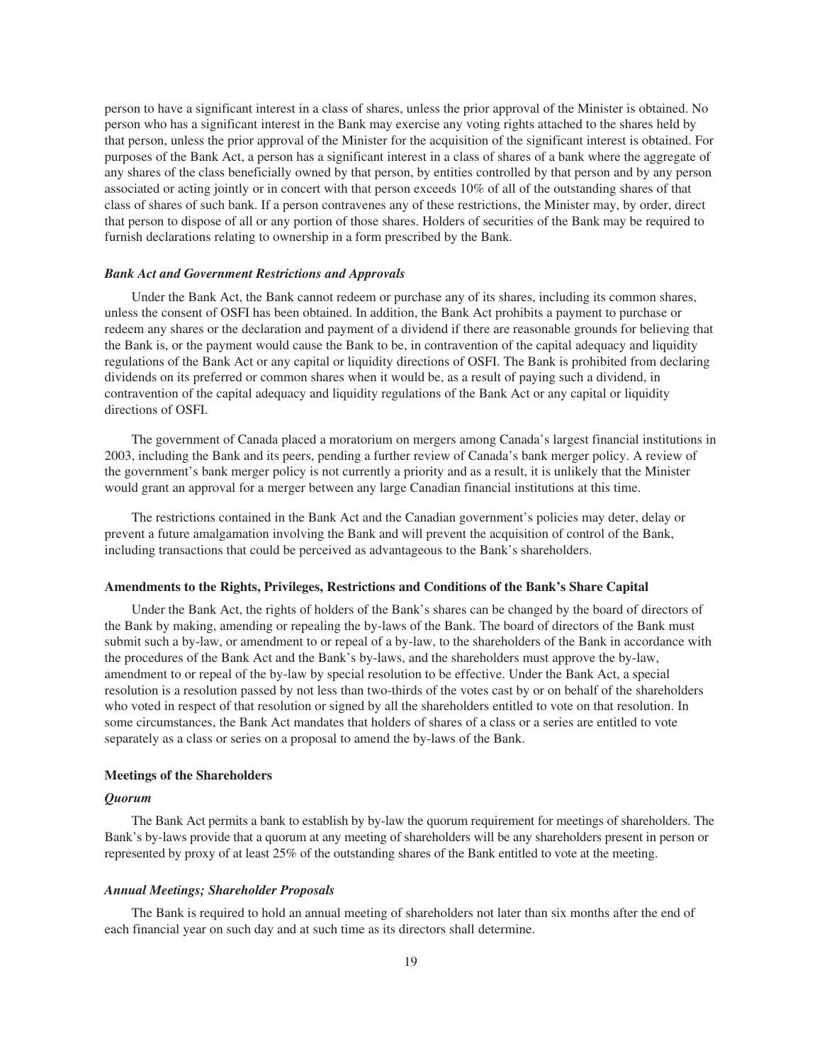person to have a significant interest in a class of shares, unless the prior approval of the Minister is obtained. No person who has a significant interest in the Bank may exercise any voting rights attached to the shares held by that person, unless the prior approval of the Minister for the acquisition of the significant interest is obtained. For purposes of the Bank Act, a person has a significant interest in a class of shares of a bank where the aggregate of any shares of the class beneficially owned by that person, by entities controlled by that person and by any person associated or acting jointly or in concert with that person exceeds 10% of all of the outstanding shares of that class of shares of such bank. If a person contravenes any of these restrictions, the Minister may, by order, direct that person to dispose of all or any portion of those shares. Holders of securities of the Bank may be required to furnish declarations relating to ownership in a form prescribed by the Bank.

### *Bank Act and Government Restrictions and Approvals*

Under the Bank Act, the Bank cannot redeem or purchase any of its shares, including its common shares, unless the consent of OSFI has been obtained. In addition, the Bank Act prohibits a payment to purchase or redeem any shares or the declaration and payment of a dividend if there are reasonable grounds for believing that the Bank is, or the payment would cause the Bank to be, in contravention of the capital adequacy and liquidity regulations of the Bank Act or any capital or liquidity directions of OSFI. The Bank is prohibited from declaring dividends on its preferred or common shares when it would be, as a result of paying such a dividend, in contravention of the capital adequacy and liquidity regulations of the Bank Act or any capital or liquidity directions of OSFI.

The government of Canada placed a moratorium on mergers among Canada's largest financial institutions in 2003, including the Bank and its peers, pending a further review of Canada's bank merger policy. A review of the government's bank merger policy is not currently a priority and as a result, it is unlikely that the Minister would grant an approval for a merger between any large Canadian financial institutions at this time.

The restrictions contained in the Bank Act and the Canadian government's policies may deter, delay or prevent a future amalgamation involving the Bank and will prevent the acquisition of control of the Bank, including transactions that could be perceived as advantageous to the Bank's shareholders.

#### **Amendments to the Rights, Privileges, Restrictions and Conditions of the Bank's Share Capital**

Under the Bank Act, the rights of holders of the Bank's shares can be changed by the board of directors of the Bank by making, amending or repealing the by-laws of the Bank. The board of directors of the Bank must submit such a by-law, or amendment to or repeal of a by-law, to the shareholders of the Bank in accordance with the procedures of the Bank Act and the Bank's by-laws, and the shareholders must approve the by-law, amendment to or repeal of the by-law by special resolution to be effective. Under the Bank Act, a special resolution is a resolution passed by not less than two-thirds of the votes cast by or on behalf of the shareholders who voted in respect of that resolution or signed by all the shareholders entitled to vote on that resolution. In some circumstances, the Bank Act mandates that holders of shares of a class or a series are entitled to vote separately as a class or series on a proposal to amend the by-laws of the Bank.

### **Meetings of the Shareholders**

### *Quorum*

The Bank Act permits a bank to establish by by-law the quorum requirement for meetings of shareholders. The Bank's by-laws provide that a quorum at any meeting of shareholders will be any shareholders present in person or represented by proxy of at least 25% of the outstanding shares of the Bank entitled to vote at the meeting.

#### *Annual Meetings; Shareholder Proposals*

The Bank is required to hold an annual meeting of shareholders not later than six months after the end of each financial year on such day and at such time as its directors shall determine.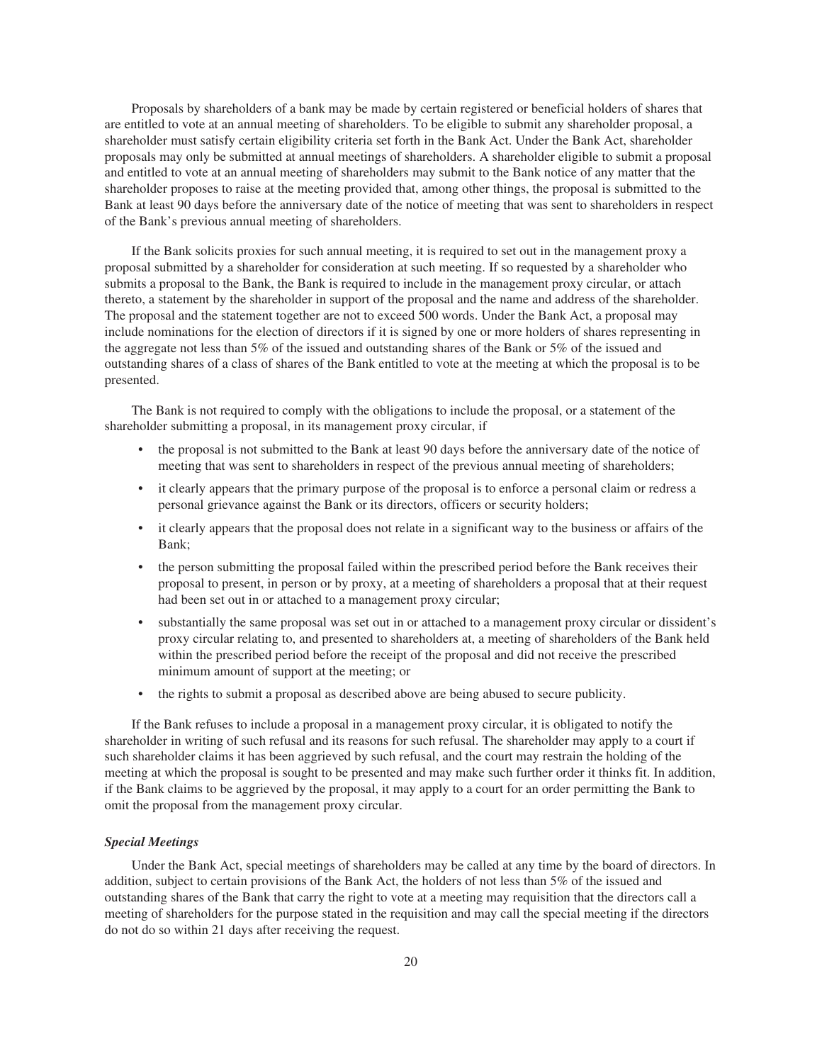Proposals by shareholders of a bank may be made by certain registered or beneficial holders of shares that are entitled to vote at an annual meeting of shareholders. To be eligible to submit any shareholder proposal, a shareholder must satisfy certain eligibility criteria set forth in the Bank Act. Under the Bank Act, shareholder proposals may only be submitted at annual meetings of shareholders. A shareholder eligible to submit a proposal and entitled to vote at an annual meeting of shareholders may submit to the Bank notice of any matter that the shareholder proposes to raise at the meeting provided that, among other things, the proposal is submitted to the Bank at least 90 days before the anniversary date of the notice of meeting that was sent to shareholders in respect of the Bank's previous annual meeting of shareholders.

If the Bank solicits proxies for such annual meeting, it is required to set out in the management proxy a proposal submitted by a shareholder for consideration at such meeting. If so requested by a shareholder who submits a proposal to the Bank, the Bank is required to include in the management proxy circular, or attach thereto, a statement by the shareholder in support of the proposal and the name and address of the shareholder. The proposal and the statement together are not to exceed 500 words. Under the Bank Act, a proposal may include nominations for the election of directors if it is signed by one or more holders of shares representing in the aggregate not less than 5% of the issued and outstanding shares of the Bank or 5% of the issued and outstanding shares of a class of shares of the Bank entitled to vote at the meeting at which the proposal is to be presented.

The Bank is not required to comply with the obligations to include the proposal, or a statement of the shareholder submitting a proposal, in its management proxy circular, if

- the proposal is not submitted to the Bank at least 90 days before the anniversary date of the notice of meeting that was sent to shareholders in respect of the previous annual meeting of shareholders;
- it clearly appears that the primary purpose of the proposal is to enforce a personal claim or redress a personal grievance against the Bank or its directors, officers or security holders;
- it clearly appears that the proposal does not relate in a significant way to the business or affairs of the Bank;
- the person submitting the proposal failed within the prescribed period before the Bank receives their proposal to present, in person or by proxy, at a meeting of shareholders a proposal that at their request had been set out in or attached to a management proxy circular;
- substantially the same proposal was set out in or attached to a management proxy circular or dissident's proxy circular relating to, and presented to shareholders at, a meeting of shareholders of the Bank held within the prescribed period before the receipt of the proposal and did not receive the prescribed minimum amount of support at the meeting; or
- the rights to submit a proposal as described above are being abused to secure publicity.

If the Bank refuses to include a proposal in a management proxy circular, it is obligated to notify the shareholder in writing of such refusal and its reasons for such refusal. The shareholder may apply to a court if such shareholder claims it has been aggrieved by such refusal, and the court may restrain the holding of the meeting at which the proposal is sought to be presented and may make such further order it thinks fit. In addition, if the Bank claims to be aggrieved by the proposal, it may apply to a court for an order permitting the Bank to omit the proposal from the management proxy circular.

### *Special Meetings*

Under the Bank Act, special meetings of shareholders may be called at any time by the board of directors. In addition, subject to certain provisions of the Bank Act, the holders of not less than 5% of the issued and outstanding shares of the Bank that carry the right to vote at a meeting may requisition that the directors call a meeting of shareholders for the purpose stated in the requisition and may call the special meeting if the directors do not do so within 21 days after receiving the request.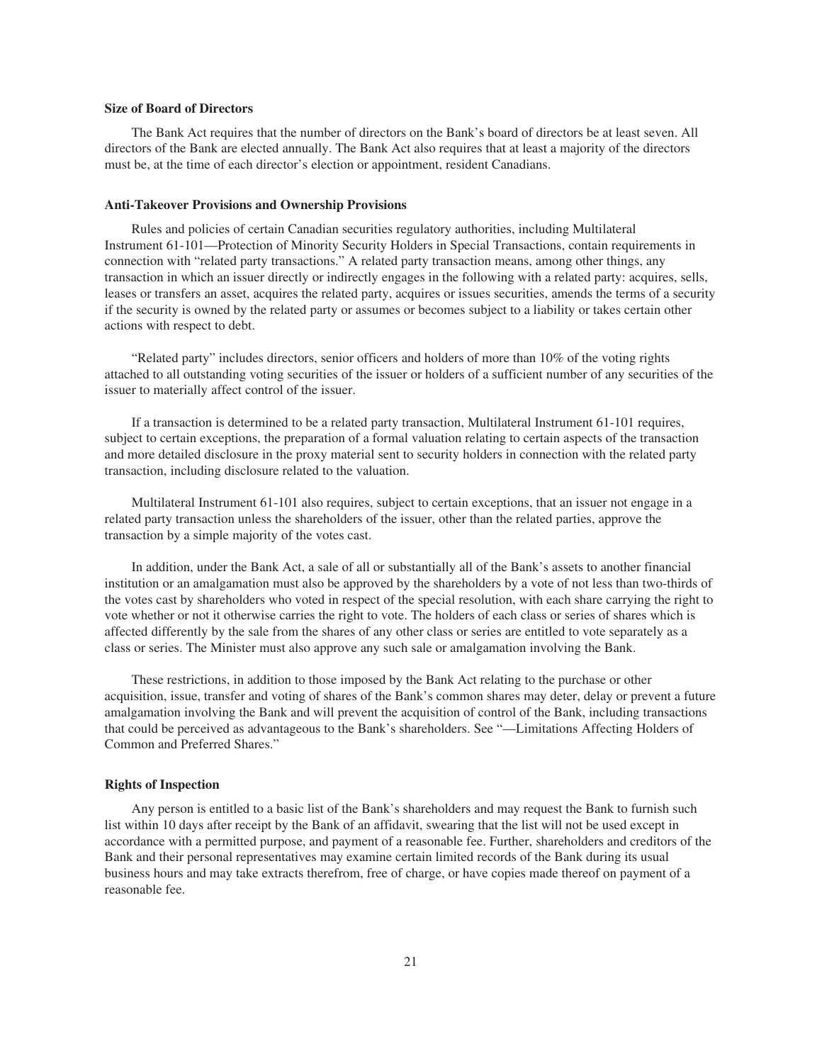### **Size of Board of Directors**

The Bank Act requires that the number of directors on the Bank's board of directors be at least seven. All directors of the Bank are elected annually. The Bank Act also requires that at least a majority of the directors must be, at the time of each director's election or appointment, resident Canadians.

### **Anti-Takeover Provisions and Ownership Provisions**

Rules and policies of certain Canadian securities regulatory authorities, including Multilateral Instrument 61-101—Protection of Minority Security Holders in Special Transactions, contain requirements in connection with "related party transactions." A related party transaction means, among other things, any transaction in which an issuer directly or indirectly engages in the following with a related party: acquires, sells, leases or transfers an asset, acquires the related party, acquires or issues securities, amends the terms of a security if the security is owned by the related party or assumes or becomes subject to a liability or takes certain other actions with respect to debt.

"Related party" includes directors, senior officers and holders of more than 10% of the voting rights attached to all outstanding voting securities of the issuer or holders of a sufficient number of any securities of the issuer to materially affect control of the issuer.

If a transaction is determined to be a related party transaction, Multilateral Instrument 61-101 requires, subject to certain exceptions, the preparation of a formal valuation relating to certain aspects of the transaction and more detailed disclosure in the proxy material sent to security holders in connection with the related party transaction, including disclosure related to the valuation.

Multilateral Instrument 61-101 also requires, subject to certain exceptions, that an issuer not engage in a related party transaction unless the shareholders of the issuer, other than the related parties, approve the transaction by a simple majority of the votes cast.

In addition, under the Bank Act, a sale of all or substantially all of the Bank's assets to another financial institution or an amalgamation must also be approved by the shareholders by a vote of not less than two-thirds of the votes cast by shareholders who voted in respect of the special resolution, with each share carrying the right to vote whether or not it otherwise carries the right to vote. The holders of each class or series of shares which is affected differently by the sale from the shares of any other class or series are entitled to vote separately as a class or series. The Minister must also approve any such sale or amalgamation involving the Bank.

These restrictions, in addition to those imposed by the Bank Act relating to the purchase or other acquisition, issue, transfer and voting of shares of the Bank's common shares may deter, delay or prevent a future amalgamation involving the Bank and will prevent the acquisition of control of the Bank, including transactions that could be perceived as advantageous to the Bank's shareholders. See "—Limitations Affecting Holders of Common and Preferred Shares."

#### **Rights of Inspection**

Any person is entitled to a basic list of the Bank's shareholders and may request the Bank to furnish such list within 10 days after receipt by the Bank of an affidavit, swearing that the list will not be used except in accordance with a permitted purpose, and payment of a reasonable fee. Further, shareholders and creditors of the Bank and their personal representatives may examine certain limited records of the Bank during its usual business hours and may take extracts therefrom, free of charge, or have copies made thereof on payment of a reasonable fee.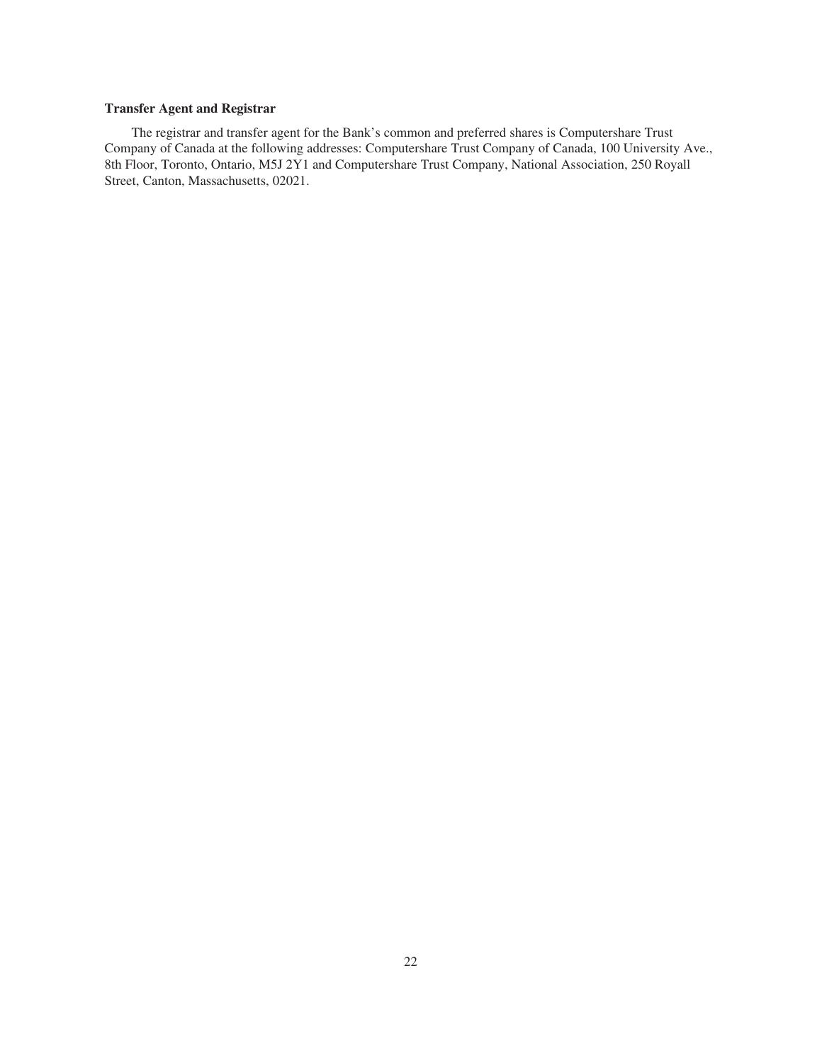### **Transfer Agent and Registrar**

The registrar and transfer agent for the Bank's common and preferred shares is Computershare Trust Company of Canada at the following addresses: Computershare Trust Company of Canada, 100 University Ave., 8th Floor, Toronto, Ontario, M5J 2Y1 and Computershare Trust Company, National Association, 250 Royall Street, Canton, Massachusetts, 02021.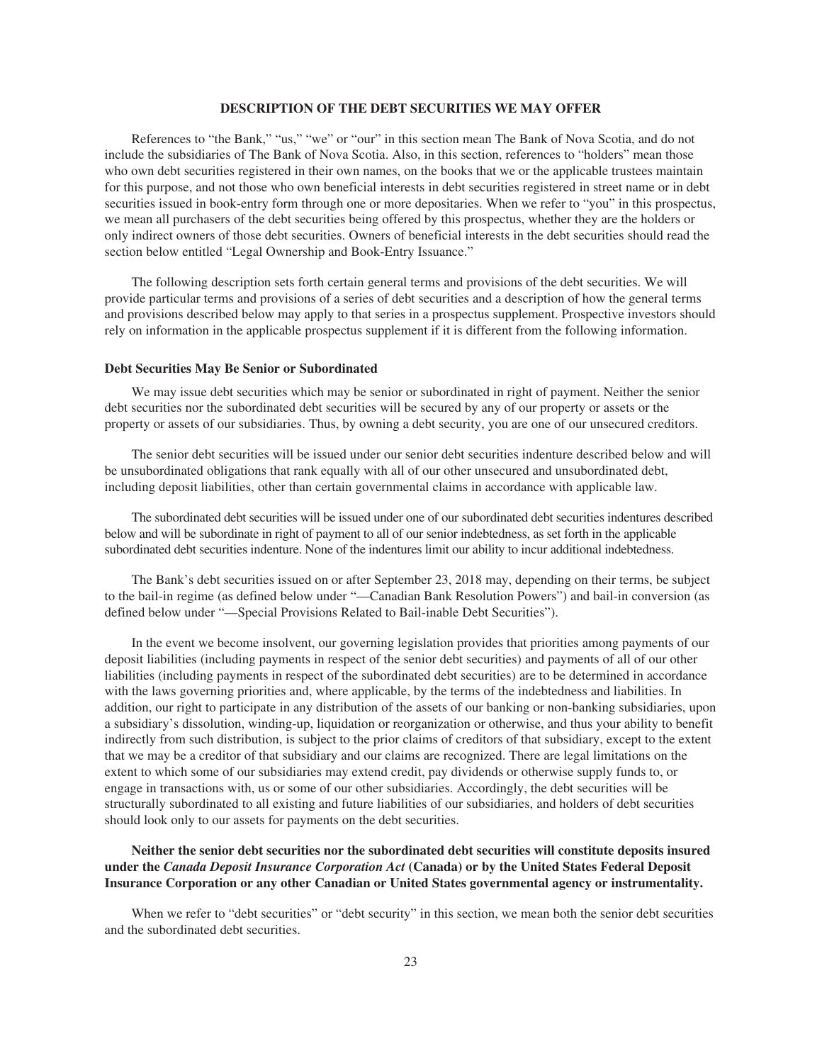### **DESCRIPTION OF THE DEBT SECURITIES WE MAY OFFER**

<span id="page-70-0"></span>References to "the Bank," "us," "we" or "our" in this section mean The Bank of Nova Scotia, and do not include the subsidiaries of The Bank of Nova Scotia. Also, in this section, references to "holders" mean those who own debt securities registered in their own names, on the books that we or the applicable trustees maintain for this purpose, and not those who own beneficial interests in debt securities registered in street name or in debt securities issued in book-entry form through one or more depositaries. When we refer to "you" in this prospectus, we mean all purchasers of the debt securities being offered by this prospectus, whether they are the holders or only indirect owners of those debt securities. Owners of beneficial interests in the debt securities should read the section below entitled "Legal Ownership and Book-Entry Issuance."

The following description sets forth certain general terms and provisions of the debt securities. We will provide particular terms and provisions of a series of debt securities and a description of how the general terms and provisions described below may apply to that series in a prospectus supplement. Prospective investors should rely on information in the applicable prospectus supplement if it is different from the following information.

#### **Debt Securities May Be Senior or Subordinated**

We may issue debt securities which may be senior or subordinated in right of payment. Neither the senior debt securities nor the subordinated debt securities will be secured by any of our property or assets or the property or assets of our subsidiaries. Thus, by owning a debt security, you are one of our unsecured creditors.

The senior debt securities will be issued under our senior debt securities indenture described below and will be unsubordinated obligations that rank equally with all of our other unsecured and unsubordinated debt, including deposit liabilities, other than certain governmental claims in accordance with applicable law.

The subordinated debt securities will be issued under one of our subordinated debt securities indentures described below and will be subordinate in right of payment to all of our senior indebtedness, as set forth in the applicable subordinated debt securities indenture. None of the indentures limit our ability to incur additional indebtedness.

The Bank's debt securities issued on or after September 23, 2018 may, depending on their terms, be subject to the bail-in regime (as defined below under "—Canadian Bank Resolution Powers") and bail-in conversion (as defined below under "—Special Provisions Related to Bail-inable Debt Securities").

In the event we become insolvent, our governing legislation provides that priorities among payments of our deposit liabilities (including payments in respect of the senior debt securities) and payments of all of our other liabilities (including payments in respect of the subordinated debt securities) are to be determined in accordance with the laws governing priorities and, where applicable, by the terms of the indebtedness and liabilities. In addition, our right to participate in any distribution of the assets of our banking or non-banking subsidiaries, upon a subsidiary's dissolution, winding-up, liquidation or reorganization or otherwise, and thus your ability to benefit indirectly from such distribution, is subject to the prior claims of creditors of that subsidiary, except to the extent that we may be a creditor of that subsidiary and our claims are recognized. There are legal limitations on the extent to which some of our subsidiaries may extend credit, pay dividends or otherwise supply funds to, or engage in transactions with, us or some of our other subsidiaries. Accordingly, the debt securities will be structurally subordinated to all existing and future liabilities of our subsidiaries, and holders of debt securities should look only to our assets for payments on the debt securities.

**Neither the senior debt securities nor the subordinated debt securities will constitute deposits insured under the** *Canada Deposit Insurance Corporation Act* **(Canada) or by the United States Federal Deposit Insurance Corporation or any other Canadian or United States governmental agency or instrumentality.**

When we refer to "debt securities" or "debt security" in this section, we mean both the senior debt securities and the subordinated debt securities.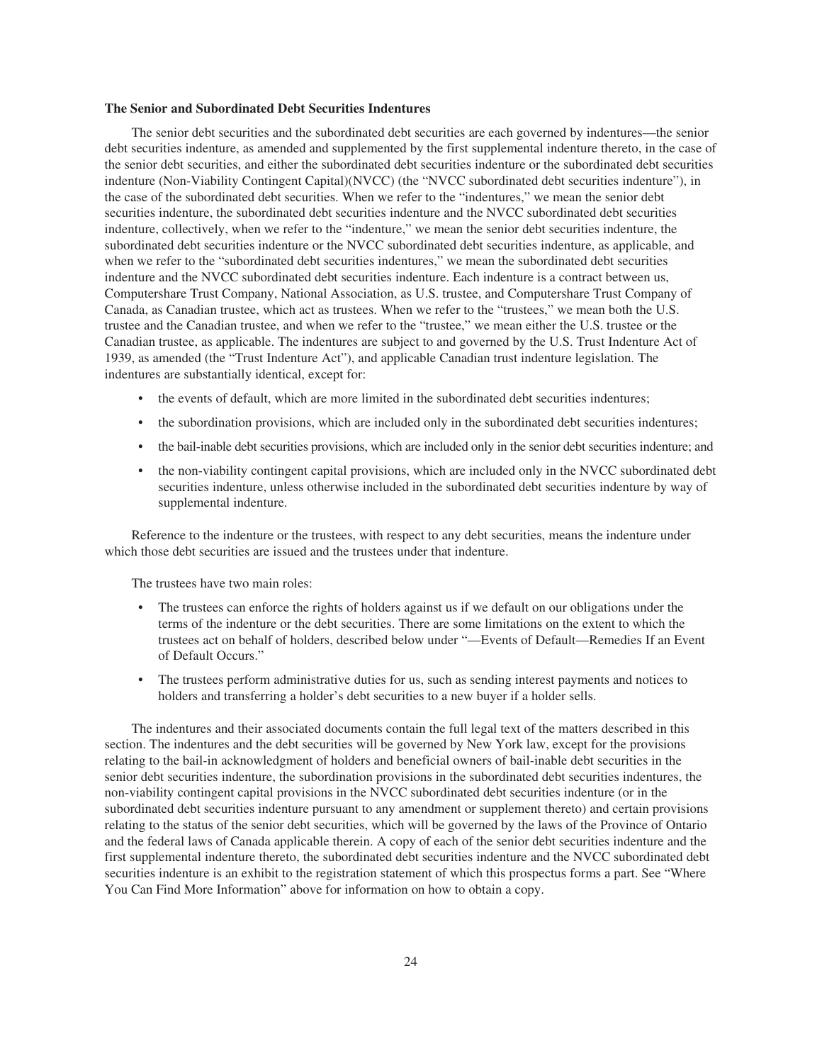### **The Senior and Subordinated Debt Securities Indentures**

The senior debt securities and the subordinated debt securities are each governed by indentures—the senior debt securities indenture, as amended and supplemented by the first supplemental indenture thereto, in the case of the senior debt securities, and either the subordinated debt securities indenture or the subordinated debt securities indenture (Non-Viability Contingent Capital)(NVCC) (the "NVCC subordinated debt securities indenture"), in the case of the subordinated debt securities. When we refer to the "indentures," we mean the senior debt securities indenture, the subordinated debt securities indenture and the NVCC subordinated debt securities indenture, collectively, when we refer to the "indenture," we mean the senior debt securities indenture, the subordinated debt securities indenture or the NVCC subordinated debt securities indenture, as applicable, and when we refer to the "subordinated debt securities indentures," we mean the subordinated debt securities indenture and the NVCC subordinated debt securities indenture. Each indenture is a contract between us, Computershare Trust Company, National Association, as U.S. trustee, and Computershare Trust Company of Canada, as Canadian trustee, which act as trustees. When we refer to the "trustees," we mean both the U.S. trustee and the Canadian trustee, and when we refer to the "trustee," we mean either the U.S. trustee or the Canadian trustee, as applicable. The indentures are subject to and governed by the U.S. Trust Indenture Act of 1939, as amended (the "Trust Indenture Act"), and applicable Canadian trust indenture legislation. The indentures are substantially identical, except for:

- the events of default, which are more limited in the subordinated debt securities indentures;
- the subordination provisions, which are included only in the subordinated debt securities indentures;
- the bail-inable debt securities provisions, which are included only in the senior debt securities indenture; and
- the non-viability contingent capital provisions, which are included only in the NVCC subordinated debt securities indenture, unless otherwise included in the subordinated debt securities indenture by way of supplemental indenture.

Reference to the indenture or the trustees, with respect to any debt securities, means the indenture under which those debt securities are issued and the trustees under that indenture.

The trustees have two main roles:

- The trustees can enforce the rights of holders against us if we default on our obligations under the terms of the indenture or the debt securities. There are some limitations on the extent to which the trustees act on behalf of holders, described below under "—Events of Default—Remedies If an Event of Default Occurs."
- The trustees perform administrative duties for us, such as sending interest payments and notices to holders and transferring a holder's debt securities to a new buyer if a holder sells.

The indentures and their associated documents contain the full legal text of the matters described in this section. The indentures and the debt securities will be governed by New York law, except for the provisions relating to the bail-in acknowledgment of holders and beneficial owners of bail-inable debt securities in the senior debt securities indenture, the subordination provisions in the subordinated debt securities indentures, the non-viability contingent capital provisions in the NVCC subordinated debt securities indenture (or in the subordinated debt securities indenture pursuant to any amendment or supplement thereto) and certain provisions relating to the status of the senior debt securities, which will be governed by the laws of the Province of Ontario and the federal laws of Canada applicable therein. A copy of each of the senior debt securities indenture and the first supplemental indenture thereto, the subordinated debt securities indenture and the NVCC subordinated debt securities indenture is an exhibit to the registration statement of which this prospectus forms a part. See "Where You Can Find More Information" above for information on how to obtain a copy.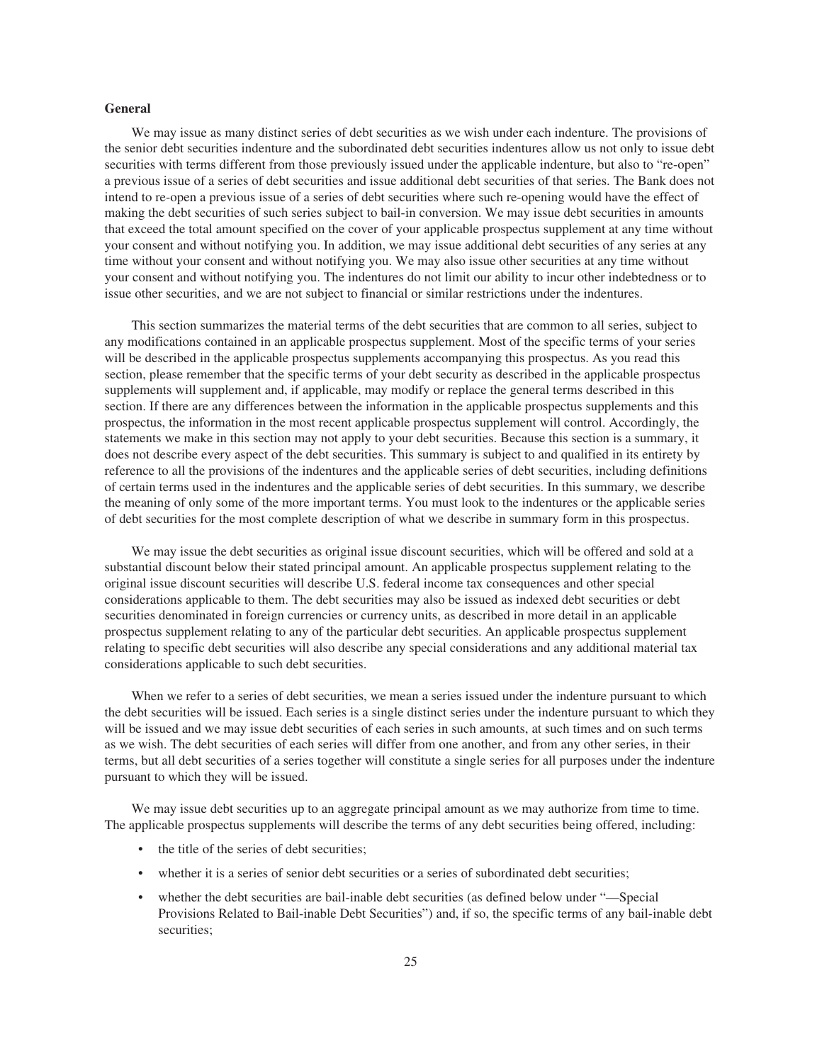# **General**

We may issue as many distinct series of debt securities as we wish under each indenture. The provisions of the senior debt securities indenture and the subordinated debt securities indentures allow us not only to issue debt securities with terms different from those previously issued under the applicable indenture, but also to "re-open" a previous issue of a series of debt securities and issue additional debt securities of that series. The Bank does not intend to re-open a previous issue of a series of debt securities where such re-opening would have the effect of making the debt securities of such series subject to bail-in conversion. We may issue debt securities in amounts that exceed the total amount specified on the cover of your applicable prospectus supplement at any time without your consent and without notifying you. In addition, we may issue additional debt securities of any series at any time without your consent and without notifying you. We may also issue other securities at any time without your consent and without notifying you. The indentures do not limit our ability to incur other indebtedness or to issue other securities, and we are not subject to financial or similar restrictions under the indentures.

This section summarizes the material terms of the debt securities that are common to all series, subject to any modifications contained in an applicable prospectus supplement. Most of the specific terms of your series will be described in the applicable prospectus supplements accompanying this prospectus. As you read this section, please remember that the specific terms of your debt security as described in the applicable prospectus supplements will supplement and, if applicable, may modify or replace the general terms described in this section. If there are any differences between the information in the applicable prospectus supplements and this prospectus, the information in the most recent applicable prospectus supplement will control. Accordingly, the statements we make in this section may not apply to your debt securities. Because this section is a summary, it does not describe every aspect of the debt securities. This summary is subject to and qualified in its entirety by reference to all the provisions of the indentures and the applicable series of debt securities, including definitions of certain terms used in the indentures and the applicable series of debt securities. In this summary, we describe the meaning of only some of the more important terms. You must look to the indentures or the applicable series of debt securities for the most complete description of what we describe in summary form in this prospectus.

We may issue the debt securities as original issue discount securities, which will be offered and sold at a substantial discount below their stated principal amount. An applicable prospectus supplement relating to the original issue discount securities will describe U.S. federal income tax consequences and other special considerations applicable to them. The debt securities may also be issued as indexed debt securities or debt securities denominated in foreign currencies or currency units, as described in more detail in an applicable prospectus supplement relating to any of the particular debt securities. An applicable prospectus supplement relating to specific debt securities will also describe any special considerations and any additional material tax considerations applicable to such debt securities.

When we refer to a series of debt securities, we mean a series issued under the indenture pursuant to which the debt securities will be issued. Each series is a single distinct series under the indenture pursuant to which they will be issued and we may issue debt securities of each series in such amounts, at such times and on such terms as we wish. The debt securities of each series will differ from one another, and from any other series, in their terms, but all debt securities of a series together will constitute a single series for all purposes under the indenture pursuant to which they will be issued.

We may issue debt securities up to an aggregate principal amount as we may authorize from time to time. The applicable prospectus supplements will describe the terms of any debt securities being offered, including:

- the title of the series of debt securities;
- whether it is a series of senior debt securities or a series of subordinated debt securities;
- whether the debt securities are bail-inable debt securities (as defined below under "—Special Provisions Related to Bail-inable Debt Securities") and, if so, the specific terms of any bail-inable debt securities;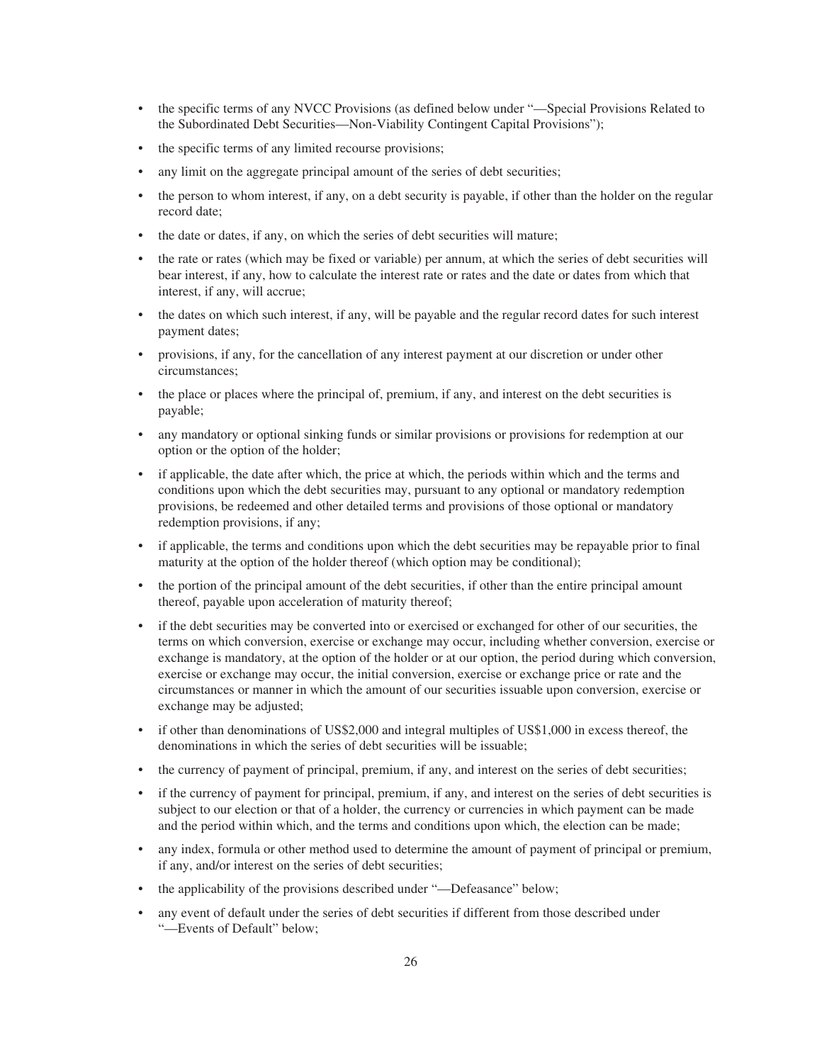- the specific terms of any NVCC Provisions (as defined below under "—Special Provisions Related to the Subordinated Debt Securities—Non-Viability Contingent Capital Provisions");
- the specific terms of any limited recourse provisions;
- any limit on the aggregate principal amount of the series of debt securities;
- the person to whom interest, if any, on a debt security is payable, if other than the holder on the regular record date;
- the date or dates, if any, on which the series of debt securities will mature;
- the rate or rates (which may be fixed or variable) per annum, at which the series of debt securities will bear interest, if any, how to calculate the interest rate or rates and the date or dates from which that interest, if any, will accrue;
- the dates on which such interest, if any, will be payable and the regular record dates for such interest payment dates;
- provisions, if any, for the cancellation of any interest payment at our discretion or under other circumstances;
- the place or places where the principal of, premium, if any, and interest on the debt securities is payable;
- any mandatory or optional sinking funds or similar provisions or provisions for redemption at our option or the option of the holder;
- if applicable, the date after which, the price at which, the periods within which and the terms and conditions upon which the debt securities may, pursuant to any optional or mandatory redemption provisions, be redeemed and other detailed terms and provisions of those optional or mandatory redemption provisions, if any;
- if applicable, the terms and conditions upon which the debt securities may be repayable prior to final maturity at the option of the holder thereof (which option may be conditional);
- the portion of the principal amount of the debt securities, if other than the entire principal amount thereof, payable upon acceleration of maturity thereof;
- if the debt securities may be converted into or exercised or exchanged for other of our securities, the terms on which conversion, exercise or exchange may occur, including whether conversion, exercise or exchange is mandatory, at the option of the holder or at our option, the period during which conversion, exercise or exchange may occur, the initial conversion, exercise or exchange price or rate and the circumstances or manner in which the amount of our securities issuable upon conversion, exercise or exchange may be adjusted;
- if other than denominations of US\$2,000 and integral multiples of US\$1,000 in excess thereof, the denominations in which the series of debt securities will be issuable;
- the currency of payment of principal, premium, if any, and interest on the series of debt securities;
- if the currency of payment for principal, premium, if any, and interest on the series of debt securities is subject to our election or that of a holder, the currency or currencies in which payment can be made and the period within which, and the terms and conditions upon which, the election can be made;
- any index, formula or other method used to determine the amount of payment of principal or premium, if any, and/or interest on the series of debt securities;
- the applicability of the provisions described under "—Defeasance" below;
- any event of default under the series of debt securities if different from those described under "—Events of Default" below;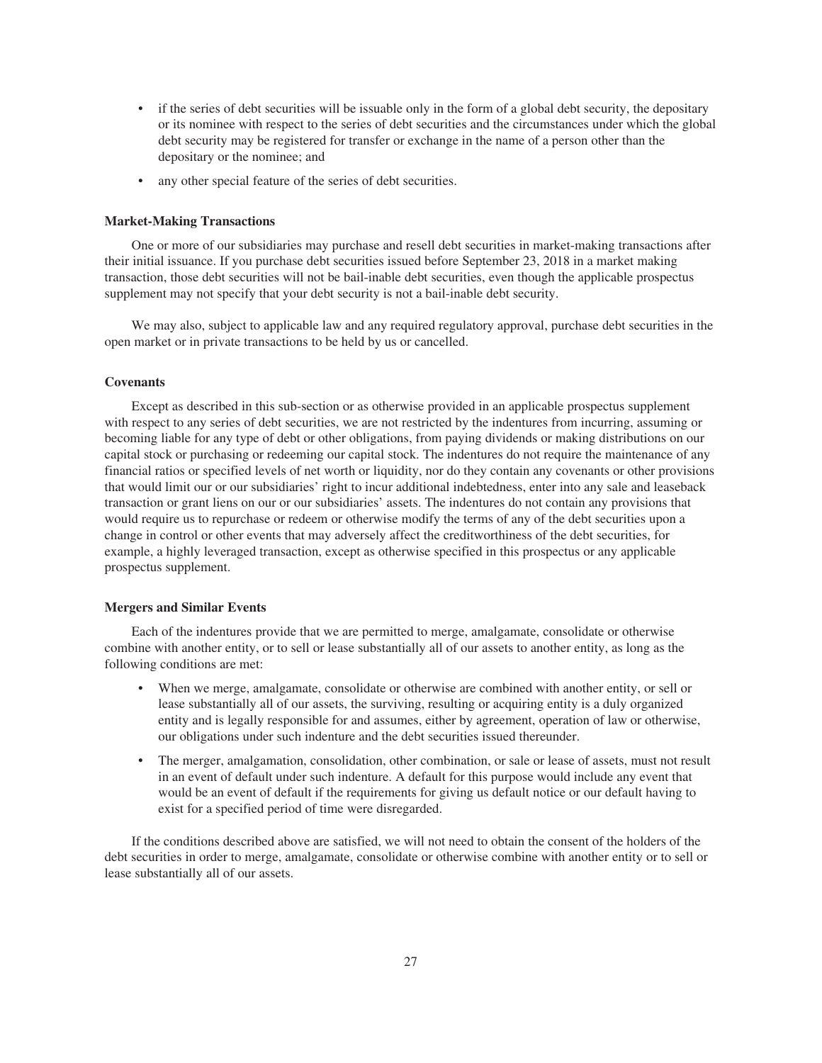- if the series of debt securities will be issuable only in the form of a global debt security, the depositary or its nominee with respect to the series of debt securities and the circumstances under which the global debt security may be registered for transfer or exchange in the name of a person other than the depositary or the nominee; and
- any other special feature of the series of debt securities.

# **Market-Making Transactions**

One or more of our subsidiaries may purchase and resell debt securities in market-making transactions after their initial issuance. If you purchase debt securities issued before September 23, 2018 in a market making transaction, those debt securities will not be bail-inable debt securities, even though the applicable prospectus supplement may not specify that your debt security is not a bail-inable debt security.

We may also, subject to applicable law and any required regulatory approval, purchase debt securities in the open market or in private transactions to be held by us or cancelled.

### **Covenants**

Except as described in this sub-section or as otherwise provided in an applicable prospectus supplement with respect to any series of debt securities, we are not restricted by the indentures from incurring, assuming or becoming liable for any type of debt or other obligations, from paying dividends or making distributions on our capital stock or purchasing or redeeming our capital stock. The indentures do not require the maintenance of any financial ratios or specified levels of net worth or liquidity, nor do they contain any covenants or other provisions that would limit our or our subsidiaries' right to incur additional indebtedness, enter into any sale and leaseback transaction or grant liens on our or our subsidiaries' assets. The indentures do not contain any provisions that would require us to repurchase or redeem or otherwise modify the terms of any of the debt securities upon a change in control or other events that may adversely affect the creditworthiness of the debt securities, for example, a highly leveraged transaction, except as otherwise specified in this prospectus or any applicable prospectus supplement.

# **Mergers and Similar Events**

Each of the indentures provide that we are permitted to merge, amalgamate, consolidate or otherwise combine with another entity, or to sell or lease substantially all of our assets to another entity, as long as the following conditions are met:

- When we merge, amalgamate, consolidate or otherwise are combined with another entity, or sell or lease substantially all of our assets, the surviving, resulting or acquiring entity is a duly organized entity and is legally responsible for and assumes, either by agreement, operation of law or otherwise, our obligations under such indenture and the debt securities issued thereunder.
- The merger, amalgamation, consolidation, other combination, or sale or lease of assets, must not result in an event of default under such indenture. A default for this purpose would include any event that would be an event of default if the requirements for giving us default notice or our default having to exist for a specified period of time were disregarded.

If the conditions described above are satisfied, we will not need to obtain the consent of the holders of the debt securities in order to merge, amalgamate, consolidate or otherwise combine with another entity or to sell or lease substantially all of our assets.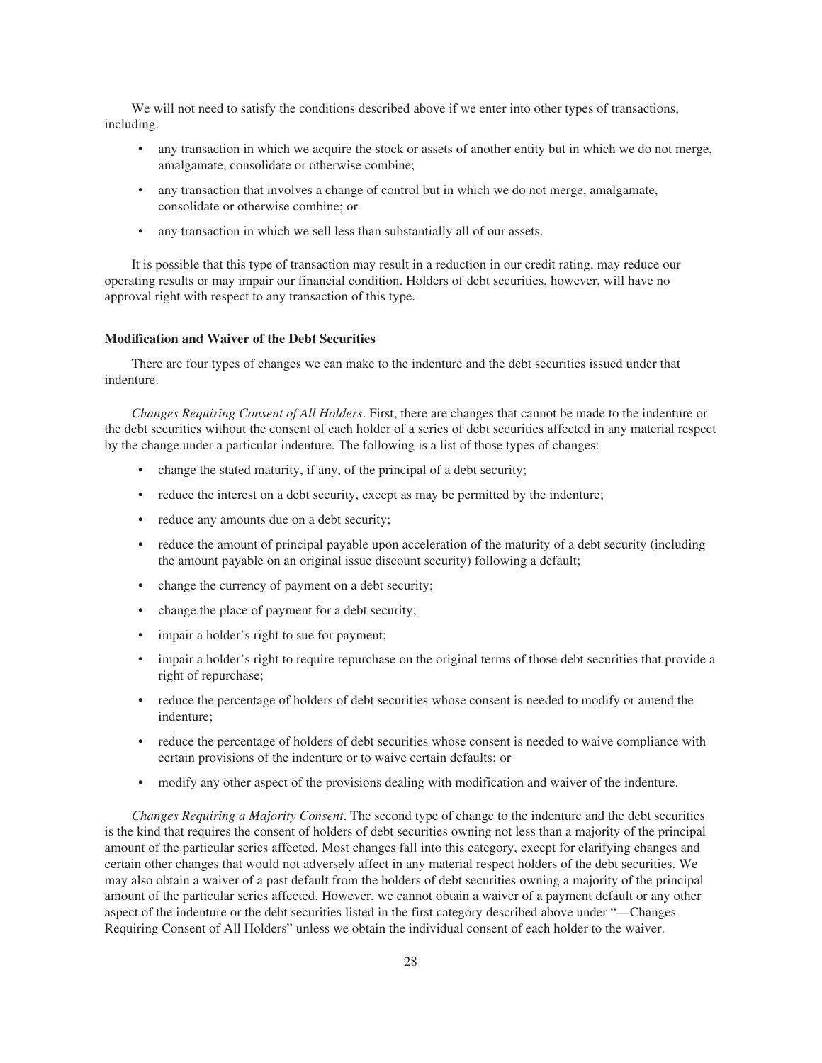We will not need to satisfy the conditions described above if we enter into other types of transactions, including:

- any transaction in which we acquire the stock or assets of another entity but in which we do not merge, amalgamate, consolidate or otherwise combine;
- any transaction that involves a change of control but in which we do not merge, amalgamate, consolidate or otherwise combine; or
- any transaction in which we sell less than substantially all of our assets.

It is possible that this type of transaction may result in a reduction in our credit rating, may reduce our operating results or may impair our financial condition. Holders of debt securities, however, will have no approval right with respect to any transaction of this type.

# **Modification and Waiver of the Debt Securities**

There are four types of changes we can make to the indenture and the debt securities issued under that indenture.

*Changes Requiring Consent of All Holders*. First, there are changes that cannot be made to the indenture or the debt securities without the consent of each holder of a series of debt securities affected in any material respect by the change under a particular indenture. The following is a list of those types of changes:

- change the stated maturity, if any, of the principal of a debt security;
- reduce the interest on a debt security, except as may be permitted by the indenture;
- reduce any amounts due on a debt security;
- reduce the amount of principal payable upon acceleration of the maturity of a debt security (including the amount payable on an original issue discount security) following a default;
- change the currency of payment on a debt security;
- change the place of payment for a debt security;
- impair a holder's right to sue for payment;
- impair a holder's right to require repurchase on the original terms of those debt securities that provide a right of repurchase;
- reduce the percentage of holders of debt securities whose consent is needed to modify or amend the indenture;
- reduce the percentage of holders of debt securities whose consent is needed to waive compliance with certain provisions of the indenture or to waive certain defaults; or
- modify any other aspect of the provisions dealing with modification and waiver of the indenture.

*Changes Requiring a Majority Consent*. The second type of change to the indenture and the debt securities is the kind that requires the consent of holders of debt securities owning not less than a majority of the principal amount of the particular series affected. Most changes fall into this category, except for clarifying changes and certain other changes that would not adversely affect in any material respect holders of the debt securities. We may also obtain a waiver of a past default from the holders of debt securities owning a majority of the principal amount of the particular series affected. However, we cannot obtain a waiver of a payment default or any other aspect of the indenture or the debt securities listed in the first category described above under "—Changes Requiring Consent of All Holders" unless we obtain the individual consent of each holder to the waiver.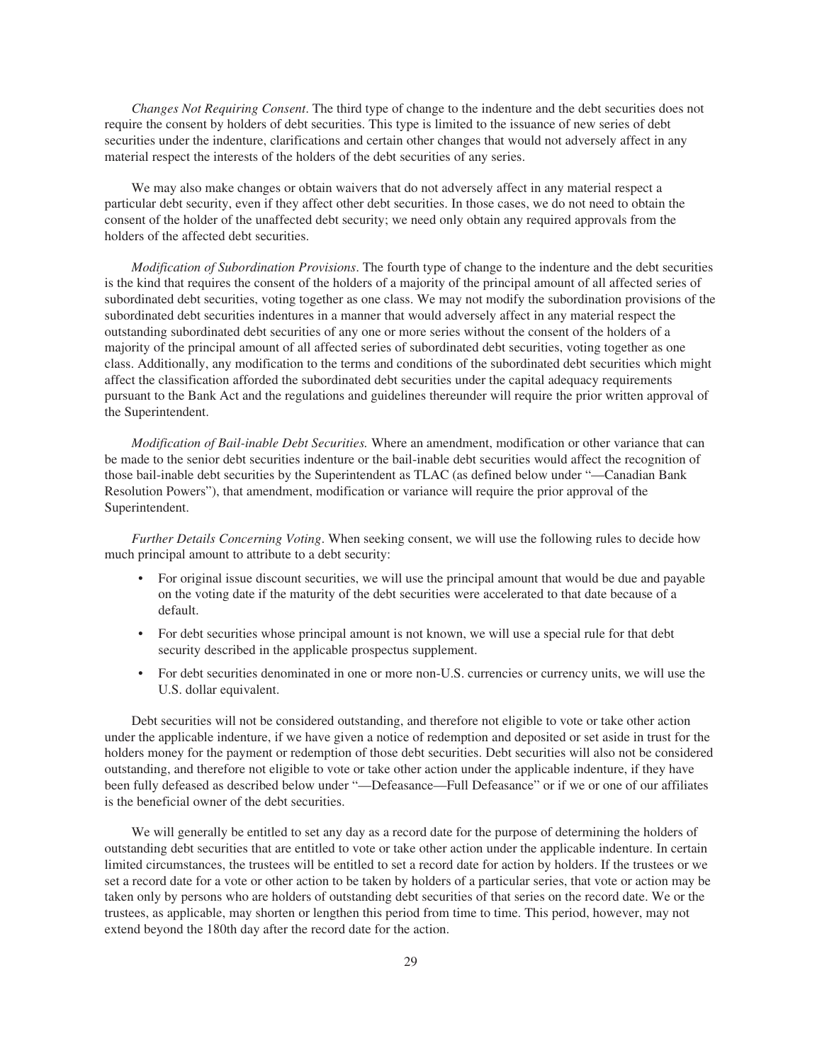*Changes Not Requiring Consent*. The third type of change to the indenture and the debt securities does not require the consent by holders of debt securities. This type is limited to the issuance of new series of debt securities under the indenture, clarifications and certain other changes that would not adversely affect in any material respect the interests of the holders of the debt securities of any series.

We may also make changes or obtain waivers that do not adversely affect in any material respect a particular debt security, even if they affect other debt securities. In those cases, we do not need to obtain the consent of the holder of the unaffected debt security; we need only obtain any required approvals from the holders of the affected debt securities.

*Modification of Subordination Provisions*. The fourth type of change to the indenture and the debt securities is the kind that requires the consent of the holders of a majority of the principal amount of all affected series of subordinated debt securities, voting together as one class. We may not modify the subordination provisions of the subordinated debt securities indentures in a manner that would adversely affect in any material respect the outstanding subordinated debt securities of any one or more series without the consent of the holders of a majority of the principal amount of all affected series of subordinated debt securities, voting together as one class. Additionally, any modification to the terms and conditions of the subordinated debt securities which might affect the classification afforded the subordinated debt securities under the capital adequacy requirements pursuant to the Bank Act and the regulations and guidelines thereunder will require the prior written approval of the Superintendent.

*Modification of Bail-inable Debt Securities.* Where an amendment, modification or other variance that can be made to the senior debt securities indenture or the bail-inable debt securities would affect the recognition of those bail-inable debt securities by the Superintendent as TLAC (as defined below under "—Canadian Bank Resolution Powers"), that amendment, modification or variance will require the prior approval of the Superintendent.

*Further Details Concerning Voting*. When seeking consent, we will use the following rules to decide how much principal amount to attribute to a debt security:

- For original issue discount securities, we will use the principal amount that would be due and payable on the voting date if the maturity of the debt securities were accelerated to that date because of a default.
- For debt securities whose principal amount is not known, we will use a special rule for that debt security described in the applicable prospectus supplement.
- For debt securities denominated in one or more non-U.S. currencies or currency units, we will use the U.S. dollar equivalent.

Debt securities will not be considered outstanding, and therefore not eligible to vote or take other action under the applicable indenture, if we have given a notice of redemption and deposited or set aside in trust for the holders money for the payment or redemption of those debt securities. Debt securities will also not be considered outstanding, and therefore not eligible to vote or take other action under the applicable indenture, if they have been fully defeased as described below under "—Defeasance—Full Defeasance" or if we or one of our affiliates is the beneficial owner of the debt securities.

We will generally be entitled to set any day as a record date for the purpose of determining the holders of outstanding debt securities that are entitled to vote or take other action under the applicable indenture. In certain limited circumstances, the trustees will be entitled to set a record date for action by holders. If the trustees or we set a record date for a vote or other action to be taken by holders of a particular series, that vote or action may be taken only by persons who are holders of outstanding debt securities of that series on the record date. We or the trustees, as applicable, may shorten or lengthen this period from time to time. This period, however, may not extend beyond the 180th day after the record date for the action.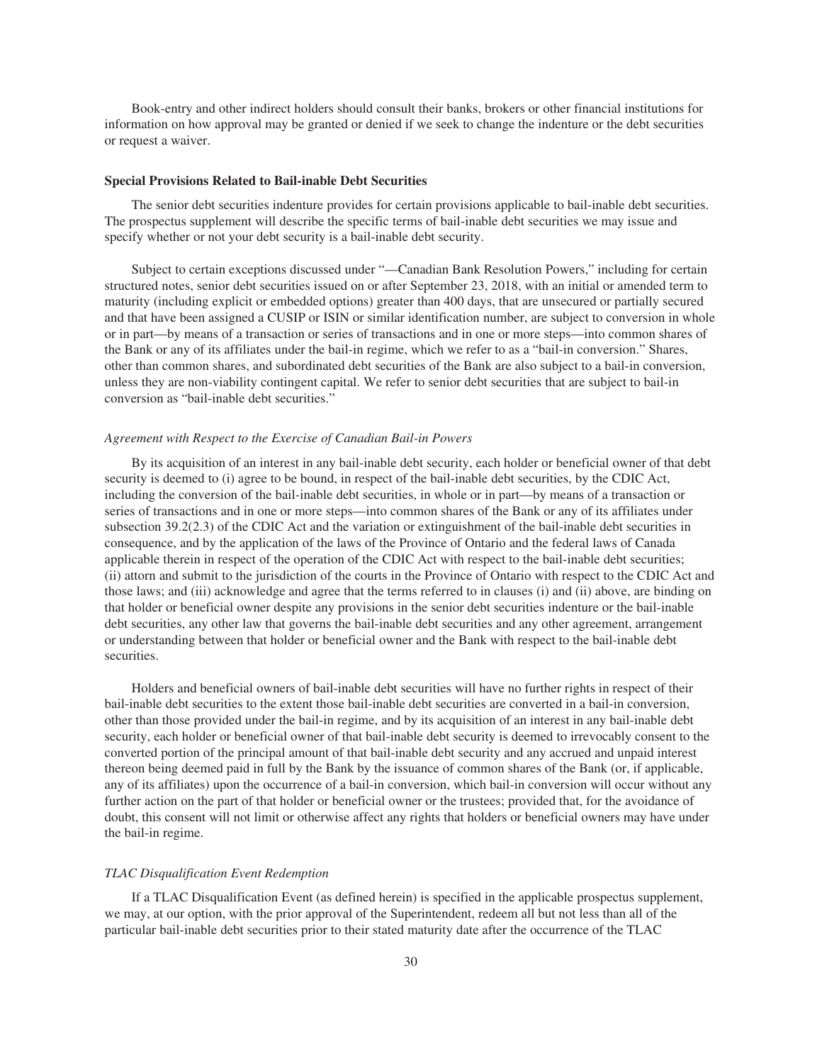Book-entry and other indirect holders should consult their banks, brokers or other financial institutions for information on how approval may be granted or denied if we seek to change the indenture or the debt securities or request a waiver.

### **Special Provisions Related to Bail-inable Debt Securities**

The senior debt securities indenture provides for certain provisions applicable to bail-inable debt securities. The prospectus supplement will describe the specific terms of bail-inable debt securities we may issue and specify whether or not your debt security is a bail-inable debt security.

Subject to certain exceptions discussed under "—Canadian Bank Resolution Powers," including for certain structured notes, senior debt securities issued on or after September 23, 2018, with an initial or amended term to maturity (including explicit or embedded options) greater than 400 days, that are unsecured or partially secured and that have been assigned a CUSIP or ISIN or similar identification number, are subject to conversion in whole or in part—by means of a transaction or series of transactions and in one or more steps—into common shares of the Bank or any of its affiliates under the bail-in regime, which we refer to as a "bail-in conversion." Shares, other than common shares, and subordinated debt securities of the Bank are also subject to a bail-in conversion, unless they are non-viability contingent capital. We refer to senior debt securities that are subject to bail-in conversion as "bail-inable debt securities."

#### *Agreement with Respect to the Exercise of Canadian Bail-in Powers*

By its acquisition of an interest in any bail-inable debt security, each holder or beneficial owner of that debt security is deemed to (i) agree to be bound, in respect of the bail-inable debt securities, by the CDIC Act, including the conversion of the bail-inable debt securities, in whole or in part—by means of a transaction or series of transactions and in one or more steps—into common shares of the Bank or any of its affiliates under subsection 39.2(2.3) of the CDIC Act and the variation or extinguishment of the bail-inable debt securities in consequence, and by the application of the laws of the Province of Ontario and the federal laws of Canada applicable therein in respect of the operation of the CDIC Act with respect to the bail-inable debt securities; (ii) attorn and submit to the jurisdiction of the courts in the Province of Ontario with respect to the CDIC Act and those laws; and (iii) acknowledge and agree that the terms referred to in clauses (i) and (ii) above, are binding on that holder or beneficial owner despite any provisions in the senior debt securities indenture or the bail-inable debt securities, any other law that governs the bail-inable debt securities and any other agreement, arrangement or understanding between that holder or beneficial owner and the Bank with respect to the bail-inable debt securities.

Holders and beneficial owners of bail-inable debt securities will have no further rights in respect of their bail-inable debt securities to the extent those bail-inable debt securities are converted in a bail-in conversion, other than those provided under the bail-in regime, and by its acquisition of an interest in any bail-inable debt security, each holder or beneficial owner of that bail-inable debt security is deemed to irrevocably consent to the converted portion of the principal amount of that bail-inable debt security and any accrued and unpaid interest thereon being deemed paid in full by the Bank by the issuance of common shares of the Bank (or, if applicable, any of its affiliates) upon the occurrence of a bail-in conversion, which bail-in conversion will occur without any further action on the part of that holder or beneficial owner or the trustees; provided that, for the avoidance of doubt, this consent will not limit or otherwise affect any rights that holders or beneficial owners may have under the bail-in regime.

### *TLAC Disqualification Event Redemption*

If a TLAC Disqualification Event (as defined herein) is specified in the applicable prospectus supplement, we may, at our option, with the prior approval of the Superintendent, redeem all but not less than all of the particular bail-inable debt securities prior to their stated maturity date after the occurrence of the TLAC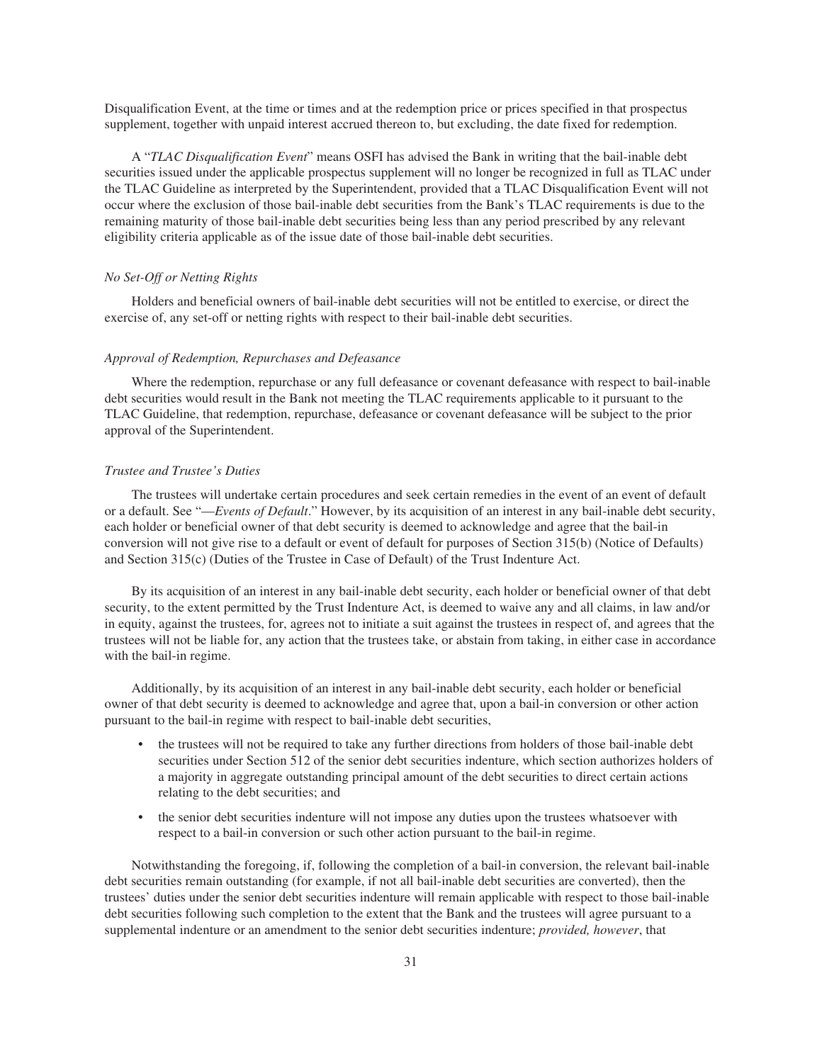Disqualification Event, at the time or times and at the redemption price or prices specified in that prospectus supplement, together with unpaid interest accrued thereon to, but excluding, the date fixed for redemption.

A "*TLAC Disqualification Event*" means OSFI has advised the Bank in writing that the bail-inable debt securities issued under the applicable prospectus supplement will no longer be recognized in full as TLAC under the TLAC Guideline as interpreted by the Superintendent, provided that a TLAC Disqualification Event will not occur where the exclusion of those bail-inable debt securities from the Bank's TLAC requirements is due to the remaining maturity of those bail-inable debt securities being less than any period prescribed by any relevant eligibility criteria applicable as of the issue date of those bail-inable debt securities.

# *No Set-Off or Netting Rights*

Holders and beneficial owners of bail-inable debt securities will not be entitled to exercise, or direct the exercise of, any set-off or netting rights with respect to their bail-inable debt securities.

# *Approval of Redemption, Repurchases and Defeasance*

Where the redemption, repurchase or any full defeasance or covenant defeasance with respect to bail-inable debt securities would result in the Bank not meeting the TLAC requirements applicable to it pursuant to the TLAC Guideline, that redemption, repurchase, defeasance or covenant defeasance will be subject to the prior approval of the Superintendent.

# *Trustee and Trustee's Duties*

The trustees will undertake certain procedures and seek certain remedies in the event of an event of default or a default. See "—*Events of Default*." However, by its acquisition of an interest in any bail-inable debt security, each holder or beneficial owner of that debt security is deemed to acknowledge and agree that the bail-in conversion will not give rise to a default or event of default for purposes of Section 315(b) (Notice of Defaults) and Section 315(c) (Duties of the Trustee in Case of Default) of the Trust Indenture Act.

By its acquisition of an interest in any bail-inable debt security, each holder or beneficial owner of that debt security, to the extent permitted by the Trust Indenture Act, is deemed to waive any and all claims, in law and/or in equity, against the trustees, for, agrees not to initiate a suit against the trustees in respect of, and agrees that the trustees will not be liable for, any action that the trustees take, or abstain from taking, in either case in accordance with the bail-in regime.

Additionally, by its acquisition of an interest in any bail-inable debt security, each holder or beneficial owner of that debt security is deemed to acknowledge and agree that, upon a bail-in conversion or other action pursuant to the bail-in regime with respect to bail-inable debt securities,

- the trustees will not be required to take any further directions from holders of those bail-inable debt securities under Section 512 of the senior debt securities indenture, which section authorizes holders of a majority in aggregate outstanding principal amount of the debt securities to direct certain actions relating to the debt securities; and
- the senior debt securities indenture will not impose any duties upon the trustees whatsoever with respect to a bail-in conversion or such other action pursuant to the bail-in regime.

Notwithstanding the foregoing, if, following the completion of a bail-in conversion, the relevant bail-inable debt securities remain outstanding (for example, if not all bail-inable debt securities are converted), then the trustees' duties under the senior debt securities indenture will remain applicable with respect to those bail-inable debt securities following such completion to the extent that the Bank and the trustees will agree pursuant to a supplemental indenture or an amendment to the senior debt securities indenture; *provided, however*, that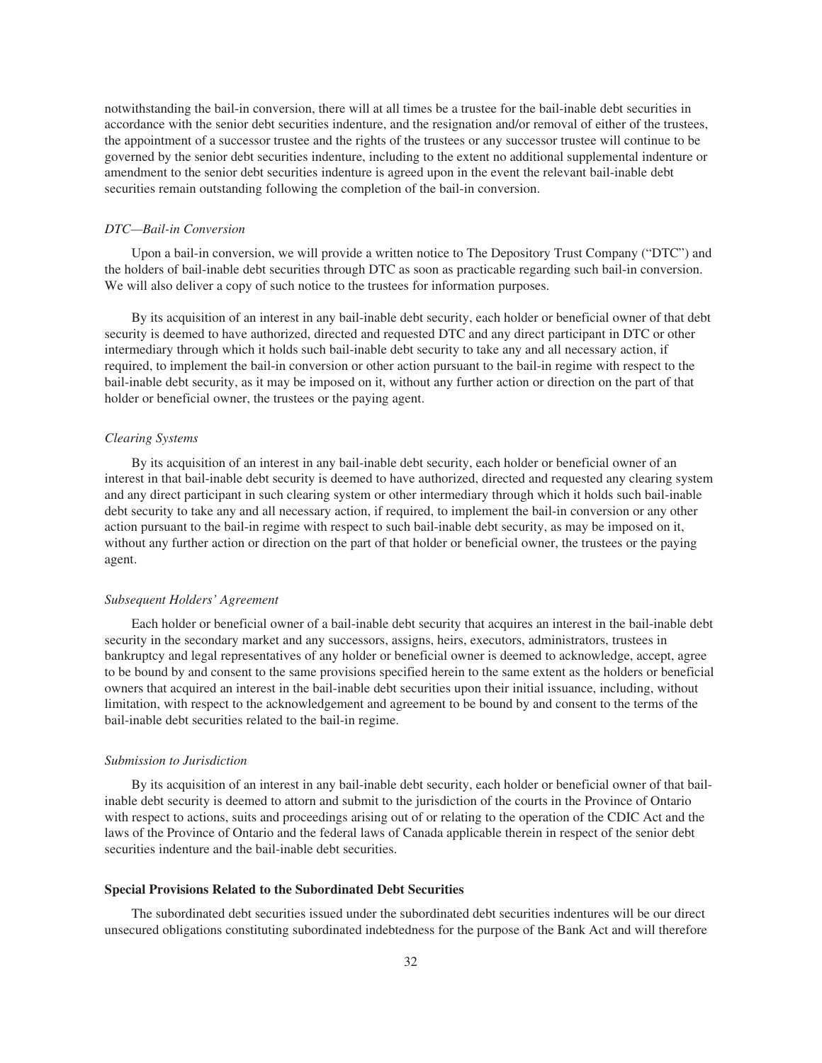notwithstanding the bail-in conversion, there will at all times be a trustee for the bail-inable debt securities in accordance with the senior debt securities indenture, and the resignation and/or removal of either of the trustees, the appointment of a successor trustee and the rights of the trustees or any successor trustee will continue to be governed by the senior debt securities indenture, including to the extent no additional supplemental indenture or amendment to the senior debt securities indenture is agreed upon in the event the relevant bail-inable debt securities remain outstanding following the completion of the bail-in conversion.

## *DTC—Bail-in Conversion*

Upon a bail-in conversion, we will provide a written notice to The Depository Trust Company ("DTC") and the holders of bail-inable debt securities through DTC as soon as practicable regarding such bail-in conversion. We will also deliver a copy of such notice to the trustees for information purposes.

By its acquisition of an interest in any bail-inable debt security, each holder or beneficial owner of that debt security is deemed to have authorized, directed and requested DTC and any direct participant in DTC or other intermediary through which it holds such bail-inable debt security to take any and all necessary action, if required, to implement the bail-in conversion or other action pursuant to the bail-in regime with respect to the bail-inable debt security, as it may be imposed on it, without any further action or direction on the part of that holder or beneficial owner, the trustees or the paying agent.

#### *Clearing Systems*

By its acquisition of an interest in any bail-inable debt security, each holder or beneficial owner of an interest in that bail-inable debt security is deemed to have authorized, directed and requested any clearing system and any direct participant in such clearing system or other intermediary through which it holds such bail-inable debt security to take any and all necessary action, if required, to implement the bail-in conversion or any other action pursuant to the bail-in regime with respect to such bail-inable debt security, as may be imposed on it, without any further action or direction on the part of that holder or beneficial owner, the trustees or the paying agent.

# *Subsequent Holders' Agreement*

Each holder or beneficial owner of a bail-inable debt security that acquires an interest in the bail-inable debt security in the secondary market and any successors, assigns, heirs, executors, administrators, trustees in bankruptcy and legal representatives of any holder or beneficial owner is deemed to acknowledge, accept, agree to be bound by and consent to the same provisions specified herein to the same extent as the holders or beneficial owners that acquired an interest in the bail-inable debt securities upon their initial issuance, including, without limitation, with respect to the acknowledgement and agreement to be bound by and consent to the terms of the bail-inable debt securities related to the bail-in regime.

# *Submission to Jurisdiction*

By its acquisition of an interest in any bail-inable debt security, each holder or beneficial owner of that bailinable debt security is deemed to attorn and submit to the jurisdiction of the courts in the Province of Ontario with respect to actions, suits and proceedings arising out of or relating to the operation of the CDIC Act and the laws of the Province of Ontario and the federal laws of Canada applicable therein in respect of the senior debt securities indenture and the bail-inable debt securities.

# **Special Provisions Related to the Subordinated Debt Securities**

The subordinated debt securities issued under the subordinated debt securities indentures will be our direct unsecured obligations constituting subordinated indebtedness for the purpose of the Bank Act and will therefore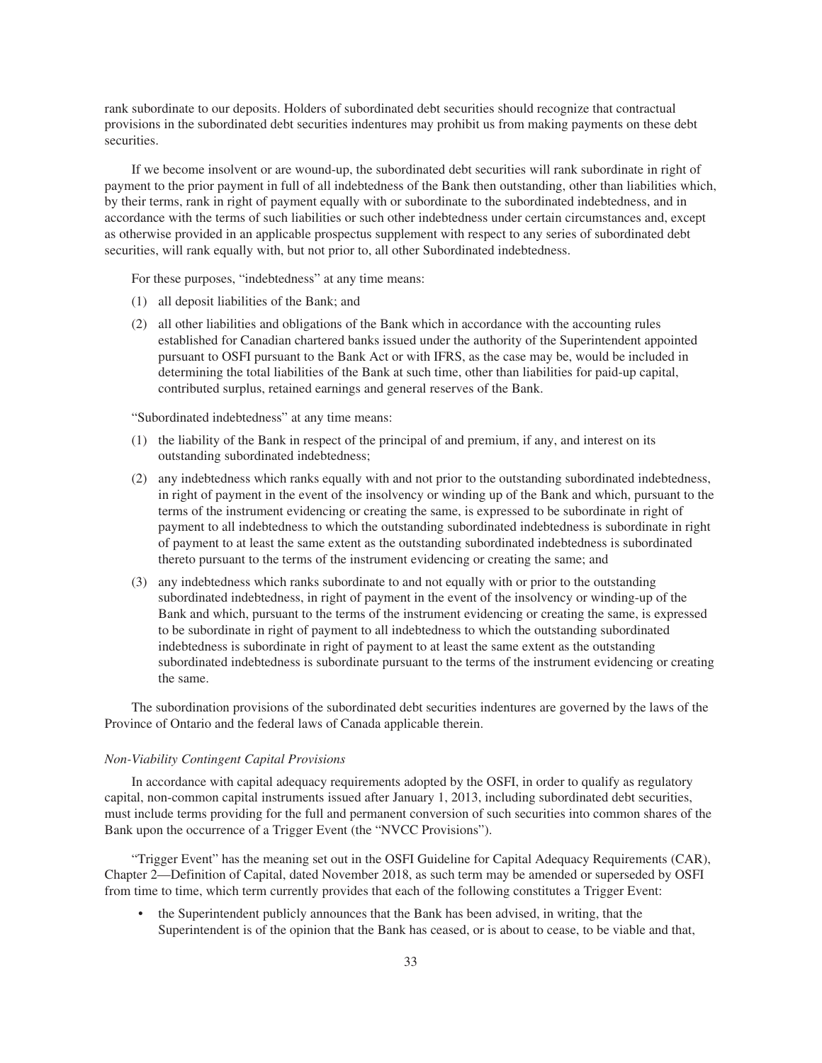rank subordinate to our deposits. Holders of subordinated debt securities should recognize that contractual provisions in the subordinated debt securities indentures may prohibit us from making payments on these debt securities.

If we become insolvent or are wound-up, the subordinated debt securities will rank subordinate in right of payment to the prior payment in full of all indebtedness of the Bank then outstanding, other than liabilities which, by their terms, rank in right of payment equally with or subordinate to the subordinated indebtedness, and in accordance with the terms of such liabilities or such other indebtedness under certain circumstances and, except as otherwise provided in an applicable prospectus supplement with respect to any series of subordinated debt securities, will rank equally with, but not prior to, all other Subordinated indebtedness.

For these purposes, "indebtedness" at any time means:

- (1) all deposit liabilities of the Bank; and
- (2) all other liabilities and obligations of the Bank which in accordance with the accounting rules established for Canadian chartered banks issued under the authority of the Superintendent appointed pursuant to OSFI pursuant to the Bank Act or with IFRS, as the case may be, would be included in determining the total liabilities of the Bank at such time, other than liabilities for paid-up capital, contributed surplus, retained earnings and general reserves of the Bank.

"Subordinated indebtedness" at any time means:

- (1) the liability of the Bank in respect of the principal of and premium, if any, and interest on its outstanding subordinated indebtedness;
- (2) any indebtedness which ranks equally with and not prior to the outstanding subordinated indebtedness, in right of payment in the event of the insolvency or winding up of the Bank and which, pursuant to the terms of the instrument evidencing or creating the same, is expressed to be subordinate in right of payment to all indebtedness to which the outstanding subordinated indebtedness is subordinate in right of payment to at least the same extent as the outstanding subordinated indebtedness is subordinated thereto pursuant to the terms of the instrument evidencing or creating the same; and
- (3) any indebtedness which ranks subordinate to and not equally with or prior to the outstanding subordinated indebtedness, in right of payment in the event of the insolvency or winding-up of the Bank and which, pursuant to the terms of the instrument evidencing or creating the same, is expressed to be subordinate in right of payment to all indebtedness to which the outstanding subordinated indebtedness is subordinate in right of payment to at least the same extent as the outstanding subordinated indebtedness is subordinate pursuant to the terms of the instrument evidencing or creating the same.

The subordination provisions of the subordinated debt securities indentures are governed by the laws of the Province of Ontario and the federal laws of Canada applicable therein.

### *Non-Viability Contingent Capital Provisions*

In accordance with capital adequacy requirements adopted by the OSFI, in order to qualify as regulatory capital, non-common capital instruments issued after January 1, 2013, including subordinated debt securities, must include terms providing for the full and permanent conversion of such securities into common shares of the Bank upon the occurrence of a Trigger Event (the "NVCC Provisions").

"Trigger Event" has the meaning set out in the OSFI Guideline for Capital Adequacy Requirements (CAR), Chapter 2—Definition of Capital, dated November 2018, as such term may be amended or superseded by OSFI from time to time, which term currently provides that each of the following constitutes a Trigger Event:

• the Superintendent publicly announces that the Bank has been advised, in writing, that the Superintendent is of the opinion that the Bank has ceased, or is about to cease, to be viable and that,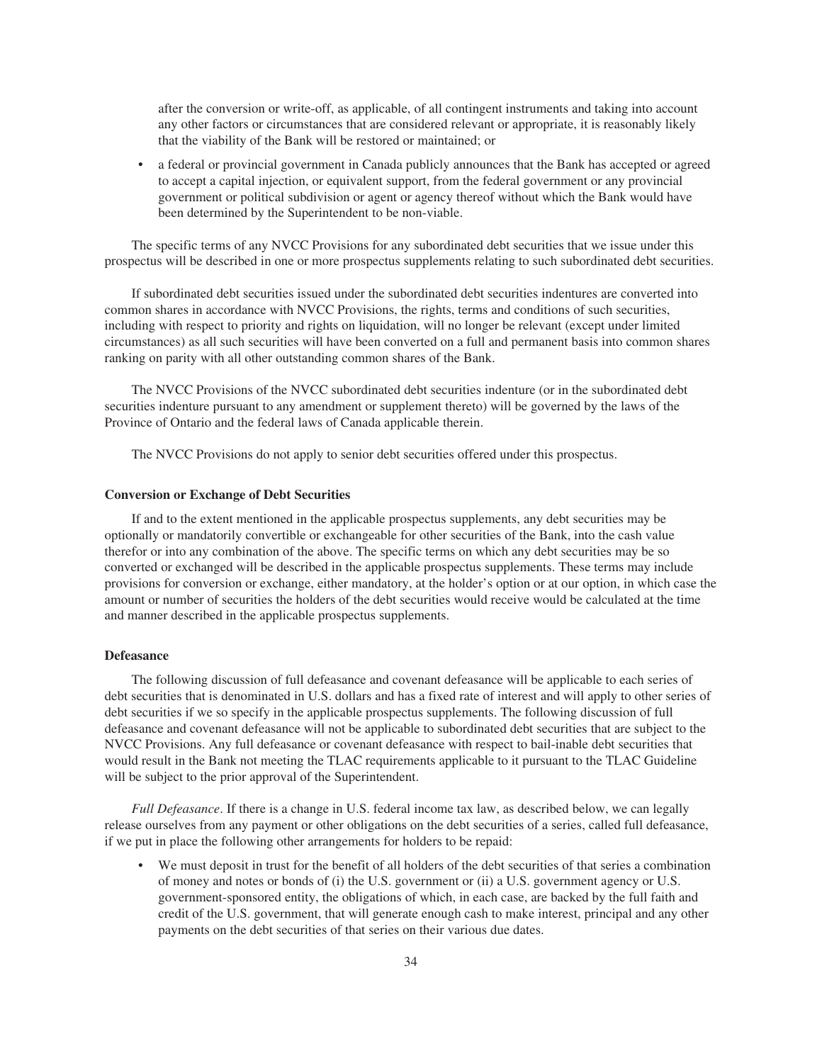after the conversion or write-off, as applicable, of all contingent instruments and taking into account any other factors or circumstances that are considered relevant or appropriate, it is reasonably likely that the viability of the Bank will be restored or maintained; or

• a federal or provincial government in Canada publicly announces that the Bank has accepted or agreed to accept a capital injection, or equivalent support, from the federal government or any provincial government or political subdivision or agent or agency thereof without which the Bank would have been determined by the Superintendent to be non-viable.

The specific terms of any NVCC Provisions for any subordinated debt securities that we issue under this prospectus will be described in one or more prospectus supplements relating to such subordinated debt securities.

If subordinated debt securities issued under the subordinated debt securities indentures are converted into common shares in accordance with NVCC Provisions, the rights, terms and conditions of such securities, including with respect to priority and rights on liquidation, will no longer be relevant (except under limited circumstances) as all such securities will have been converted on a full and permanent basis into common shares ranking on parity with all other outstanding common shares of the Bank.

The NVCC Provisions of the NVCC subordinated debt securities indenture (or in the subordinated debt securities indenture pursuant to any amendment or supplement thereto) will be governed by the laws of the Province of Ontario and the federal laws of Canada applicable therein.

The NVCC Provisions do not apply to senior debt securities offered under this prospectus.

# **Conversion or Exchange of Debt Securities**

If and to the extent mentioned in the applicable prospectus supplements, any debt securities may be optionally or mandatorily convertible or exchangeable for other securities of the Bank, into the cash value therefor or into any combination of the above. The specific terms on which any debt securities may be so converted or exchanged will be described in the applicable prospectus supplements. These terms may include provisions for conversion or exchange, either mandatory, at the holder's option or at our option, in which case the amount or number of securities the holders of the debt securities would receive would be calculated at the time and manner described in the applicable prospectus supplements.

# **Defeasance**

The following discussion of full defeasance and covenant defeasance will be applicable to each series of debt securities that is denominated in U.S. dollars and has a fixed rate of interest and will apply to other series of debt securities if we so specify in the applicable prospectus supplements. The following discussion of full defeasance and covenant defeasance will not be applicable to subordinated debt securities that are subject to the NVCC Provisions. Any full defeasance or covenant defeasance with respect to bail-inable debt securities that would result in the Bank not meeting the TLAC requirements applicable to it pursuant to the TLAC Guideline will be subject to the prior approval of the Superintendent.

*Full Defeasance*. If there is a change in U.S. federal income tax law, as described below, we can legally release ourselves from any payment or other obligations on the debt securities of a series, called full defeasance, if we put in place the following other arrangements for holders to be repaid:

We must deposit in trust for the benefit of all holders of the debt securities of that series a combination of money and notes or bonds of (i) the U.S. government or (ii) a U.S. government agency or U.S. government-sponsored entity, the obligations of which, in each case, are backed by the full faith and credit of the U.S. government, that will generate enough cash to make interest, principal and any other payments on the debt securities of that series on their various due dates.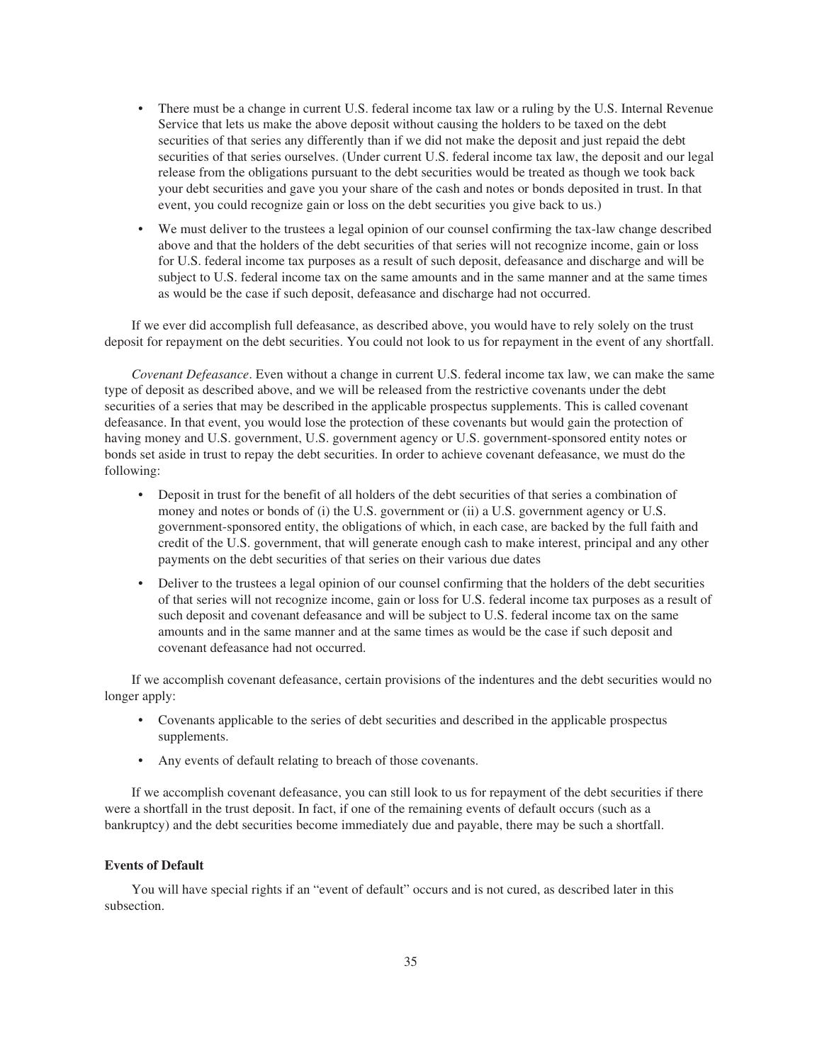- There must be a change in current U.S. federal income tax law or a ruling by the U.S. Internal Revenue Service that lets us make the above deposit without causing the holders to be taxed on the debt securities of that series any differently than if we did not make the deposit and just repaid the debt securities of that series ourselves. (Under current U.S. federal income tax law, the deposit and our legal release from the obligations pursuant to the debt securities would be treated as though we took back your debt securities and gave you your share of the cash and notes or bonds deposited in trust. In that event, you could recognize gain or loss on the debt securities you give back to us.)
- We must deliver to the trustees a legal opinion of our counsel confirming the tax-law change described above and that the holders of the debt securities of that series will not recognize income, gain or loss for U.S. federal income tax purposes as a result of such deposit, defeasance and discharge and will be subject to U.S. federal income tax on the same amounts and in the same manner and at the same times as would be the case if such deposit, defeasance and discharge had not occurred.

If we ever did accomplish full defeasance, as described above, you would have to rely solely on the trust deposit for repayment on the debt securities. You could not look to us for repayment in the event of any shortfall.

*Covenant Defeasance*. Even without a change in current U.S. federal income tax law, we can make the same type of deposit as described above, and we will be released from the restrictive covenants under the debt securities of a series that may be described in the applicable prospectus supplements. This is called covenant defeasance. In that event, you would lose the protection of these covenants but would gain the protection of having money and U.S. government, U.S. government agency or U.S. government-sponsored entity notes or bonds set aside in trust to repay the debt securities. In order to achieve covenant defeasance, we must do the following:

- Deposit in trust for the benefit of all holders of the debt securities of that series a combination of money and notes or bonds of (i) the U.S. government or (ii) a U.S. government agency or U.S. government-sponsored entity, the obligations of which, in each case, are backed by the full faith and credit of the U.S. government, that will generate enough cash to make interest, principal and any other payments on the debt securities of that series on their various due dates
- Deliver to the trustees a legal opinion of our counsel confirming that the holders of the debt securities of that series will not recognize income, gain or loss for U.S. federal income tax purposes as a result of such deposit and covenant defeasance and will be subject to U.S. federal income tax on the same amounts and in the same manner and at the same times as would be the case if such deposit and covenant defeasance had not occurred.

If we accomplish covenant defeasance, certain provisions of the indentures and the debt securities would no longer apply:

- Covenants applicable to the series of debt securities and described in the applicable prospectus supplements.
- Any events of default relating to breach of those covenants.

If we accomplish covenant defeasance, you can still look to us for repayment of the debt securities if there were a shortfall in the trust deposit. In fact, if one of the remaining events of default occurs (such as a bankruptcy) and the debt securities become immediately due and payable, there may be such a shortfall.

# **Events of Default**

You will have special rights if an "event of default" occurs and is not cured, as described later in this subsection.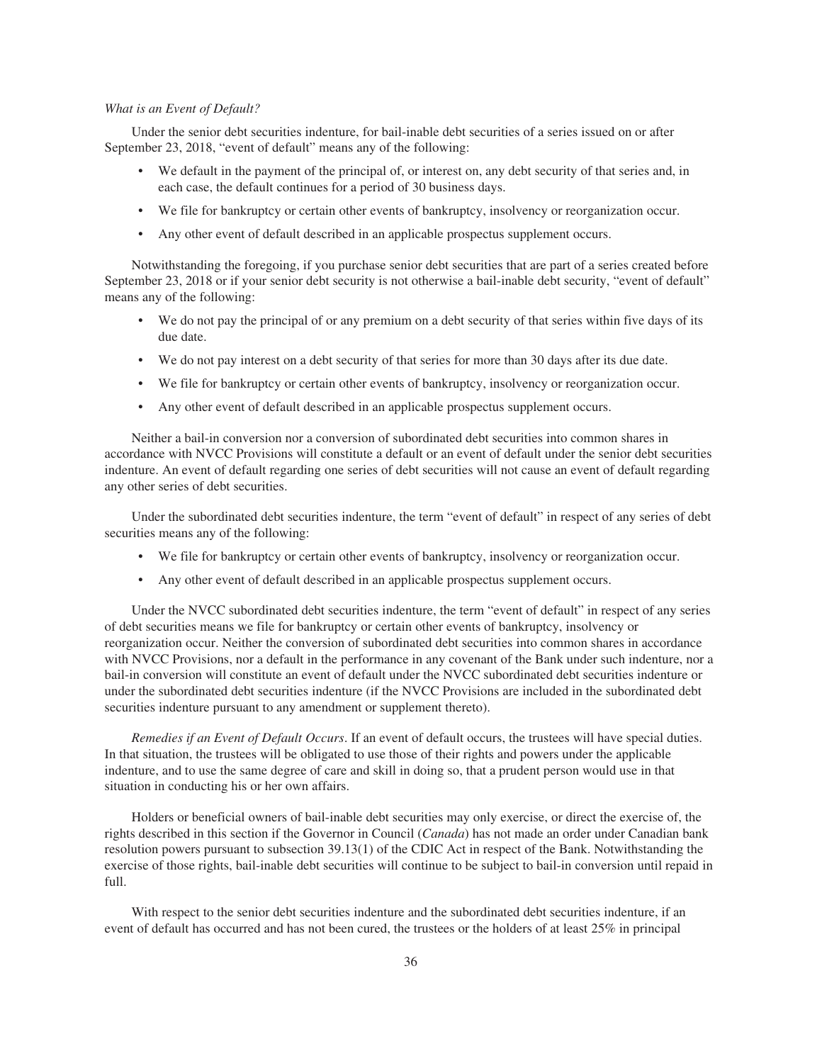## *What is an Event of Default?*

Under the senior debt securities indenture, for bail-inable debt securities of a series issued on or after September 23, 2018, "event of default" means any of the following:

- We default in the payment of the principal of, or interest on, any debt security of that series and, in each case, the default continues for a period of 30 business days.
- We file for bankruptcy or certain other events of bankruptcy, insolvency or reorganization occur.
- Any other event of default described in an applicable prospectus supplement occurs.

Notwithstanding the foregoing, if you purchase senior debt securities that are part of a series created before September 23, 2018 or if your senior debt security is not otherwise a bail-inable debt security, "event of default" means any of the following:

- We do not pay the principal of or any premium on a debt security of that series within five days of its due date.
- We do not pay interest on a debt security of that series for more than 30 days after its due date.
- We file for bankruptcy or certain other events of bankruptcy, insolvency or reorganization occur.
- Any other event of default described in an applicable prospectus supplement occurs.

Neither a bail-in conversion nor a conversion of subordinated debt securities into common shares in accordance with NVCC Provisions will constitute a default or an event of default under the senior debt securities indenture. An event of default regarding one series of debt securities will not cause an event of default regarding any other series of debt securities.

Under the subordinated debt securities indenture, the term "event of default" in respect of any series of debt securities means any of the following:

- We file for bankruptcy or certain other events of bankruptcy, insolvency or reorganization occur.
- Any other event of default described in an applicable prospectus supplement occurs.

Under the NVCC subordinated debt securities indenture, the term "event of default" in respect of any series of debt securities means we file for bankruptcy or certain other events of bankruptcy, insolvency or reorganization occur. Neither the conversion of subordinated debt securities into common shares in accordance with NVCC Provisions, nor a default in the performance in any covenant of the Bank under such indenture, nor a bail-in conversion will constitute an event of default under the NVCC subordinated debt securities indenture or under the subordinated debt securities indenture (if the NVCC Provisions are included in the subordinated debt securities indenture pursuant to any amendment or supplement thereto).

*Remedies if an Event of Default Occurs*. If an event of default occurs, the trustees will have special duties. In that situation, the trustees will be obligated to use those of their rights and powers under the applicable indenture, and to use the same degree of care and skill in doing so, that a prudent person would use in that situation in conducting his or her own affairs.

Holders or beneficial owners of bail-inable debt securities may only exercise, or direct the exercise of, the rights described in this section if the Governor in Council (*Canada*) has not made an order under Canadian bank resolution powers pursuant to subsection 39.13(1) of the CDIC Act in respect of the Bank. Notwithstanding the exercise of those rights, bail-inable debt securities will continue to be subject to bail-in conversion until repaid in full.

With respect to the senior debt securities indenture and the subordinated debt securities indenture, if an event of default has occurred and has not been cured, the trustees or the holders of at least 25% in principal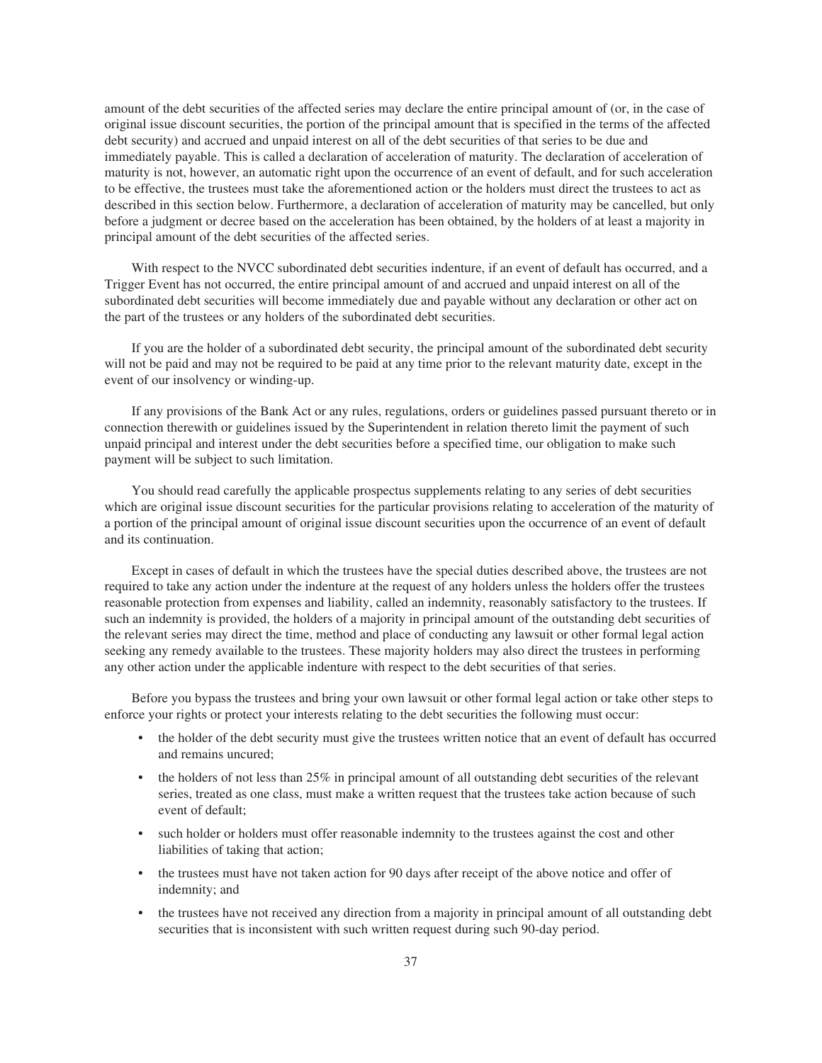amount of the debt securities of the affected series may declare the entire principal amount of (or, in the case of original issue discount securities, the portion of the principal amount that is specified in the terms of the affected debt security) and accrued and unpaid interest on all of the debt securities of that series to be due and immediately payable. This is called a declaration of acceleration of maturity. The declaration of acceleration of maturity is not, however, an automatic right upon the occurrence of an event of default, and for such acceleration to be effective, the trustees must take the aforementioned action or the holders must direct the trustees to act as described in this section below. Furthermore, a declaration of acceleration of maturity may be cancelled, but only before a judgment or decree based on the acceleration has been obtained, by the holders of at least a majority in principal amount of the debt securities of the affected series.

With respect to the NVCC subordinated debt securities indenture, if an event of default has occurred, and a Trigger Event has not occurred, the entire principal amount of and accrued and unpaid interest on all of the subordinated debt securities will become immediately due and payable without any declaration or other act on the part of the trustees or any holders of the subordinated debt securities.

If you are the holder of a subordinated debt security, the principal amount of the subordinated debt security will not be paid and may not be required to be paid at any time prior to the relevant maturity date, except in the event of our insolvency or winding-up.

If any provisions of the Bank Act or any rules, regulations, orders or guidelines passed pursuant thereto or in connection therewith or guidelines issued by the Superintendent in relation thereto limit the payment of such unpaid principal and interest under the debt securities before a specified time, our obligation to make such payment will be subject to such limitation.

You should read carefully the applicable prospectus supplements relating to any series of debt securities which are original issue discount securities for the particular provisions relating to acceleration of the maturity of a portion of the principal amount of original issue discount securities upon the occurrence of an event of default and its continuation.

Except in cases of default in which the trustees have the special duties described above, the trustees are not required to take any action under the indenture at the request of any holders unless the holders offer the trustees reasonable protection from expenses and liability, called an indemnity, reasonably satisfactory to the trustees. If such an indemnity is provided, the holders of a majority in principal amount of the outstanding debt securities of the relevant series may direct the time, method and place of conducting any lawsuit or other formal legal action seeking any remedy available to the trustees. These majority holders may also direct the trustees in performing any other action under the applicable indenture with respect to the debt securities of that series.

Before you bypass the trustees and bring your own lawsuit or other formal legal action or take other steps to enforce your rights or protect your interests relating to the debt securities the following must occur:

- the holder of the debt security must give the trustees written notice that an event of default has occurred and remains uncured;
- the holders of not less than 25% in principal amount of all outstanding debt securities of the relevant series, treated as one class, must make a written request that the trustees take action because of such event of default;
- such holder or holders must offer reasonable indemnity to the trustees against the cost and other liabilities of taking that action;
- the trustees must have not taken action for 90 days after receipt of the above notice and offer of indemnity; and
- the trustees have not received any direction from a majority in principal amount of all outstanding debt securities that is inconsistent with such written request during such 90-day period.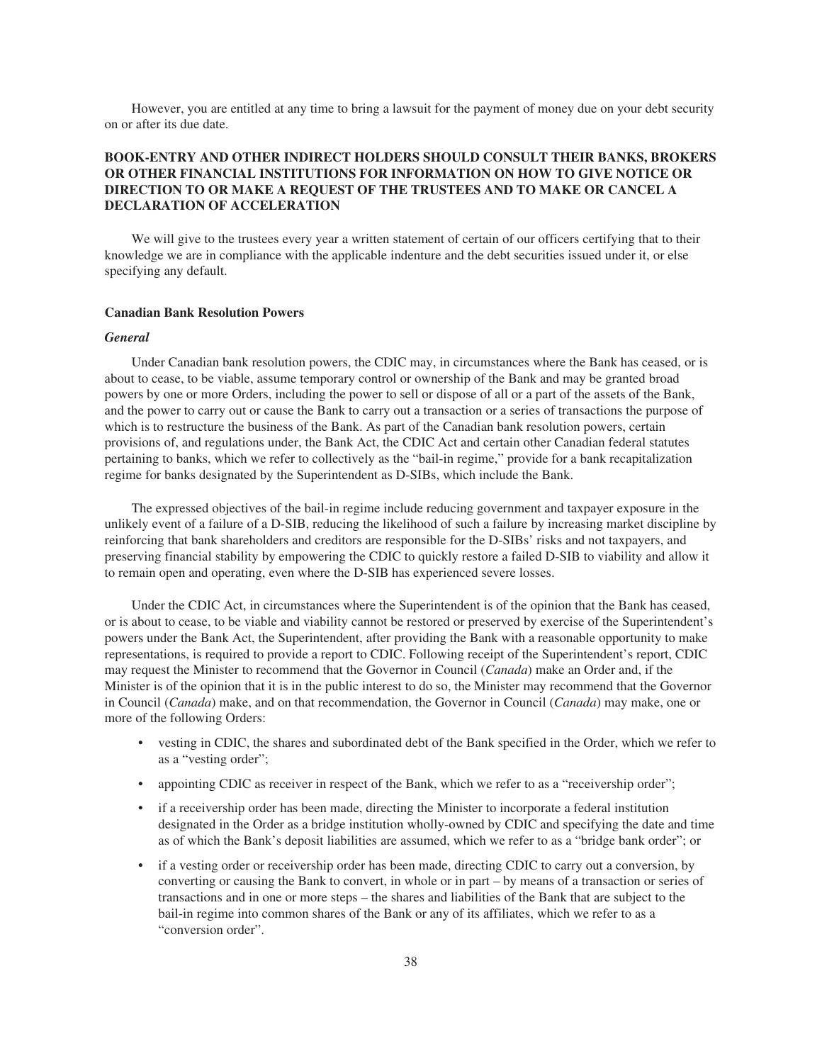However, you are entitled at any time to bring a lawsuit for the payment of money due on your debt security on or after its due date.

# **BOOK-ENTRY AND OTHER INDIRECT HOLDERS SHOULD CONSULT THEIR BANKS, BROKERS OR OTHER FINANCIAL INSTITUTIONS FOR INFORMATION ON HOW TO GIVE NOTICE OR DIRECTION TO OR MAKE A REQUEST OF THE TRUSTEES AND TO MAKE OR CANCEL A DECLARATION OF ACCELERATION**

We will give to the trustees every year a written statement of certain of our officers certifying that to their knowledge we are in compliance with the applicable indenture and the debt securities issued under it, or else specifying any default.

### **Canadian Bank Resolution Powers**

## *General*

Under Canadian bank resolution powers, the CDIC may, in circumstances where the Bank has ceased, or is about to cease, to be viable, assume temporary control or ownership of the Bank and may be granted broad powers by one or more Orders, including the power to sell or dispose of all or a part of the assets of the Bank, and the power to carry out or cause the Bank to carry out a transaction or a series of transactions the purpose of which is to restructure the business of the Bank. As part of the Canadian bank resolution powers, certain provisions of, and regulations under, the Bank Act, the CDIC Act and certain other Canadian federal statutes pertaining to banks, which we refer to collectively as the "bail-in regime," provide for a bank recapitalization regime for banks designated by the Superintendent as D-SIBs, which include the Bank.

The expressed objectives of the bail-in regime include reducing government and taxpayer exposure in the unlikely event of a failure of a D-SIB, reducing the likelihood of such a failure by increasing market discipline by reinforcing that bank shareholders and creditors are responsible for the D-SIBs' risks and not taxpayers, and preserving financial stability by empowering the CDIC to quickly restore a failed D-SIB to viability and allow it to remain open and operating, even where the D-SIB has experienced severe losses.

Under the CDIC Act, in circumstances where the Superintendent is of the opinion that the Bank has ceased, or is about to cease, to be viable and viability cannot be restored or preserved by exercise of the Superintendent's powers under the Bank Act, the Superintendent, after providing the Bank with a reasonable opportunity to make representations, is required to provide a report to CDIC. Following receipt of the Superintendent's report, CDIC may request the Minister to recommend that the Governor in Council (*Canada*) make an Order and, if the Minister is of the opinion that it is in the public interest to do so, the Minister may recommend that the Governor in Council (*Canada*) make, and on that recommendation, the Governor in Council (*Canada*) may make, one or more of the following Orders:

- vesting in CDIC, the shares and subordinated debt of the Bank specified in the Order, which we refer to as a "vesting order";
- appointing CDIC as receiver in respect of the Bank, which we refer to as a "receivership order";
- if a receivership order has been made, directing the Minister to incorporate a federal institution designated in the Order as a bridge institution wholly-owned by CDIC and specifying the date and time as of which the Bank's deposit liabilities are assumed, which we refer to as a "bridge bank order"; or
- if a vesting order or receivership order has been made, directing CDIC to carry out a conversion, by converting or causing the Bank to convert, in whole or in part – by means of a transaction or series of transactions and in one or more steps – the shares and liabilities of the Bank that are subject to the bail-in regime into common shares of the Bank or any of its affiliates, which we refer to as a "conversion order".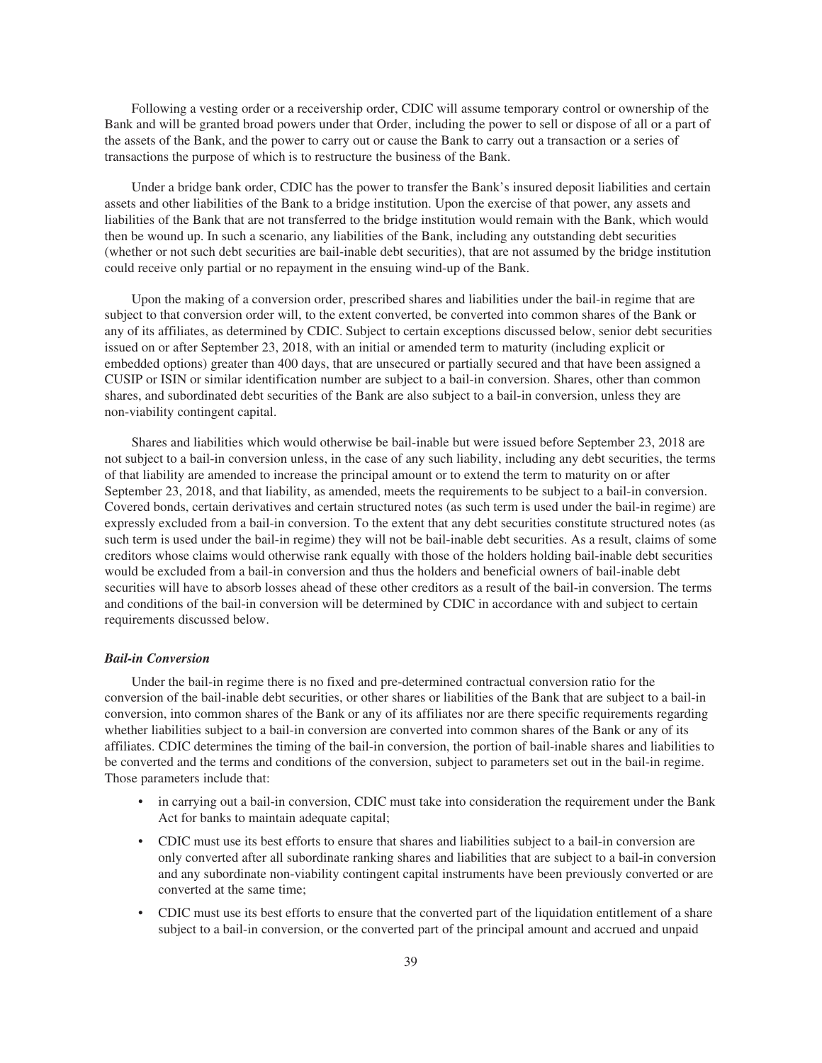Following a vesting order or a receivership order, CDIC will assume temporary control or ownership of the Bank and will be granted broad powers under that Order, including the power to sell or dispose of all or a part of the assets of the Bank, and the power to carry out or cause the Bank to carry out a transaction or a series of transactions the purpose of which is to restructure the business of the Bank.

Under a bridge bank order, CDIC has the power to transfer the Bank's insured deposit liabilities and certain assets and other liabilities of the Bank to a bridge institution. Upon the exercise of that power, any assets and liabilities of the Bank that are not transferred to the bridge institution would remain with the Bank, which would then be wound up. In such a scenario, any liabilities of the Bank, including any outstanding debt securities (whether or not such debt securities are bail-inable debt securities), that are not assumed by the bridge institution could receive only partial or no repayment in the ensuing wind-up of the Bank.

Upon the making of a conversion order, prescribed shares and liabilities under the bail-in regime that are subject to that conversion order will, to the extent converted, be converted into common shares of the Bank or any of its affiliates, as determined by CDIC. Subject to certain exceptions discussed below, senior debt securities issued on or after September 23, 2018, with an initial or amended term to maturity (including explicit or embedded options) greater than 400 days, that are unsecured or partially secured and that have been assigned a CUSIP or ISIN or similar identification number are subject to a bail-in conversion. Shares, other than common shares, and subordinated debt securities of the Bank are also subject to a bail-in conversion, unless they are non-viability contingent capital.

Shares and liabilities which would otherwise be bail-inable but were issued before September 23, 2018 are not subject to a bail-in conversion unless, in the case of any such liability, including any debt securities, the terms of that liability are amended to increase the principal amount or to extend the term to maturity on or after September 23, 2018, and that liability, as amended, meets the requirements to be subject to a bail-in conversion. Covered bonds, certain derivatives and certain structured notes (as such term is used under the bail-in regime) are expressly excluded from a bail-in conversion. To the extent that any debt securities constitute structured notes (as such term is used under the bail-in regime) they will not be bail-inable debt securities. As a result, claims of some creditors whose claims would otherwise rank equally with those of the holders holding bail-inable debt securities would be excluded from a bail-in conversion and thus the holders and beneficial owners of bail-inable debt securities will have to absorb losses ahead of these other creditors as a result of the bail-in conversion. The terms and conditions of the bail-in conversion will be determined by CDIC in accordance with and subject to certain requirements discussed below.

# *Bail-in Conversion*

Under the bail-in regime there is no fixed and pre-determined contractual conversion ratio for the conversion of the bail-inable debt securities, or other shares or liabilities of the Bank that are subject to a bail-in conversion, into common shares of the Bank or any of its affiliates nor are there specific requirements regarding whether liabilities subject to a bail-in conversion are converted into common shares of the Bank or any of its affiliates. CDIC determines the timing of the bail-in conversion, the portion of bail-inable shares and liabilities to be converted and the terms and conditions of the conversion, subject to parameters set out in the bail-in regime. Those parameters include that:

- in carrying out a bail-in conversion, CDIC must take into consideration the requirement under the Bank Act for banks to maintain adequate capital;
- CDIC must use its best efforts to ensure that shares and liabilities subject to a bail-in conversion are only converted after all subordinate ranking shares and liabilities that are subject to a bail-in conversion and any subordinate non-viability contingent capital instruments have been previously converted or are converted at the same time;
- CDIC must use its best efforts to ensure that the converted part of the liquidation entitlement of a share subject to a bail-in conversion, or the converted part of the principal amount and accrued and unpaid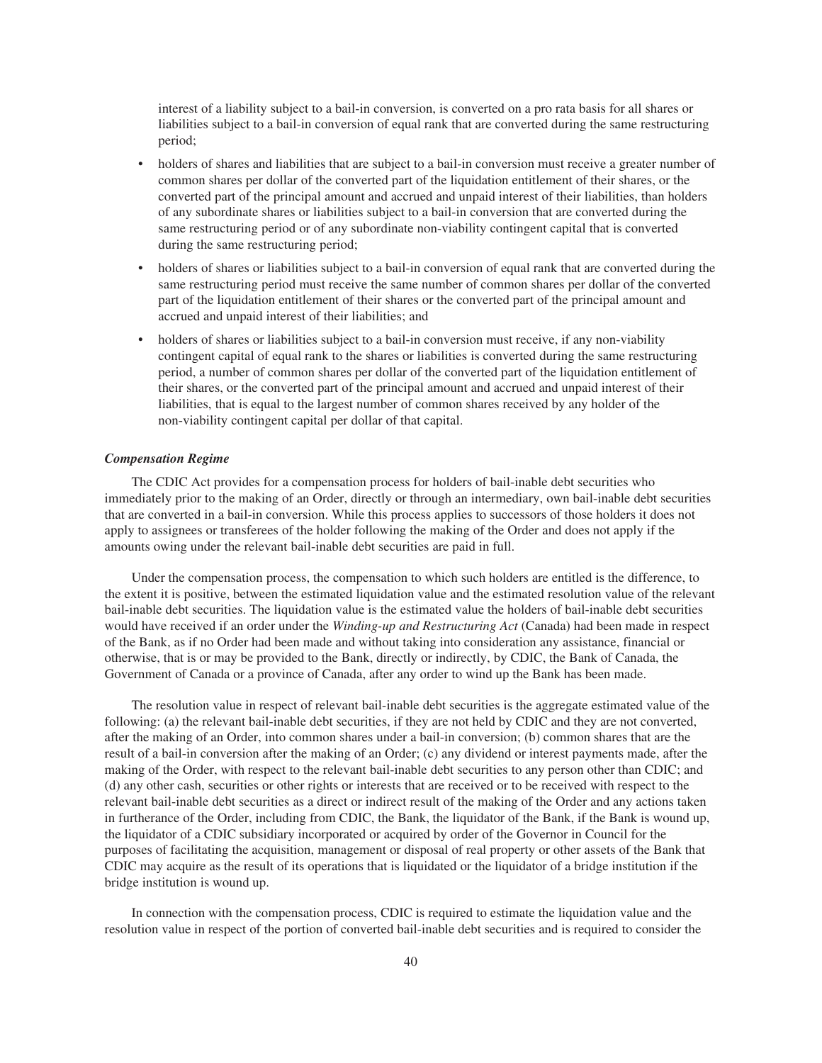interest of a liability subject to a bail-in conversion, is converted on a pro rata basis for all shares or liabilities subject to a bail-in conversion of equal rank that are converted during the same restructuring period;

- holders of shares and liabilities that are subject to a bail-in conversion must receive a greater number of common shares per dollar of the converted part of the liquidation entitlement of their shares, or the converted part of the principal amount and accrued and unpaid interest of their liabilities, than holders of any subordinate shares or liabilities subject to a bail-in conversion that are converted during the same restructuring period or of any subordinate non-viability contingent capital that is converted during the same restructuring period;
- holders of shares or liabilities subject to a bail-in conversion of equal rank that are converted during the same restructuring period must receive the same number of common shares per dollar of the converted part of the liquidation entitlement of their shares or the converted part of the principal amount and accrued and unpaid interest of their liabilities; and
- holders of shares or liabilities subject to a bail-in conversion must receive, if any non-viability contingent capital of equal rank to the shares or liabilities is converted during the same restructuring period, a number of common shares per dollar of the converted part of the liquidation entitlement of their shares, or the converted part of the principal amount and accrued and unpaid interest of their liabilities, that is equal to the largest number of common shares received by any holder of the non-viability contingent capital per dollar of that capital.

### *Compensation Regime*

The CDIC Act provides for a compensation process for holders of bail-inable debt securities who immediately prior to the making of an Order, directly or through an intermediary, own bail-inable debt securities that are converted in a bail-in conversion. While this process applies to successors of those holders it does not apply to assignees or transferees of the holder following the making of the Order and does not apply if the amounts owing under the relevant bail-inable debt securities are paid in full.

Under the compensation process, the compensation to which such holders are entitled is the difference, to the extent it is positive, between the estimated liquidation value and the estimated resolution value of the relevant bail-inable debt securities. The liquidation value is the estimated value the holders of bail-inable debt securities would have received if an order under the *Winding-up and Restructuring Act* (Canada) had been made in respect of the Bank, as if no Order had been made and without taking into consideration any assistance, financial or otherwise, that is or may be provided to the Bank, directly or indirectly, by CDIC, the Bank of Canada, the Government of Canada or a province of Canada, after any order to wind up the Bank has been made.

The resolution value in respect of relevant bail-inable debt securities is the aggregate estimated value of the following: (a) the relevant bail-inable debt securities, if they are not held by CDIC and they are not converted, after the making of an Order, into common shares under a bail-in conversion; (b) common shares that are the result of a bail-in conversion after the making of an Order; (c) any dividend or interest payments made, after the making of the Order, with respect to the relevant bail-inable debt securities to any person other than CDIC; and (d) any other cash, securities or other rights or interests that are received or to be received with respect to the relevant bail-inable debt securities as a direct or indirect result of the making of the Order and any actions taken in furtherance of the Order, including from CDIC, the Bank, the liquidator of the Bank, if the Bank is wound up, the liquidator of a CDIC subsidiary incorporated or acquired by order of the Governor in Council for the purposes of facilitating the acquisition, management or disposal of real property or other assets of the Bank that CDIC may acquire as the result of its operations that is liquidated or the liquidator of a bridge institution if the bridge institution is wound up.

In connection with the compensation process, CDIC is required to estimate the liquidation value and the resolution value in respect of the portion of converted bail-inable debt securities and is required to consider the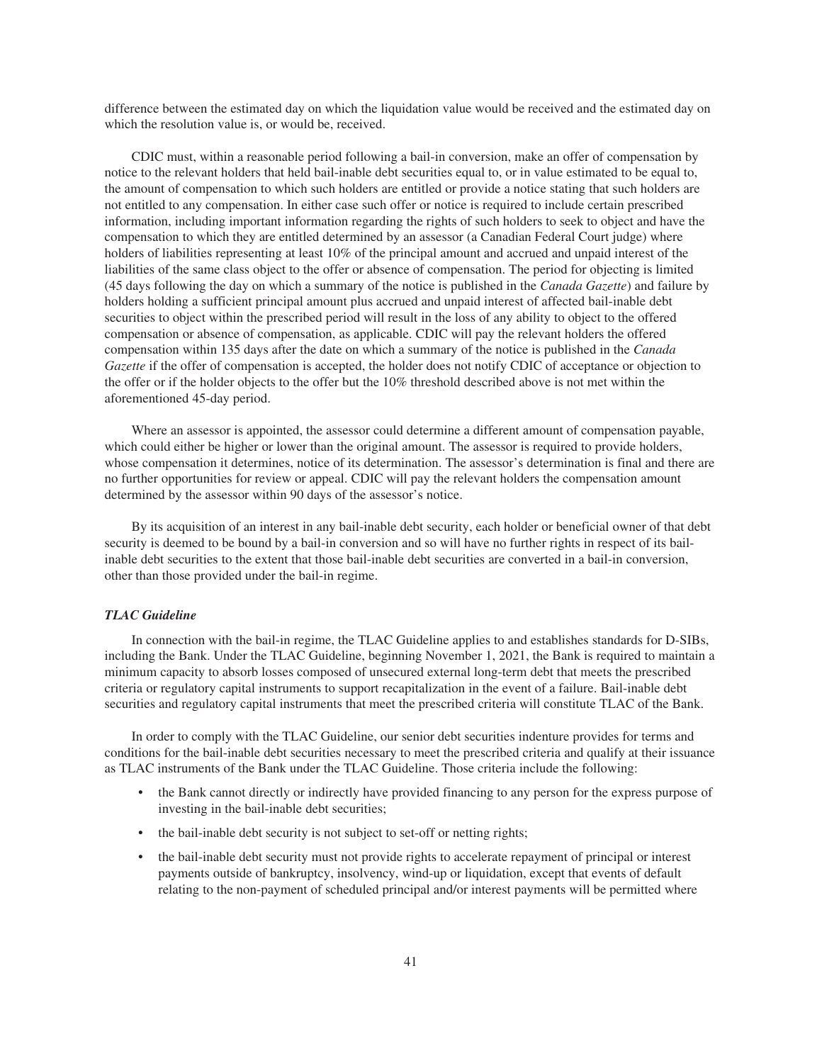difference between the estimated day on which the liquidation value would be received and the estimated day on which the resolution value is, or would be, received.

CDIC must, within a reasonable period following a bail-in conversion, make an offer of compensation by notice to the relevant holders that held bail-inable debt securities equal to, or in value estimated to be equal to, the amount of compensation to which such holders are entitled or provide a notice stating that such holders are not entitled to any compensation. In either case such offer or notice is required to include certain prescribed information, including important information regarding the rights of such holders to seek to object and have the compensation to which they are entitled determined by an assessor (a Canadian Federal Court judge) where holders of liabilities representing at least 10% of the principal amount and accrued and unpaid interest of the liabilities of the same class object to the offer or absence of compensation. The period for objecting is limited (45 days following the day on which a summary of the notice is published in the *Canada Gazette*) and failure by holders holding a sufficient principal amount plus accrued and unpaid interest of affected bail-inable debt securities to object within the prescribed period will result in the loss of any ability to object to the offered compensation or absence of compensation, as applicable. CDIC will pay the relevant holders the offered compensation within 135 days after the date on which a summary of the notice is published in the *Canada Gazette* if the offer of compensation is accepted, the holder does not notify CDIC of acceptance or objection to the offer or if the holder objects to the offer but the 10% threshold described above is not met within the aforementioned 45-day period.

Where an assessor is appointed, the assessor could determine a different amount of compensation payable, which could either be higher or lower than the original amount. The assessor is required to provide holders, whose compensation it determines, notice of its determination. The assessor's determination is final and there are no further opportunities for review or appeal. CDIC will pay the relevant holders the compensation amount determined by the assessor within 90 days of the assessor's notice.

By its acquisition of an interest in any bail-inable debt security, each holder or beneficial owner of that debt security is deemed to be bound by a bail-in conversion and so will have no further rights in respect of its bailinable debt securities to the extent that those bail-inable debt securities are converted in a bail-in conversion, other than those provided under the bail-in regime.

### *TLAC Guideline*

In connection with the bail-in regime, the TLAC Guideline applies to and establishes standards for D-SIBs, including the Bank. Under the TLAC Guideline, beginning November 1, 2021, the Bank is required to maintain a minimum capacity to absorb losses composed of unsecured external long-term debt that meets the prescribed criteria or regulatory capital instruments to support recapitalization in the event of a failure. Bail-inable debt securities and regulatory capital instruments that meet the prescribed criteria will constitute TLAC of the Bank.

In order to comply with the TLAC Guideline, our senior debt securities indenture provides for terms and conditions for the bail-inable debt securities necessary to meet the prescribed criteria and qualify at their issuance as TLAC instruments of the Bank under the TLAC Guideline. Those criteria include the following:

- the Bank cannot directly or indirectly have provided financing to any person for the express purpose of investing in the bail-inable debt securities;
- the bail-inable debt security is not subject to set-off or netting rights;
- the bail-inable debt security must not provide rights to accelerate repayment of principal or interest payments outside of bankruptcy, insolvency, wind-up or liquidation, except that events of default relating to the non-payment of scheduled principal and/or interest payments will be permitted where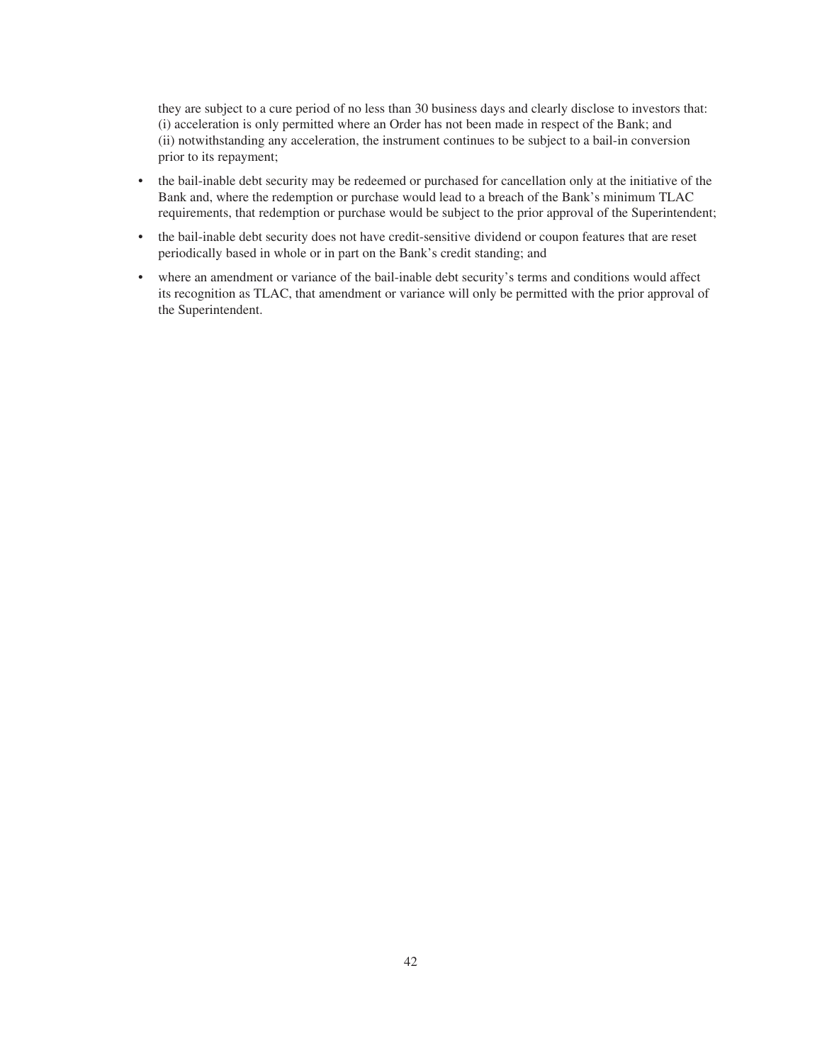they are subject to a cure period of no less than 30 business days and clearly disclose to investors that: (i) acceleration is only permitted where an Order has not been made in respect of the Bank; and (ii) notwithstanding any acceleration, the instrument continues to be subject to a bail-in conversion prior to its repayment;

- the bail-inable debt security may be redeemed or purchased for cancellation only at the initiative of the Bank and, where the redemption or purchase would lead to a breach of the Bank's minimum TLAC requirements, that redemption or purchase would be subject to the prior approval of the Superintendent;
- the bail-inable debt security does not have credit-sensitive dividend or coupon features that are reset periodically based in whole or in part on the Bank's credit standing; and
- where an amendment or variance of the bail-inable debt security's terms and conditions would affect its recognition as TLAC, that amendment or variance will only be permitted with the prior approval of the Superintendent.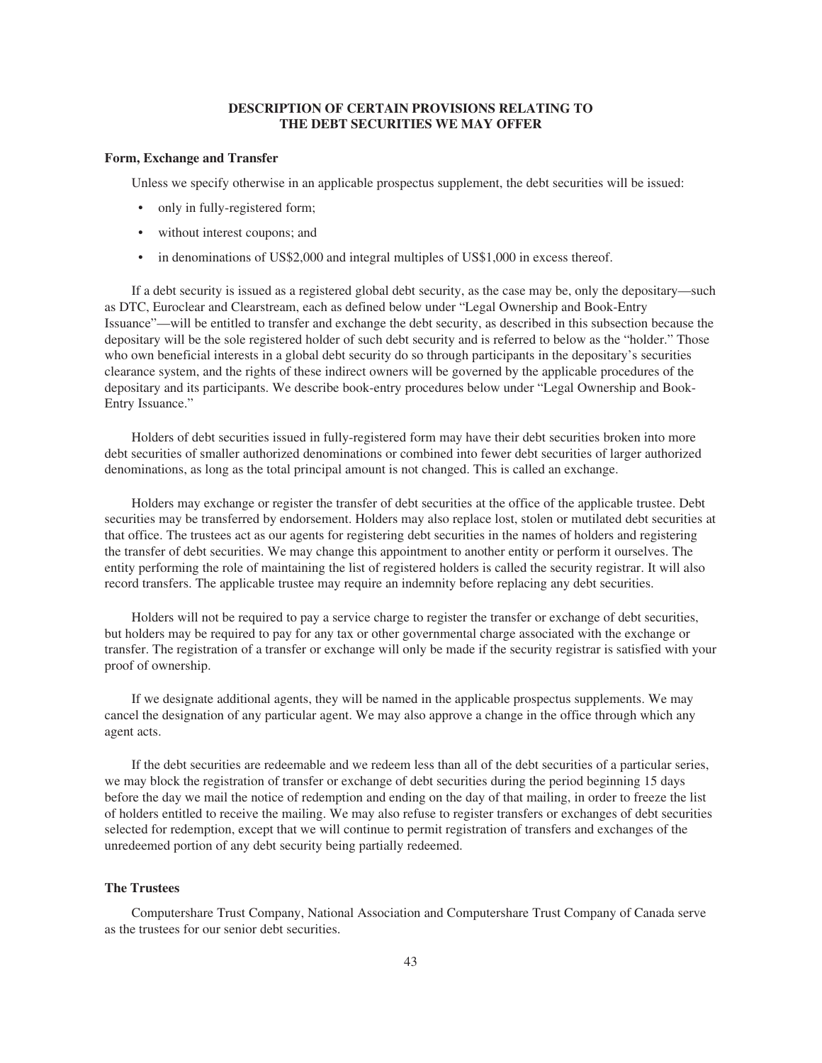# **DESCRIPTION OF CERTAIN PROVISIONS RELATING TO THE DEBT SECURITIES WE MAY OFFER**

## **Form, Exchange and Transfer**

Unless we specify otherwise in an applicable prospectus supplement, the debt securities will be issued:

- only in fully-registered form;
- without interest coupons; and
- in denominations of US\$2,000 and integral multiples of US\$1,000 in excess thereof.

If a debt security is issued as a registered global debt security, as the case may be, only the depositary—such as DTC, Euroclear and Clearstream, each as defined below under "Legal Ownership and Book-Entry Issuance"—will be entitled to transfer and exchange the debt security, as described in this subsection because the depositary will be the sole registered holder of such debt security and is referred to below as the "holder." Those who own beneficial interests in a global debt security do so through participants in the depositary's securities clearance system, and the rights of these indirect owners will be governed by the applicable procedures of the depositary and its participants. We describe book-entry procedures below under "Legal Ownership and Book-Entry Issuance."

Holders of debt securities issued in fully-registered form may have their debt securities broken into more debt securities of smaller authorized denominations or combined into fewer debt securities of larger authorized denominations, as long as the total principal amount is not changed. This is called an exchange.

Holders may exchange or register the transfer of debt securities at the office of the applicable trustee. Debt securities may be transferred by endorsement. Holders may also replace lost, stolen or mutilated debt securities at that office. The trustees act as our agents for registering debt securities in the names of holders and registering the transfer of debt securities. We may change this appointment to another entity or perform it ourselves. The entity performing the role of maintaining the list of registered holders is called the security registrar. It will also record transfers. The applicable trustee may require an indemnity before replacing any debt securities.

Holders will not be required to pay a service charge to register the transfer or exchange of debt securities, but holders may be required to pay for any tax or other governmental charge associated with the exchange or transfer. The registration of a transfer or exchange will only be made if the security registrar is satisfied with your proof of ownership.

If we designate additional agents, they will be named in the applicable prospectus supplements. We may cancel the designation of any particular agent. We may also approve a change in the office through which any agent acts.

If the debt securities are redeemable and we redeem less than all of the debt securities of a particular series, we may block the registration of transfer or exchange of debt securities during the period beginning 15 days before the day we mail the notice of redemption and ending on the day of that mailing, in order to freeze the list of holders entitled to receive the mailing. We may also refuse to register transfers or exchanges of debt securities selected for redemption, except that we will continue to permit registration of transfers and exchanges of the unredeemed portion of any debt security being partially redeemed.

# **The Trustees**

Computershare Trust Company, National Association and Computershare Trust Company of Canada serve as the trustees for our senior debt securities.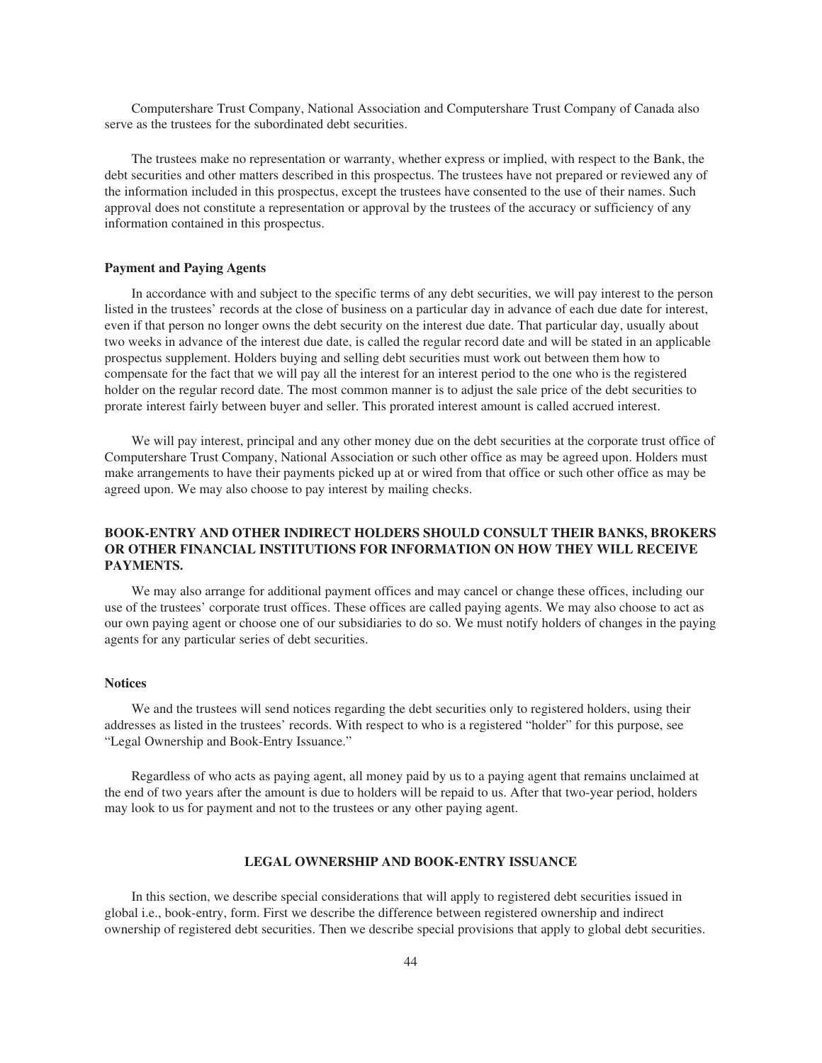Computershare Trust Company, National Association and Computershare Trust Company of Canada also serve as the trustees for the subordinated debt securities.

The trustees make no representation or warranty, whether express or implied, with respect to the Bank, the debt securities and other matters described in this prospectus. The trustees have not prepared or reviewed any of the information included in this prospectus, except the trustees have consented to the use of their names. Such approval does not constitute a representation or approval by the trustees of the accuracy or sufficiency of any information contained in this prospectus.

### **Payment and Paying Agents**

In accordance with and subject to the specific terms of any debt securities, we will pay interest to the person listed in the trustees' records at the close of business on a particular day in advance of each due date for interest, even if that person no longer owns the debt security on the interest due date. That particular day, usually about two weeks in advance of the interest due date, is called the regular record date and will be stated in an applicable prospectus supplement. Holders buying and selling debt securities must work out between them how to compensate for the fact that we will pay all the interest for an interest period to the one who is the registered holder on the regular record date. The most common manner is to adjust the sale price of the debt securities to prorate interest fairly between buyer and seller. This prorated interest amount is called accrued interest.

We will pay interest, principal and any other money due on the debt securities at the corporate trust office of Computershare Trust Company, National Association or such other office as may be agreed upon. Holders must make arrangements to have their payments picked up at or wired from that office or such other office as may be agreed upon. We may also choose to pay interest by mailing checks.

# **BOOK-ENTRY AND OTHER INDIRECT HOLDERS SHOULD CONSULT THEIR BANKS, BROKERS OR OTHER FINANCIAL INSTITUTIONS FOR INFORMATION ON HOW THEY WILL RECEIVE PAYMENTS.**

We may also arrange for additional payment offices and may cancel or change these offices, including our use of the trustees' corporate trust offices. These offices are called paying agents. We may also choose to act as our own paying agent or choose one of our subsidiaries to do so. We must notify holders of changes in the paying agents for any particular series of debt securities.

## **Notices**

We and the trustees will send notices regarding the debt securities only to registered holders, using their addresses as listed in the trustees' records. With respect to who is a registered "holder" for this purpose, see "Legal Ownership and Book-Entry Issuance."

Regardless of who acts as paying agent, all money paid by us to a paying agent that remains unclaimed at the end of two years after the amount is due to holders will be repaid to us. After that two-year period, holders may look to us for payment and not to the trustees or any other paying agent.

# **LEGAL OWNERSHIP AND BOOK-ENTRY ISSUANCE**

In this section, we describe special considerations that will apply to registered debt securities issued in global i.e., book-entry, form. First we describe the difference between registered ownership and indirect ownership of registered debt securities. Then we describe special provisions that apply to global debt securities.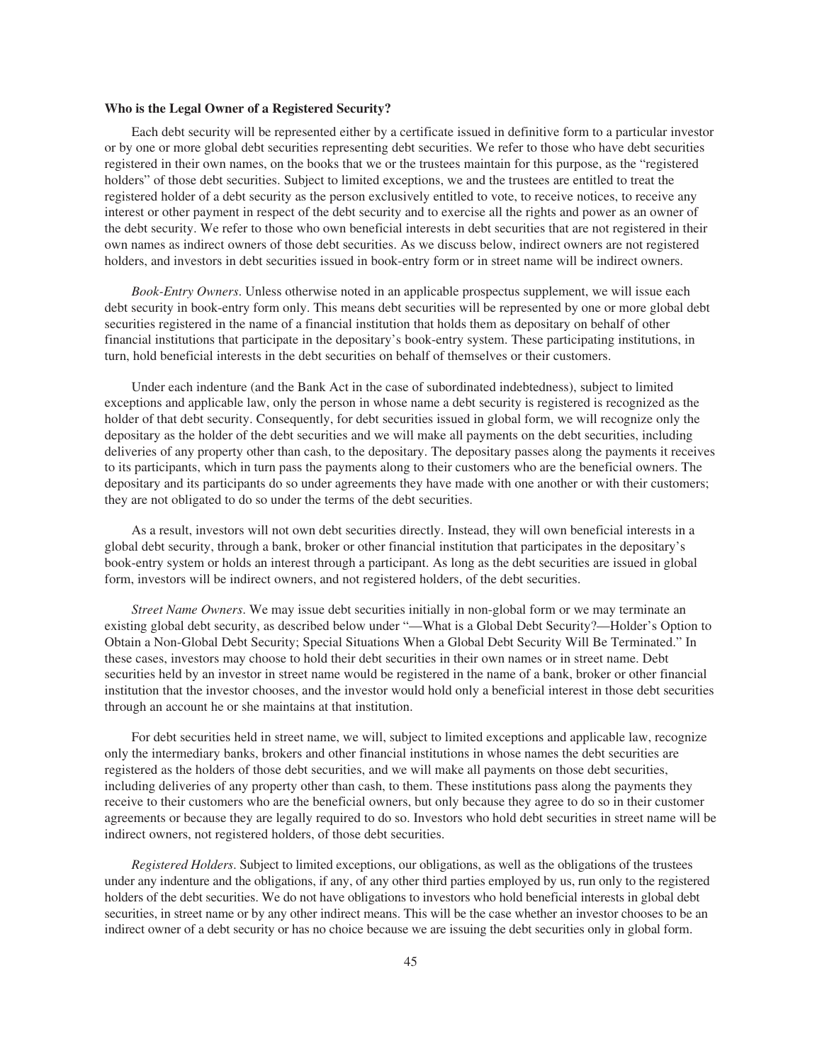# **Who is the Legal Owner of a Registered Security?**

Each debt security will be represented either by a certificate issued in definitive form to a particular investor or by one or more global debt securities representing debt securities. We refer to those who have debt securities registered in their own names, on the books that we or the trustees maintain for this purpose, as the "registered holders" of those debt securities. Subject to limited exceptions, we and the trustees are entitled to treat the registered holder of a debt security as the person exclusively entitled to vote, to receive notices, to receive any interest or other payment in respect of the debt security and to exercise all the rights and power as an owner of the debt security. We refer to those who own beneficial interests in debt securities that are not registered in their own names as indirect owners of those debt securities. As we discuss below, indirect owners are not registered holders, and investors in debt securities issued in book-entry form or in street name will be indirect owners.

*Book-Entry Owners*. Unless otherwise noted in an applicable prospectus supplement, we will issue each debt security in book-entry form only. This means debt securities will be represented by one or more global debt securities registered in the name of a financial institution that holds them as depositary on behalf of other financial institutions that participate in the depositary's book-entry system. These participating institutions, in turn, hold beneficial interests in the debt securities on behalf of themselves or their customers.

Under each indenture (and the Bank Act in the case of subordinated indebtedness), subject to limited exceptions and applicable law, only the person in whose name a debt security is registered is recognized as the holder of that debt security. Consequently, for debt securities issued in global form, we will recognize only the depositary as the holder of the debt securities and we will make all payments on the debt securities, including deliveries of any property other than cash, to the depositary. The depositary passes along the payments it receives to its participants, which in turn pass the payments along to their customers who are the beneficial owners. The depositary and its participants do so under agreements they have made with one another or with their customers; they are not obligated to do so under the terms of the debt securities.

As a result, investors will not own debt securities directly. Instead, they will own beneficial interests in a global debt security, through a bank, broker or other financial institution that participates in the depositary's book-entry system or holds an interest through a participant. As long as the debt securities are issued in global form, investors will be indirect owners, and not registered holders, of the debt securities.

*Street Name Owners*. We may issue debt securities initially in non-global form or we may terminate an existing global debt security, as described below under "—What is a Global Debt Security?—Holder's Option to Obtain a Non-Global Debt Security; Special Situations When a Global Debt Security Will Be Terminated." In these cases, investors may choose to hold their debt securities in their own names or in street name. Debt securities held by an investor in street name would be registered in the name of a bank, broker or other financial institution that the investor chooses, and the investor would hold only a beneficial interest in those debt securities through an account he or she maintains at that institution.

For debt securities held in street name, we will, subject to limited exceptions and applicable law, recognize only the intermediary banks, brokers and other financial institutions in whose names the debt securities are registered as the holders of those debt securities, and we will make all payments on those debt securities, including deliveries of any property other than cash, to them. These institutions pass along the payments they receive to their customers who are the beneficial owners, but only because they agree to do so in their customer agreements or because they are legally required to do so. Investors who hold debt securities in street name will be indirect owners, not registered holders, of those debt securities.

*Registered Holders*. Subject to limited exceptions, our obligations, as well as the obligations of the trustees under any indenture and the obligations, if any, of any other third parties employed by us, run only to the registered holders of the debt securities. We do not have obligations to investors who hold beneficial interests in global debt securities, in street name or by any other indirect means. This will be the case whether an investor chooses to be an indirect owner of a debt security or has no choice because we are issuing the debt securities only in global form.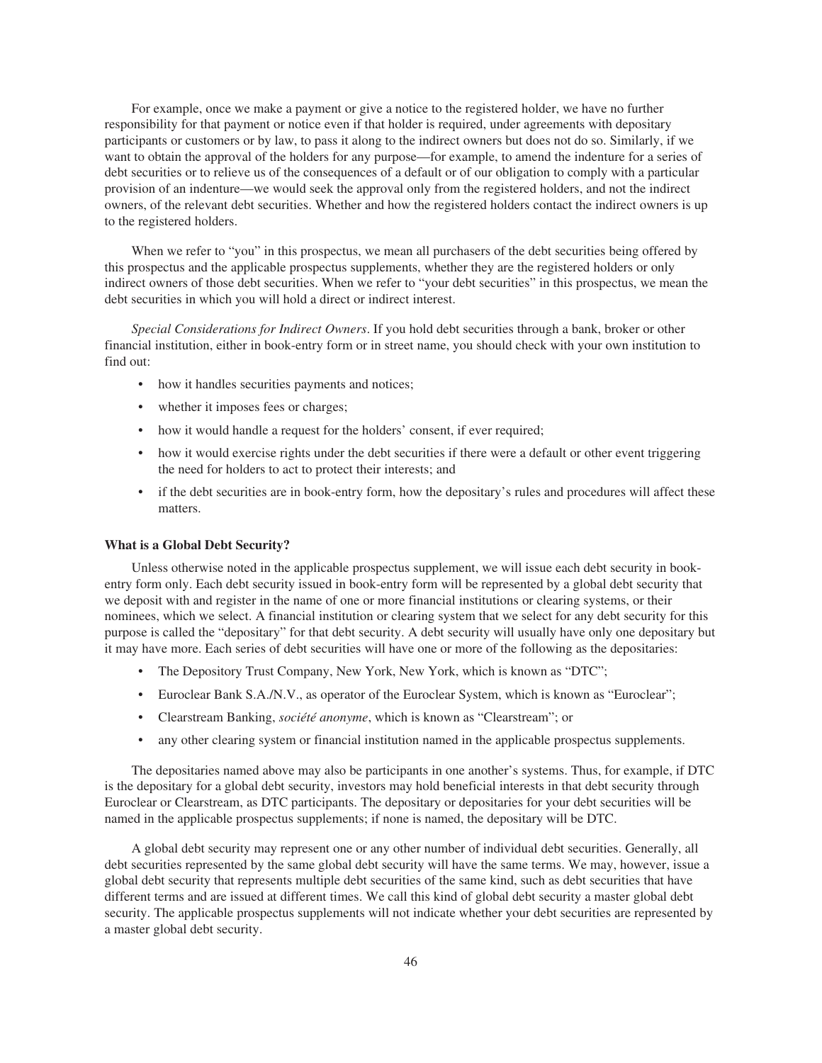For example, once we make a payment or give a notice to the registered holder, we have no further responsibility for that payment or notice even if that holder is required, under agreements with depositary participants or customers or by law, to pass it along to the indirect owners but does not do so. Similarly, if we want to obtain the approval of the holders for any purpose—for example, to amend the indenture for a series of debt securities or to relieve us of the consequences of a default or of our obligation to comply with a particular provision of an indenture—we would seek the approval only from the registered holders, and not the indirect owners, of the relevant debt securities. Whether and how the registered holders contact the indirect owners is up to the registered holders.

When we refer to "you" in this prospectus, we mean all purchasers of the debt securities being offered by this prospectus and the applicable prospectus supplements, whether they are the registered holders or only indirect owners of those debt securities. When we refer to "your debt securities" in this prospectus, we mean the debt securities in which you will hold a direct or indirect interest.

*Special Considerations for Indirect Owners*. If you hold debt securities through a bank, broker or other financial institution, either in book-entry form or in street name, you should check with your own institution to find out:

- how it handles securities payments and notices;
- whether it imposes fees or charges;
- how it would handle a request for the holders' consent, if ever required;
- how it would exercise rights under the debt securities if there were a default or other event triggering the need for holders to act to protect their interests; and
- if the debt securities are in book-entry form, how the depositary's rules and procedures will affect these matters.

### **What is a Global Debt Security?**

Unless otherwise noted in the applicable prospectus supplement, we will issue each debt security in bookentry form only. Each debt security issued in book-entry form will be represented by a global debt security that we deposit with and register in the name of one or more financial institutions or clearing systems, or their nominees, which we select. A financial institution or clearing system that we select for any debt security for this purpose is called the "depositary" for that debt security. A debt security will usually have only one depositary but it may have more. Each series of debt securities will have one or more of the following as the depositaries:

- The Depository Trust Company, New York, New York, which is known as "DTC";
- Euroclear Bank S.A./N.V., as operator of the Euroclear System, which is known as "Euroclear";
- Clearstream Banking, *société anonyme*, which is known as "Clearstream"; or
- any other clearing system or financial institution named in the applicable prospectus supplements.

The depositaries named above may also be participants in one another's systems. Thus, for example, if DTC is the depositary for a global debt security, investors may hold beneficial interests in that debt security through Euroclear or Clearstream, as DTC participants. The depositary or depositaries for your debt securities will be named in the applicable prospectus supplements; if none is named, the depositary will be DTC.

A global debt security may represent one or any other number of individual debt securities. Generally, all debt securities represented by the same global debt security will have the same terms. We may, however, issue a global debt security that represents multiple debt securities of the same kind, such as debt securities that have different terms and are issued at different times. We call this kind of global debt security a master global debt security. The applicable prospectus supplements will not indicate whether your debt securities are represented by a master global debt security.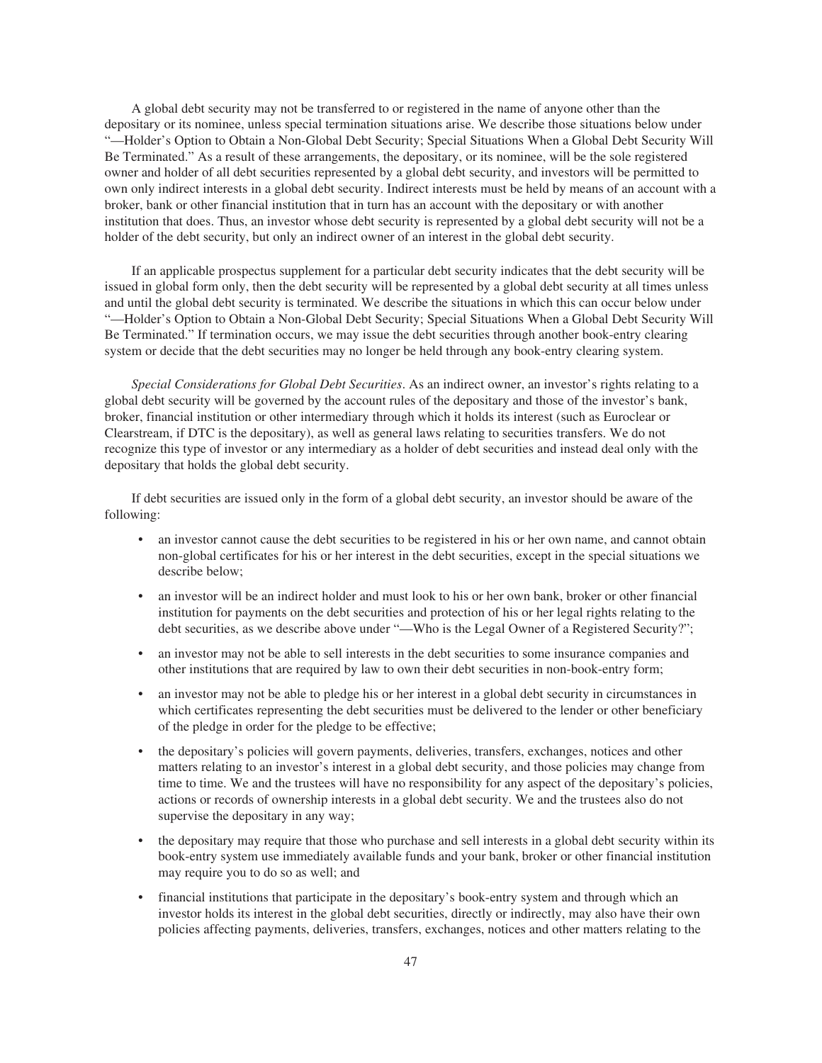A global debt security may not be transferred to or registered in the name of anyone other than the depositary or its nominee, unless special termination situations arise. We describe those situations below under "—Holder's Option to Obtain a Non-Global Debt Security; Special Situations When a Global Debt Security Will Be Terminated." As a result of these arrangements, the depositary, or its nominee, will be the sole registered owner and holder of all debt securities represented by a global debt security, and investors will be permitted to own only indirect interests in a global debt security. Indirect interests must be held by means of an account with a broker, bank or other financial institution that in turn has an account with the depositary or with another institution that does. Thus, an investor whose debt security is represented by a global debt security will not be a holder of the debt security, but only an indirect owner of an interest in the global debt security.

If an applicable prospectus supplement for a particular debt security indicates that the debt security will be issued in global form only, then the debt security will be represented by a global debt security at all times unless and until the global debt security is terminated. We describe the situations in which this can occur below under "—Holder's Option to Obtain a Non-Global Debt Security; Special Situations When a Global Debt Security Will Be Terminated." If termination occurs, we may issue the debt securities through another book-entry clearing system or decide that the debt securities may no longer be held through any book-entry clearing system.

*Special Considerations for Global Debt Securities*. As an indirect owner, an investor's rights relating to a global debt security will be governed by the account rules of the depositary and those of the investor's bank, broker, financial institution or other intermediary through which it holds its interest (such as Euroclear or Clearstream, if DTC is the depositary), as well as general laws relating to securities transfers. We do not recognize this type of investor or any intermediary as a holder of debt securities and instead deal only with the depositary that holds the global debt security.

If debt securities are issued only in the form of a global debt security, an investor should be aware of the following:

- an investor cannot cause the debt securities to be registered in his or her own name, and cannot obtain non-global certificates for his or her interest in the debt securities, except in the special situations we describe below;
- an investor will be an indirect holder and must look to his or her own bank, broker or other financial institution for payments on the debt securities and protection of his or her legal rights relating to the debt securities, as we describe above under "—Who is the Legal Owner of a Registered Security?";
- an investor may not be able to sell interests in the debt securities to some insurance companies and other institutions that are required by law to own their debt securities in non-book-entry form;
- an investor may not be able to pledge his or her interest in a global debt security in circumstances in which certificates representing the debt securities must be delivered to the lender or other beneficiary of the pledge in order for the pledge to be effective;
- the depositary's policies will govern payments, deliveries, transfers, exchanges, notices and other matters relating to an investor's interest in a global debt security, and those policies may change from time to time. We and the trustees will have no responsibility for any aspect of the depositary's policies, actions or records of ownership interests in a global debt security. We and the trustees also do not supervise the depositary in any way;
- the depositary may require that those who purchase and sell interests in a global debt security within its book-entry system use immediately available funds and your bank, broker or other financial institution may require you to do so as well; and
- financial institutions that participate in the depositary's book-entry system and through which an investor holds its interest in the global debt securities, directly or indirectly, may also have their own policies affecting payments, deliveries, transfers, exchanges, notices and other matters relating to the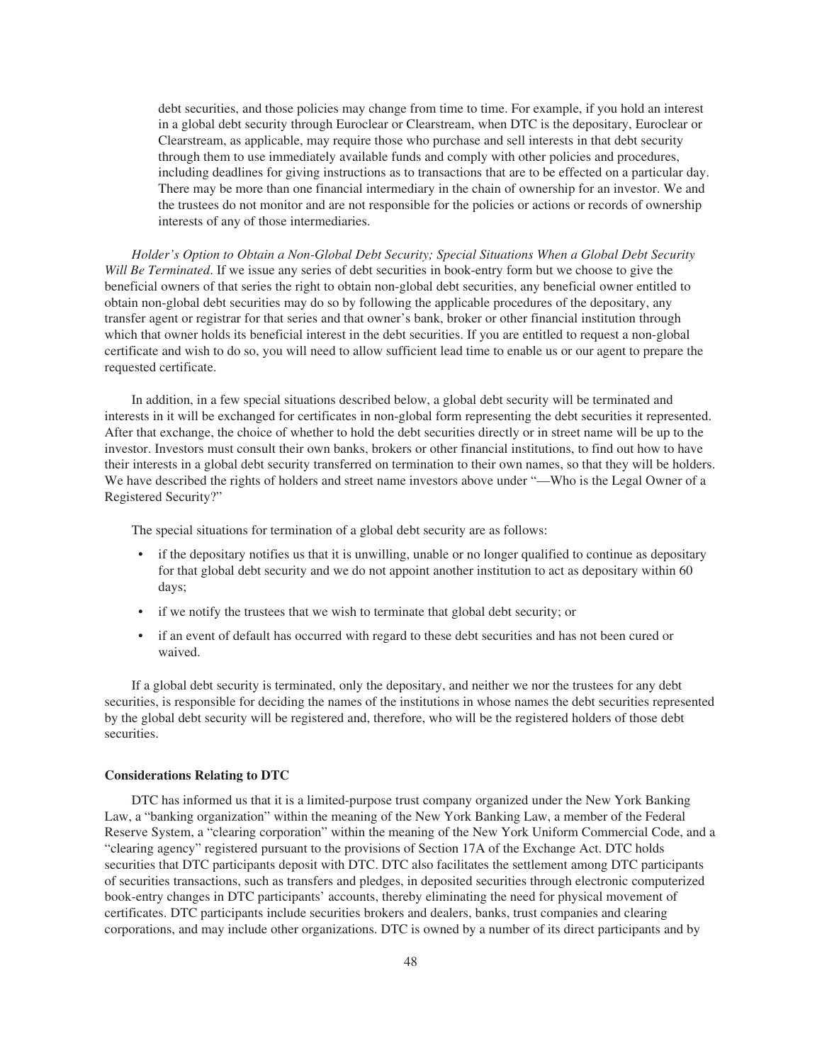debt securities, and those policies may change from time to time. For example, if you hold an interest in a global debt security through Euroclear or Clearstream, when DTC is the depositary, Euroclear or Clearstream, as applicable, may require those who purchase and sell interests in that debt security through them to use immediately available funds and comply with other policies and procedures, including deadlines for giving instructions as to transactions that are to be effected on a particular day. There may be more than one financial intermediary in the chain of ownership for an investor. We and the trustees do not monitor and are not responsible for the policies or actions or records of ownership interests of any of those intermediaries.

*Holder's Option to Obtain a Non-Global Debt Security; Special Situations When a Global Debt Security Will Be Terminated*. If we issue any series of debt securities in book-entry form but we choose to give the beneficial owners of that series the right to obtain non-global debt securities, any beneficial owner entitled to obtain non-global debt securities may do so by following the applicable procedures of the depositary, any transfer agent or registrar for that series and that owner's bank, broker or other financial institution through which that owner holds its beneficial interest in the debt securities. If you are entitled to request a non-global certificate and wish to do so, you will need to allow sufficient lead time to enable us or our agent to prepare the requested certificate.

In addition, in a few special situations described below, a global debt security will be terminated and interests in it will be exchanged for certificates in non-global form representing the debt securities it represented. After that exchange, the choice of whether to hold the debt securities directly or in street name will be up to the investor. Investors must consult their own banks, brokers or other financial institutions, to find out how to have their interests in a global debt security transferred on termination to their own names, so that they will be holders. We have described the rights of holders and street name investors above under "—Who is the Legal Owner of a Registered Security?"

The special situations for termination of a global debt security are as follows:

- if the depositary notifies us that it is unwilling, unable or no longer qualified to continue as depositary for that global debt security and we do not appoint another institution to act as depositary within 60 days;
- if we notify the trustees that we wish to terminate that global debt security; or
- if an event of default has occurred with regard to these debt securities and has not been cured or waived.

If a global debt security is terminated, only the depositary, and neither we nor the trustees for any debt securities, is responsible for deciding the names of the institutions in whose names the debt securities represented by the global debt security will be registered and, therefore, who will be the registered holders of those debt securities.

# **Considerations Relating to DTC**

DTC has informed us that it is a limited-purpose trust company organized under the New York Banking Law, a "banking organization" within the meaning of the New York Banking Law, a member of the Federal Reserve System, a "clearing corporation" within the meaning of the New York Uniform Commercial Code, and a "clearing agency" registered pursuant to the provisions of Section 17A of the Exchange Act. DTC holds securities that DTC participants deposit with DTC. DTC also facilitates the settlement among DTC participants of securities transactions, such as transfers and pledges, in deposited securities through electronic computerized book-entry changes in DTC participants' accounts, thereby eliminating the need for physical movement of certificates. DTC participants include securities brokers and dealers, banks, trust companies and clearing corporations, and may include other organizations. DTC is owned by a number of its direct participants and by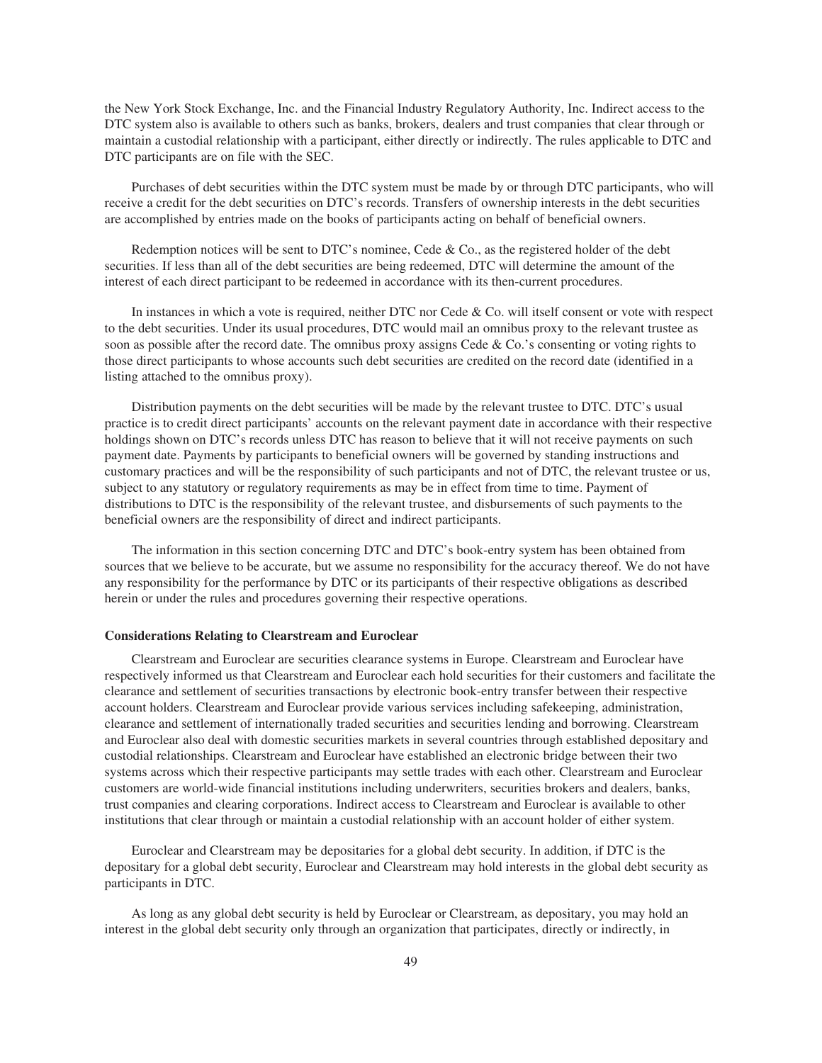the New York Stock Exchange, Inc. and the Financial Industry Regulatory Authority, Inc. Indirect access to the DTC system also is available to others such as banks, brokers, dealers and trust companies that clear through or maintain a custodial relationship with a participant, either directly or indirectly. The rules applicable to DTC and DTC participants are on file with the SEC.

Purchases of debt securities within the DTC system must be made by or through DTC participants, who will receive a credit for the debt securities on DTC's records. Transfers of ownership interests in the debt securities are accomplished by entries made on the books of participants acting on behalf of beneficial owners.

Redemption notices will be sent to DTC's nominee, Cede & Co., as the registered holder of the debt securities. If less than all of the debt securities are being redeemed, DTC will determine the amount of the interest of each direct participant to be redeemed in accordance with its then-current procedures.

In instances in which a vote is required, neither DTC nor Cede & Co. will itself consent or vote with respect to the debt securities. Under its usual procedures, DTC would mail an omnibus proxy to the relevant trustee as soon as possible after the record date. The omnibus proxy assigns Cede & Co.'s consenting or voting rights to those direct participants to whose accounts such debt securities are credited on the record date (identified in a listing attached to the omnibus proxy).

Distribution payments on the debt securities will be made by the relevant trustee to DTC. DTC's usual practice is to credit direct participants' accounts on the relevant payment date in accordance with their respective holdings shown on DTC's records unless DTC has reason to believe that it will not receive payments on such payment date. Payments by participants to beneficial owners will be governed by standing instructions and customary practices and will be the responsibility of such participants and not of DTC, the relevant trustee or us, subject to any statutory or regulatory requirements as may be in effect from time to time. Payment of distributions to DTC is the responsibility of the relevant trustee, and disbursements of such payments to the beneficial owners are the responsibility of direct and indirect participants.

The information in this section concerning DTC and DTC's book-entry system has been obtained from sources that we believe to be accurate, but we assume no responsibility for the accuracy thereof. We do not have any responsibility for the performance by DTC or its participants of their respective obligations as described herein or under the rules and procedures governing their respective operations.

## **Considerations Relating to Clearstream and Euroclear**

Clearstream and Euroclear are securities clearance systems in Europe. Clearstream and Euroclear have respectively informed us that Clearstream and Euroclear each hold securities for their customers and facilitate the clearance and settlement of securities transactions by electronic book-entry transfer between their respective account holders. Clearstream and Euroclear provide various services including safekeeping, administration, clearance and settlement of internationally traded securities and securities lending and borrowing. Clearstream and Euroclear also deal with domestic securities markets in several countries through established depositary and custodial relationships. Clearstream and Euroclear have established an electronic bridge between their two systems across which their respective participants may settle trades with each other. Clearstream and Euroclear customers are world-wide financial institutions including underwriters, securities brokers and dealers, banks, trust companies and clearing corporations. Indirect access to Clearstream and Euroclear is available to other institutions that clear through or maintain a custodial relationship with an account holder of either system.

Euroclear and Clearstream may be depositaries for a global debt security. In addition, if DTC is the depositary for a global debt security, Euroclear and Clearstream may hold interests in the global debt security as participants in DTC.

As long as any global debt security is held by Euroclear or Clearstream, as depositary, you may hold an interest in the global debt security only through an organization that participates, directly or indirectly, in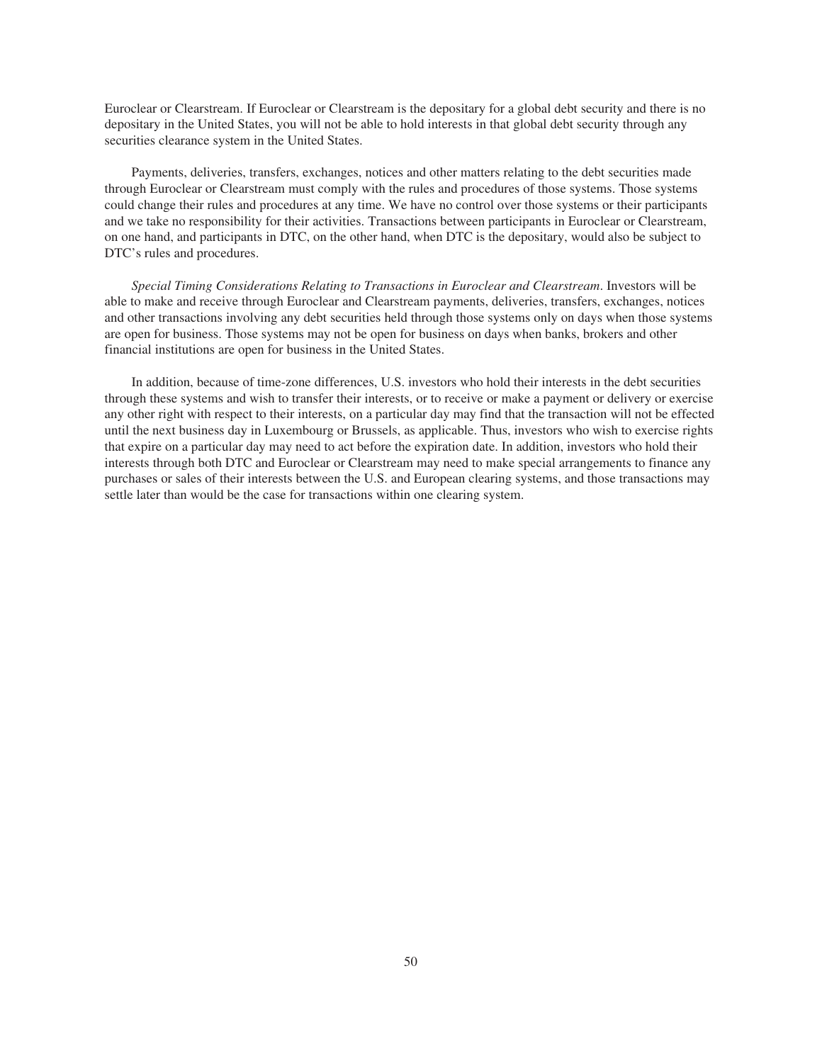Euroclear or Clearstream. If Euroclear or Clearstream is the depositary for a global debt security and there is no depositary in the United States, you will not be able to hold interests in that global debt security through any securities clearance system in the United States.

Payments, deliveries, transfers, exchanges, notices and other matters relating to the debt securities made through Euroclear or Clearstream must comply with the rules and procedures of those systems. Those systems could change their rules and procedures at any time. We have no control over those systems or their participants and we take no responsibility for their activities. Transactions between participants in Euroclear or Clearstream, on one hand, and participants in DTC, on the other hand, when DTC is the depositary, would also be subject to DTC's rules and procedures.

*Special Timing Considerations Relating to Transactions in Euroclear and Clearstream*. Investors will be able to make and receive through Euroclear and Clearstream payments, deliveries, transfers, exchanges, notices and other transactions involving any debt securities held through those systems only on days when those systems are open for business. Those systems may not be open for business on days when banks, brokers and other financial institutions are open for business in the United States.

In addition, because of time-zone differences, U.S. investors who hold their interests in the debt securities through these systems and wish to transfer their interests, or to receive or make a payment or delivery or exercise any other right with respect to their interests, on a particular day may find that the transaction will not be effected until the next business day in Luxembourg or Brussels, as applicable. Thus, investors who wish to exercise rights that expire on a particular day may need to act before the expiration date. In addition, investors who hold their interests through both DTC and Euroclear or Clearstream may need to make special arrangements to finance any purchases or sales of their interests between the U.S. and European clearing systems, and those transactions may settle later than would be the case for transactions within one clearing system.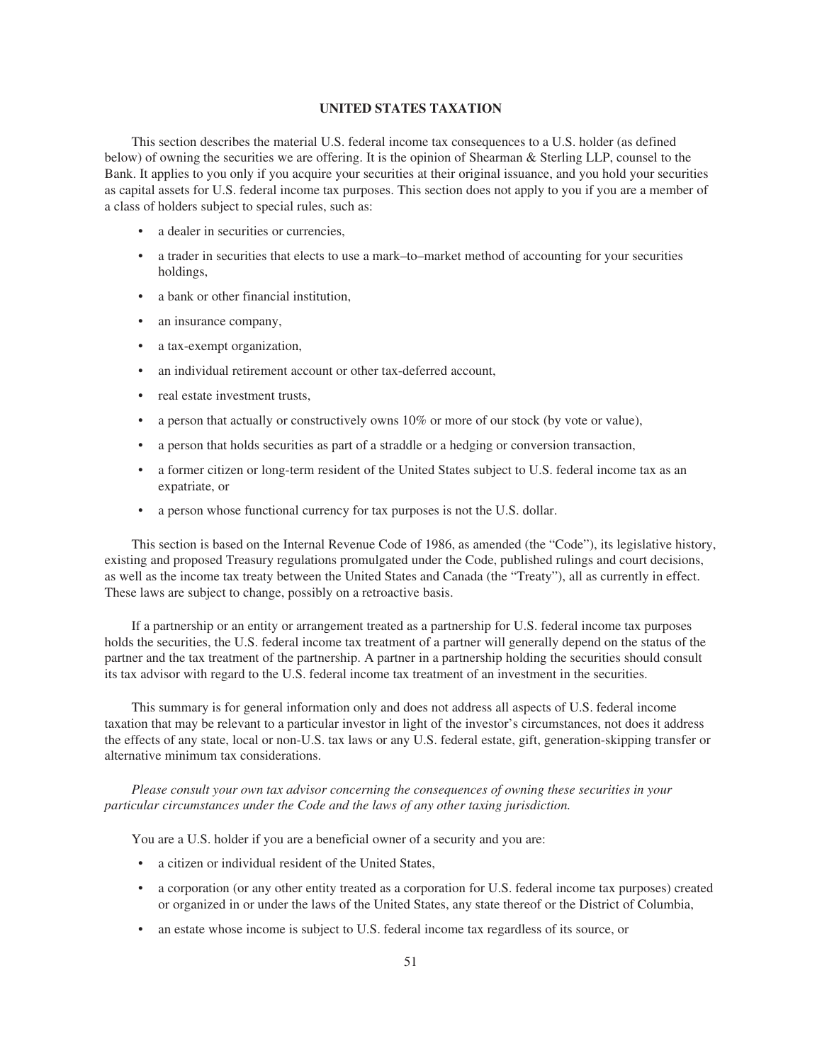# **UNITED STATES TAXATION**

This section describes the material U.S. federal income tax consequences to a U.S. holder (as defined below) of owning the securities we are offering. It is the opinion of Shearman & Sterling LLP, counsel to the Bank. It applies to you only if you acquire your securities at their original issuance, and you hold your securities as capital assets for U.S. federal income tax purposes. This section does not apply to you if you are a member of a class of holders subject to special rules, such as:

- a dealer in securities or currencies.
- a trader in securities that elects to use a mark–to–market method of accounting for your securities holdings,
- a bank or other financial institution,
- an insurance company,
- a tax-exempt organization,
- an individual retirement account or other tax-deferred account,
- real estate investment trusts.
- a person that actually or constructively owns 10% or more of our stock (by vote or value),
- a person that holds securities as part of a straddle or a hedging or conversion transaction,
- a former citizen or long-term resident of the United States subject to U.S. federal income tax as an expatriate, or
- a person whose functional currency for tax purposes is not the U.S. dollar.

This section is based on the Internal Revenue Code of 1986, as amended (the "Code"), its legislative history, existing and proposed Treasury regulations promulgated under the Code, published rulings and court decisions, as well as the income tax treaty between the United States and Canada (the "Treaty"), all as currently in effect. These laws are subject to change, possibly on a retroactive basis.

If a partnership or an entity or arrangement treated as a partnership for U.S. federal income tax purposes holds the securities, the U.S. federal income tax treatment of a partner will generally depend on the status of the partner and the tax treatment of the partnership. A partner in a partnership holding the securities should consult its tax advisor with regard to the U.S. federal income tax treatment of an investment in the securities.

This summary is for general information only and does not address all aspects of U.S. federal income taxation that may be relevant to a particular investor in light of the investor's circumstances, not does it address the effects of any state, local or non-U.S. tax laws or any U.S. federal estate, gift, generation-skipping transfer or alternative minimum tax considerations.

*Please consult your own tax advisor concerning the consequences of owning these securities in your particular circumstances under the Code and the laws of any other taxing jurisdiction.*

You are a U.S. holder if you are a beneficial owner of a security and you are:

- a citizen or individual resident of the United States,
- a corporation (or any other entity treated as a corporation for U.S. federal income tax purposes) created or organized in or under the laws of the United States, any state thereof or the District of Columbia,
- an estate whose income is subject to U.S. federal income tax regardless of its source, or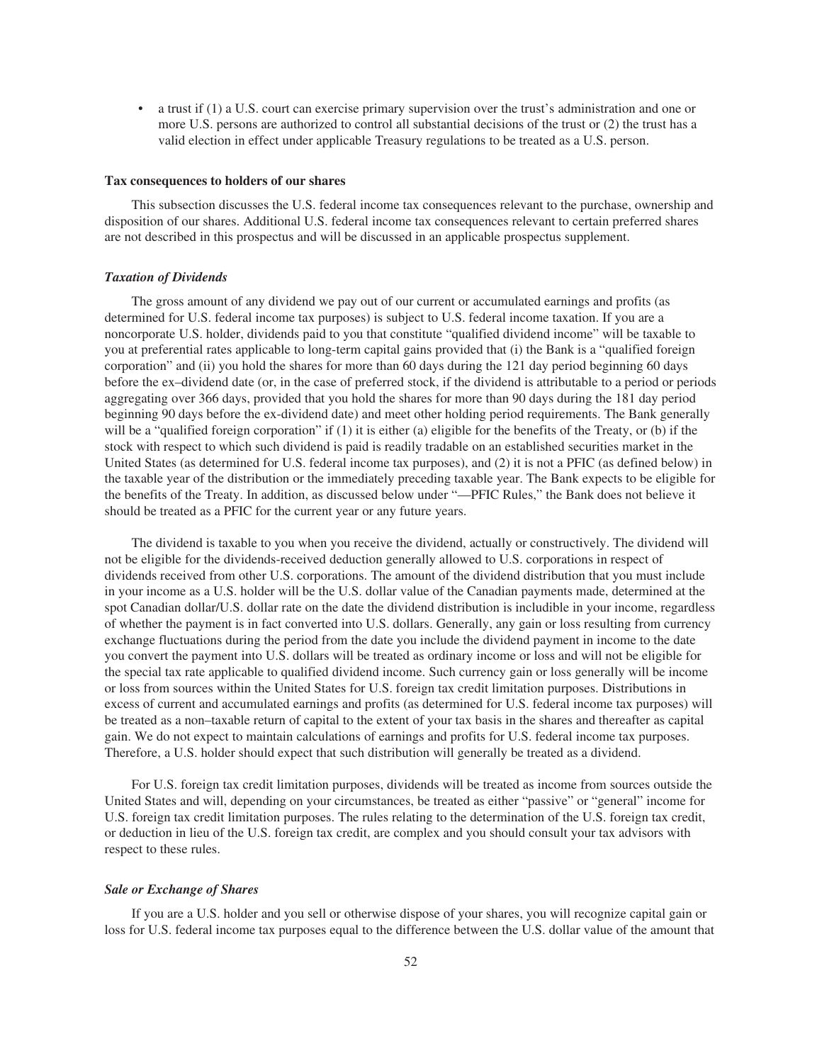• a trust if (1) a U.S. court can exercise primary supervision over the trust's administration and one or more U.S. persons are authorized to control all substantial decisions of the trust or (2) the trust has a valid election in effect under applicable Treasury regulations to be treated as a U.S. person.

#### **Tax consequences to holders of our shares**

This subsection discusses the U.S. federal income tax consequences relevant to the purchase, ownership and disposition of our shares. Additional U.S. federal income tax consequences relevant to certain preferred shares are not described in this prospectus and will be discussed in an applicable prospectus supplement.

### *Taxation of Dividends*

The gross amount of any dividend we pay out of our current or accumulated earnings and profits (as determined for U.S. federal income tax purposes) is subject to U.S. federal income taxation. If you are a noncorporate U.S. holder, dividends paid to you that constitute "qualified dividend income" will be taxable to you at preferential rates applicable to long-term capital gains provided that (i) the Bank is a "qualified foreign corporation" and (ii) you hold the shares for more than 60 days during the 121 day period beginning 60 days before the ex–dividend date (or, in the case of preferred stock, if the dividend is attributable to a period or periods aggregating over 366 days, provided that you hold the shares for more than 90 days during the 181 day period beginning 90 days before the ex-dividend date) and meet other holding period requirements. The Bank generally will be a "qualified foreign corporation" if (1) it is either (a) eligible for the benefits of the Treaty, or (b) if the stock with respect to which such dividend is paid is readily tradable on an established securities market in the United States (as determined for U.S. federal income tax purposes), and (2) it is not a PFIC (as defined below) in the taxable year of the distribution or the immediately preceding taxable year. The Bank expects to be eligible for the benefits of the Treaty. In addition, as discussed below under "—PFIC Rules," the Bank does not believe it should be treated as a PFIC for the current year or any future years.

The dividend is taxable to you when you receive the dividend, actually or constructively. The dividend will not be eligible for the dividends-received deduction generally allowed to U.S. corporations in respect of dividends received from other U.S. corporations. The amount of the dividend distribution that you must include in your income as a U.S. holder will be the U.S. dollar value of the Canadian payments made, determined at the spot Canadian dollar/U.S. dollar rate on the date the dividend distribution is includible in your income, regardless of whether the payment is in fact converted into U.S. dollars. Generally, any gain or loss resulting from currency exchange fluctuations during the period from the date you include the dividend payment in income to the date you convert the payment into U.S. dollars will be treated as ordinary income or loss and will not be eligible for the special tax rate applicable to qualified dividend income. Such currency gain or loss generally will be income or loss from sources within the United States for U.S. foreign tax credit limitation purposes. Distributions in excess of current and accumulated earnings and profits (as determined for U.S. federal income tax purposes) will be treated as a non–taxable return of capital to the extent of your tax basis in the shares and thereafter as capital gain. We do not expect to maintain calculations of earnings and profits for U.S. federal income tax purposes. Therefore, a U.S. holder should expect that such distribution will generally be treated as a dividend.

For U.S. foreign tax credit limitation purposes, dividends will be treated as income from sources outside the United States and will, depending on your circumstances, be treated as either "passive" or "general" income for U.S. foreign tax credit limitation purposes. The rules relating to the determination of the U.S. foreign tax credit, or deduction in lieu of the U.S. foreign tax credit, are complex and you should consult your tax advisors with respect to these rules.

# *Sale or Exchange of Shares*

If you are a U.S. holder and you sell or otherwise dispose of your shares, you will recognize capital gain or loss for U.S. federal income tax purposes equal to the difference between the U.S. dollar value of the amount that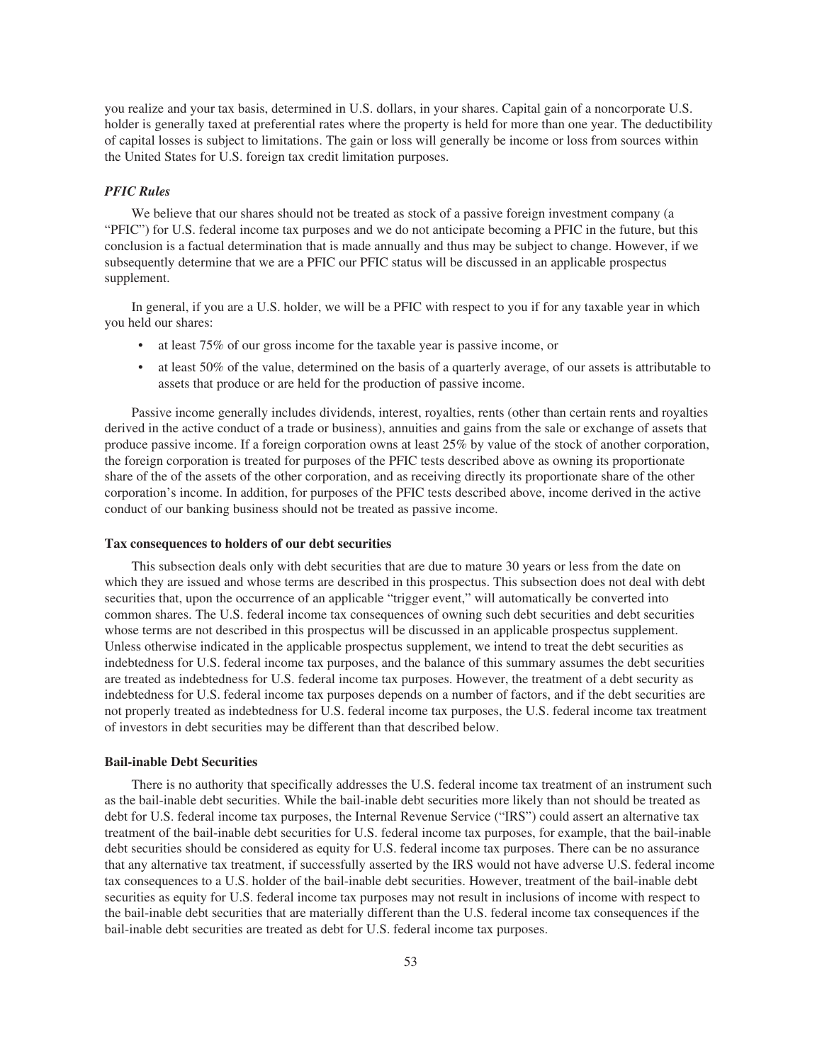you realize and your tax basis, determined in U.S. dollars, in your shares. Capital gain of a noncorporate U.S. holder is generally taxed at preferential rates where the property is held for more than one year. The deductibility of capital losses is subject to limitations. The gain or loss will generally be income or loss from sources within the United States for U.S. foreign tax credit limitation purposes.

# *PFIC Rules*

We believe that our shares should not be treated as stock of a passive foreign investment company (a "PFIC") for U.S. federal income tax purposes and we do not anticipate becoming a PFIC in the future, but this conclusion is a factual determination that is made annually and thus may be subject to change. However, if we subsequently determine that we are a PFIC our PFIC status will be discussed in an applicable prospectus supplement.

In general, if you are a U.S. holder, we will be a PFIC with respect to you if for any taxable year in which you held our shares:

- at least 75% of our gross income for the taxable year is passive income, or
- at least 50% of the value, determined on the basis of a quarterly average, of our assets is attributable to assets that produce or are held for the production of passive income.

Passive income generally includes dividends, interest, royalties, rents (other than certain rents and royalties derived in the active conduct of a trade or business), annuities and gains from the sale or exchange of assets that produce passive income. If a foreign corporation owns at least 25% by value of the stock of another corporation, the foreign corporation is treated for purposes of the PFIC tests described above as owning its proportionate share of the of the assets of the other corporation, and as receiving directly its proportionate share of the other corporation's income. In addition, for purposes of the PFIC tests described above, income derived in the active conduct of our banking business should not be treated as passive income.

#### **Tax consequences to holders of our debt securities**

This subsection deals only with debt securities that are due to mature 30 years or less from the date on which they are issued and whose terms are described in this prospectus. This subsection does not deal with debt securities that, upon the occurrence of an applicable "trigger event," will automatically be converted into common shares. The U.S. federal income tax consequences of owning such debt securities and debt securities whose terms are not described in this prospectus will be discussed in an applicable prospectus supplement. Unless otherwise indicated in the applicable prospectus supplement, we intend to treat the debt securities as indebtedness for U.S. federal income tax purposes, and the balance of this summary assumes the debt securities are treated as indebtedness for U.S. federal income tax purposes. However, the treatment of a debt security as indebtedness for U.S. federal income tax purposes depends on a number of factors, and if the debt securities are not properly treated as indebtedness for U.S. federal income tax purposes, the U.S. federal income tax treatment of investors in debt securities may be different than that described below.

### **Bail-inable Debt Securities**

There is no authority that specifically addresses the U.S. federal income tax treatment of an instrument such as the bail-inable debt securities. While the bail-inable debt securities more likely than not should be treated as debt for U.S. federal income tax purposes, the Internal Revenue Service ("IRS") could assert an alternative tax treatment of the bail-inable debt securities for U.S. federal income tax purposes, for example, that the bail-inable debt securities should be considered as equity for U.S. federal income tax purposes. There can be no assurance that any alternative tax treatment, if successfully asserted by the IRS would not have adverse U.S. federal income tax consequences to a U.S. holder of the bail-inable debt securities. However, treatment of the bail-inable debt securities as equity for U.S. federal income tax purposes may not result in inclusions of income with respect to the bail-inable debt securities that are materially different than the U.S. federal income tax consequences if the bail-inable debt securities are treated as debt for U.S. federal income tax purposes.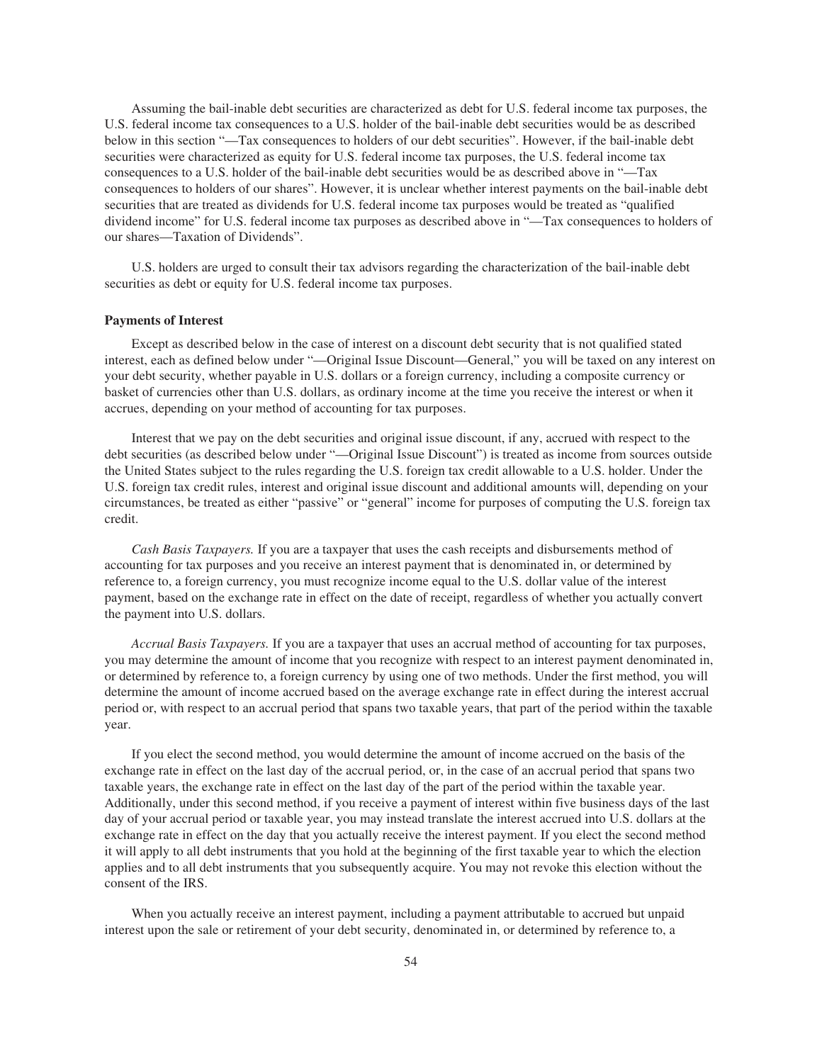Assuming the bail-inable debt securities are characterized as debt for U.S. federal income tax purposes, the U.S. federal income tax consequences to a U.S. holder of the bail-inable debt securities would be as described below in this section "—Tax consequences to holders of our debt securities". However, if the bail-inable debt securities were characterized as equity for U.S. federal income tax purposes, the U.S. federal income tax consequences to a U.S. holder of the bail-inable debt securities would be as described above in "—Tax consequences to holders of our shares". However, it is unclear whether interest payments on the bail-inable debt securities that are treated as dividends for U.S. federal income tax purposes would be treated as "qualified dividend income" for U.S. federal income tax purposes as described above in "—Tax consequences to holders of our shares—Taxation of Dividends".

U.S. holders are urged to consult their tax advisors regarding the characterization of the bail-inable debt securities as debt or equity for U.S. federal income tax purposes.

### **Payments of Interest**

Except as described below in the case of interest on a discount debt security that is not qualified stated interest, each as defined below under "—Original Issue Discount—General," you will be taxed on any interest on your debt security, whether payable in U.S. dollars or a foreign currency, including a composite currency or basket of currencies other than U.S. dollars, as ordinary income at the time you receive the interest or when it accrues, depending on your method of accounting for tax purposes.

Interest that we pay on the debt securities and original issue discount, if any, accrued with respect to the debt securities (as described below under "—Original Issue Discount") is treated as income from sources outside the United States subject to the rules regarding the U.S. foreign tax credit allowable to a U.S. holder. Under the U.S. foreign tax credit rules, interest and original issue discount and additional amounts will, depending on your circumstances, be treated as either "passive" or "general" income for purposes of computing the U.S. foreign tax credit.

*Cash Basis Taxpayers.* If you are a taxpayer that uses the cash receipts and disbursements method of accounting for tax purposes and you receive an interest payment that is denominated in, or determined by reference to, a foreign currency, you must recognize income equal to the U.S. dollar value of the interest payment, based on the exchange rate in effect on the date of receipt, regardless of whether you actually convert the payment into U.S. dollars.

*Accrual Basis Taxpayers.* If you are a taxpayer that uses an accrual method of accounting for tax purposes, you may determine the amount of income that you recognize with respect to an interest payment denominated in, or determined by reference to, a foreign currency by using one of two methods. Under the first method, you will determine the amount of income accrued based on the average exchange rate in effect during the interest accrual period or, with respect to an accrual period that spans two taxable years, that part of the period within the taxable year.

If you elect the second method, you would determine the amount of income accrued on the basis of the exchange rate in effect on the last day of the accrual period, or, in the case of an accrual period that spans two taxable years, the exchange rate in effect on the last day of the part of the period within the taxable year. Additionally, under this second method, if you receive a payment of interest within five business days of the last day of your accrual period or taxable year, you may instead translate the interest accrued into U.S. dollars at the exchange rate in effect on the day that you actually receive the interest payment. If you elect the second method it will apply to all debt instruments that you hold at the beginning of the first taxable year to which the election applies and to all debt instruments that you subsequently acquire. You may not revoke this election without the consent of the IRS.

When you actually receive an interest payment, including a payment attributable to accrued but unpaid interest upon the sale or retirement of your debt security, denominated in, or determined by reference to, a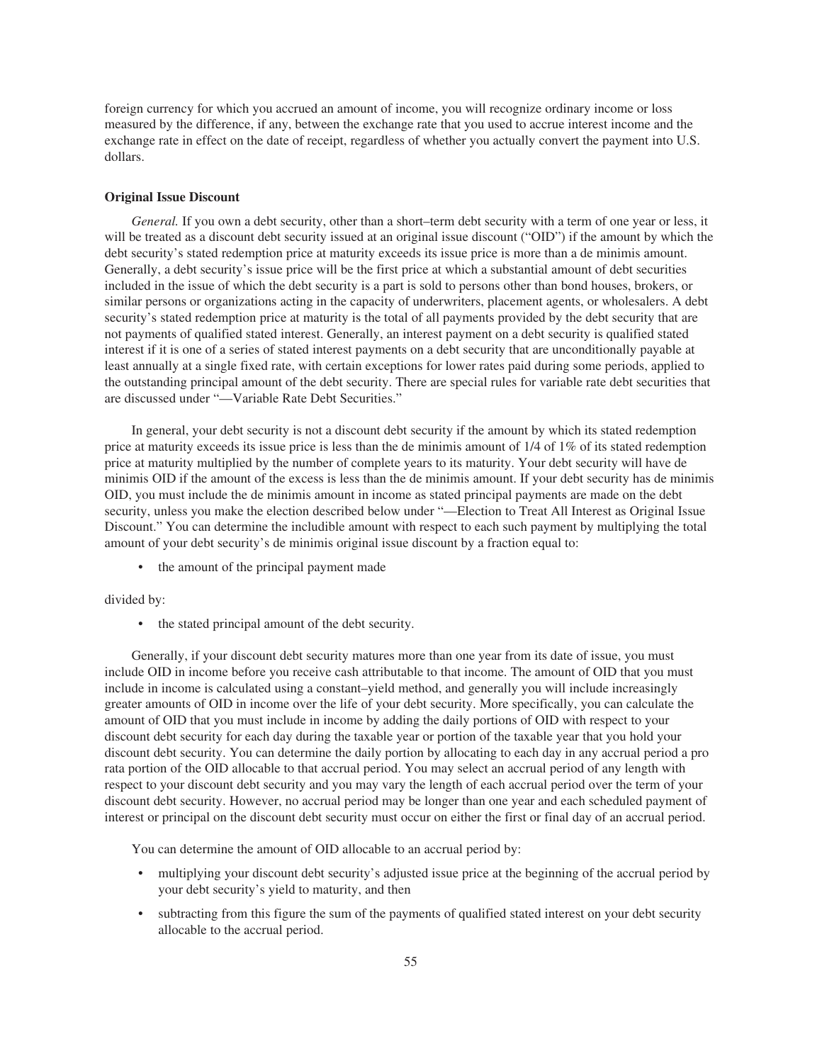foreign currency for which you accrued an amount of income, you will recognize ordinary income or loss measured by the difference, if any, between the exchange rate that you used to accrue interest income and the exchange rate in effect on the date of receipt, regardless of whether you actually convert the payment into U.S. dollars.

# **Original Issue Discount**

*General.* If you own a debt security, other than a short–term debt security with a term of one year or less, it will be treated as a discount debt security issued at an original issue discount ("OID") if the amount by which the debt security's stated redemption price at maturity exceeds its issue price is more than a de minimis amount. Generally, a debt security's issue price will be the first price at which a substantial amount of debt securities included in the issue of which the debt security is a part is sold to persons other than bond houses, brokers, or similar persons or organizations acting in the capacity of underwriters, placement agents, or wholesalers. A debt security's stated redemption price at maturity is the total of all payments provided by the debt security that are not payments of qualified stated interest. Generally, an interest payment on a debt security is qualified stated interest if it is one of a series of stated interest payments on a debt security that are unconditionally payable at least annually at a single fixed rate, with certain exceptions for lower rates paid during some periods, applied to the outstanding principal amount of the debt security. There are special rules for variable rate debt securities that are discussed under "—Variable Rate Debt Securities."

In general, your debt security is not a discount debt security if the amount by which its stated redemption price at maturity exceeds its issue price is less than the de minimis amount of 1/4 of 1% of its stated redemption price at maturity multiplied by the number of complete years to its maturity. Your debt security will have de minimis OID if the amount of the excess is less than the de minimis amount. If your debt security has de minimis OID, you must include the de minimis amount in income as stated principal payments are made on the debt security, unless you make the election described below under "—Election to Treat All Interest as Original Issue Discount." You can determine the includible amount with respect to each such payment by multiplying the total amount of your debt security's de minimis original issue discount by a fraction equal to:

the amount of the principal payment made

# divided by:

• the stated principal amount of the debt security.

Generally, if your discount debt security matures more than one year from its date of issue, you must include OID in income before you receive cash attributable to that income. The amount of OID that you must include in income is calculated using a constant–yield method, and generally you will include increasingly greater amounts of OID in income over the life of your debt security. More specifically, you can calculate the amount of OID that you must include in income by adding the daily portions of OID with respect to your discount debt security for each day during the taxable year or portion of the taxable year that you hold your discount debt security. You can determine the daily portion by allocating to each day in any accrual period a pro rata portion of the OID allocable to that accrual period. You may select an accrual period of any length with respect to your discount debt security and you may vary the length of each accrual period over the term of your discount debt security. However, no accrual period may be longer than one year and each scheduled payment of interest or principal on the discount debt security must occur on either the first or final day of an accrual period.

You can determine the amount of OID allocable to an accrual period by:

- multiplying your discount debt security's adjusted issue price at the beginning of the accrual period by your debt security's yield to maturity, and then
- subtracting from this figure the sum of the payments of qualified stated interest on your debt security allocable to the accrual period.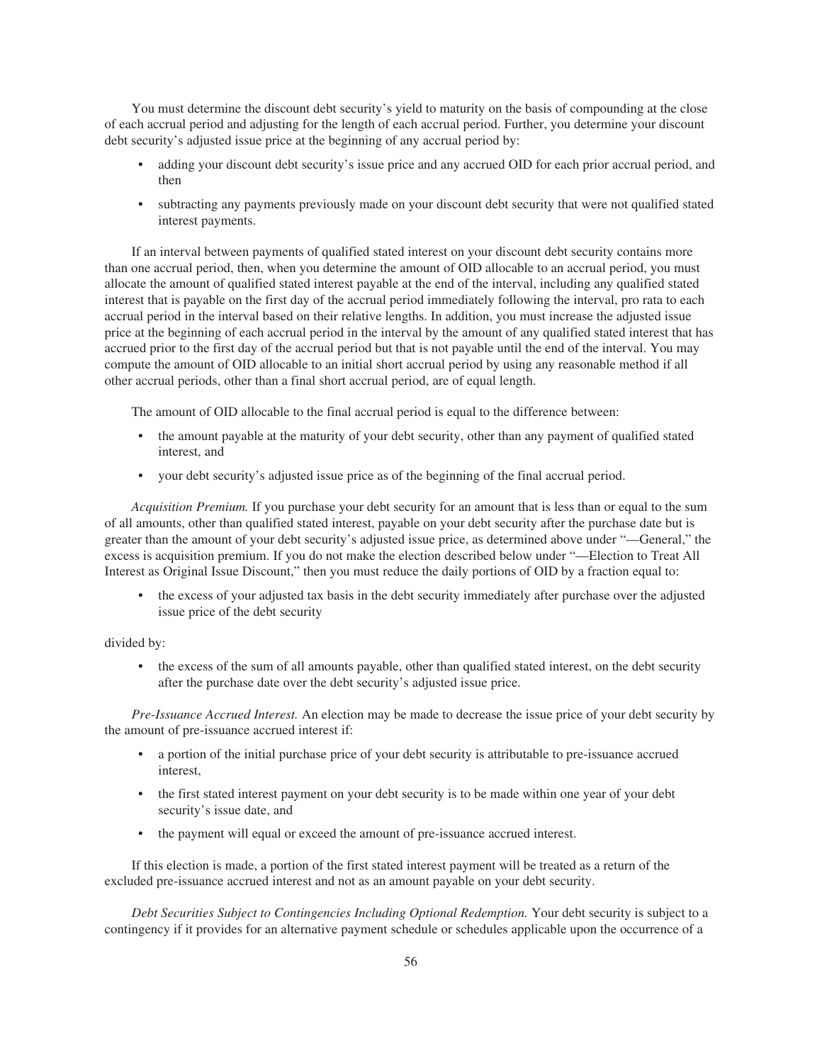You must determine the discount debt security's yield to maturity on the basis of compounding at the close of each accrual period and adjusting for the length of each accrual period. Further, you determine your discount debt security's adjusted issue price at the beginning of any accrual period by:

- adding your discount debt security's issue price and any accrued OID for each prior accrual period, and then
- subtracting any payments previously made on your discount debt security that were not qualified stated interest payments.

If an interval between payments of qualified stated interest on your discount debt security contains more than one accrual period, then, when you determine the amount of OID allocable to an accrual period, you must allocate the amount of qualified stated interest payable at the end of the interval, including any qualified stated interest that is payable on the first day of the accrual period immediately following the interval, pro rata to each accrual period in the interval based on their relative lengths. In addition, you must increase the adjusted issue price at the beginning of each accrual period in the interval by the amount of any qualified stated interest that has accrued prior to the first day of the accrual period but that is not payable until the end of the interval. You may compute the amount of OID allocable to an initial short accrual period by using any reasonable method if all other accrual periods, other than a final short accrual period, are of equal length.

The amount of OID allocable to the final accrual period is equal to the difference between:

- the amount payable at the maturity of your debt security, other than any payment of qualified stated interest, and
- your debt security's adjusted issue price as of the beginning of the final accrual period.

*Acquisition Premium.* If you purchase your debt security for an amount that is less than or equal to the sum of all amounts, other than qualified stated interest, payable on your debt security after the purchase date but is greater than the amount of your debt security's adjusted issue price, as determined above under "—General," the excess is acquisition premium. If you do not make the election described below under "—Election to Treat All Interest as Original Issue Discount," then you must reduce the daily portions of OID by a fraction equal to:

• the excess of your adjusted tax basis in the debt security immediately after purchase over the adjusted issue price of the debt security

# divided by:

• the excess of the sum of all amounts payable, other than qualified stated interest, on the debt security after the purchase date over the debt security's adjusted issue price.

*Pre-Issuance Accrued Interest.* An election may be made to decrease the issue price of your debt security by the amount of pre-issuance accrued interest if:

- a portion of the initial purchase price of your debt security is attributable to pre-issuance accrued interest,
- the first stated interest payment on your debt security is to be made within one year of your debt security's issue date, and
- the payment will equal or exceed the amount of pre-issuance accrued interest.

If this election is made, a portion of the first stated interest payment will be treated as a return of the excluded pre-issuance accrued interest and not as an amount payable on your debt security.

*Debt Securities Subject to Contingencies Including Optional Redemption.* Your debt security is subject to a contingency if it provides for an alternative payment schedule or schedules applicable upon the occurrence of a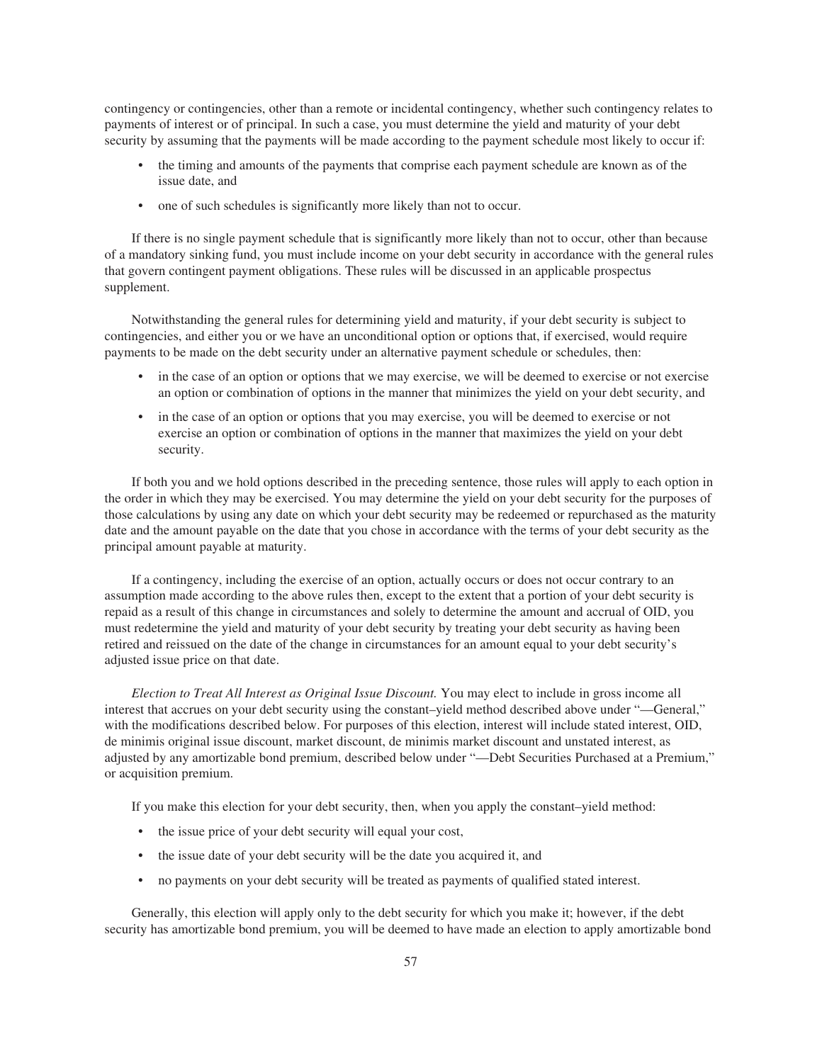contingency or contingencies, other than a remote or incidental contingency, whether such contingency relates to payments of interest or of principal. In such a case, you must determine the yield and maturity of your debt security by assuming that the payments will be made according to the payment schedule most likely to occur if:

- the timing and amounts of the payments that comprise each payment schedule are known as of the issue date, and
- one of such schedules is significantly more likely than not to occur.

If there is no single payment schedule that is significantly more likely than not to occur, other than because of a mandatory sinking fund, you must include income on your debt security in accordance with the general rules that govern contingent payment obligations. These rules will be discussed in an applicable prospectus supplement.

Notwithstanding the general rules for determining yield and maturity, if your debt security is subject to contingencies, and either you or we have an unconditional option or options that, if exercised, would require payments to be made on the debt security under an alternative payment schedule or schedules, then:

- in the case of an option or options that we may exercise, we will be deemed to exercise or not exercise an option or combination of options in the manner that minimizes the yield on your debt security, and
- in the case of an option or options that you may exercise, you will be deemed to exercise or not exercise an option or combination of options in the manner that maximizes the yield on your debt security.

If both you and we hold options described in the preceding sentence, those rules will apply to each option in the order in which they may be exercised. You may determine the yield on your debt security for the purposes of those calculations by using any date on which your debt security may be redeemed or repurchased as the maturity date and the amount payable on the date that you chose in accordance with the terms of your debt security as the principal amount payable at maturity.

If a contingency, including the exercise of an option, actually occurs or does not occur contrary to an assumption made according to the above rules then, except to the extent that a portion of your debt security is repaid as a result of this change in circumstances and solely to determine the amount and accrual of OID, you must redetermine the yield and maturity of your debt security by treating your debt security as having been retired and reissued on the date of the change in circumstances for an amount equal to your debt security's adjusted issue price on that date.

*Election to Treat All Interest as Original Issue Discount.* You may elect to include in gross income all interest that accrues on your debt security using the constant–yield method described above under "—General," with the modifications described below. For purposes of this election, interest will include stated interest, OID, de minimis original issue discount, market discount, de minimis market discount and unstated interest, as adjusted by any amortizable bond premium, described below under "—Debt Securities Purchased at a Premium," or acquisition premium.

If you make this election for your debt security, then, when you apply the constant–yield method:

- the issue price of your debt security will equal your cost,
- the issue date of your debt security will be the date you acquired it, and
- no payments on your debt security will be treated as payments of qualified stated interest.

Generally, this election will apply only to the debt security for which you make it; however, if the debt security has amortizable bond premium, you will be deemed to have made an election to apply amortizable bond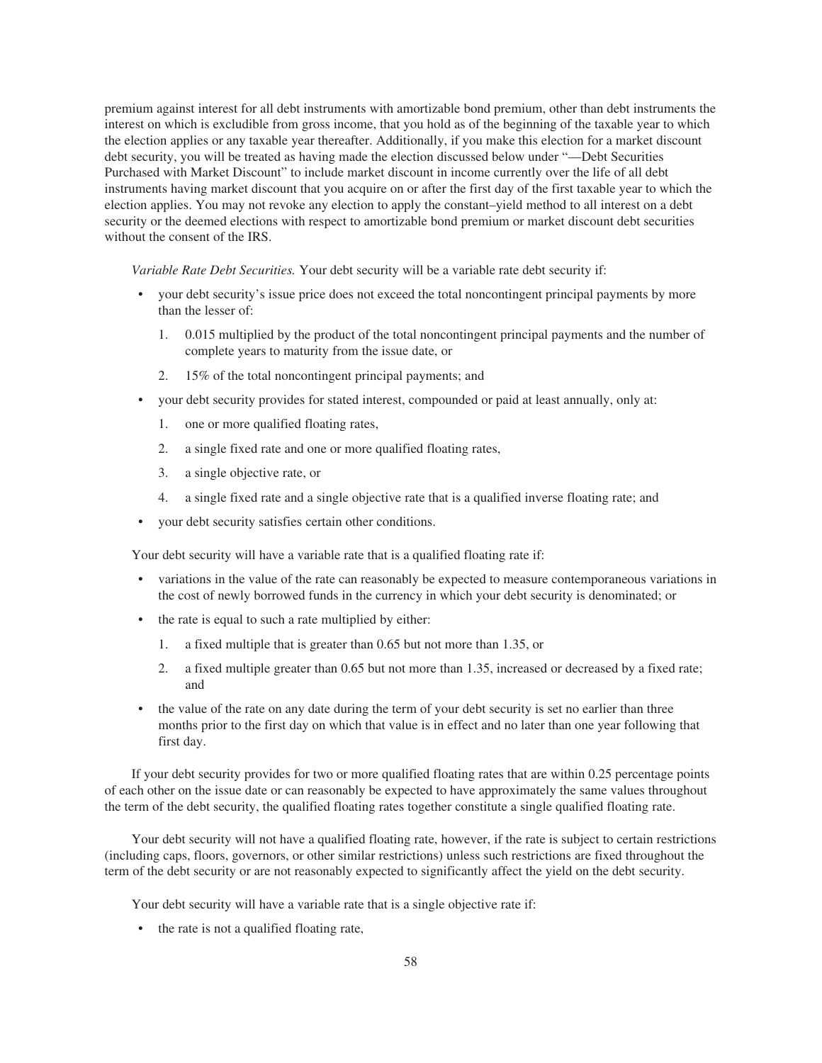premium against interest for all debt instruments with amortizable bond premium, other than debt instruments the interest on which is excludible from gross income, that you hold as of the beginning of the taxable year to which the election applies or any taxable year thereafter. Additionally, if you make this election for a market discount debt security, you will be treated as having made the election discussed below under "—Debt Securities Purchased with Market Discount" to include market discount in income currently over the life of all debt instruments having market discount that you acquire on or after the first day of the first taxable year to which the election applies. You may not revoke any election to apply the constant–yield method to all interest on a debt security or the deemed elections with respect to amortizable bond premium or market discount debt securities without the consent of the IRS.

*Variable Rate Debt Securities.* Your debt security will be a variable rate debt security if:

- your debt security's issue price does not exceed the total noncontingent principal payments by more than the lesser of:
	- 1. 0.015 multiplied by the product of the total noncontingent principal payments and the number of complete years to maturity from the issue date, or
	- 2. 15% of the total noncontingent principal payments; and
- your debt security provides for stated interest, compounded or paid at least annually, only at:
	- 1. one or more qualified floating rates,
	- 2. a single fixed rate and one or more qualified floating rates,
	- 3. a single objective rate, or
	- 4. a single fixed rate and a single objective rate that is a qualified inverse floating rate; and
- your debt security satisfies certain other conditions.

Your debt security will have a variable rate that is a qualified floating rate if:

- variations in the value of the rate can reasonably be expected to measure contemporaneous variations in the cost of newly borrowed funds in the currency in which your debt security is denominated; or
- the rate is equal to such a rate multiplied by either:
	- 1. a fixed multiple that is greater than 0.65 but not more than 1.35, or
	- 2. a fixed multiple greater than 0.65 but not more than 1.35, increased or decreased by a fixed rate; and
- the value of the rate on any date during the term of your debt security is set no earlier than three months prior to the first day on which that value is in effect and no later than one year following that first day.

If your debt security provides for two or more qualified floating rates that are within 0.25 percentage points of each other on the issue date or can reasonably be expected to have approximately the same values throughout the term of the debt security, the qualified floating rates together constitute a single qualified floating rate.

Your debt security will not have a qualified floating rate, however, if the rate is subject to certain restrictions (including caps, floors, governors, or other similar restrictions) unless such restrictions are fixed throughout the term of the debt security or are not reasonably expected to significantly affect the yield on the debt security.

Your debt security will have a variable rate that is a single objective rate if:

• the rate is not a qualified floating rate,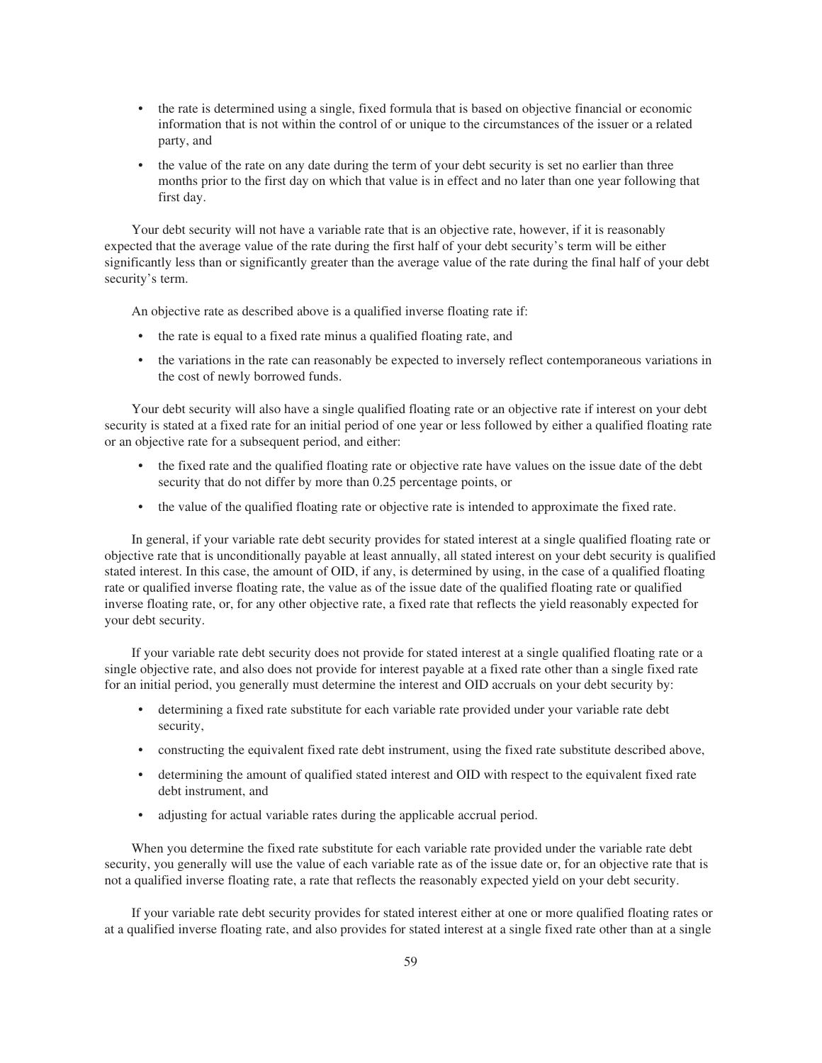- the rate is determined using a single, fixed formula that is based on objective financial or economic information that is not within the control of or unique to the circumstances of the issuer or a related party, and
- the value of the rate on any date during the term of your debt security is set no earlier than three months prior to the first day on which that value is in effect and no later than one year following that first day.

Your debt security will not have a variable rate that is an objective rate, however, if it is reasonably expected that the average value of the rate during the first half of your debt security's term will be either significantly less than or significantly greater than the average value of the rate during the final half of your debt security's term.

An objective rate as described above is a qualified inverse floating rate if:

- the rate is equal to a fixed rate minus a qualified floating rate, and
- the variations in the rate can reasonably be expected to inversely reflect contemporaneous variations in the cost of newly borrowed funds.

Your debt security will also have a single qualified floating rate or an objective rate if interest on your debt security is stated at a fixed rate for an initial period of one year or less followed by either a qualified floating rate or an objective rate for a subsequent period, and either:

- the fixed rate and the qualified floating rate or objective rate have values on the issue date of the debt security that do not differ by more than 0.25 percentage points, or
- the value of the qualified floating rate or objective rate is intended to approximate the fixed rate.

In general, if your variable rate debt security provides for stated interest at a single qualified floating rate or objective rate that is unconditionally payable at least annually, all stated interest on your debt security is qualified stated interest. In this case, the amount of OID, if any, is determined by using, in the case of a qualified floating rate or qualified inverse floating rate, the value as of the issue date of the qualified floating rate or qualified inverse floating rate, or, for any other objective rate, a fixed rate that reflects the yield reasonably expected for your debt security.

If your variable rate debt security does not provide for stated interest at a single qualified floating rate or a single objective rate, and also does not provide for interest payable at a fixed rate other than a single fixed rate for an initial period, you generally must determine the interest and OID accruals on your debt security by:

- determining a fixed rate substitute for each variable rate provided under your variable rate debt security,
- constructing the equivalent fixed rate debt instrument, using the fixed rate substitute described above,
- determining the amount of qualified stated interest and OID with respect to the equivalent fixed rate debt instrument, and
- adjusting for actual variable rates during the applicable accrual period.

When you determine the fixed rate substitute for each variable rate provided under the variable rate debt security, you generally will use the value of each variable rate as of the issue date or, for an objective rate that is not a qualified inverse floating rate, a rate that reflects the reasonably expected yield on your debt security.

If your variable rate debt security provides for stated interest either at one or more qualified floating rates or at a qualified inverse floating rate, and also provides for stated interest at a single fixed rate other than at a single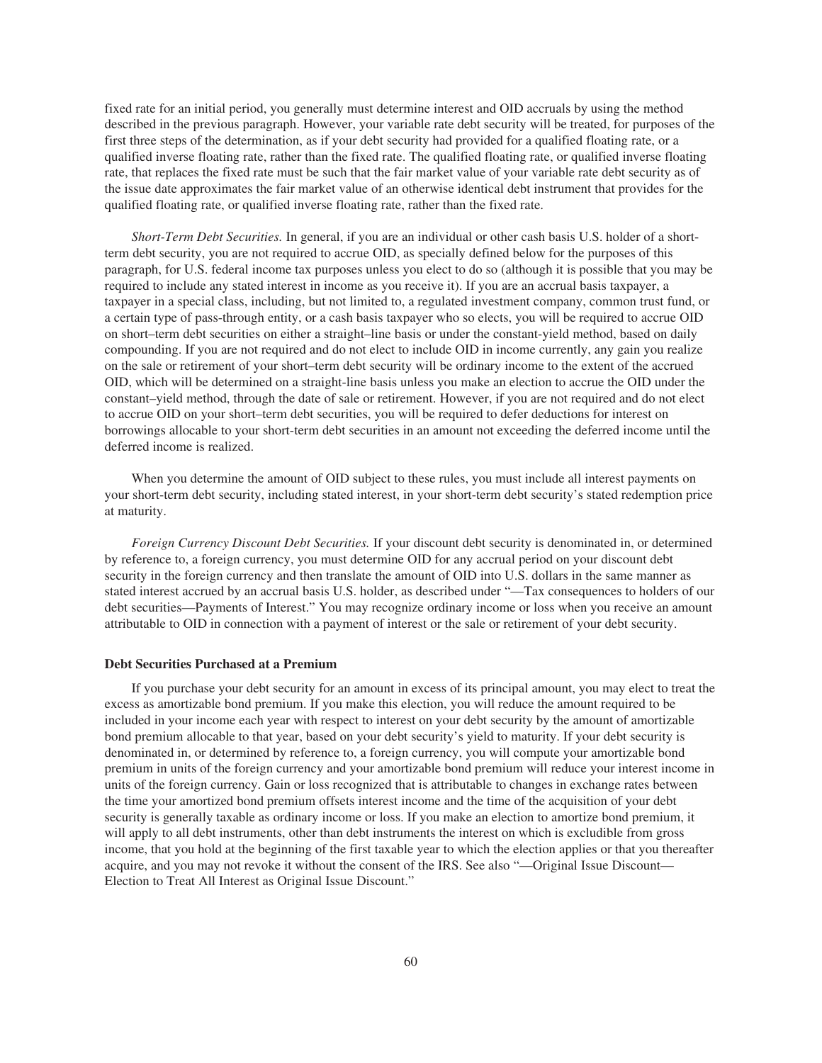fixed rate for an initial period, you generally must determine interest and OID accruals by using the method described in the previous paragraph. However, your variable rate debt security will be treated, for purposes of the first three steps of the determination, as if your debt security had provided for a qualified floating rate, or a qualified inverse floating rate, rather than the fixed rate. The qualified floating rate, or qualified inverse floating rate, that replaces the fixed rate must be such that the fair market value of your variable rate debt security as of the issue date approximates the fair market value of an otherwise identical debt instrument that provides for the qualified floating rate, or qualified inverse floating rate, rather than the fixed rate.

*Short-Term Debt Securities.* In general, if you are an individual or other cash basis U.S. holder of a shortterm debt security, you are not required to accrue OID, as specially defined below for the purposes of this paragraph, for U.S. federal income tax purposes unless you elect to do so (although it is possible that you may be required to include any stated interest in income as you receive it). If you are an accrual basis taxpayer, a taxpayer in a special class, including, but not limited to, a regulated investment company, common trust fund, or a certain type of pass-through entity, or a cash basis taxpayer who so elects, you will be required to accrue OID on short–term debt securities on either a straight–line basis or under the constant-yield method, based on daily compounding. If you are not required and do not elect to include OID in income currently, any gain you realize on the sale or retirement of your short–term debt security will be ordinary income to the extent of the accrued OID, which will be determined on a straight-line basis unless you make an election to accrue the OID under the constant–yield method, through the date of sale or retirement. However, if you are not required and do not elect to accrue OID on your short–term debt securities, you will be required to defer deductions for interest on borrowings allocable to your short-term debt securities in an amount not exceeding the deferred income until the deferred income is realized.

When you determine the amount of OID subject to these rules, you must include all interest payments on your short-term debt security, including stated interest, in your short-term debt security's stated redemption price at maturity.

*Foreign Currency Discount Debt Securities.* If your discount debt security is denominated in, or determined by reference to, a foreign currency, you must determine OID for any accrual period on your discount debt security in the foreign currency and then translate the amount of OID into U.S. dollars in the same manner as stated interest accrued by an accrual basis U.S. holder, as described under "—Tax consequences to holders of our debt securities—Payments of Interest." You may recognize ordinary income or loss when you receive an amount attributable to OID in connection with a payment of interest or the sale or retirement of your debt security.

### **Debt Securities Purchased at a Premium**

If you purchase your debt security for an amount in excess of its principal amount, you may elect to treat the excess as amortizable bond premium. If you make this election, you will reduce the amount required to be included in your income each year with respect to interest on your debt security by the amount of amortizable bond premium allocable to that year, based on your debt security's yield to maturity. If your debt security is denominated in, or determined by reference to, a foreign currency, you will compute your amortizable bond premium in units of the foreign currency and your amortizable bond premium will reduce your interest income in units of the foreign currency. Gain or loss recognized that is attributable to changes in exchange rates between the time your amortized bond premium offsets interest income and the time of the acquisition of your debt security is generally taxable as ordinary income or loss. If you make an election to amortize bond premium, it will apply to all debt instruments, other than debt instruments the interest on which is excludible from gross income, that you hold at the beginning of the first taxable year to which the election applies or that you thereafter acquire, and you may not revoke it without the consent of the IRS. See also "—Original Issue Discount— Election to Treat All Interest as Original Issue Discount."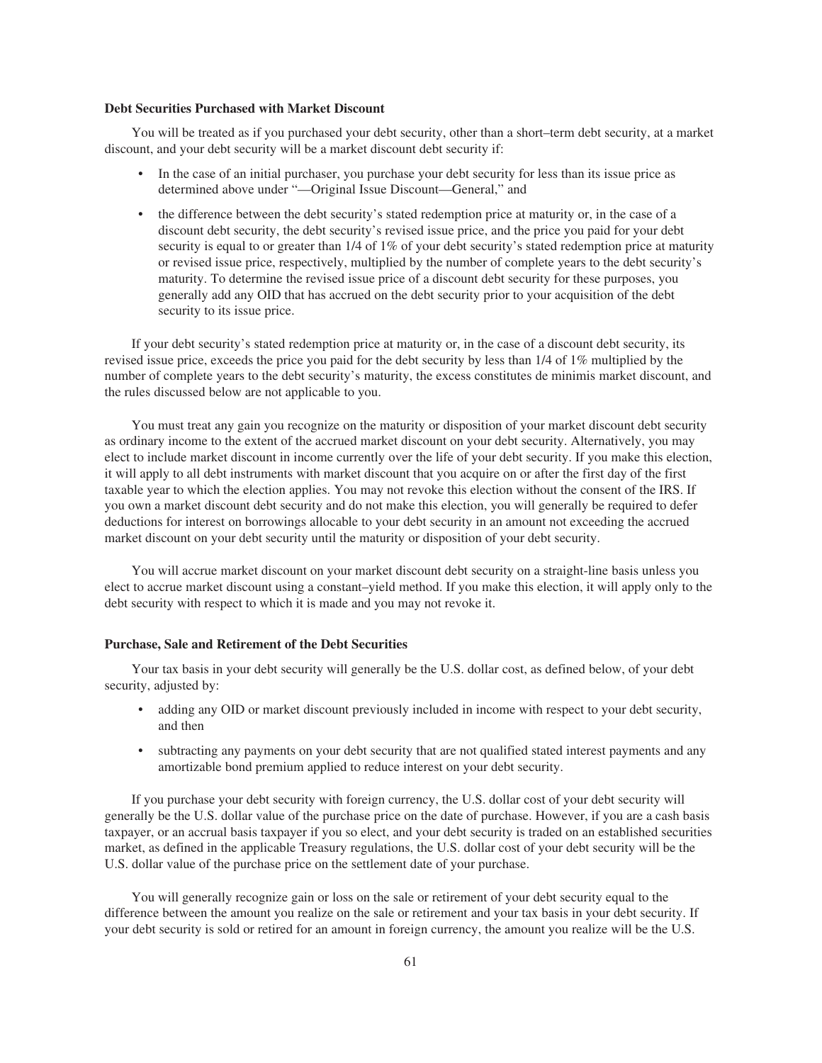#### **Debt Securities Purchased with Market Discount**

You will be treated as if you purchased your debt security, other than a short–term debt security, at a market discount, and your debt security will be a market discount debt security if:

- In the case of an initial purchaser, you purchase your debt security for less than its issue price as determined above under "—Original Issue Discount—General," and
- the difference between the debt security's stated redemption price at maturity or, in the case of a discount debt security, the debt security's revised issue price, and the price you paid for your debt security is equal to or greater than 1/4 of 1% of your debt security's stated redemption price at maturity or revised issue price, respectively, multiplied by the number of complete years to the debt security's maturity. To determine the revised issue price of a discount debt security for these purposes, you generally add any OID that has accrued on the debt security prior to your acquisition of the debt security to its issue price.

If your debt security's stated redemption price at maturity or, in the case of a discount debt security, its revised issue price, exceeds the price you paid for the debt security by less than 1/4 of 1% multiplied by the number of complete years to the debt security's maturity, the excess constitutes de minimis market discount, and the rules discussed below are not applicable to you.

You must treat any gain you recognize on the maturity or disposition of your market discount debt security as ordinary income to the extent of the accrued market discount on your debt security. Alternatively, you may elect to include market discount in income currently over the life of your debt security. If you make this election, it will apply to all debt instruments with market discount that you acquire on or after the first day of the first taxable year to which the election applies. You may not revoke this election without the consent of the IRS. If you own a market discount debt security and do not make this election, you will generally be required to defer deductions for interest on borrowings allocable to your debt security in an amount not exceeding the accrued market discount on your debt security until the maturity or disposition of your debt security.

You will accrue market discount on your market discount debt security on a straight-line basis unless you elect to accrue market discount using a constant–yield method. If you make this election, it will apply only to the debt security with respect to which it is made and you may not revoke it.

#### **Purchase, Sale and Retirement of the Debt Securities**

Your tax basis in your debt security will generally be the U.S. dollar cost, as defined below, of your debt security, adjusted by:

- adding any OID or market discount previously included in income with respect to your debt security, and then
- subtracting any payments on your debt security that are not qualified stated interest payments and any amortizable bond premium applied to reduce interest on your debt security.

If you purchase your debt security with foreign currency, the U.S. dollar cost of your debt security will generally be the U.S. dollar value of the purchase price on the date of purchase. However, if you are a cash basis taxpayer, or an accrual basis taxpayer if you so elect, and your debt security is traded on an established securities market, as defined in the applicable Treasury regulations, the U.S. dollar cost of your debt security will be the U.S. dollar value of the purchase price on the settlement date of your purchase.

You will generally recognize gain or loss on the sale or retirement of your debt security equal to the difference between the amount you realize on the sale or retirement and your tax basis in your debt security. If your debt security is sold or retired for an amount in foreign currency, the amount you realize will be the U.S.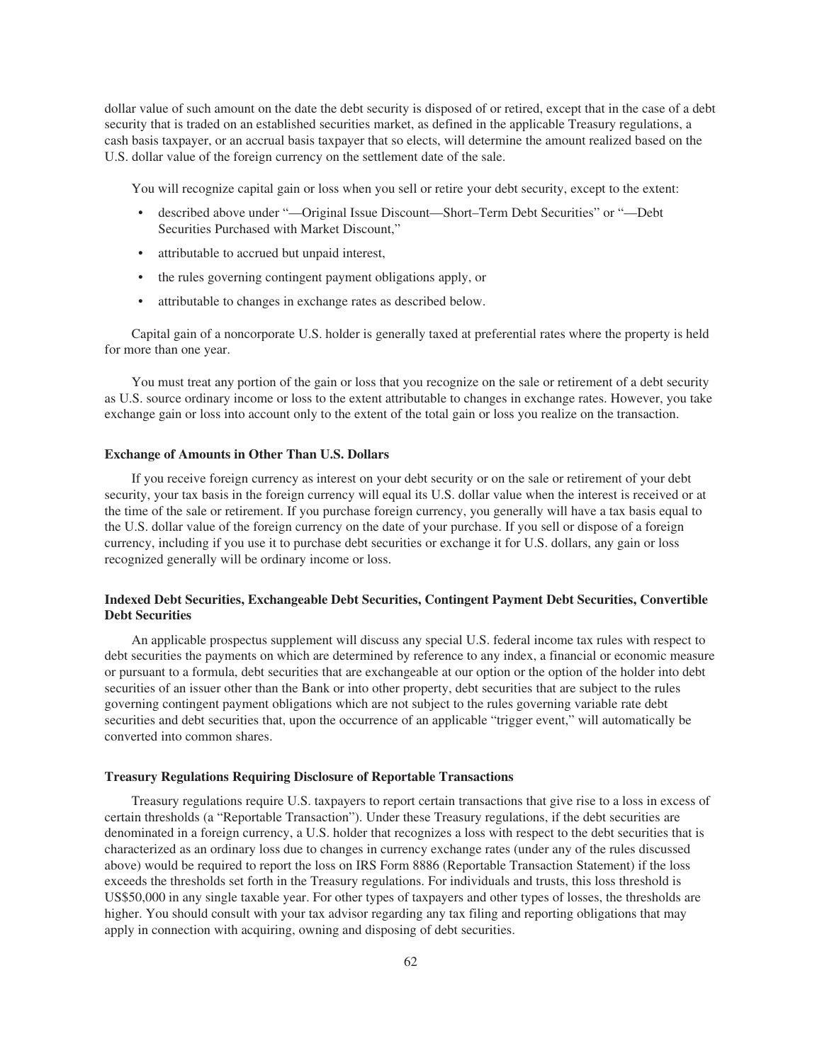dollar value of such amount on the date the debt security is disposed of or retired, except that in the case of a debt security that is traded on an established securities market, as defined in the applicable Treasury regulations, a cash basis taxpayer, or an accrual basis taxpayer that so elects, will determine the amount realized based on the U.S. dollar value of the foreign currency on the settlement date of the sale.

You will recognize capital gain or loss when you sell or retire your debt security, except to the extent:

- described above under "—Original Issue Discount—Short–Term Debt Securities" or "—Debt Securities Purchased with Market Discount,"
- attributable to accrued but unpaid interest,
- the rules governing contingent payment obligations apply, or
- attributable to changes in exchange rates as described below.

Capital gain of a noncorporate U.S. holder is generally taxed at preferential rates where the property is held for more than one year.

You must treat any portion of the gain or loss that you recognize on the sale or retirement of a debt security as U.S. source ordinary income or loss to the extent attributable to changes in exchange rates. However, you take exchange gain or loss into account only to the extent of the total gain or loss you realize on the transaction.

#### **Exchange of Amounts in Other Than U.S. Dollars**

If you receive foreign currency as interest on your debt security or on the sale or retirement of your debt security, your tax basis in the foreign currency will equal its U.S. dollar value when the interest is received or at the time of the sale or retirement. If you purchase foreign currency, you generally will have a tax basis equal to the U.S. dollar value of the foreign currency on the date of your purchase. If you sell or dispose of a foreign currency, including if you use it to purchase debt securities or exchange it for U.S. dollars, any gain or loss recognized generally will be ordinary income or loss.

# **Indexed Debt Securities, Exchangeable Debt Securities, Contingent Payment Debt Securities, Convertible Debt Securities**

An applicable prospectus supplement will discuss any special U.S. federal income tax rules with respect to debt securities the payments on which are determined by reference to any index, a financial or economic measure or pursuant to a formula, debt securities that are exchangeable at our option or the option of the holder into debt securities of an issuer other than the Bank or into other property, debt securities that are subject to the rules governing contingent payment obligations which are not subject to the rules governing variable rate debt securities and debt securities that, upon the occurrence of an applicable "trigger event," will automatically be converted into common shares.

#### **Treasury Regulations Requiring Disclosure of Reportable Transactions**

Treasury regulations require U.S. taxpayers to report certain transactions that give rise to a loss in excess of certain thresholds (a "Reportable Transaction"). Under these Treasury regulations, if the debt securities are denominated in a foreign currency, a U.S. holder that recognizes a loss with respect to the debt securities that is characterized as an ordinary loss due to changes in currency exchange rates (under any of the rules discussed above) would be required to report the loss on IRS Form 8886 (Reportable Transaction Statement) if the loss exceeds the thresholds set forth in the Treasury regulations. For individuals and trusts, this loss threshold is US\$50,000 in any single taxable year. For other types of taxpayers and other types of losses, the thresholds are higher. You should consult with your tax advisor regarding any tax filing and reporting obligations that may apply in connection with acquiring, owning and disposing of debt securities.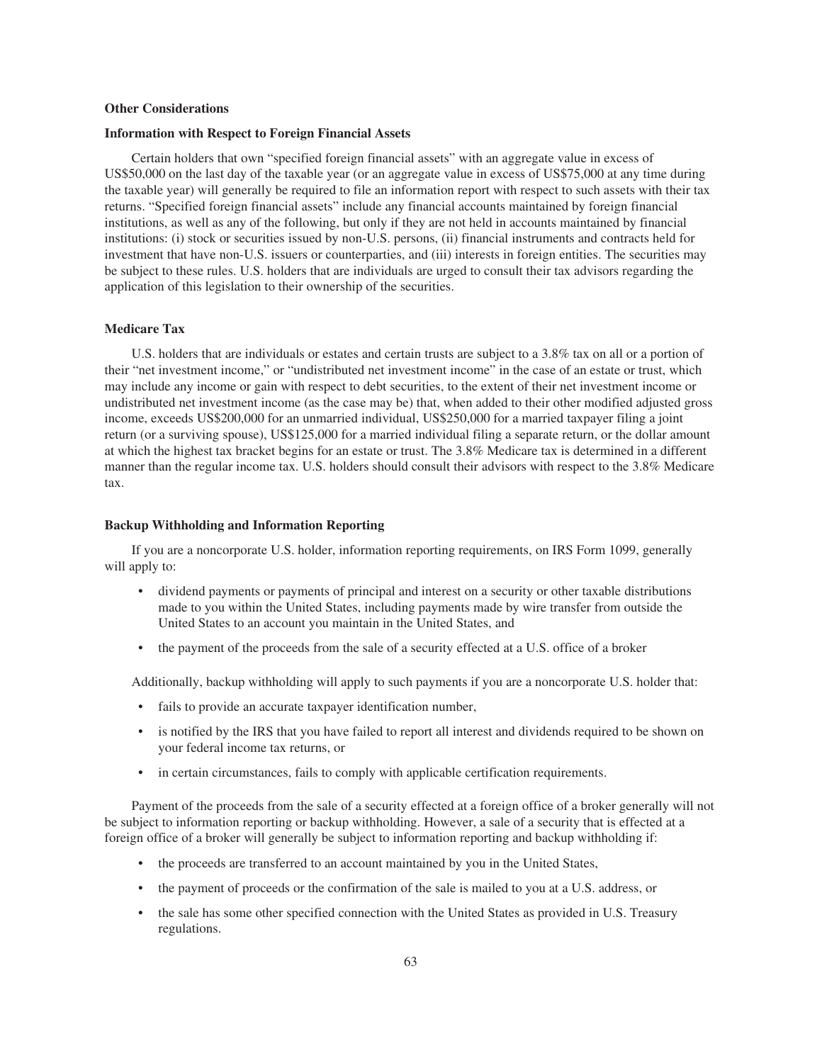#### **Other Considerations**

#### **Information with Respect to Foreign Financial Assets**

Certain holders that own "specified foreign financial assets" with an aggregate value in excess of US\$50,000 on the last day of the taxable year (or an aggregate value in excess of US\$75,000 at any time during the taxable year) will generally be required to file an information report with respect to such assets with their tax returns. "Specified foreign financial assets" include any financial accounts maintained by foreign financial institutions, as well as any of the following, but only if they are not held in accounts maintained by financial institutions: (i) stock or securities issued by non-U.S. persons, (ii) financial instruments and contracts held for investment that have non-U.S. issuers or counterparties, and (iii) interests in foreign entities. The securities may be subject to these rules. U.S. holders that are individuals are urged to consult their tax advisors regarding the application of this legislation to their ownership of the securities.

#### **Medicare Tax**

U.S. holders that are individuals or estates and certain trusts are subject to a 3.8% tax on all or a portion of their "net investment income," or "undistributed net investment income" in the case of an estate or trust, which may include any income or gain with respect to debt securities, to the extent of their net investment income or undistributed net investment income (as the case may be) that, when added to their other modified adjusted gross income, exceeds US\$200,000 for an unmarried individual, US\$250,000 for a married taxpayer filing a joint return (or a surviving spouse), US\$125,000 for a married individual filing a separate return, or the dollar amount at which the highest tax bracket begins for an estate or trust. The 3.8% Medicare tax is determined in a different manner than the regular income tax. U.S. holders should consult their advisors with respect to the 3.8% Medicare tax.

#### **Backup Withholding and Information Reporting**

If you are a noncorporate U.S. holder, information reporting requirements, on IRS Form 1099, generally will apply to:

- dividend payments or payments of principal and interest on a security or other taxable distributions made to you within the United States, including payments made by wire transfer from outside the United States to an account you maintain in the United States, and
- the payment of the proceeds from the sale of a security effected at a U.S. office of a broker

Additionally, backup withholding will apply to such payments if you are a noncorporate U.S. holder that:

- fails to provide an accurate taxpayer identification number,
- is notified by the IRS that you have failed to report all interest and dividends required to be shown on your federal income tax returns, or
- in certain circumstances, fails to comply with applicable certification requirements.

Payment of the proceeds from the sale of a security effected at a foreign office of a broker generally will not be subject to information reporting or backup withholding. However, a sale of a security that is effected at a foreign office of a broker will generally be subject to information reporting and backup withholding if:

- the proceeds are transferred to an account maintained by you in the United States,
- the payment of proceeds or the confirmation of the sale is mailed to you at a U.S. address, or
- the sale has some other specified connection with the United States as provided in U.S. Treasury regulations.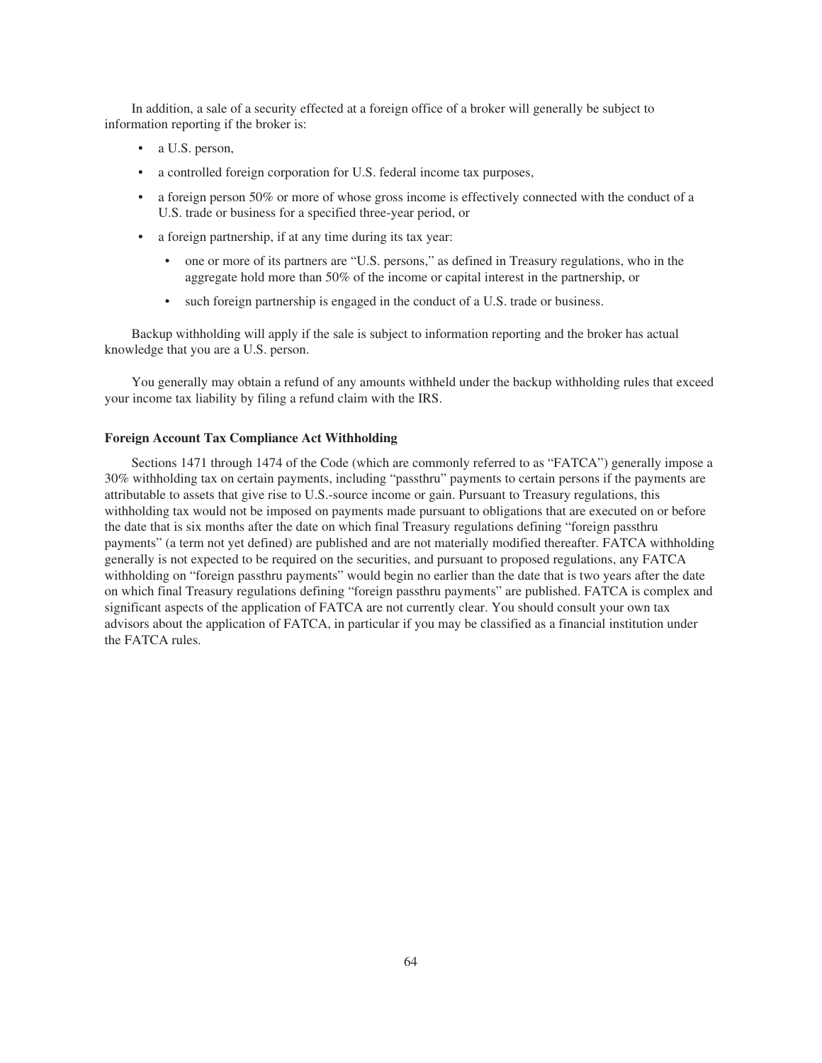In addition, a sale of a security effected at a foreign office of a broker will generally be subject to information reporting if the broker is:

- a U.S. person,
- a controlled foreign corporation for U.S. federal income tax purposes,
- a foreign person 50% or more of whose gross income is effectively connected with the conduct of a U.S. trade or business for a specified three-year period, or
- a foreign partnership, if at any time during its tax year:
	- one or more of its partners are "U.S. persons," as defined in Treasury regulations, who in the aggregate hold more than 50% of the income or capital interest in the partnership, or
	- such foreign partnership is engaged in the conduct of a U.S. trade or business.

Backup withholding will apply if the sale is subject to information reporting and the broker has actual knowledge that you are a U.S. person.

You generally may obtain a refund of any amounts withheld under the backup withholding rules that exceed your income tax liability by filing a refund claim with the IRS.

#### **Foreign Account Tax Compliance Act Withholding**

Sections 1471 through 1474 of the Code (which are commonly referred to as "FATCA") generally impose a 30% withholding tax on certain payments, including "passthru" payments to certain persons if the payments are attributable to assets that give rise to U.S.-source income or gain. Pursuant to Treasury regulations, this withholding tax would not be imposed on payments made pursuant to obligations that are executed on or before the date that is six months after the date on which final Treasury regulations defining "foreign passthru payments" (a term not yet defined) are published and are not materially modified thereafter. FATCA withholding generally is not expected to be required on the securities, and pursuant to proposed regulations, any FATCA withholding on "foreign passthru payments" would begin no earlier than the date that is two years after the date on which final Treasury regulations defining "foreign passthru payments" are published. FATCA is complex and significant aspects of the application of FATCA are not currently clear. You should consult your own tax advisors about the application of FATCA, in particular if you may be classified as a financial institution under the FATCA rules.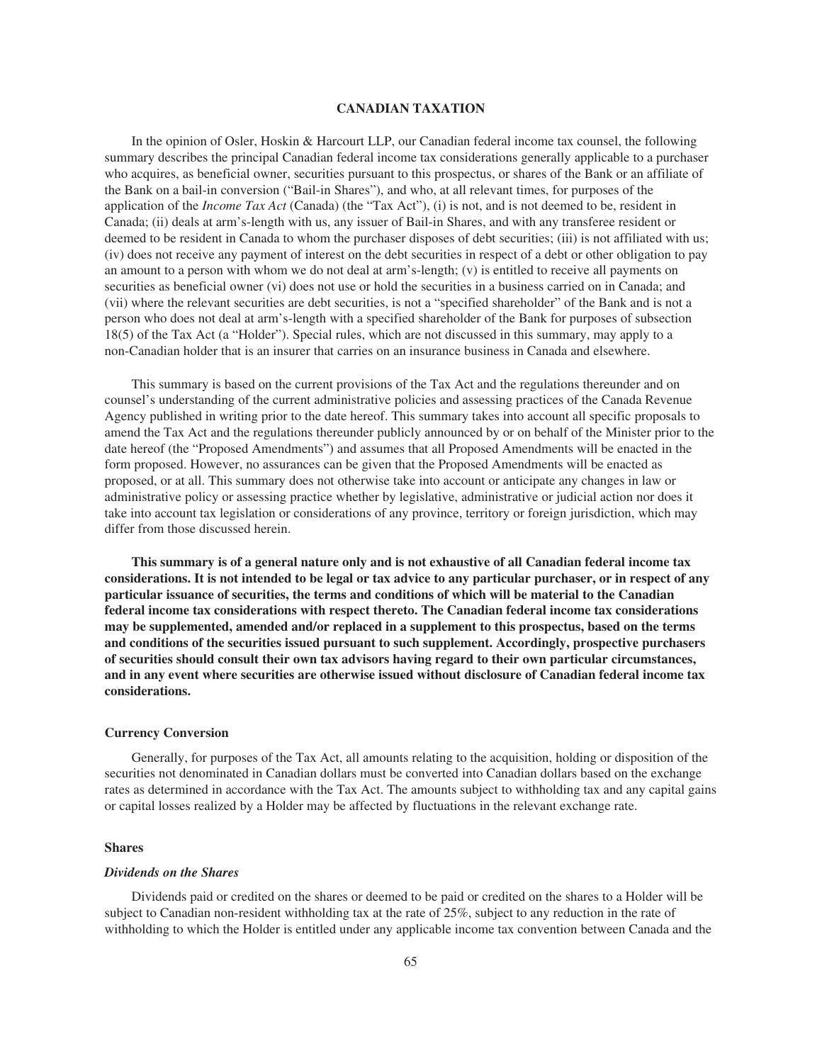#### **CANADIAN TAXATION**

In the opinion of Osler, Hoskin & Harcourt LLP, our Canadian federal income tax counsel, the following summary describes the principal Canadian federal income tax considerations generally applicable to a purchaser who acquires, as beneficial owner, securities pursuant to this prospectus, or shares of the Bank or an affiliate of the Bank on a bail-in conversion ("Bail-in Shares"), and who, at all relevant times, for purposes of the application of the *Income Tax Act* (Canada) (the "Tax Act"), (i) is not, and is not deemed to be, resident in Canada; (ii) deals at arm's-length with us, any issuer of Bail-in Shares, and with any transferee resident or deemed to be resident in Canada to whom the purchaser disposes of debt securities; (iii) is not affiliated with us; (iv) does not receive any payment of interest on the debt securities in respect of a debt or other obligation to pay an amount to a person with whom we do not deal at arm's-length; (v) is entitled to receive all payments on securities as beneficial owner (vi) does not use or hold the securities in a business carried on in Canada; and (vii) where the relevant securities are debt securities, is not a "specified shareholder" of the Bank and is not a person who does not deal at arm's-length with a specified shareholder of the Bank for purposes of subsection 18(5) of the Tax Act (a "Holder"). Special rules, which are not discussed in this summary, may apply to a non-Canadian holder that is an insurer that carries on an insurance business in Canada and elsewhere.

This summary is based on the current provisions of the Tax Act and the regulations thereunder and on counsel's understanding of the current administrative policies and assessing practices of the Canada Revenue Agency published in writing prior to the date hereof. This summary takes into account all specific proposals to amend the Tax Act and the regulations thereunder publicly announced by or on behalf of the Minister prior to the date hereof (the "Proposed Amendments") and assumes that all Proposed Amendments will be enacted in the form proposed. However, no assurances can be given that the Proposed Amendments will be enacted as proposed, or at all. This summary does not otherwise take into account or anticipate any changes in law or administrative policy or assessing practice whether by legislative, administrative or judicial action nor does it take into account tax legislation or considerations of any province, territory or foreign jurisdiction, which may differ from those discussed herein.

**This summary is of a general nature only and is not exhaustive of all Canadian federal income tax considerations. It is not intended to be legal or tax advice to any particular purchaser, or in respect of any particular issuance of securities, the terms and conditions of which will be material to the Canadian federal income tax considerations with respect thereto. The Canadian federal income tax considerations may be supplemented, amended and/or replaced in a supplement to this prospectus, based on the terms and conditions of the securities issued pursuant to such supplement. Accordingly, prospective purchasers of securities should consult their own tax advisors having regard to their own particular circumstances, and in any event where securities are otherwise issued without disclosure of Canadian federal income tax considerations.**

#### **Currency Conversion**

Generally, for purposes of the Tax Act, all amounts relating to the acquisition, holding or disposition of the securities not denominated in Canadian dollars must be converted into Canadian dollars based on the exchange rates as determined in accordance with the Tax Act. The amounts subject to withholding tax and any capital gains or capital losses realized by a Holder may be affected by fluctuations in the relevant exchange rate.

#### **Shares**

#### *Dividends on the Shares*

Dividends paid or credited on the shares or deemed to be paid or credited on the shares to a Holder will be subject to Canadian non-resident withholding tax at the rate of 25%, subject to any reduction in the rate of withholding to which the Holder is entitled under any applicable income tax convention between Canada and the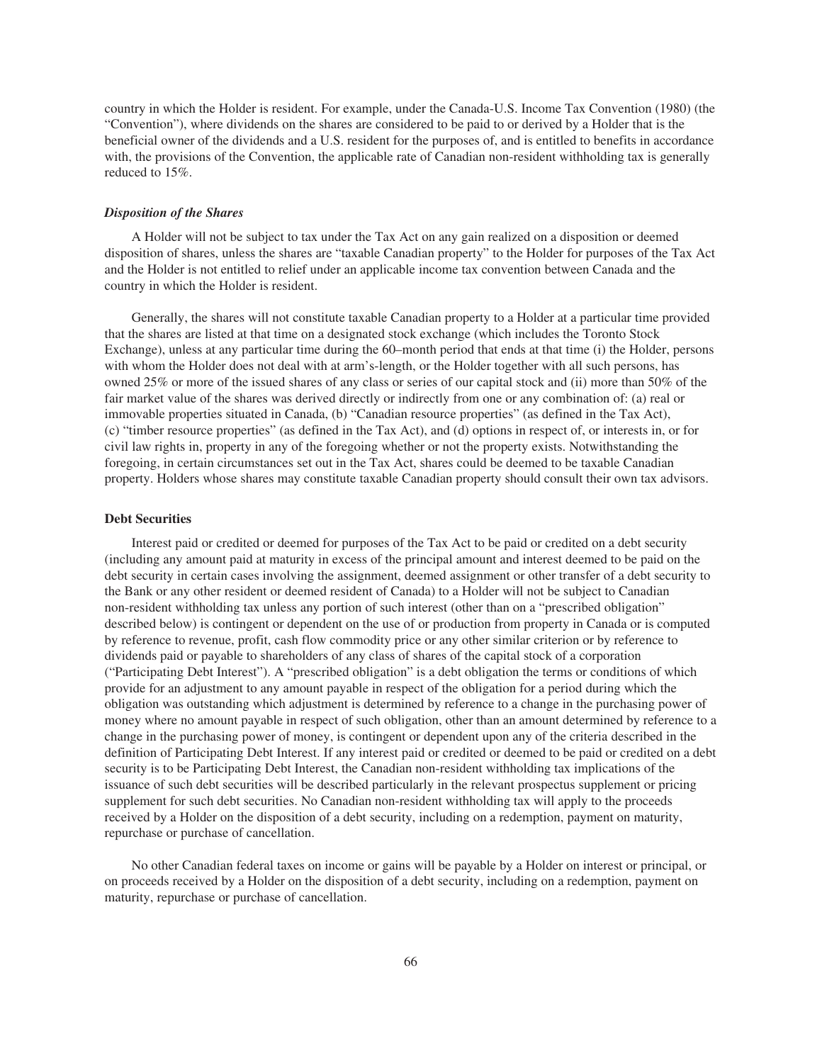country in which the Holder is resident. For example, under the Canada-U.S. Income Tax Convention (1980) (the "Convention"), where dividends on the shares are considered to be paid to or derived by a Holder that is the beneficial owner of the dividends and a U.S. resident for the purposes of, and is entitled to benefits in accordance with, the provisions of the Convention, the applicable rate of Canadian non-resident withholding tax is generally reduced to 15%.

#### *Disposition of the Shares*

A Holder will not be subject to tax under the Tax Act on any gain realized on a disposition or deemed disposition of shares, unless the shares are "taxable Canadian property" to the Holder for purposes of the Tax Act and the Holder is not entitled to relief under an applicable income tax convention between Canada and the country in which the Holder is resident.

Generally, the shares will not constitute taxable Canadian property to a Holder at a particular time provided that the shares are listed at that time on a designated stock exchange (which includes the Toronto Stock Exchange), unless at any particular time during the 60–month period that ends at that time (i) the Holder, persons with whom the Holder does not deal with at arm's-length, or the Holder together with all such persons, has owned 25% or more of the issued shares of any class or series of our capital stock and (ii) more than 50% of the fair market value of the shares was derived directly or indirectly from one or any combination of: (a) real or immovable properties situated in Canada, (b) "Canadian resource properties" (as defined in the Tax Act), (c) "timber resource properties" (as defined in the Tax Act), and (d) options in respect of, or interests in, or for civil law rights in, property in any of the foregoing whether or not the property exists. Notwithstanding the foregoing, in certain circumstances set out in the Tax Act, shares could be deemed to be taxable Canadian property. Holders whose shares may constitute taxable Canadian property should consult their own tax advisors.

### **Debt Securities**

Interest paid or credited or deemed for purposes of the Tax Act to be paid or credited on a debt security (including any amount paid at maturity in excess of the principal amount and interest deemed to be paid on the debt security in certain cases involving the assignment, deemed assignment or other transfer of a debt security to the Bank or any other resident or deemed resident of Canada) to a Holder will not be subject to Canadian non-resident withholding tax unless any portion of such interest (other than on a "prescribed obligation" described below) is contingent or dependent on the use of or production from property in Canada or is computed by reference to revenue, profit, cash flow commodity price or any other similar criterion or by reference to dividends paid or payable to shareholders of any class of shares of the capital stock of a corporation ("Participating Debt Interest"). A "prescribed obligation" is a debt obligation the terms or conditions of which provide for an adjustment to any amount payable in respect of the obligation for a period during which the obligation was outstanding which adjustment is determined by reference to a change in the purchasing power of money where no amount payable in respect of such obligation, other than an amount determined by reference to a change in the purchasing power of money, is contingent or dependent upon any of the criteria described in the definition of Participating Debt Interest. If any interest paid or credited or deemed to be paid or credited on a debt security is to be Participating Debt Interest, the Canadian non-resident withholding tax implications of the issuance of such debt securities will be described particularly in the relevant prospectus supplement or pricing supplement for such debt securities. No Canadian non-resident withholding tax will apply to the proceeds received by a Holder on the disposition of a debt security, including on a redemption, payment on maturity, repurchase or purchase of cancellation.

No other Canadian federal taxes on income or gains will be payable by a Holder on interest or principal, or on proceeds received by a Holder on the disposition of a debt security, including on a redemption, payment on maturity, repurchase or purchase of cancellation.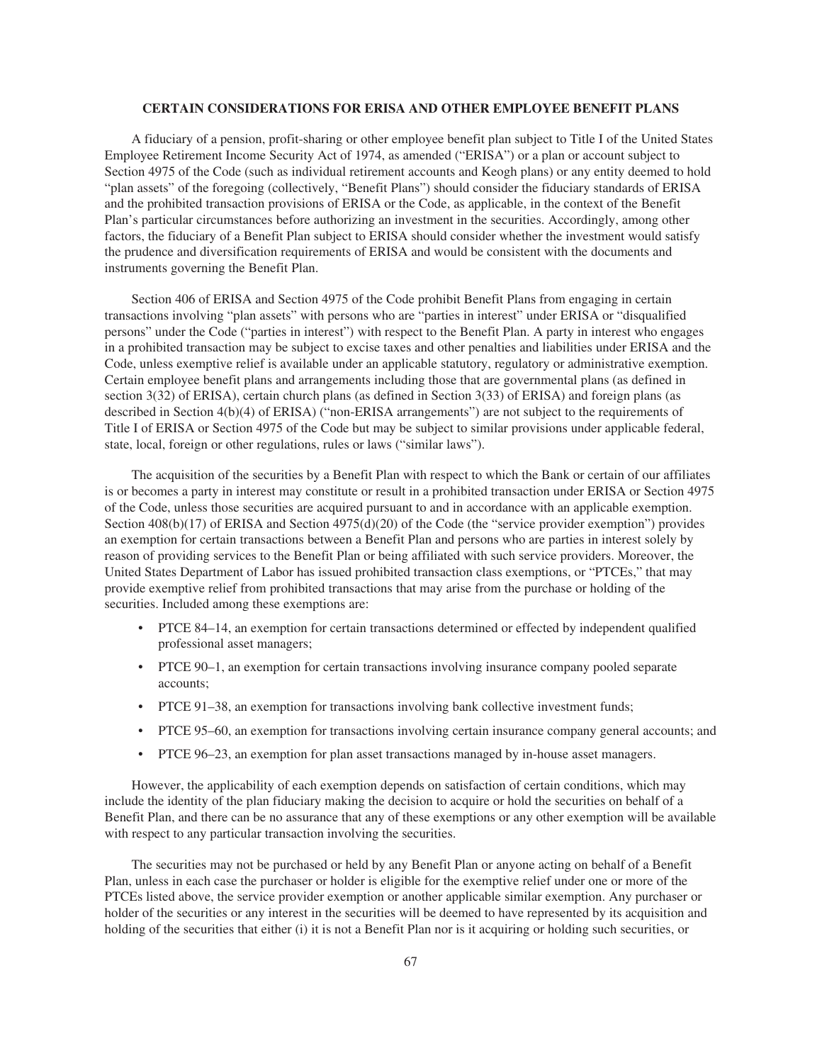#### **CERTAIN CONSIDERATIONS FOR ERISA AND OTHER EMPLOYEE BENEFIT PLANS**

A fiduciary of a pension, profit-sharing or other employee benefit plan subject to Title I of the United States Employee Retirement Income Security Act of 1974, as amended ("ERISA") or a plan or account subject to Section 4975 of the Code (such as individual retirement accounts and Keogh plans) or any entity deemed to hold "plan assets" of the foregoing (collectively, "Benefit Plans") should consider the fiduciary standards of ERISA and the prohibited transaction provisions of ERISA or the Code, as applicable, in the context of the Benefit Plan's particular circumstances before authorizing an investment in the securities. Accordingly, among other factors, the fiduciary of a Benefit Plan subject to ERISA should consider whether the investment would satisfy the prudence and diversification requirements of ERISA and would be consistent with the documents and instruments governing the Benefit Plan.

Section 406 of ERISA and Section 4975 of the Code prohibit Benefit Plans from engaging in certain transactions involving "plan assets" with persons who are "parties in interest" under ERISA or "disqualified persons" under the Code ("parties in interest") with respect to the Benefit Plan. A party in interest who engages in a prohibited transaction may be subject to excise taxes and other penalties and liabilities under ERISA and the Code, unless exemptive relief is available under an applicable statutory, regulatory or administrative exemption. Certain employee benefit plans and arrangements including those that are governmental plans (as defined in section 3(32) of ERISA), certain church plans (as defined in Section 3(33) of ERISA) and foreign plans (as described in Section 4(b)(4) of ERISA) ("non-ERISA arrangements") are not subject to the requirements of Title I of ERISA or Section 4975 of the Code but may be subject to similar provisions under applicable federal, state, local, foreign or other regulations, rules or laws ("similar laws").

The acquisition of the securities by a Benefit Plan with respect to which the Bank or certain of our affiliates is or becomes a party in interest may constitute or result in a prohibited transaction under ERISA or Section 4975 of the Code, unless those securities are acquired pursuant to and in accordance with an applicable exemption. Section 408(b)(17) of ERISA and Section 4975(d)(20) of the Code (the "service provider exemption") provides an exemption for certain transactions between a Benefit Plan and persons who are parties in interest solely by reason of providing services to the Benefit Plan or being affiliated with such service providers. Moreover, the United States Department of Labor has issued prohibited transaction class exemptions, or "PTCEs," that may provide exemptive relief from prohibited transactions that may arise from the purchase or holding of the securities. Included among these exemptions are:

- PTCE 84–14, an exemption for certain transactions determined or effected by independent qualified professional asset managers;
- PTCE 90–1, an exemption for certain transactions involving insurance company pooled separate accounts;
- PTCE 91–38, an exemption for transactions involving bank collective investment funds;
- PTCE 95–60, an exemption for transactions involving certain insurance company general accounts; and
- PTCE 96–23, an exemption for plan asset transactions managed by in-house asset managers.

However, the applicability of each exemption depends on satisfaction of certain conditions, which may include the identity of the plan fiduciary making the decision to acquire or hold the securities on behalf of a Benefit Plan, and there can be no assurance that any of these exemptions or any other exemption will be available with respect to any particular transaction involving the securities.

The securities may not be purchased or held by any Benefit Plan or anyone acting on behalf of a Benefit Plan, unless in each case the purchaser or holder is eligible for the exemptive relief under one or more of the PTCEs listed above, the service provider exemption or another applicable similar exemption. Any purchaser or holder of the securities or any interest in the securities will be deemed to have represented by its acquisition and holding of the securities that either (i) it is not a Benefit Plan nor is it acquiring or holding such securities, or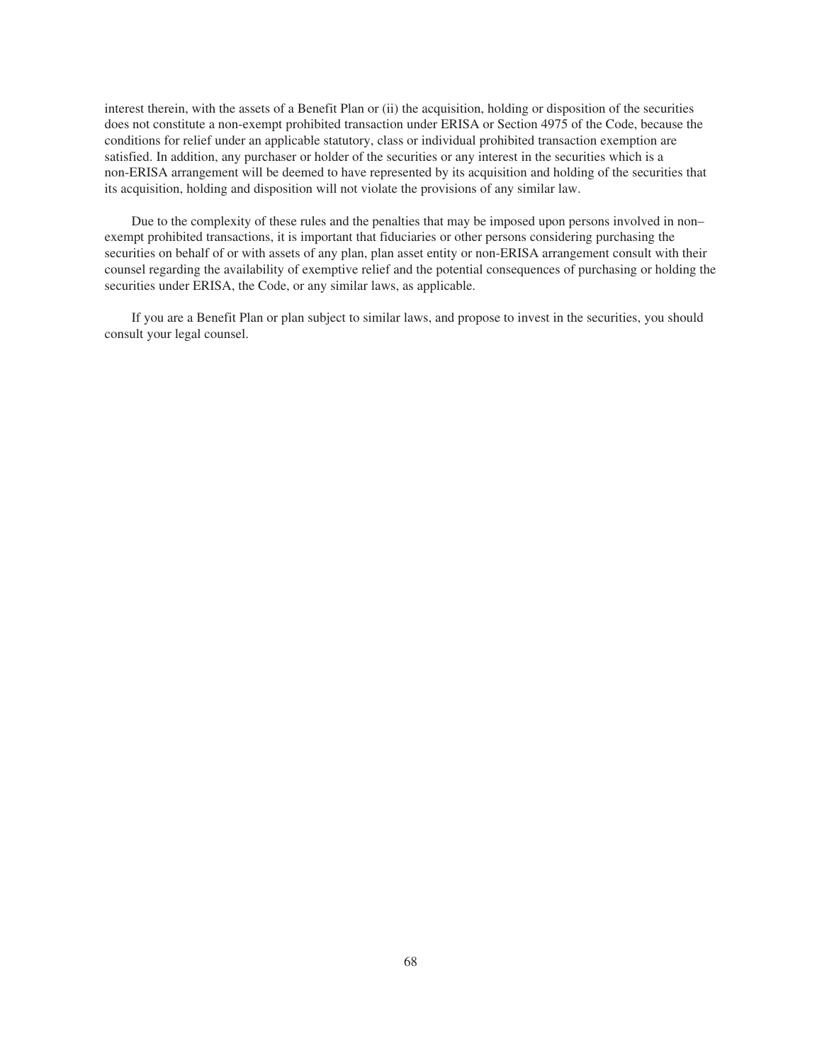interest therein, with the assets of a Benefit Plan or (ii) the acquisition, holding or disposition of the securities does not constitute a non-exempt prohibited transaction under ERISA or Section 4975 of the Code, because the conditions for relief under an applicable statutory, class or individual prohibited transaction exemption are satisfied. In addition, any purchaser or holder of the securities or any interest in the securities which is a non-ERISA arrangement will be deemed to have represented by its acquisition and holding of the securities that its acquisition, holding and disposition will not violate the provisions of any similar law.

Due to the complexity of these rules and the penalties that may be imposed upon persons involved in non– exempt prohibited transactions, it is important that fiduciaries or other persons considering purchasing the securities on behalf of or with assets of any plan, plan asset entity or non-ERISA arrangement consult with their counsel regarding the availability of exemptive relief and the potential consequences of purchasing or holding the securities under ERISA, the Code, or any similar laws, as applicable.

If you are a Benefit Plan or plan subject to similar laws, and propose to invest in the securities, you should consult your legal counsel.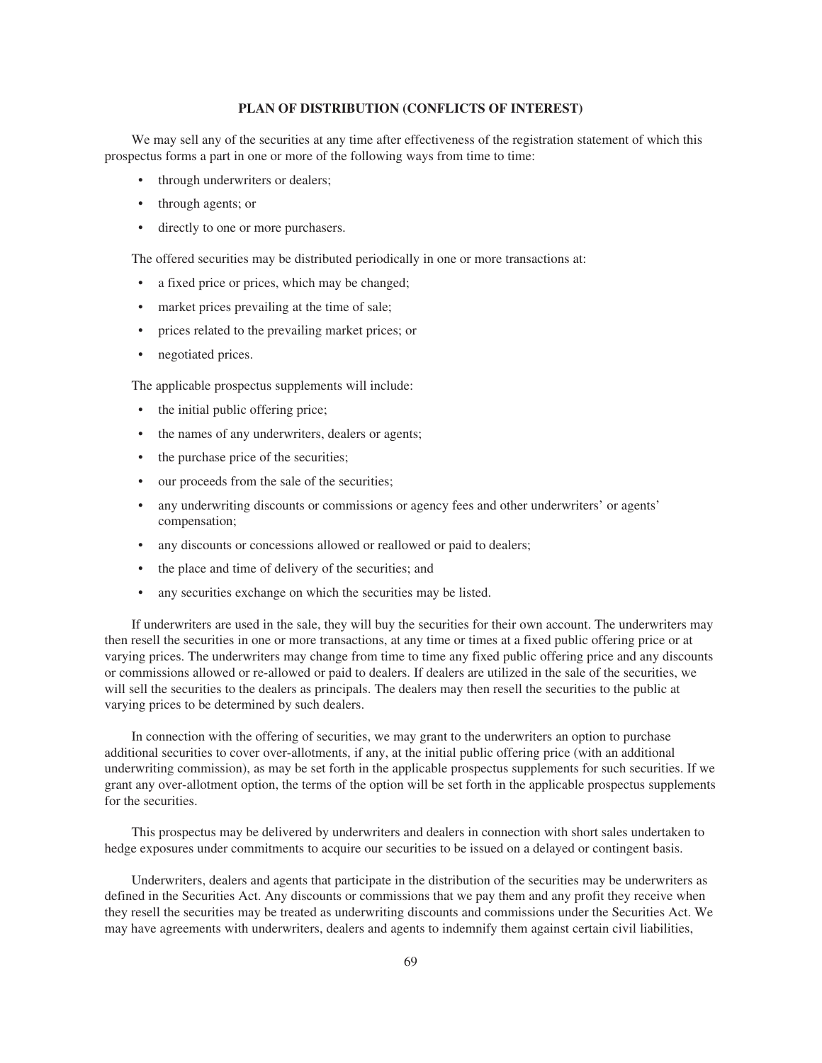#### **PLAN OF DISTRIBUTION (CONFLICTS OF INTEREST)**

We may sell any of the securities at any time after effectiveness of the registration statement of which this prospectus forms a part in one or more of the following ways from time to time:

- through underwriters or dealers;
- through agents; or
- directly to one or more purchasers.

The offered securities may be distributed periodically in one or more transactions at:

- a fixed price or prices, which may be changed;
- market prices prevailing at the time of sale;
- prices related to the prevailing market prices; or
- negotiated prices.

The applicable prospectus supplements will include:

- the initial public offering price;
- the names of any underwriters, dealers or agents;
- the purchase price of the securities;
- our proceeds from the sale of the securities;
- any underwriting discounts or commissions or agency fees and other underwriters' or agents' compensation;
- any discounts or concessions allowed or reallowed or paid to dealers;
- the place and time of delivery of the securities; and
- any securities exchange on which the securities may be listed.

If underwriters are used in the sale, they will buy the securities for their own account. The underwriters may then resell the securities in one or more transactions, at any time or times at a fixed public offering price or at varying prices. The underwriters may change from time to time any fixed public offering price and any discounts or commissions allowed or re-allowed or paid to dealers. If dealers are utilized in the sale of the securities, we will sell the securities to the dealers as principals. The dealers may then resell the securities to the public at varying prices to be determined by such dealers.

In connection with the offering of securities, we may grant to the underwriters an option to purchase additional securities to cover over-allotments, if any, at the initial public offering price (with an additional underwriting commission), as may be set forth in the applicable prospectus supplements for such securities. If we grant any over-allotment option, the terms of the option will be set forth in the applicable prospectus supplements for the securities.

This prospectus may be delivered by underwriters and dealers in connection with short sales undertaken to hedge exposures under commitments to acquire our securities to be issued on a delayed or contingent basis.

Underwriters, dealers and agents that participate in the distribution of the securities may be underwriters as defined in the Securities Act. Any discounts or commissions that we pay them and any profit they receive when they resell the securities may be treated as underwriting discounts and commissions under the Securities Act. We may have agreements with underwriters, dealers and agents to indemnify them against certain civil liabilities,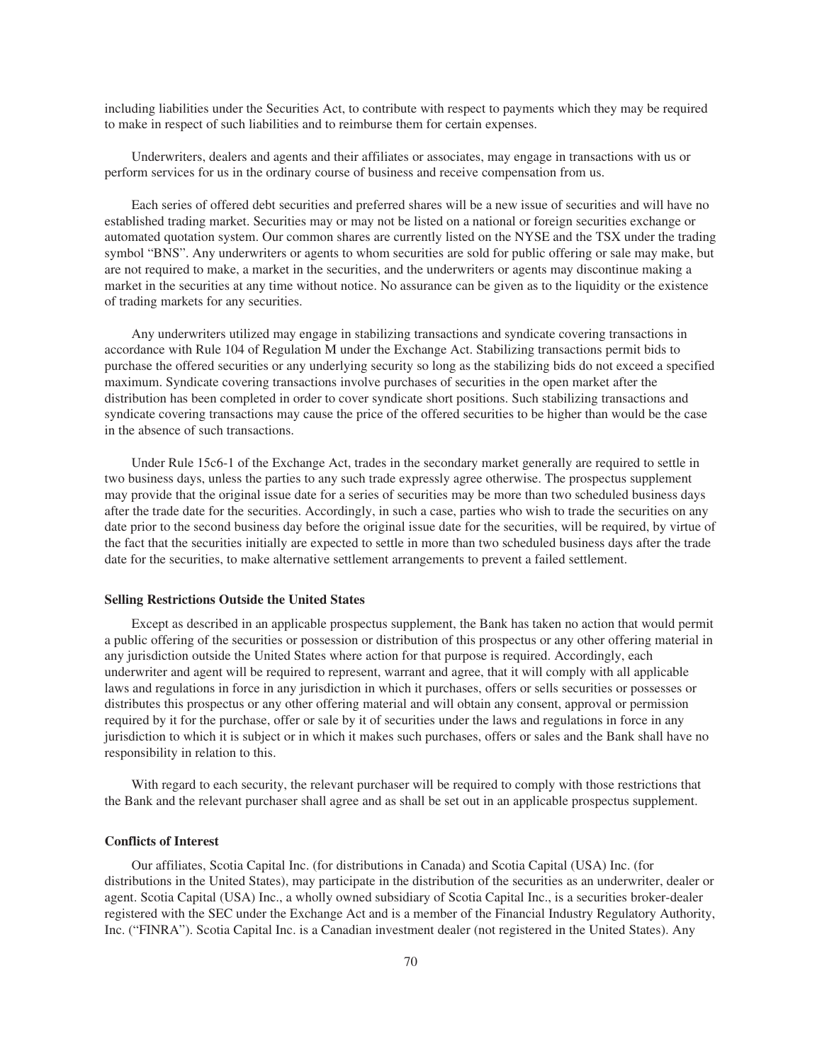including liabilities under the Securities Act, to contribute with respect to payments which they may be required to make in respect of such liabilities and to reimburse them for certain expenses.

Underwriters, dealers and agents and their affiliates or associates, may engage in transactions with us or perform services for us in the ordinary course of business and receive compensation from us.

Each series of offered debt securities and preferred shares will be a new issue of securities and will have no established trading market. Securities may or may not be listed on a national or foreign securities exchange or automated quotation system. Our common shares are currently listed on the NYSE and the TSX under the trading symbol "BNS". Any underwriters or agents to whom securities are sold for public offering or sale may make, but are not required to make, a market in the securities, and the underwriters or agents may discontinue making a market in the securities at any time without notice. No assurance can be given as to the liquidity or the existence of trading markets for any securities.

Any underwriters utilized may engage in stabilizing transactions and syndicate covering transactions in accordance with Rule 104 of Regulation M under the Exchange Act. Stabilizing transactions permit bids to purchase the offered securities or any underlying security so long as the stabilizing bids do not exceed a specified maximum. Syndicate covering transactions involve purchases of securities in the open market after the distribution has been completed in order to cover syndicate short positions. Such stabilizing transactions and syndicate covering transactions may cause the price of the offered securities to be higher than would be the case in the absence of such transactions.

Under Rule 15c6-1 of the Exchange Act, trades in the secondary market generally are required to settle in two business days, unless the parties to any such trade expressly agree otherwise. The prospectus supplement may provide that the original issue date for a series of securities may be more than two scheduled business days after the trade date for the securities. Accordingly, in such a case, parties who wish to trade the securities on any date prior to the second business day before the original issue date for the securities, will be required, by virtue of the fact that the securities initially are expected to settle in more than two scheduled business days after the trade date for the securities, to make alternative settlement arrangements to prevent a failed settlement.

#### **Selling Restrictions Outside the United States**

Except as described in an applicable prospectus supplement, the Bank has taken no action that would permit a public offering of the securities or possession or distribution of this prospectus or any other offering material in any jurisdiction outside the United States where action for that purpose is required. Accordingly, each underwriter and agent will be required to represent, warrant and agree, that it will comply with all applicable laws and regulations in force in any jurisdiction in which it purchases, offers or sells securities or possesses or distributes this prospectus or any other offering material and will obtain any consent, approval or permission required by it for the purchase, offer or sale by it of securities under the laws and regulations in force in any jurisdiction to which it is subject or in which it makes such purchases, offers or sales and the Bank shall have no responsibility in relation to this.

With regard to each security, the relevant purchaser will be required to comply with those restrictions that the Bank and the relevant purchaser shall agree and as shall be set out in an applicable prospectus supplement.

# **Conflicts of Interest**

Our affiliates, Scotia Capital Inc. (for distributions in Canada) and Scotia Capital (USA) Inc. (for distributions in the United States), may participate in the distribution of the securities as an underwriter, dealer or agent. Scotia Capital (USA) Inc., a wholly owned subsidiary of Scotia Capital Inc., is a securities broker-dealer registered with the SEC under the Exchange Act and is a member of the Financial Industry Regulatory Authority, Inc. ("FINRA"). Scotia Capital Inc. is a Canadian investment dealer (not registered in the United States). Any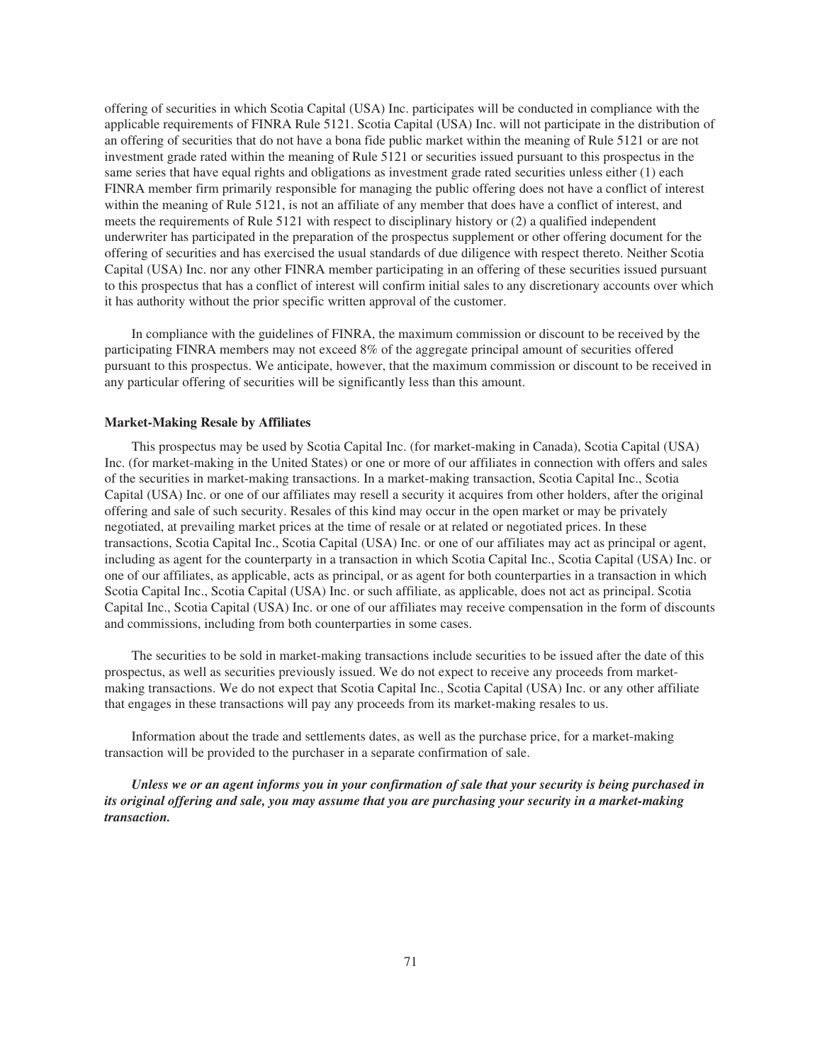offering of securities in which Scotia Capital (USA) Inc. participates will be conducted in compliance with the applicable requirements of FINRA Rule 5121. Scotia Capital (USA) Inc. will not participate in the distribution of an offering of securities that do not have a bona fide public market within the meaning of Rule 5121 or are not investment grade rated within the meaning of Rule 5121 or securities issued pursuant to this prospectus in the same series that have equal rights and obligations as investment grade rated securities unless either (1) each FINRA member firm primarily responsible for managing the public offering does not have a conflict of interest within the meaning of Rule 5121, is not an affiliate of any member that does have a conflict of interest, and meets the requirements of Rule 5121 with respect to disciplinary history or (2) a qualified independent underwriter has participated in the preparation of the prospectus supplement or other offering document for the offering of securities and has exercised the usual standards of due diligence with respect thereto. Neither Scotia Capital (USA) Inc. nor any other FINRA member participating in an offering of these securities issued pursuant to this prospectus that has a conflict of interest will confirm initial sales to any discretionary accounts over which it has authority without the prior specific written approval of the customer.

In compliance with the guidelines of FINRA, the maximum commission or discount to be received by the participating FINRA members may not exceed 8% of the aggregate principal amount of securities offered pursuant to this prospectus. We anticipate, however, that the maximum commission or discount to be received in any particular offering of securities will be significantly less than this amount.

#### **Market-Making Resale by Affiliates**

This prospectus may be used by Scotia Capital Inc. (for market-making in Canada), Scotia Capital (USA) Inc. (for market-making in the United States) or one or more of our affiliates in connection with offers and sales of the securities in market-making transactions. In a market-making transaction, Scotia Capital Inc., Scotia Capital (USA) Inc. or one of our affiliates may resell a security it acquires from other holders, after the original offering and sale of such security. Resales of this kind may occur in the open market or may be privately negotiated, at prevailing market prices at the time of resale or at related or negotiated prices. In these transactions, Scotia Capital Inc., Scotia Capital (USA) Inc. or one of our affiliates may act as principal or agent, including as agent for the counterparty in a transaction in which Scotia Capital Inc., Scotia Capital (USA) Inc. or one of our affiliates, as applicable, acts as principal, or as agent for both counterparties in a transaction in which Scotia Capital Inc., Scotia Capital (USA) Inc. or such affiliate, as applicable, does not act as principal. Scotia Capital Inc., Scotia Capital (USA) Inc. or one of our affiliates may receive compensation in the form of discounts and commissions, including from both counterparties in some cases.

The securities to be sold in market-making transactions include securities to be issued after the date of this prospectus, as well as securities previously issued. We do not expect to receive any proceeds from marketmaking transactions. We do not expect that Scotia Capital Inc., Scotia Capital (USA) Inc. or any other affiliate that engages in these transactions will pay any proceeds from its market-making resales to us.

Information about the trade and settlements dates, as well as the purchase price, for a market-making transaction will be provided to the purchaser in a separate confirmation of sale.

*Unless we or an agent informs you in your confirmation of sale that your security is being purchased in its original offering and sale, you may assume that you are purchasing your security in a market-making transaction.*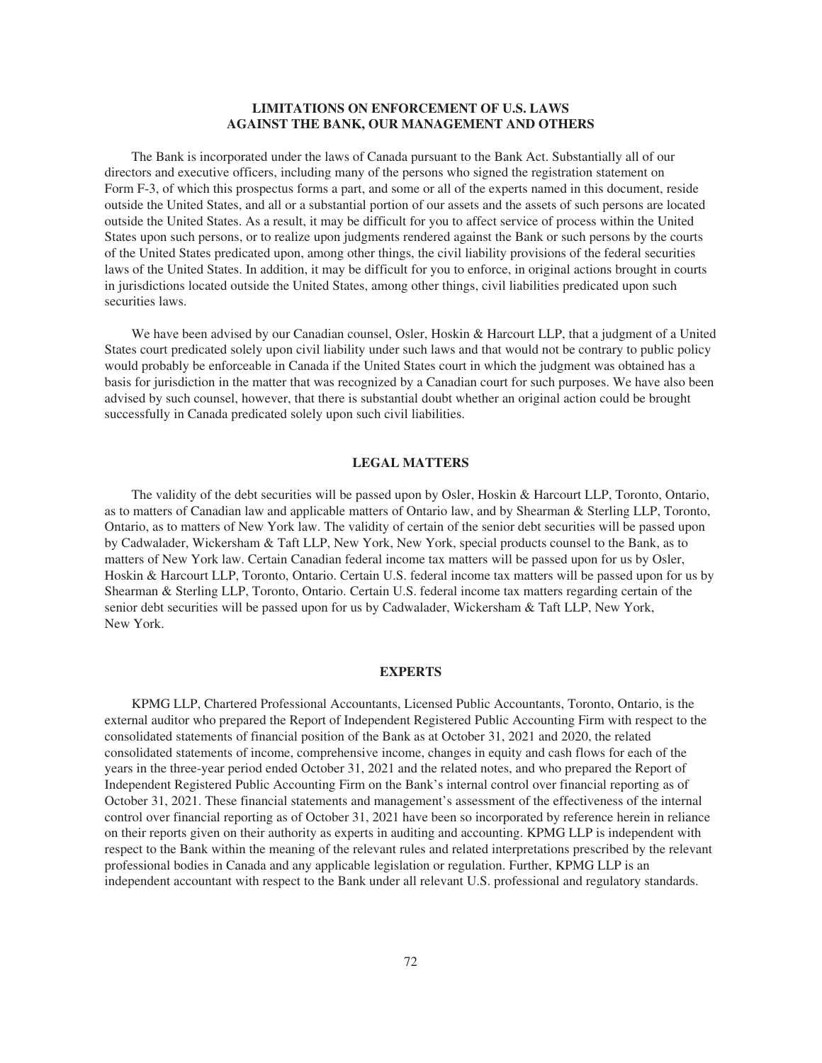# **LIMITATIONS ON ENFORCEMENT OF U.S. LAWS AGAINST THE BANK, OUR MANAGEMENT AND OTHERS**

The Bank is incorporated under the laws of Canada pursuant to the Bank Act. Substantially all of our directors and executive officers, including many of the persons who signed the registration statement on Form F-3, of which this prospectus forms a part, and some or all of the experts named in this document, reside outside the United States, and all or a substantial portion of our assets and the assets of such persons are located outside the United States. As a result, it may be difficult for you to affect service of process within the United States upon such persons, or to realize upon judgments rendered against the Bank or such persons by the courts of the United States predicated upon, among other things, the civil liability provisions of the federal securities laws of the United States. In addition, it may be difficult for you to enforce, in original actions brought in courts in jurisdictions located outside the United States, among other things, civil liabilities predicated upon such securities laws.

We have been advised by our Canadian counsel, Osler, Hoskin & Harcourt LLP, that a judgment of a United States court predicated solely upon civil liability under such laws and that would not be contrary to public policy would probably be enforceable in Canada if the United States court in which the judgment was obtained has a basis for jurisdiction in the matter that was recognized by a Canadian court for such purposes. We have also been advised by such counsel, however, that there is substantial doubt whether an original action could be brought successfully in Canada predicated solely upon such civil liabilities.

#### **LEGAL MATTERS**

The validity of the debt securities will be passed upon by Osler, Hoskin & Harcourt LLP, Toronto, Ontario, as to matters of Canadian law and applicable matters of Ontario law, and by Shearman & Sterling LLP, Toronto, Ontario, as to matters of New York law. The validity of certain of the senior debt securities will be passed upon by Cadwalader, Wickersham & Taft LLP, New York, New York, special products counsel to the Bank, as to matters of New York law. Certain Canadian federal income tax matters will be passed upon for us by Osler, Hoskin & Harcourt LLP, Toronto, Ontario. Certain U.S. federal income tax matters will be passed upon for us by Shearman & Sterling LLP, Toronto, Ontario. Certain U.S. federal income tax matters regarding certain of the senior debt securities will be passed upon for us by Cadwalader, Wickersham & Taft LLP, New York, New York.

#### **EXPERTS**

KPMG LLP, Chartered Professional Accountants, Licensed Public Accountants, Toronto, Ontario, is the external auditor who prepared the Report of Independent Registered Public Accounting Firm with respect to the consolidated statements of financial position of the Bank as at October 31, 2021 and 2020, the related consolidated statements of income, comprehensive income, changes in equity and cash flows for each of the years in the three-year period ended October 31, 2021 and the related notes, and who prepared the Report of Independent Registered Public Accounting Firm on the Bank's internal control over financial reporting as of October 31, 2021. These financial statements and management's assessment of the effectiveness of the internal control over financial reporting as of October 31, 2021 have been so incorporated by reference herein in reliance on their reports given on their authority as experts in auditing and accounting. KPMG LLP is independent with respect to the Bank within the meaning of the relevant rules and related interpretations prescribed by the relevant professional bodies in Canada and any applicable legislation or regulation. Further, KPMG LLP is an independent accountant with respect to the Bank under all relevant U.S. professional and regulatory standards.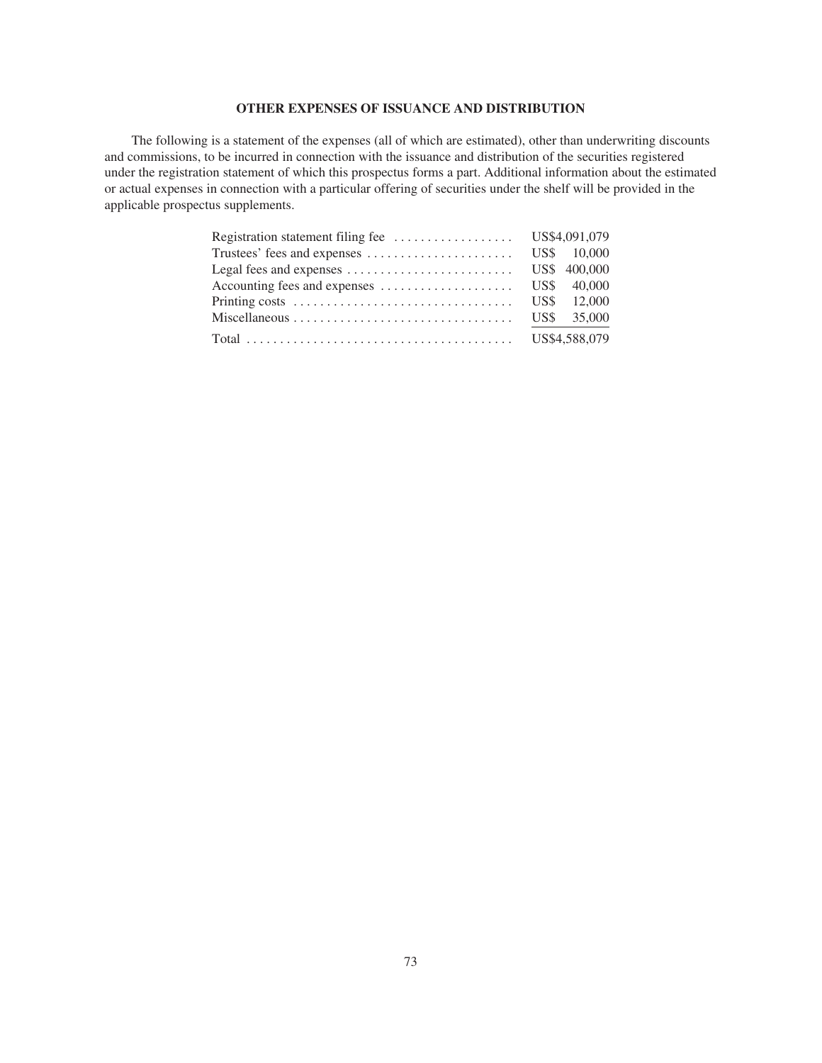# **OTHER EXPENSES OF ISSUANCE AND DISTRIBUTION**

The following is a statement of the expenses (all of which are estimated), other than underwriting discounts and commissions, to be incurred in connection with the issuance and distribution of the securities registered under the registration statement of which this prospectus forms a part. Additional information about the estimated or actual expenses in connection with a particular offering of securities under the shelf will be provided in the applicable prospectus supplements.

| Trustees' fees and expenses $\dots \dots \dots \dots \dots \dots \dots$ US\$ 10,000 |  |              |
|-------------------------------------------------------------------------------------|--|--------------|
| Legal fees and expenses $\dots\dots\dots\dots\dots\dots\dots\dots\dots$             |  | US\$ 400,000 |
| Accounting fees and expenses $\dots \dots \dots \dots \dots \dots$ US\$ 40,000      |  |              |
|                                                                                     |  |              |
|                                                                                     |  |              |
|                                                                                     |  |              |